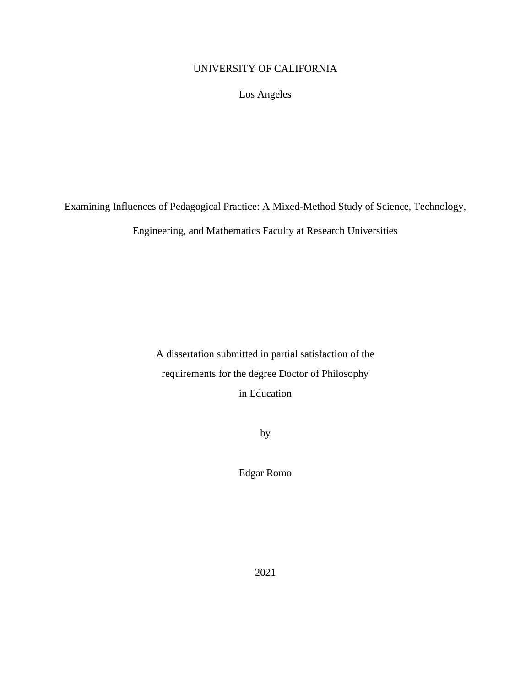# <span id="page-0-0"></span>UNIVERSITY OF CALIFORNIA

Los Angeles

Examining Influences of Pedagogical Practice: A Mixed-Method Study of Science, Technology,

Engineering, and Mathematics Faculty at Research Universities

A dissertation submitted in partial satisfaction of the requirements for the degree Doctor of Philosophy in Education

by

Edgar Romo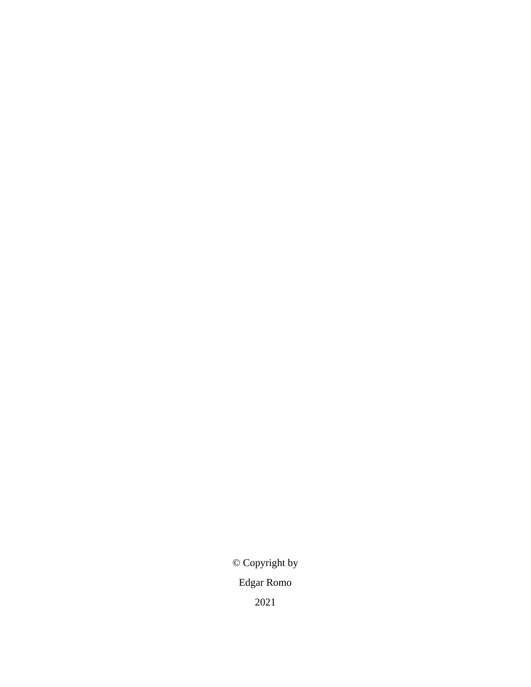© Copyright by Edgar Romo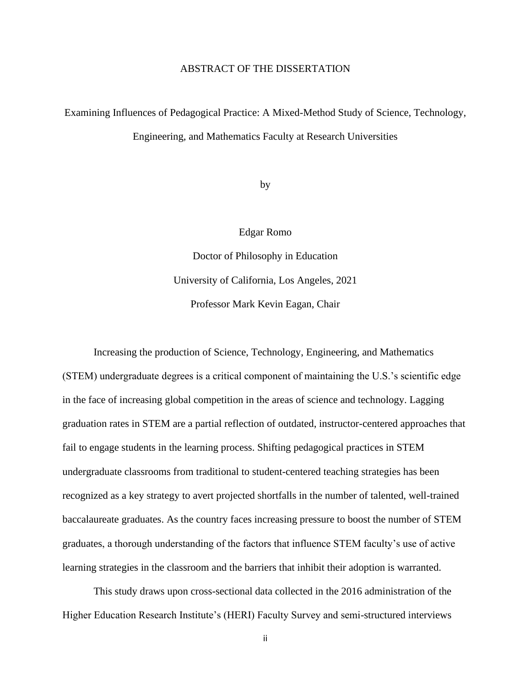#### ABSTRACT OF THE DISSERTATION

# Examining Influences of Pedagogical Practice: A Mixed-Method Study of Science, Technology, Engineering, and Mathematics Faculty at Research Universities

by

Edgar Romo

Doctor of Philosophy in Education University of California, Los Angeles, 2021 Professor Mark Kevin Eagan, Chair

Increasing the production of Science, Technology, Engineering, and Mathematics (STEM) undergraduate degrees is a critical component of maintaining the U.S.'s scientific edge in the face of increasing global competition in the areas of science and technology. Lagging graduation rates in STEM are a partial reflection of outdated, instructor-centered approaches that fail to engage students in the learning process. Shifting pedagogical practices in STEM undergraduate classrooms from traditional to student-centered teaching strategies has been recognized as a key strategy to avert projected shortfalls in the number of talented, well-trained baccalaureate graduates. As the country faces increasing pressure to boost the number of STEM graduates, a thorough understanding of the factors that influence STEM faculty's use of active learning strategies in the classroom and the barriers that inhibit their adoption is warranted.

This study draws upon cross-sectional data collected in the 2016 administration of the Higher Education Research Institute's (HERI) Faculty Survey and semi-structured interviews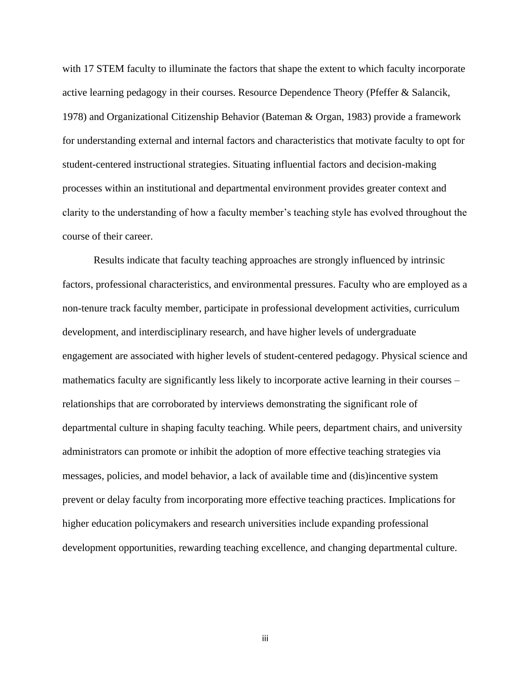with 17 STEM faculty to illuminate the factors that shape the extent to which faculty incorporate active learning pedagogy in their courses. Resource Dependence Theory (Pfeffer & Salancik, 1978) and Organizational Citizenship Behavior (Bateman & Organ, 1983) provide a framework for understanding external and internal factors and characteristics that motivate faculty to opt for student-centered instructional strategies. Situating influential factors and decision-making processes within an institutional and departmental environment provides greater context and clarity to the understanding of how a faculty member's teaching style has evolved throughout the course of their career.

Results indicate that faculty teaching approaches are strongly influenced by intrinsic factors, professional characteristics, and environmental pressures. Faculty who are employed as a non-tenure track faculty member, participate in professional development activities, curriculum development, and interdisciplinary research, and have higher levels of undergraduate engagement are associated with higher levels of student-centered pedagogy. Physical science and mathematics faculty are significantly less likely to incorporate active learning in their courses – relationships that are corroborated by interviews demonstrating the significant role of departmental culture in shaping faculty teaching. While peers, department chairs, and university administrators can promote or inhibit the adoption of more effective teaching strategies via messages, policies, and model behavior, a lack of available time and (dis)incentive system prevent or delay faculty from incorporating more effective teaching practices. Implications for higher education policymakers and research universities include expanding professional development opportunities, rewarding teaching excellence, and changing departmental culture.

iii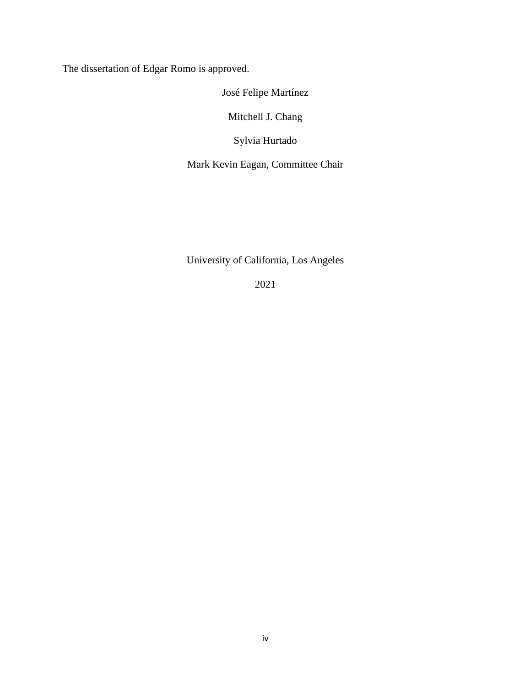The dissertation of Edgar Romo is approved.

José Felipe Martínez

Mitchell J. Chang

Sylvia Hurtado

Mark Kevin Eagan, Committee Chair

University of California, Los Angeles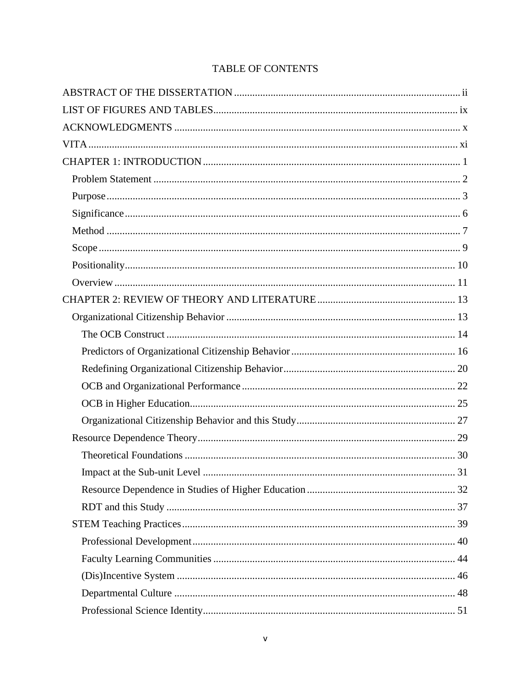# TABLE OF CONTENTS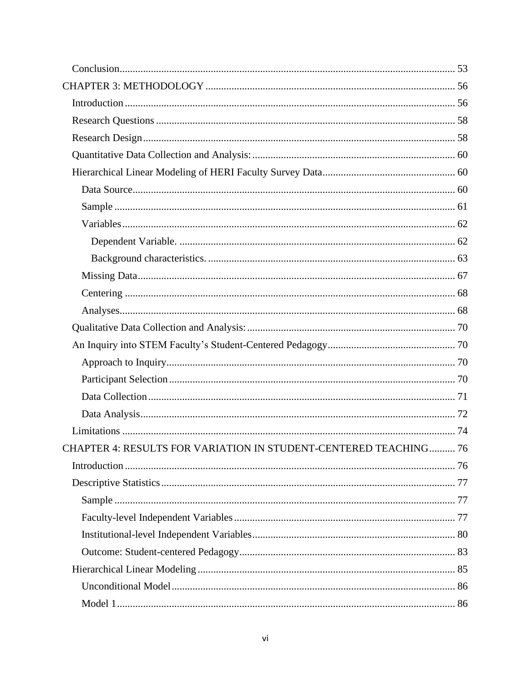| CHAPTER 4: RESULTS FOR VARIATION IN STUDENT-CENTERED TEACHING 76 |  |
|------------------------------------------------------------------|--|
|                                                                  |  |
|                                                                  |  |
|                                                                  |  |
|                                                                  |  |
|                                                                  |  |
|                                                                  |  |
|                                                                  |  |
|                                                                  |  |
|                                                                  |  |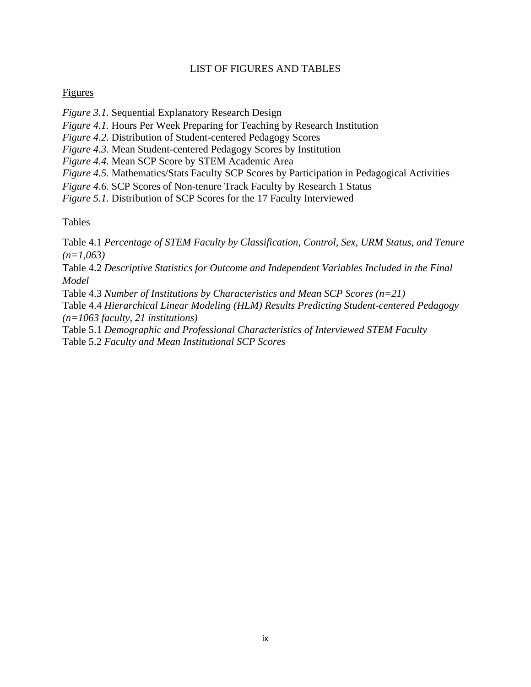## LIST OF FIGURES AND TABLES

## <span id="page-9-0"></span>Figures

*Figure 3.1.* Sequential Explanatory Research Design

*Figure 4.1.* Hours Per Week Preparing for Teaching by Research Institution

*Figure 4.2.* Distribution of Student-centered Pedagogy Scores

*Figure 4.3.* Mean Student-centered Pedagogy Scores by Institution

*Figure 4.4.* Mean SCP Score by STEM Academic Area

*Figure 4.5.* Mathematics/Stats Faculty SCP Scores by Participation in Pedagogical Activities

*Figure 4.6.* SCP Scores of Non-tenure Track Faculty by Research 1 Status

*Figure 5.1.* Distribution of SCP Scores for the 17 Faculty Interviewed

## Tables

Table 4.1 *Percentage of STEM Faculty by Classification, Control, Sex, URM Status, and Tenure (n=1,063)*

Table 4.2 *Descriptive Statistics for Outcome and Independent Variables Included in the Final Model*

Table 4.3 *Number of Institutions by Characteristics and Mean SCP Scores (n=21)*

Table 4.4 *Hierarchical Linear Modeling (HLM) Results Predicting Student-centered Pedagogy (n=1063 faculty, 21 institutions)*

Table 5.1 *Demographic and Professional Characteristics of Interviewed STEM Faculty* Table 5.2 *Faculty and Mean Institutional SCP Scores*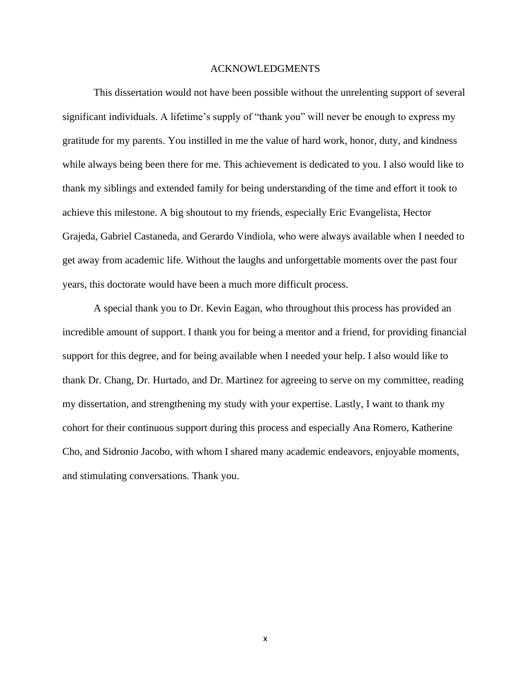#### ACKNOWLEDGMENTS

<span id="page-10-0"></span>This dissertation would not have been possible without the unrelenting support of several significant individuals. A lifetime's supply of "thank you" will never be enough to express my gratitude for my parents. You instilled in me the value of hard work, honor, duty, and kindness while always being been there for me. This achievement is dedicated to you. I also would like to thank my siblings and extended family for being understanding of the time and effort it took to achieve this milestone. A big shoutout to my friends, especially Eric Evangelista, Hector Grajeda, Gabriel Castaneda, and Gerardo Vindiola, who were always available when I needed to get away from academic life. Without the laughs and unforgettable moments over the past four years, this doctorate would have been a much more difficult process.

A special thank you to Dr. Kevin Eagan, who throughout this process has provided an incredible amount of support. I thank you for being a mentor and a friend, for providing financial support for this degree, and for being available when I needed your help. I also would like to thank Dr. Chang, Dr. Hurtado, and Dr. Martinez for agreeing to serve on my committee, reading my dissertation, and strengthening my study with your expertise. Lastly, I want to thank my cohort for their continuous support during this process and especially Ana Romero, Katherine Cho, and Sidronio Jacobo, with whom I shared many academic endeavors, enjoyable moments, and stimulating conversations. Thank you.

x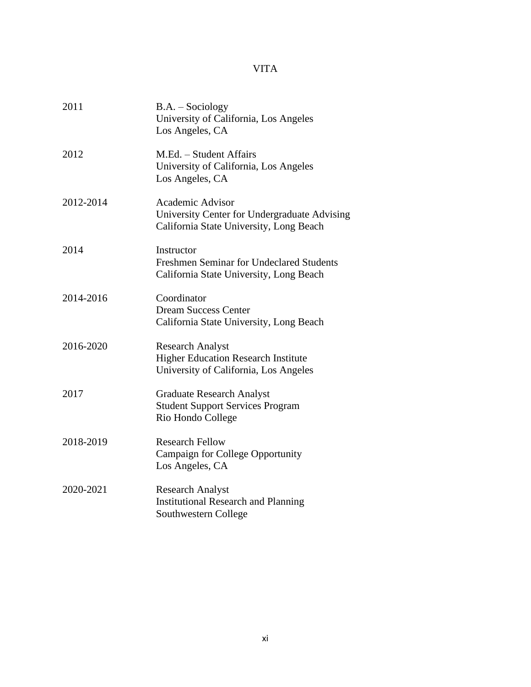# VITA

<span id="page-11-0"></span>

| 2011      | $B.A. - Sociology$<br>University of California, Los Angeles<br>Los Angeles, CA                                     |
|-----------|--------------------------------------------------------------------------------------------------------------------|
| 2012      | M.Ed. - Student Affairs<br>University of California, Los Angeles<br>Los Angeles, CA                                |
| 2012-2014 | <b>Academic Advisor</b><br>University Center for Undergraduate Advising<br>California State University, Long Beach |
| 2014      | Instructor<br><b>Freshmen Seminar for Undeclared Students</b><br>California State University, Long Beach           |
| 2014-2016 | Coordinator<br><b>Dream Success Center</b><br>California State University, Long Beach                              |
| 2016-2020 | <b>Research Analyst</b><br><b>Higher Education Research Institute</b><br>University of California, Los Angeles     |
| 2017      | <b>Graduate Research Analyst</b><br><b>Student Support Services Program</b><br>Rio Hondo College                   |
| 2018-2019 | <b>Research Fellow</b><br><b>Campaign for College Opportunity</b><br>Los Angeles, CA                               |
| 2020-2021 | <b>Research Analyst</b><br><b>Institutional Research and Planning</b><br>Southwestern College                      |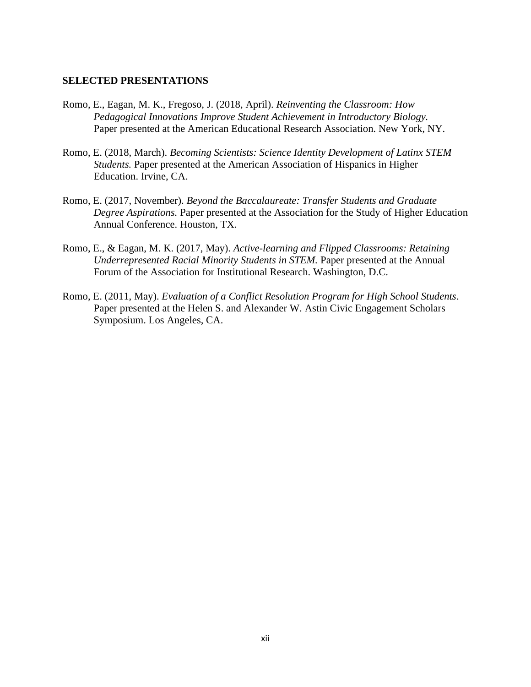#### **SELECTED PRESENTATIONS**

- Romo, E., Eagan, M. K., Fregoso, J. (2018, April). *Reinventing the Classroom: How Pedagogical Innovations Improve Student Achievement in Introductory Biology.* Paper presented at the American Educational Research Association. New York, NY.
- Romo, E. (2018, March). *Becoming Scientists: Science Identity Development of Latinx STEM Students.* Paper presented at the American Association of Hispanics in Higher Education. Irvine, CA.
- Romo, E. (2017, November). *Beyond the Baccalaureate: Transfer Students and Graduate Degree Aspirations.* Paper presented at the Association for the Study of Higher Education Annual Conference. Houston, TX.
- Romo, E., & Eagan, M. K. (2017, May). *Active-learning and Flipped Classrooms: Retaining Underrepresented Racial Minority Students in STEM.* Paper presented at the Annual Forum of the Association for Institutional Research. Washington, D.C.
- Romo, E. (2011, May). *Evaluation of a Conflict Resolution Program for High School Students*. Paper presented at the Helen S. and Alexander W. Astin Civic Engagement Scholars Symposium. Los Angeles, CA.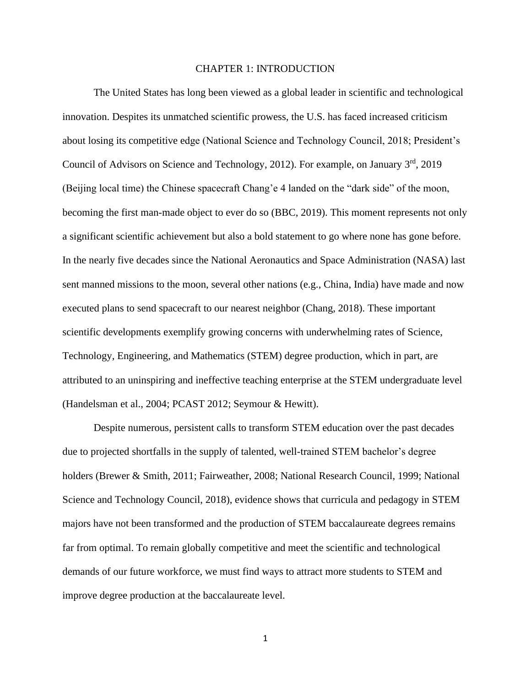#### CHAPTER 1: INTRODUCTION

<span id="page-13-0"></span>The United States has long been viewed as a global leader in scientific and technological innovation. Despites its unmatched scientific prowess, the U.S. has faced increased criticism about losing its competitive edge (National Science and Technology Council, 2018; President's Council of Advisors on Science and Technology, 2012). For example, on January 3rd, 2019 (Beijing local time) the Chinese spacecraft Chang'e 4 landed on the "dark side" of the moon, becoming the first man-made object to ever do so (BBC, 2019). This moment represents not only a significant scientific achievement but also a bold statement to go where none has gone before. In the nearly five decades since the National Aeronautics and Space Administration (NASA) last sent manned missions to the moon, several other nations (e.g., China, India) have made and now executed plans to send spacecraft to our nearest neighbor (Chang, 2018). These important scientific developments exemplify growing concerns with underwhelming rates of Science, Technology, Engineering, and Mathematics (STEM) degree production, which in part, are attributed to an uninspiring and ineffective teaching enterprise at the STEM undergraduate level (Handelsman et al., 2004; PCAST 2012; Seymour & Hewitt).

Despite numerous, persistent calls to transform STEM education over the past decades due to projected shortfalls in the supply of talented, well-trained STEM bachelor's degree holders (Brewer & Smith, 2011; Fairweather, 2008; National Research Council, 1999; National Science and Technology Council, 2018), evidence shows that curricula and pedagogy in STEM majors have not been transformed and the production of STEM baccalaureate degrees remains far from optimal. To remain globally competitive and meet the scientific and technological demands of our future workforce, we must find ways to attract more students to STEM and improve degree production at the baccalaureate level.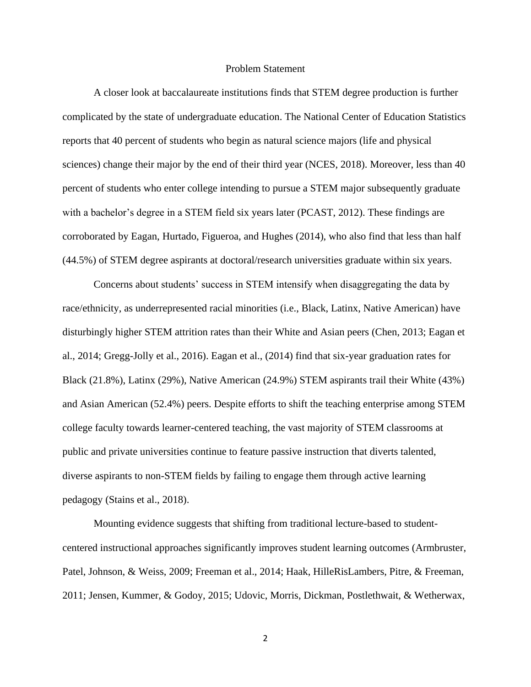#### Problem Statement

<span id="page-14-0"></span>A closer look at baccalaureate institutions finds that STEM degree production is further complicated by the state of undergraduate education. The National Center of Education Statistics reports that 40 percent of students who begin as natural science majors (life and physical sciences) change their major by the end of their third year (NCES, 2018). Moreover, less than 40 percent of students who enter college intending to pursue a STEM major subsequently graduate with a bachelor's degree in a STEM field six years later (PCAST, 2012). These findings are corroborated by Eagan, Hurtado, Figueroa, and Hughes (2014), who also find that less than half (44.5%) of STEM degree aspirants at doctoral/research universities graduate within six years.

Concerns about students' success in STEM intensify when disaggregating the data by race/ethnicity, as underrepresented racial minorities (i.e., Black, Latinx, Native American) have disturbingly higher STEM attrition rates than their White and Asian peers (Chen, 2013; Eagan et al., 2014; Gregg-Jolly et al., 2016). Eagan et al., (2014) find that six-year graduation rates for Black (21.8%), Latinx (29%), Native American (24.9%) STEM aspirants trail their White (43%) and Asian American (52.4%) peers. Despite efforts to shift the teaching enterprise among STEM college faculty towards learner-centered teaching, the vast majority of STEM classrooms at public and private universities continue to feature passive instruction that diverts talented, diverse aspirants to non-STEM fields by failing to engage them through active learning pedagogy (Stains et al., 2018).

Mounting evidence suggests that shifting from traditional lecture-based to studentcentered instructional approaches significantly improves student learning outcomes (Armbruster, Patel, Johnson, & Weiss, 2009; Freeman et al., 2014; Haak, HilleRisLambers, Pitre, & Freeman, 2011; Jensen, Kummer, & Godoy, 2015; Udovic, Morris, Dickman, Postlethwait, & Wetherwax,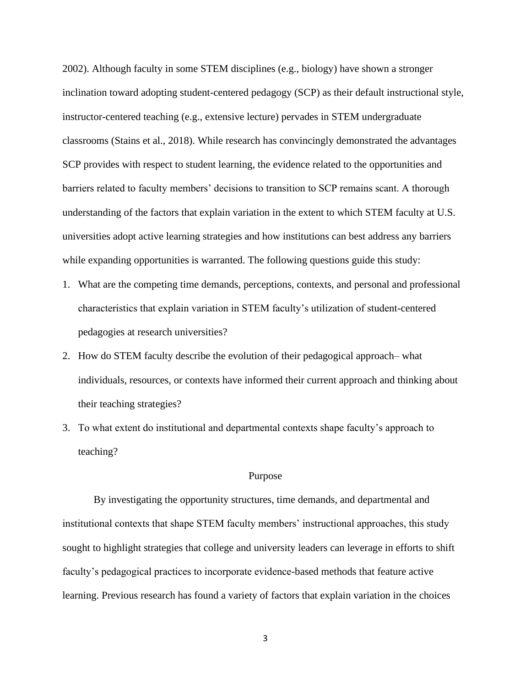2002). Although faculty in some STEM disciplines (e.g., biology) have shown a stronger inclination toward adopting student-centered pedagogy (SCP) as their default instructional style, instructor-centered teaching (e.g., extensive lecture) pervades in STEM undergraduate classrooms (Stains et al., 2018). While research has convincingly demonstrated the advantages SCP provides with respect to student learning, the evidence related to the opportunities and barriers related to faculty members' decisions to transition to SCP remains scant. A thorough understanding of the factors that explain variation in the extent to which STEM faculty at U.S. universities adopt active learning strategies and how institutions can best address any barriers while expanding opportunities is warranted. The following questions guide this study:

- 1. What are the competing time demands, perceptions, contexts, and personal and professional characteristics that explain variation in STEM faculty's utilization of student-centered pedagogies at research universities?
- 2. How do STEM faculty describe the evolution of their pedagogical approach– what individuals, resources, or contexts have informed their current approach and thinking about their teaching strategies?
- 3. To what extent do institutional and departmental contexts shape faculty's approach to teaching?

#### Purpose

<span id="page-15-0"></span>By investigating the opportunity structures, time demands, and departmental and institutional contexts that shape STEM faculty members' instructional approaches, this study sought to highlight strategies that college and university leaders can leverage in efforts to shift faculty's pedagogical practices to incorporate evidence-based methods that feature active learning. Previous research has found a variety of factors that explain variation in the choices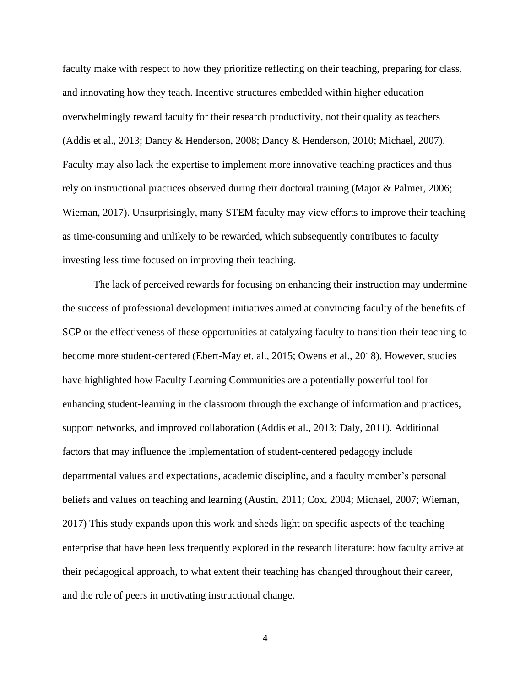faculty make with respect to how they prioritize reflecting on their teaching, preparing for class, and innovating how they teach. Incentive structures embedded within higher education overwhelmingly reward faculty for their research productivity, not their quality as teachers (Addis et al., 2013; Dancy & Henderson, 2008; Dancy & Henderson, 2010; Michael, 2007). Faculty may also lack the expertise to implement more innovative teaching practices and thus rely on instructional practices observed during their doctoral training (Major & Palmer, 2006; Wieman, 2017). Unsurprisingly, many STEM faculty may view efforts to improve their teaching as time-consuming and unlikely to be rewarded, which subsequently contributes to faculty investing less time focused on improving their teaching.

The lack of perceived rewards for focusing on enhancing their instruction may undermine the success of professional development initiatives aimed at convincing faculty of the benefits of SCP or the effectiveness of these opportunities at catalyzing faculty to transition their teaching to become more student-centered (Ebert-May et. al., 2015; Owens et al., 2018). However, studies have highlighted how Faculty Learning Communities are a potentially powerful tool for enhancing student-learning in the classroom through the exchange of information and practices, support networks, and improved collaboration (Addis et al., 2013; Daly, 2011). Additional factors that may influence the implementation of student-centered pedagogy include departmental values and expectations, academic discipline, and a faculty member's personal beliefs and values on teaching and learning (Austin, 2011; Cox, 2004; Michael, 2007; Wieman, 2017) This study expands upon this work and sheds light on specific aspects of the teaching enterprise that have been less frequently explored in the research literature: how faculty arrive at their pedagogical approach, to what extent their teaching has changed throughout their career, and the role of peers in motivating instructional change.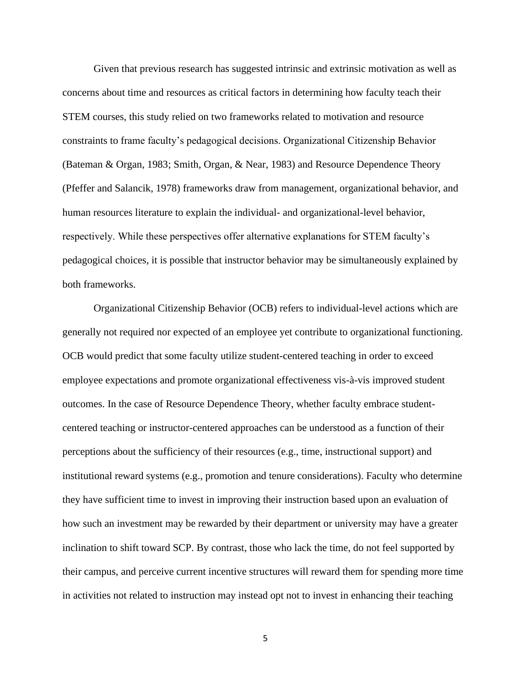Given that previous research has suggested intrinsic and extrinsic motivation as well as concerns about time and resources as critical factors in determining how faculty teach their STEM courses, this study relied on two frameworks related to motivation and resource constraints to frame faculty's pedagogical decisions. Organizational Citizenship Behavior (Bateman & Organ, 1983; Smith, Organ, & Near, 1983) and Resource Dependence Theory (Pfeffer and Salancik, 1978) frameworks draw from management, organizational behavior, and human resources literature to explain the individual- and organizational-level behavior, respectively. While these perspectives offer alternative explanations for STEM faculty's pedagogical choices, it is possible that instructor behavior may be simultaneously explained by both frameworks.

Organizational Citizenship Behavior (OCB) refers to individual-level actions which are generally not required nor expected of an employee yet contribute to organizational functioning. OCB would predict that some faculty utilize student-centered teaching in order to exceed employee expectations and promote organizational effectiveness vis-à-vis improved student outcomes. In the case of Resource Dependence Theory, whether faculty embrace studentcentered teaching or instructor-centered approaches can be understood as a function of their perceptions about the sufficiency of their resources (e.g., time, instructional support) and institutional reward systems (e.g., promotion and tenure considerations). Faculty who determine they have sufficient time to invest in improving their instruction based upon an evaluation of how such an investment may be rewarded by their department or university may have a greater inclination to shift toward SCP. By contrast, those who lack the time, do not feel supported by their campus, and perceive current incentive structures will reward them for spending more time in activities not related to instruction may instead opt not to invest in enhancing their teaching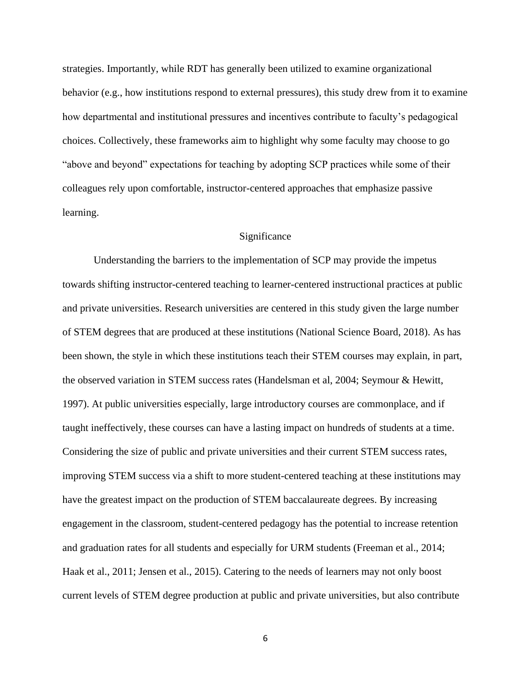strategies. Importantly, while RDT has generally been utilized to examine organizational behavior (e.g., how institutions respond to external pressures), this study drew from it to examine how departmental and institutional pressures and incentives contribute to faculty's pedagogical choices. Collectively, these frameworks aim to highlight why some faculty may choose to go "above and beyond" expectations for teaching by adopting SCP practices while some of their colleagues rely upon comfortable, instructor-centered approaches that emphasize passive learning.

#### Significance

<span id="page-18-0"></span>Understanding the barriers to the implementation of SCP may provide the impetus towards shifting instructor-centered teaching to learner-centered instructional practices at public and private universities. Research universities are centered in this study given the large number of STEM degrees that are produced at these institutions (National Science Board, 2018). As has been shown, the style in which these institutions teach their STEM courses may explain, in part, the observed variation in STEM success rates (Handelsman et al, 2004; Seymour & Hewitt, 1997). At public universities especially, large introductory courses are commonplace, and if taught ineffectively, these courses can have a lasting impact on hundreds of students at a time. Considering the size of public and private universities and their current STEM success rates, improving STEM success via a shift to more student-centered teaching at these institutions may have the greatest impact on the production of STEM baccalaureate degrees. By increasing engagement in the classroom, student-centered pedagogy has the potential to increase retention and graduation rates for all students and especially for URM students (Freeman et al., 2014; Haak et al., 2011; Jensen et al., 2015). Catering to the needs of learners may not only boost current levels of STEM degree production at public and private universities, but also contribute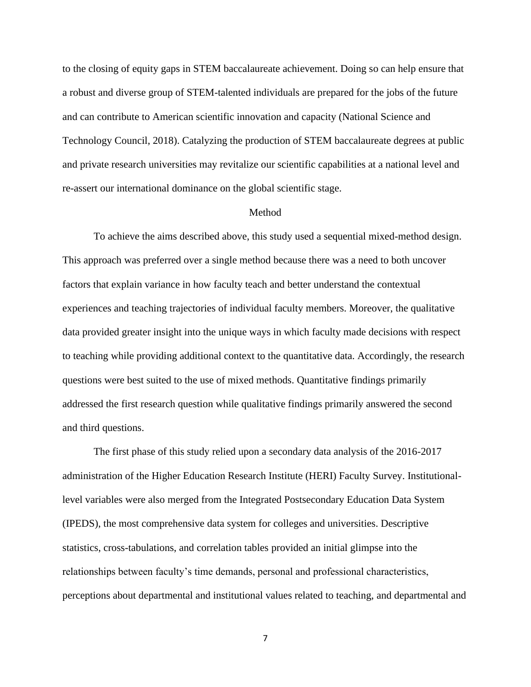to the closing of equity gaps in STEM baccalaureate achievement. Doing so can help ensure that a robust and diverse group of STEM-talented individuals are prepared for the jobs of the future and can contribute to American scientific innovation and capacity (National Science and Technology Council, 2018). Catalyzing the production of STEM baccalaureate degrees at public and private research universities may revitalize our scientific capabilities at a national level and re-assert our international dominance on the global scientific stage.

#### Method

<span id="page-19-0"></span>To achieve the aims described above, this study used a sequential mixed-method design. This approach was preferred over a single method because there was a need to both uncover factors that explain variance in how faculty teach and better understand the contextual experiences and teaching trajectories of individual faculty members. Moreover, the qualitative data provided greater insight into the unique ways in which faculty made decisions with respect to teaching while providing additional context to the quantitative data. Accordingly, the research questions were best suited to the use of mixed methods. Quantitative findings primarily addressed the first research question while qualitative findings primarily answered the second and third questions.

The first phase of this study relied upon a secondary data analysis of the 2016-2017 administration of the Higher Education Research Institute (HERI) Faculty Survey. Institutionallevel variables were also merged from the Integrated Postsecondary Education Data System (IPEDS), the most comprehensive data system for colleges and universities. Descriptive statistics, cross-tabulations, and correlation tables provided an initial glimpse into the relationships between faculty's time demands, personal and professional characteristics, perceptions about departmental and institutional values related to teaching, and departmental and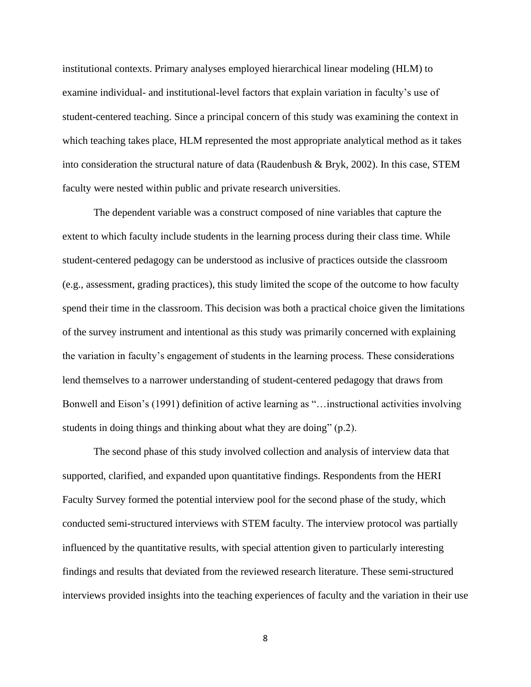institutional contexts. Primary analyses employed hierarchical linear modeling (HLM) to examine individual- and institutional-level factors that explain variation in faculty's use of student-centered teaching. Since a principal concern of this study was examining the context in which teaching takes place, HLM represented the most appropriate analytical method as it takes into consideration the structural nature of data (Raudenbush & Bryk, 2002). In this case, STEM faculty were nested within public and private research universities.

The dependent variable was a construct composed of nine variables that capture the extent to which faculty include students in the learning process during their class time. While student-centered pedagogy can be understood as inclusive of practices outside the classroom (e.g., assessment, grading practices), this study limited the scope of the outcome to how faculty spend their time in the classroom. This decision was both a practical choice given the limitations of the survey instrument and intentional as this study was primarily concerned with explaining the variation in faculty's engagement of students in the learning process. These considerations lend themselves to a narrower understanding of student-centered pedagogy that draws from Bonwell and Eison's (1991) definition of active learning as "…instructional activities involving students in doing things and thinking about what they are doing" (p.2).

The second phase of this study involved collection and analysis of interview data that supported, clarified, and expanded upon quantitative findings. Respondents from the HERI Faculty Survey formed the potential interview pool for the second phase of the study, which conducted semi-structured interviews with STEM faculty. The interview protocol was partially influenced by the quantitative results, with special attention given to particularly interesting findings and results that deviated from the reviewed research literature. These semi-structured interviews provided insights into the teaching experiences of faculty and the variation in their use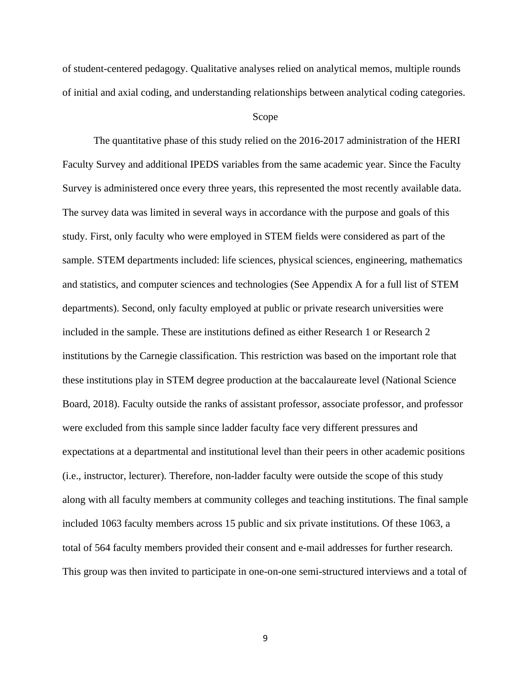of student-centered pedagogy. Qualitative analyses relied on analytical memos, multiple rounds of initial and axial coding, and understanding relationships between analytical coding categories.

#### Scope

<span id="page-21-0"></span>The quantitative phase of this study relied on the 2016-2017 administration of the HERI Faculty Survey and additional IPEDS variables from the same academic year. Since the Faculty Survey is administered once every three years, this represented the most recently available data. The survey data was limited in several ways in accordance with the purpose and goals of this study. First, only faculty who were employed in STEM fields were considered as part of the sample. STEM departments included: life sciences, physical sciences, engineering, mathematics and statistics, and computer sciences and technologies (See Appendix A for a full list of STEM departments). Second, only faculty employed at public or private research universities were included in the sample. These are institutions defined as either Research 1 or Research 2 institutions by the Carnegie classification. This restriction was based on the important role that these institutions play in STEM degree production at the baccalaureate level (National Science Board, 2018). Faculty outside the ranks of assistant professor, associate professor, and professor were excluded from this sample since ladder faculty face very different pressures and expectations at a departmental and institutional level than their peers in other academic positions (i.e., instructor, lecturer). Therefore, non-ladder faculty were outside the scope of this study along with all faculty members at community colleges and teaching institutions. The final sample included 1063 faculty members across 15 public and six private institutions. Of these 1063, a total of 564 faculty members provided their consent and e-mail addresses for further research. This group was then invited to participate in one-on-one semi-structured interviews and a total of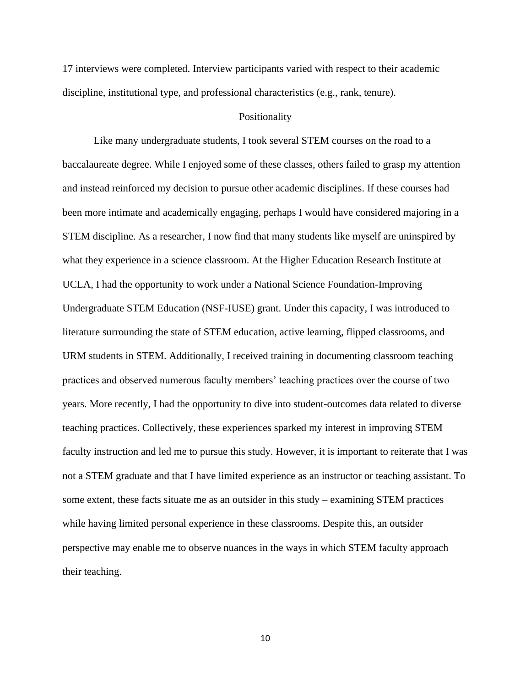17 interviews were completed. Interview participants varied with respect to their academic discipline, institutional type, and professional characteristics (e.g., rank, tenure).

#### Positionality

<span id="page-22-0"></span>Like many undergraduate students, I took several STEM courses on the road to a baccalaureate degree. While I enjoyed some of these classes, others failed to grasp my attention and instead reinforced my decision to pursue other academic disciplines. If these courses had been more intimate and academically engaging, perhaps I would have considered majoring in a STEM discipline. As a researcher, I now find that many students like myself are uninspired by what they experience in a science classroom. At the Higher Education Research Institute at UCLA, I had the opportunity to work under a National Science Foundation-Improving Undergraduate STEM Education (NSF-IUSE) grant. Under this capacity, I was introduced to literature surrounding the state of STEM education, active learning, flipped classrooms, and URM students in STEM. Additionally, I received training in documenting classroom teaching practices and observed numerous faculty members' teaching practices over the course of two years. More recently, I had the opportunity to dive into student-outcomes data related to diverse teaching practices. Collectively, these experiences sparked my interest in improving STEM faculty instruction and led me to pursue this study. However, it is important to reiterate that I was not a STEM graduate and that I have limited experience as an instructor or teaching assistant. To some extent, these facts situate me as an outsider in this study – examining STEM practices while having limited personal experience in these classrooms. Despite this, an outsider perspective may enable me to observe nuances in the ways in which STEM faculty approach their teaching.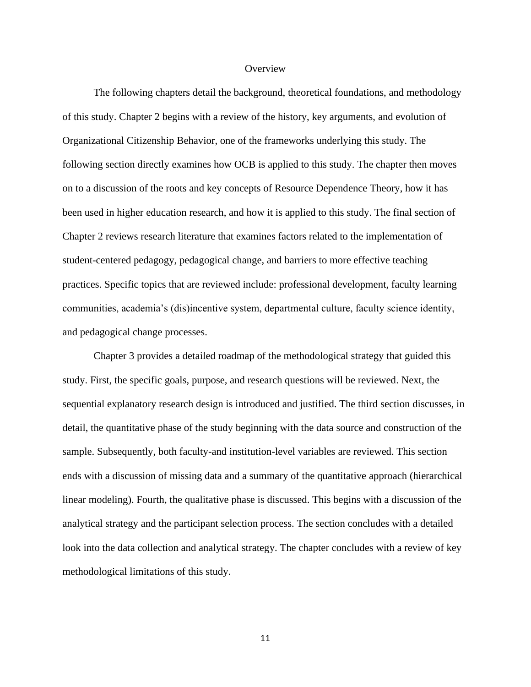#### **Overview**

<span id="page-23-0"></span>The following chapters detail the background, theoretical foundations, and methodology of this study. Chapter 2 begins with a review of the history, key arguments, and evolution of Organizational Citizenship Behavior, one of the frameworks underlying this study. The following section directly examines how OCB is applied to this study. The chapter then moves on to a discussion of the roots and key concepts of Resource Dependence Theory, how it has been used in higher education research, and how it is applied to this study. The final section of Chapter 2 reviews research literature that examines factors related to the implementation of student-centered pedagogy, pedagogical change, and barriers to more effective teaching practices. Specific topics that are reviewed include: professional development, faculty learning communities, academia's (dis)incentive system, departmental culture, faculty science identity, and pedagogical change processes.

Chapter 3 provides a detailed roadmap of the methodological strategy that guided this study. First, the specific goals, purpose, and research questions will be reviewed. Next, the sequential explanatory research design is introduced and justified. The third section discusses, in detail, the quantitative phase of the study beginning with the data source and construction of the sample. Subsequently, both faculty-and institution-level variables are reviewed. This section ends with a discussion of missing data and a summary of the quantitative approach (hierarchical linear modeling). Fourth, the qualitative phase is discussed. This begins with a discussion of the analytical strategy and the participant selection process. The section concludes with a detailed look into the data collection and analytical strategy. The chapter concludes with a review of key methodological limitations of this study.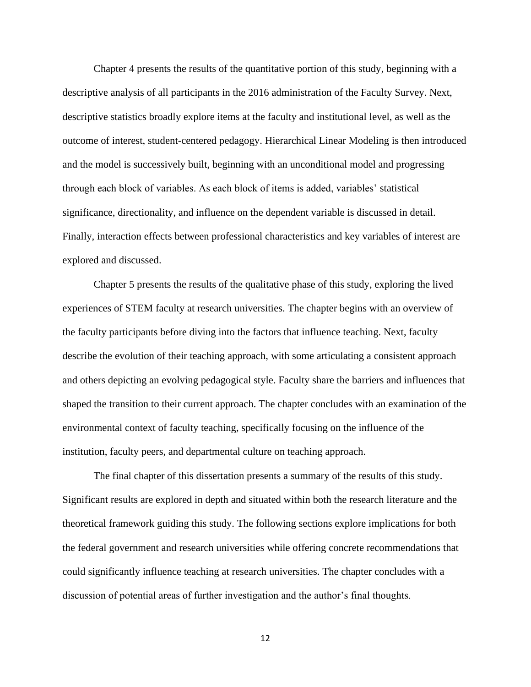Chapter 4 presents the results of the quantitative portion of this study, beginning with a descriptive analysis of all participants in the 2016 administration of the Faculty Survey. Next, descriptive statistics broadly explore items at the faculty and institutional level, as well as the outcome of interest, student-centered pedagogy. Hierarchical Linear Modeling is then introduced and the model is successively built, beginning with an unconditional model and progressing through each block of variables. As each block of items is added, variables' statistical significance, directionality, and influence on the dependent variable is discussed in detail. Finally, interaction effects between professional characteristics and key variables of interest are explored and discussed.

Chapter 5 presents the results of the qualitative phase of this study, exploring the lived experiences of STEM faculty at research universities. The chapter begins with an overview of the faculty participants before diving into the factors that influence teaching. Next, faculty describe the evolution of their teaching approach, with some articulating a consistent approach and others depicting an evolving pedagogical style. Faculty share the barriers and influences that shaped the transition to their current approach. The chapter concludes with an examination of the environmental context of faculty teaching, specifically focusing on the influence of the institution, faculty peers, and departmental culture on teaching approach.

The final chapter of this dissertation presents a summary of the results of this study. Significant results are explored in depth and situated within both the research literature and the theoretical framework guiding this study. The following sections explore implications for both the federal government and research universities while offering concrete recommendations that could significantly influence teaching at research universities. The chapter concludes with a discussion of potential areas of further investigation and the author's final thoughts.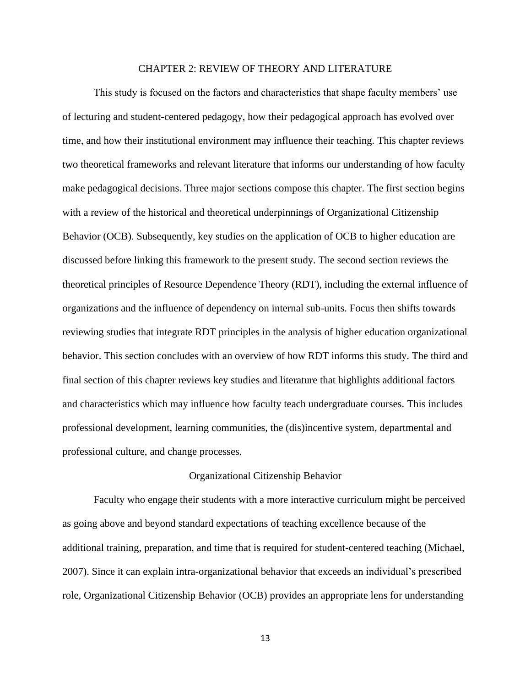#### CHAPTER 2: REVIEW OF THEORY AND LITERATURE

<span id="page-25-0"></span>This study is focused on the factors and characteristics that shape faculty members' use of lecturing and student-centered pedagogy, how their pedagogical approach has evolved over time, and how their institutional environment may influence their teaching. This chapter reviews two theoretical frameworks and relevant literature that informs our understanding of how faculty make pedagogical decisions. Three major sections compose this chapter. The first section begins with a review of the historical and theoretical underpinnings of Organizational Citizenship Behavior (OCB). Subsequently, key studies on the application of OCB to higher education are discussed before linking this framework to the present study. The second section reviews the theoretical principles of Resource Dependence Theory (RDT), including the external influence of organizations and the influence of dependency on internal sub-units. Focus then shifts towards reviewing studies that integrate RDT principles in the analysis of higher education organizational behavior. This section concludes with an overview of how RDT informs this study. The third and final section of this chapter reviews key studies and literature that highlights additional factors and characteristics which may influence how faculty teach undergraduate courses. This includes professional development, learning communities, the (dis)incentive system, departmental and professional culture, and change processes.

#### Organizational Citizenship Behavior

<span id="page-25-1"></span>Faculty who engage their students with a more interactive curriculum might be perceived as going above and beyond standard expectations of teaching excellence because of the additional training, preparation, and time that is required for student-centered teaching (Michael, 2007). Since it can explain intra-organizational behavior that exceeds an individual's prescribed role, Organizational Citizenship Behavior (OCB) provides an appropriate lens for understanding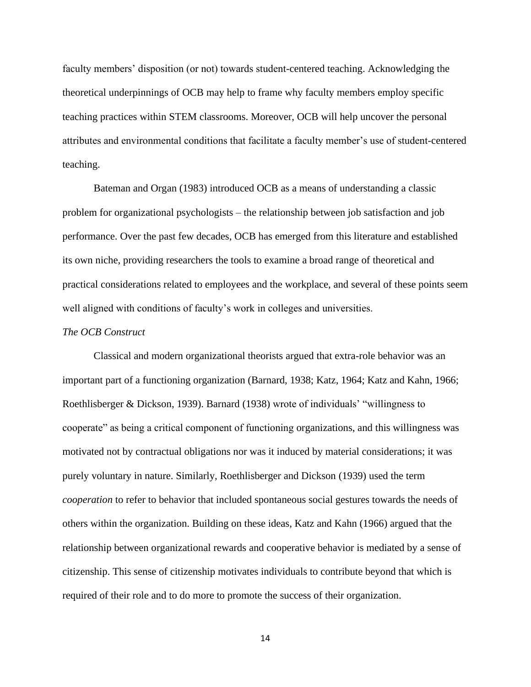faculty members' disposition (or not) towards student-centered teaching. Acknowledging the theoretical underpinnings of OCB may help to frame why faculty members employ specific teaching practices within STEM classrooms. Moreover, OCB will help uncover the personal attributes and environmental conditions that facilitate a faculty member's use of student-centered teaching.

Bateman and Organ (1983) introduced OCB as a means of understanding a classic problem for organizational psychologists – the relationship between job satisfaction and job performance. Over the past few decades, OCB has emerged from this literature and established its own niche, providing researchers the tools to examine a broad range of theoretical and practical considerations related to employees and the workplace, and several of these points seem well aligned with conditions of faculty's work in colleges and universities.

#### <span id="page-26-0"></span>*The OCB Construct*

Classical and modern organizational theorists argued that extra-role behavior was an important part of a functioning organization (Barnard, 1938; Katz, 1964; Katz and Kahn, 1966; Roethlisberger & Dickson, 1939). Barnard (1938) wrote of individuals' "willingness to cooperate" as being a critical component of functioning organizations, and this willingness was motivated not by contractual obligations nor was it induced by material considerations; it was purely voluntary in nature. Similarly, Roethlisberger and Dickson (1939) used the term *cooperation* to refer to behavior that included spontaneous social gestures towards the needs of others within the organization. Building on these ideas, Katz and Kahn (1966) argued that the relationship between organizational rewards and cooperative behavior is mediated by a sense of citizenship. This sense of citizenship motivates individuals to contribute beyond that which is required of their role and to do more to promote the success of their organization.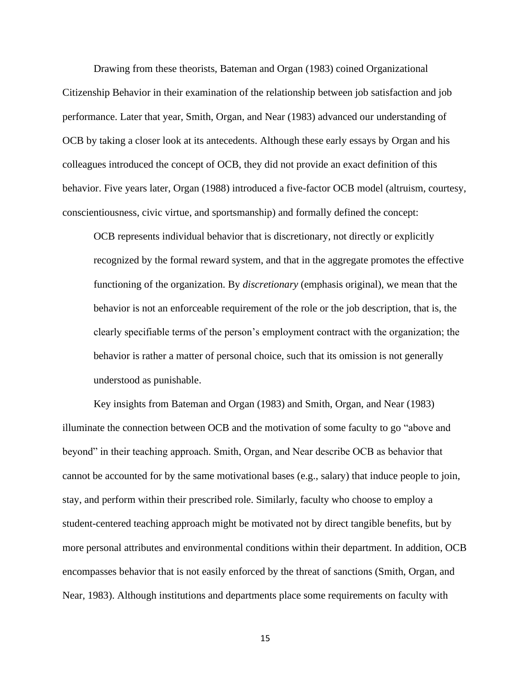Drawing from these theorists, Bateman and Organ (1983) coined Organizational Citizenship Behavior in their examination of the relationship between job satisfaction and job performance. Later that year, Smith, Organ, and Near (1983) advanced our understanding of OCB by taking a closer look at its antecedents. Although these early essays by Organ and his colleagues introduced the concept of OCB, they did not provide an exact definition of this behavior. Five years later, Organ (1988) introduced a five-factor OCB model (altruism, courtesy, conscientiousness, civic virtue, and sportsmanship) and formally defined the concept:

OCB represents individual behavior that is discretionary, not directly or explicitly recognized by the formal reward system, and that in the aggregate promotes the effective functioning of the organization. By *discretionary* (emphasis original), we mean that the behavior is not an enforceable requirement of the role or the job description, that is, the clearly specifiable terms of the person's employment contract with the organization; the behavior is rather a matter of personal choice, such that its omission is not generally understood as punishable.

Key insights from Bateman and Organ (1983) and Smith, Organ, and Near (1983) illuminate the connection between OCB and the motivation of some faculty to go "above and beyond" in their teaching approach. Smith, Organ, and Near describe OCB as behavior that cannot be accounted for by the same motivational bases (e.g., salary) that induce people to join, stay, and perform within their prescribed role. Similarly, faculty who choose to employ a student-centered teaching approach might be motivated not by direct tangible benefits, but by more personal attributes and environmental conditions within their department. In addition, OCB encompasses behavior that is not easily enforced by the threat of sanctions (Smith, Organ, and Near, 1983). Although institutions and departments place some requirements on faculty with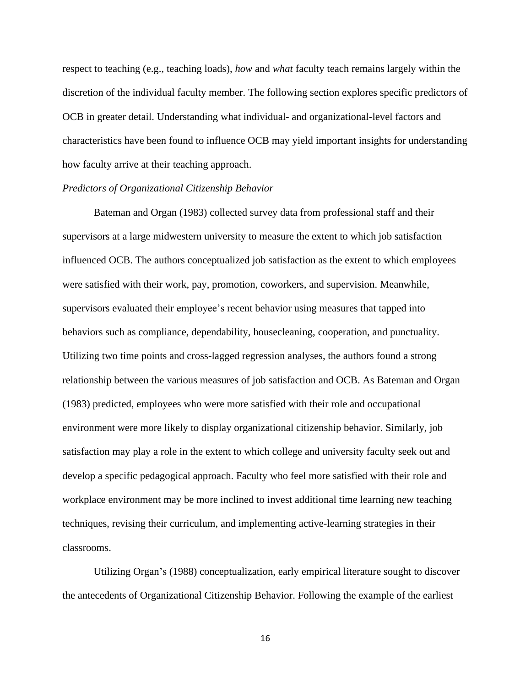respect to teaching (e.g., teaching loads), *how* and *what* faculty teach remains largely within the discretion of the individual faculty member. The following section explores specific predictors of OCB in greater detail. Understanding what individual- and organizational-level factors and characteristics have been found to influence OCB may yield important insights for understanding how faculty arrive at their teaching approach.

#### <span id="page-28-0"></span>*Predictors of Organizational Citizenship Behavior*

Bateman and Organ (1983) collected survey data from professional staff and their supervisors at a large midwestern university to measure the extent to which job satisfaction influenced OCB. The authors conceptualized job satisfaction as the extent to which employees were satisfied with their work, pay, promotion, coworkers, and supervision. Meanwhile, supervisors evaluated their employee's recent behavior using measures that tapped into behaviors such as compliance, dependability, housecleaning, cooperation, and punctuality. Utilizing two time points and cross-lagged regression analyses, the authors found a strong relationship between the various measures of job satisfaction and OCB. As Bateman and Organ (1983) predicted, employees who were more satisfied with their role and occupational environment were more likely to display organizational citizenship behavior. Similarly, job satisfaction may play a role in the extent to which college and university faculty seek out and develop a specific pedagogical approach. Faculty who feel more satisfied with their role and workplace environment may be more inclined to invest additional time learning new teaching techniques, revising their curriculum, and implementing active-learning strategies in their classrooms.

Utilizing Organ's (1988) conceptualization, early empirical literature sought to discover the antecedents of Organizational Citizenship Behavior. Following the example of the earliest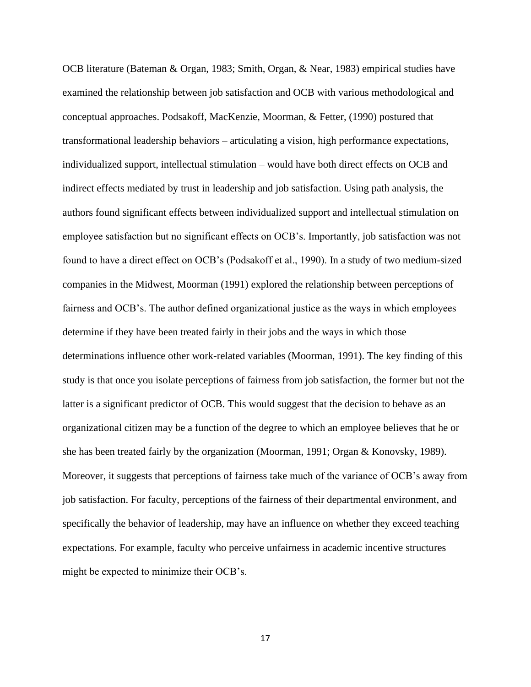OCB literature (Bateman & Organ, 1983; Smith, Organ, & Near, 1983) empirical studies have examined the relationship between job satisfaction and OCB with various methodological and conceptual approaches. Podsakoff, MacKenzie, Moorman, & Fetter, (1990) postured that transformational leadership behaviors – articulating a vision, high performance expectations, individualized support, intellectual stimulation – would have both direct effects on OCB and indirect effects mediated by trust in leadership and job satisfaction. Using path analysis, the authors found significant effects between individualized support and intellectual stimulation on employee satisfaction but no significant effects on OCB's. Importantly, job satisfaction was not found to have a direct effect on OCB's (Podsakoff et al., 1990). In a study of two medium-sized companies in the Midwest, Moorman (1991) explored the relationship between perceptions of fairness and OCB's. The author defined organizational justice as the ways in which employees determine if they have been treated fairly in their jobs and the ways in which those determinations influence other work-related variables (Moorman, 1991). The key finding of this study is that once you isolate perceptions of fairness from job satisfaction, the former but not the latter is a significant predictor of OCB. This would suggest that the decision to behave as an organizational citizen may be a function of the degree to which an employee believes that he or she has been treated fairly by the organization (Moorman, 1991; Organ & Konovsky, 1989). Moreover, it suggests that perceptions of fairness take much of the variance of OCB's away from job satisfaction. For faculty, perceptions of the fairness of their departmental environment, and specifically the behavior of leadership, may have an influence on whether they exceed teaching expectations. For example, faculty who perceive unfairness in academic incentive structures might be expected to minimize their OCB's.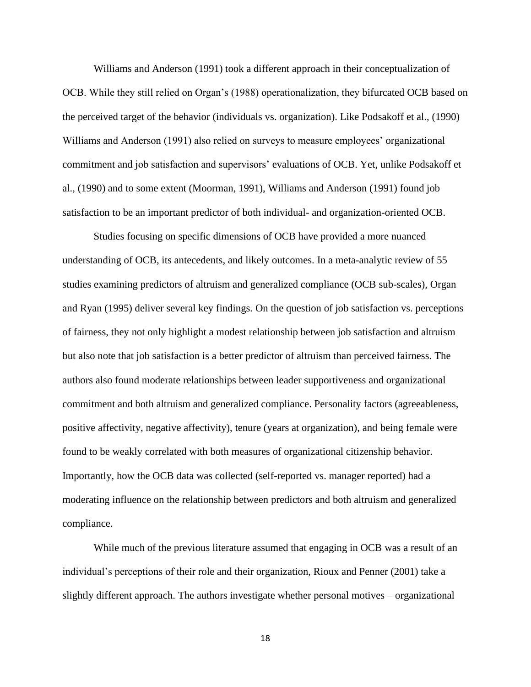Williams and Anderson (1991) took a different approach in their conceptualization of OCB. While they still relied on Organ's (1988) operationalization, they bifurcated OCB based on the perceived target of the behavior (individuals vs. organization). Like Podsakoff et al., (1990) Williams and Anderson (1991) also relied on surveys to measure employees' organizational commitment and job satisfaction and supervisors' evaluations of OCB. Yet, unlike Podsakoff et al., (1990) and to some extent (Moorman, 1991), Williams and Anderson (1991) found job satisfaction to be an important predictor of both individual- and organization-oriented OCB.

Studies focusing on specific dimensions of OCB have provided a more nuanced understanding of OCB, its antecedents, and likely outcomes. In a meta-analytic review of 55 studies examining predictors of altruism and generalized compliance (OCB sub-scales), Organ and Ryan (1995) deliver several key findings. On the question of job satisfaction vs. perceptions of fairness, they not only highlight a modest relationship between job satisfaction and altruism but also note that job satisfaction is a better predictor of altruism than perceived fairness. The authors also found moderate relationships between leader supportiveness and organizational commitment and both altruism and generalized compliance. Personality factors (agreeableness, positive affectivity, negative affectivity), tenure (years at organization), and being female were found to be weakly correlated with both measures of organizational citizenship behavior. Importantly, how the OCB data was collected (self-reported vs. manager reported) had a moderating influence on the relationship between predictors and both altruism and generalized compliance.

While much of the previous literature assumed that engaging in OCB was a result of an individual's perceptions of their role and their organization, Rioux and Penner (2001) take a slightly different approach. The authors investigate whether personal motives – organizational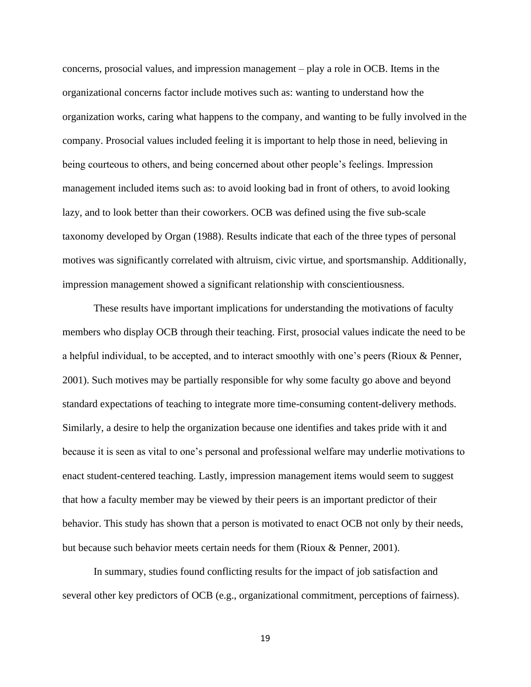concerns, prosocial values, and impression management – play a role in OCB. Items in the organizational concerns factor include motives such as: wanting to understand how the organization works, caring what happens to the company, and wanting to be fully involved in the company. Prosocial values included feeling it is important to help those in need, believing in being courteous to others, and being concerned about other people's feelings. Impression management included items such as: to avoid looking bad in front of others, to avoid looking lazy, and to look better than their coworkers. OCB was defined using the five sub-scale taxonomy developed by Organ (1988). Results indicate that each of the three types of personal motives was significantly correlated with altruism, civic virtue, and sportsmanship. Additionally, impression management showed a significant relationship with conscientiousness.

These results have important implications for understanding the motivations of faculty members who display OCB through their teaching. First, prosocial values indicate the need to be a helpful individual, to be accepted, and to interact smoothly with one's peers (Rioux & Penner, 2001). Such motives may be partially responsible for why some faculty go above and beyond standard expectations of teaching to integrate more time-consuming content-delivery methods. Similarly, a desire to help the organization because one identifies and takes pride with it and because it is seen as vital to one's personal and professional welfare may underlie motivations to enact student-centered teaching. Lastly, impression management items would seem to suggest that how a faculty member may be viewed by their peers is an important predictor of their behavior. This study has shown that a person is motivated to enact OCB not only by their needs, but because such behavior meets certain needs for them (Rioux & Penner, 2001).

In summary, studies found conflicting results for the impact of job satisfaction and several other key predictors of OCB (e.g., organizational commitment, perceptions of fairness).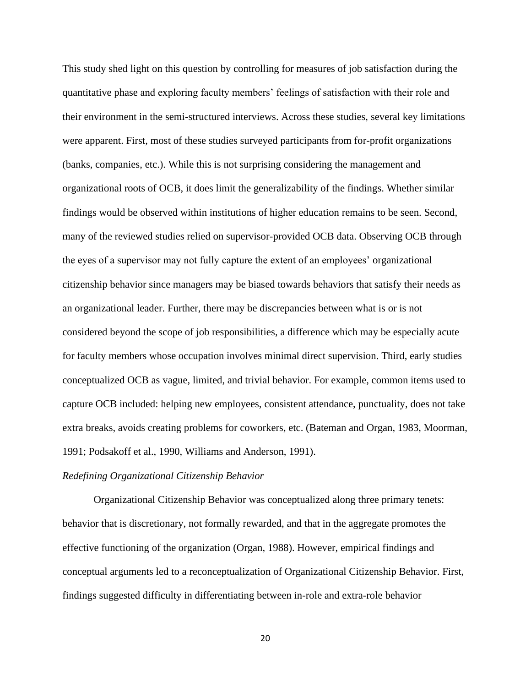This study shed light on this question by controlling for measures of job satisfaction during the quantitative phase and exploring faculty members' feelings of satisfaction with their role and their environment in the semi-structured interviews. Across these studies, several key limitations were apparent. First, most of these studies surveyed participants from for-profit organizations (banks, companies, etc.). While this is not surprising considering the management and organizational roots of OCB, it does limit the generalizability of the findings. Whether similar findings would be observed within institutions of higher education remains to be seen. Second, many of the reviewed studies relied on supervisor-provided OCB data. Observing OCB through the eyes of a supervisor may not fully capture the extent of an employees' organizational citizenship behavior since managers may be biased towards behaviors that satisfy their needs as an organizational leader. Further, there may be discrepancies between what is or is not considered beyond the scope of job responsibilities, a difference which may be especially acute for faculty members whose occupation involves minimal direct supervision. Third, early studies conceptualized OCB as vague, limited, and trivial behavior. For example, common items used to capture OCB included: helping new employees, consistent attendance, punctuality, does not take extra breaks, avoids creating problems for coworkers, etc. (Bateman and Organ, 1983, Moorman, 1991; Podsakoff et al., 1990, Williams and Anderson, 1991).

#### <span id="page-32-0"></span>*Redefining Organizational Citizenship Behavior*

Organizational Citizenship Behavior was conceptualized along three primary tenets: behavior that is discretionary, not formally rewarded, and that in the aggregate promotes the effective functioning of the organization (Organ, 1988). However, empirical findings and conceptual arguments led to a reconceptualization of Organizational Citizenship Behavior. First, findings suggested difficulty in differentiating between in-role and extra-role behavior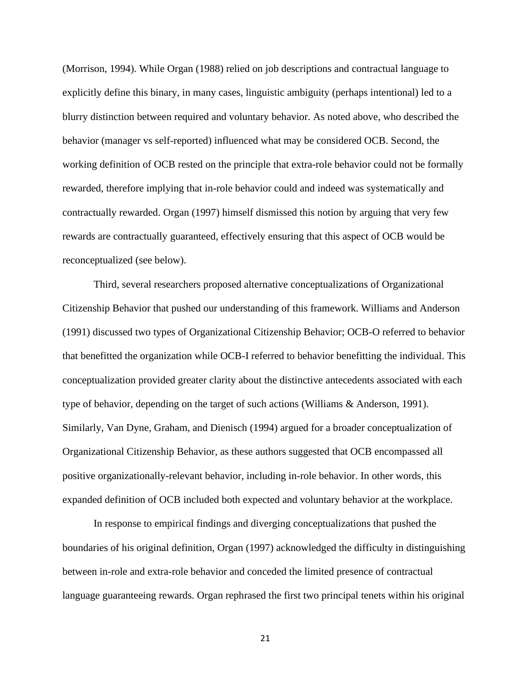(Morrison, 1994). While Organ (1988) relied on job descriptions and contractual language to explicitly define this binary, in many cases, linguistic ambiguity (perhaps intentional) led to a blurry distinction between required and voluntary behavior. As noted above, who described the behavior (manager vs self-reported) influenced what may be considered OCB. Second, the working definition of OCB rested on the principle that extra-role behavior could not be formally rewarded, therefore implying that in-role behavior could and indeed was systematically and contractually rewarded. Organ (1997) himself dismissed this notion by arguing that very few rewards are contractually guaranteed, effectively ensuring that this aspect of OCB would be reconceptualized (see below).

Third, several researchers proposed alternative conceptualizations of Organizational Citizenship Behavior that pushed our understanding of this framework. Williams and Anderson (1991) discussed two types of Organizational Citizenship Behavior; OCB-O referred to behavior that benefitted the organization while OCB-I referred to behavior benefitting the individual. This conceptualization provided greater clarity about the distinctive antecedents associated with each type of behavior, depending on the target of such actions (Williams & Anderson, 1991). Similarly, Van Dyne, Graham, and Dienisch (1994) argued for a broader conceptualization of Organizational Citizenship Behavior, as these authors suggested that OCB encompassed all positive organizationally-relevant behavior, including in-role behavior. In other words, this expanded definition of OCB included both expected and voluntary behavior at the workplace.

In response to empirical findings and diverging conceptualizations that pushed the boundaries of his original definition, Organ (1997) acknowledged the difficulty in distinguishing between in-role and extra-role behavior and conceded the limited presence of contractual language guaranteeing rewards. Organ rephrased the first two principal tenets within his original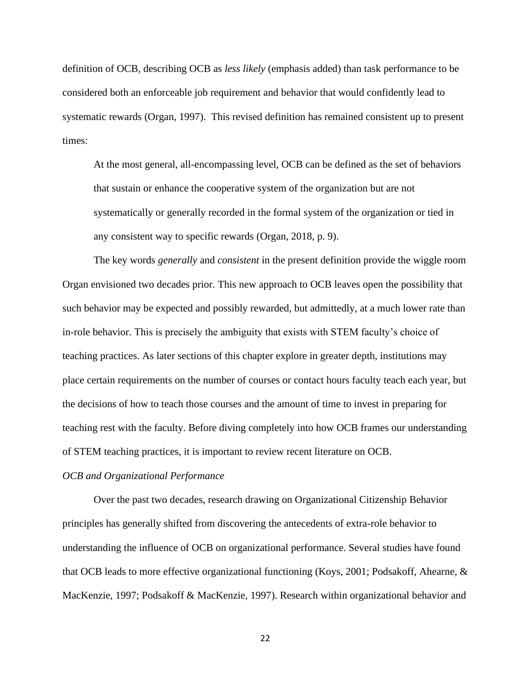definition of OCB, describing OCB as *less likely* (emphasis added) than task performance to be considered both an enforceable job requirement and behavior that would confidently lead to systematic rewards (Organ, 1997). This revised definition has remained consistent up to present times:

At the most general, all-encompassing level, OCB can be defined as the set of behaviors that sustain or enhance the cooperative system of the organization but are not systematically or generally recorded in the formal system of the organization or tied in any consistent way to specific rewards (Organ, 2018, p. 9).

The key words *generally* and *consistent* in the present definition provide the wiggle room Organ envisioned two decades prior. This new approach to OCB leaves open the possibility that such behavior may be expected and possibly rewarded, but admittedly, at a much lower rate than in-role behavior. This is precisely the ambiguity that exists with STEM faculty's choice of teaching practices. As later sections of this chapter explore in greater depth, institutions may place certain requirements on the number of courses or contact hours faculty teach each year, but the decisions of how to teach those courses and the amount of time to invest in preparing for teaching rest with the faculty. Before diving completely into how OCB frames our understanding of STEM teaching practices, it is important to review recent literature on OCB.

#### <span id="page-34-0"></span>*OCB and Organizational Performance*

Over the past two decades, research drawing on Organizational Citizenship Behavior principles has generally shifted from discovering the antecedents of extra-role behavior to understanding the influence of OCB on organizational performance. Several studies have found that OCB leads to more effective organizational functioning (Koys, 2001; Podsakoff, Ahearne, & MacKenzie, 1997; Podsakoff & MacKenzie, 1997). Research within organizational behavior and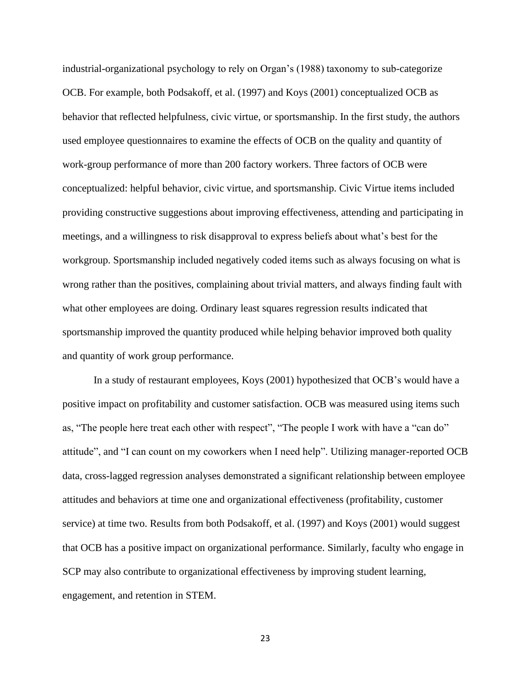industrial-organizational psychology to rely on Organ's (1988) taxonomy to sub-categorize OCB. For example, both Podsakoff, et al. (1997) and Koys (2001) conceptualized OCB as behavior that reflected helpfulness, civic virtue, or sportsmanship. In the first study, the authors used employee questionnaires to examine the effects of OCB on the quality and quantity of work-group performance of more than 200 factory workers. Three factors of OCB were conceptualized: helpful behavior, civic virtue, and sportsmanship. Civic Virtue items included providing constructive suggestions about improving effectiveness, attending and participating in meetings, and a willingness to risk disapproval to express beliefs about what's best for the workgroup. Sportsmanship included negatively coded items such as always focusing on what is wrong rather than the positives, complaining about trivial matters, and always finding fault with what other employees are doing. Ordinary least squares regression results indicated that sportsmanship improved the quantity produced while helping behavior improved both quality and quantity of work group performance.

In a study of restaurant employees, Koys (2001) hypothesized that OCB's would have a positive impact on profitability and customer satisfaction. OCB was measured using items such as, "The people here treat each other with respect", "The people I work with have a "can do" attitude", and "I can count on my coworkers when I need help". Utilizing manager-reported OCB data, cross-lagged regression analyses demonstrated a significant relationship between employee attitudes and behaviors at time one and organizational effectiveness (profitability, customer service) at time two. Results from both Podsakoff, et al. (1997) and Koys (2001) would suggest that OCB has a positive impact on organizational performance. Similarly, faculty who engage in SCP may also contribute to organizational effectiveness by improving student learning, engagement, and retention in STEM.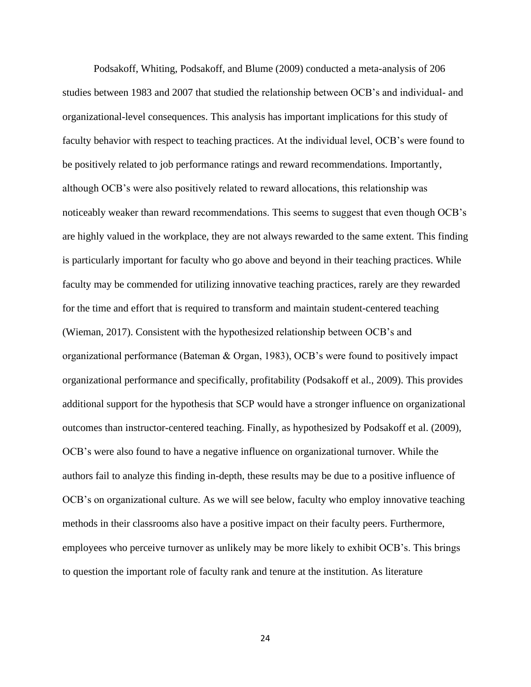Podsakoff, Whiting, Podsakoff, and Blume (2009) conducted a meta-analysis of 206 studies between 1983 and 2007 that studied the relationship between OCB's and individual- and organizational-level consequences. This analysis has important implications for this study of faculty behavior with respect to teaching practices. At the individual level, OCB's were found to be positively related to job performance ratings and reward recommendations. Importantly, although OCB's were also positively related to reward allocations, this relationship was noticeably weaker than reward recommendations. This seems to suggest that even though OCB's are highly valued in the workplace, they are not always rewarded to the same extent. This finding is particularly important for faculty who go above and beyond in their teaching practices. While faculty may be commended for utilizing innovative teaching practices, rarely are they rewarded for the time and effort that is required to transform and maintain student-centered teaching (Wieman, 2017). Consistent with the hypothesized relationship between OCB's and organizational performance (Bateman & Organ, 1983), OCB's were found to positively impact organizational performance and specifically, profitability (Podsakoff et al., 2009). This provides additional support for the hypothesis that SCP would have a stronger influence on organizational outcomes than instructor-centered teaching. Finally, as hypothesized by Podsakoff et al. (2009), OCB's were also found to have a negative influence on organizational turnover. While the authors fail to analyze this finding in-depth, these results may be due to a positive influence of OCB's on organizational culture. As we will see below, faculty who employ innovative teaching methods in their classrooms also have a positive impact on their faculty peers. Furthermore, employees who perceive turnover as unlikely may be more likely to exhibit OCB's. This brings to question the important role of faculty rank and tenure at the institution. As literature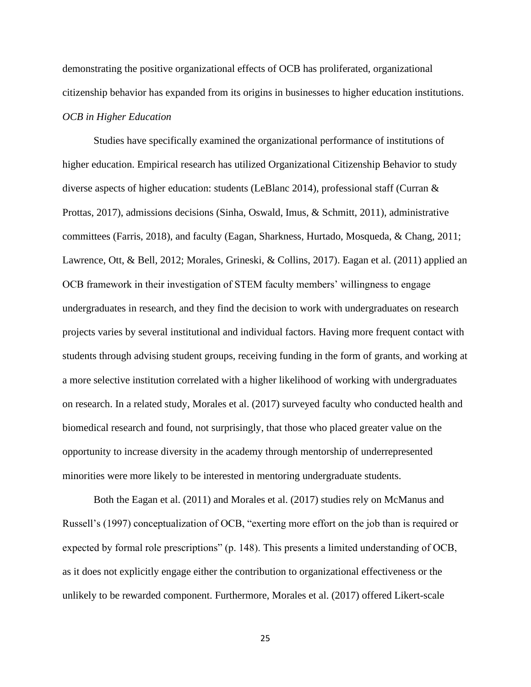demonstrating the positive organizational effects of OCB has proliferated, organizational citizenship behavior has expanded from its origins in businesses to higher education institutions. *OCB in Higher Education*

Studies have specifically examined the organizational performance of institutions of higher education. Empirical research has utilized Organizational Citizenship Behavior to study diverse aspects of higher education: students (LeBlanc 2014), professional staff (Curran & Prottas, 2017), admissions decisions (Sinha, Oswald, Imus, & Schmitt, 2011), administrative committees (Farris, 2018), and faculty (Eagan, Sharkness, Hurtado, Mosqueda, & Chang, 2011; Lawrence, Ott, & Bell, 2012; Morales, Grineski, & Collins, 2017). Eagan et al. (2011) applied an OCB framework in their investigation of STEM faculty members' willingness to engage undergraduates in research, and they find the decision to work with undergraduates on research projects varies by several institutional and individual factors. Having more frequent contact with students through advising student groups, receiving funding in the form of grants, and working at a more selective institution correlated with a higher likelihood of working with undergraduates on research. In a related study, Morales et al. (2017) surveyed faculty who conducted health and biomedical research and found, not surprisingly, that those who placed greater value on the opportunity to increase diversity in the academy through mentorship of underrepresented minorities were more likely to be interested in mentoring undergraduate students.

Both the Eagan et al. (2011) and Morales et al. (2017) studies rely on McManus and Russell's (1997) conceptualization of OCB, "exerting more effort on the job than is required or expected by formal role prescriptions" (p. 148). This presents a limited understanding of OCB, as it does not explicitly engage either the contribution to organizational effectiveness or the unlikely to be rewarded component. Furthermore, Morales et al. (2017) offered Likert-scale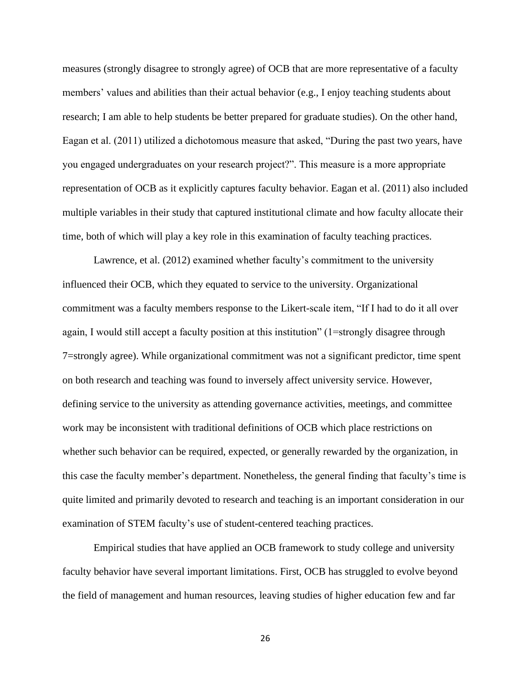measures (strongly disagree to strongly agree) of OCB that are more representative of a faculty members' values and abilities than their actual behavior (e.g., I enjoy teaching students about research; I am able to help students be better prepared for graduate studies). On the other hand, Eagan et al. (2011) utilized a dichotomous measure that asked, "During the past two years, have you engaged undergraduates on your research project?". This measure is a more appropriate representation of OCB as it explicitly captures faculty behavior. Eagan et al. (2011) also included multiple variables in their study that captured institutional climate and how faculty allocate their time, both of which will play a key role in this examination of faculty teaching practices.

Lawrence, et al. (2012) examined whether faculty's commitment to the university influenced their OCB, which they equated to service to the university. Organizational commitment was a faculty members response to the Likert-scale item, "If I had to do it all over again, I would still accept a faculty position at this institution" (1=strongly disagree through 7=strongly agree). While organizational commitment was not a significant predictor, time spent on both research and teaching was found to inversely affect university service. However, defining service to the university as attending governance activities, meetings, and committee work may be inconsistent with traditional definitions of OCB which place restrictions on whether such behavior can be required, expected, or generally rewarded by the organization, in this case the faculty member's department. Nonetheless, the general finding that faculty's time is quite limited and primarily devoted to research and teaching is an important consideration in our examination of STEM faculty's use of student-centered teaching practices.

Empirical studies that have applied an OCB framework to study college and university faculty behavior have several important limitations. First, OCB has struggled to evolve beyond the field of management and human resources, leaving studies of higher education few and far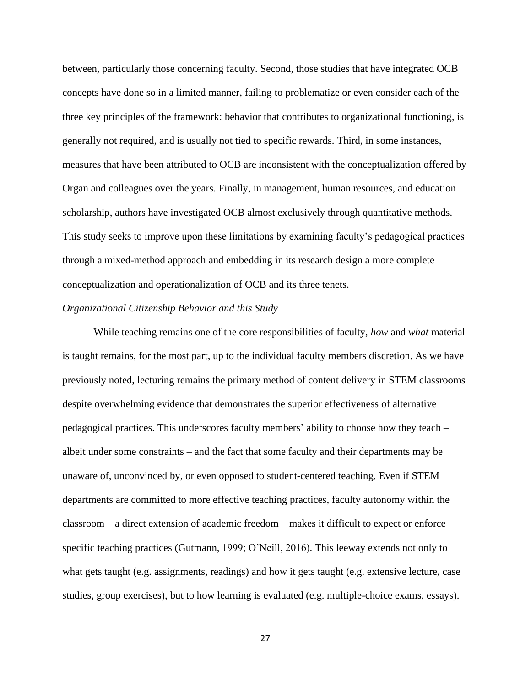between, particularly those concerning faculty. Second, those studies that have integrated OCB concepts have done so in a limited manner, failing to problematize or even consider each of the three key principles of the framework: behavior that contributes to organizational functioning, is generally not required, and is usually not tied to specific rewards. Third, in some instances, measures that have been attributed to OCB are inconsistent with the conceptualization offered by Organ and colleagues over the years. Finally, in management, human resources, and education scholarship, authors have investigated OCB almost exclusively through quantitative methods. This study seeks to improve upon these limitations by examining faculty's pedagogical practices through a mixed-method approach and embedding in its research design a more complete conceptualization and operationalization of OCB and its three tenets.

#### *Organizational Citizenship Behavior and this Study*

While teaching remains one of the core responsibilities of faculty, *how* and *what* material is taught remains, for the most part, up to the individual faculty members discretion. As we have previously noted, lecturing remains the primary method of content delivery in STEM classrooms despite overwhelming evidence that demonstrates the superior effectiveness of alternative pedagogical practices. This underscores faculty members' ability to choose how they teach – albeit under some constraints – and the fact that some faculty and their departments may be unaware of, unconvinced by, or even opposed to student-centered teaching. Even if STEM departments are committed to more effective teaching practices, faculty autonomy within the classroom – a direct extension of academic freedom – makes it difficult to expect or enforce specific teaching practices (Gutmann, 1999; O'Neill, 2016). This leeway extends not only to what gets taught (e.g. assignments, readings) and how it gets taught (e.g. extensive lecture, case studies, group exercises), but to how learning is evaluated (e.g. multiple-choice exams, essays).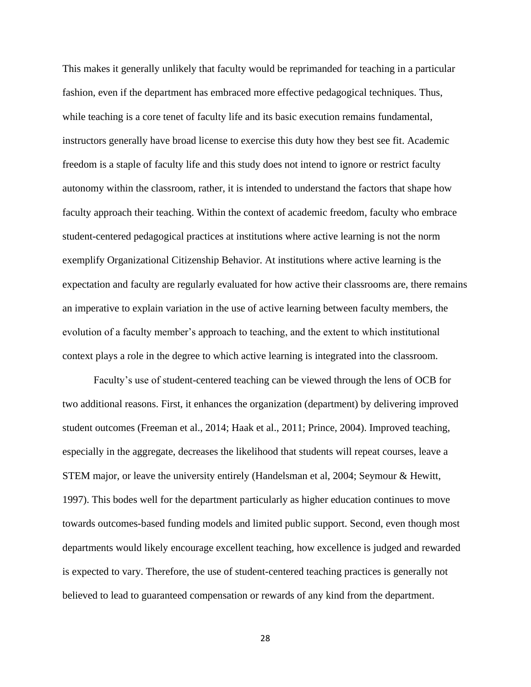This makes it generally unlikely that faculty would be reprimanded for teaching in a particular fashion, even if the department has embraced more effective pedagogical techniques. Thus, while teaching is a core tenet of faculty life and its basic execution remains fundamental, instructors generally have broad license to exercise this duty how they best see fit. Academic freedom is a staple of faculty life and this study does not intend to ignore or restrict faculty autonomy within the classroom, rather, it is intended to understand the factors that shape how faculty approach their teaching. Within the context of academic freedom, faculty who embrace student-centered pedagogical practices at institutions where active learning is not the norm exemplify Organizational Citizenship Behavior. At institutions where active learning is the expectation and faculty are regularly evaluated for how active their classrooms are, there remains an imperative to explain variation in the use of active learning between faculty members, the evolution of a faculty member's approach to teaching, and the extent to which institutional context plays a role in the degree to which active learning is integrated into the classroom.

Faculty's use of student-centered teaching can be viewed through the lens of OCB for two additional reasons. First, it enhances the organization (department) by delivering improved student outcomes (Freeman et al., 2014; Haak et al., 2011; Prince, 2004). Improved teaching, especially in the aggregate, decreases the likelihood that students will repeat courses, leave a STEM major, or leave the university entirely (Handelsman et al, 2004; Seymour & Hewitt, 1997). This bodes well for the department particularly as higher education continues to move towards outcomes-based funding models and limited public support. Second, even though most departments would likely encourage excellent teaching, how excellence is judged and rewarded is expected to vary. Therefore, the use of student-centered teaching practices is generally not believed to lead to guaranteed compensation or rewards of any kind from the department.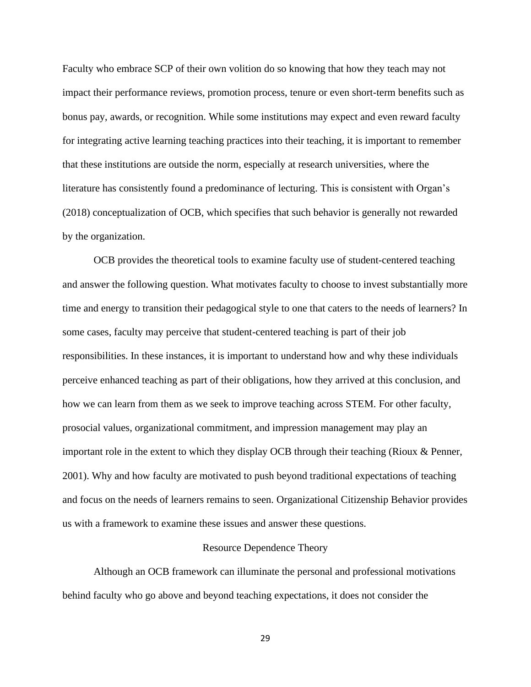Faculty who embrace SCP of their own volition do so knowing that how they teach may not impact their performance reviews, promotion process, tenure or even short-term benefits such as bonus pay, awards, or recognition. While some institutions may expect and even reward faculty for integrating active learning teaching practices into their teaching, it is important to remember that these institutions are outside the norm, especially at research universities, where the literature has consistently found a predominance of lecturing. This is consistent with Organ's (2018) conceptualization of OCB, which specifies that such behavior is generally not rewarded by the organization.

OCB provides the theoretical tools to examine faculty use of student-centered teaching and answer the following question. What motivates faculty to choose to invest substantially more time and energy to transition their pedagogical style to one that caters to the needs of learners? In some cases, faculty may perceive that student-centered teaching is part of their job responsibilities. In these instances, it is important to understand how and why these individuals perceive enhanced teaching as part of their obligations, how they arrived at this conclusion, and how we can learn from them as we seek to improve teaching across STEM. For other faculty, prosocial values, organizational commitment, and impression management may play an important role in the extent to which they display OCB through their teaching (Rioux & Penner, 2001). Why and how faculty are motivated to push beyond traditional expectations of teaching and focus on the needs of learners remains to seen. Organizational Citizenship Behavior provides us with a framework to examine these issues and answer these questions.

#### Resource Dependence Theory

Although an OCB framework can illuminate the personal and professional motivations behind faculty who go above and beyond teaching expectations, it does not consider the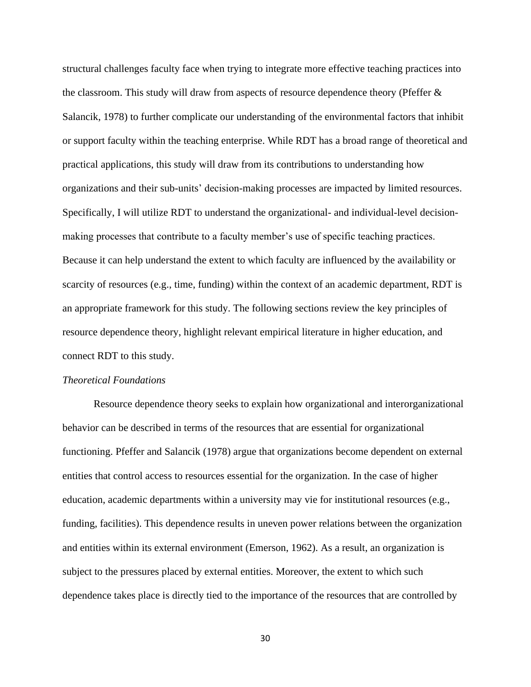structural challenges faculty face when trying to integrate more effective teaching practices into the classroom. This study will draw from aspects of resource dependence theory (Pfeffer & Salancik, 1978) to further complicate our understanding of the environmental factors that inhibit or support faculty within the teaching enterprise. While RDT has a broad range of theoretical and practical applications, this study will draw from its contributions to understanding how organizations and their sub-units' decision-making processes are impacted by limited resources. Specifically, I will utilize RDT to understand the organizational- and individual-level decisionmaking processes that contribute to a faculty member's use of specific teaching practices. Because it can help understand the extent to which faculty are influenced by the availability or scarcity of resources (e.g., time, funding) within the context of an academic department, RDT is an appropriate framework for this study. The following sections review the key principles of resource dependence theory, highlight relevant empirical literature in higher education, and connect RDT to this study.

## *Theoretical Foundations*

Resource dependence theory seeks to explain how organizational and interorganizational behavior can be described in terms of the resources that are essential for organizational functioning. Pfeffer and Salancik (1978) argue that organizations become dependent on external entities that control access to resources essential for the organization. In the case of higher education, academic departments within a university may vie for institutional resources (e.g., funding, facilities). This dependence results in uneven power relations between the organization and entities within its external environment (Emerson, 1962). As a result, an organization is subject to the pressures placed by external entities. Moreover, the extent to which such dependence takes place is directly tied to the importance of the resources that are controlled by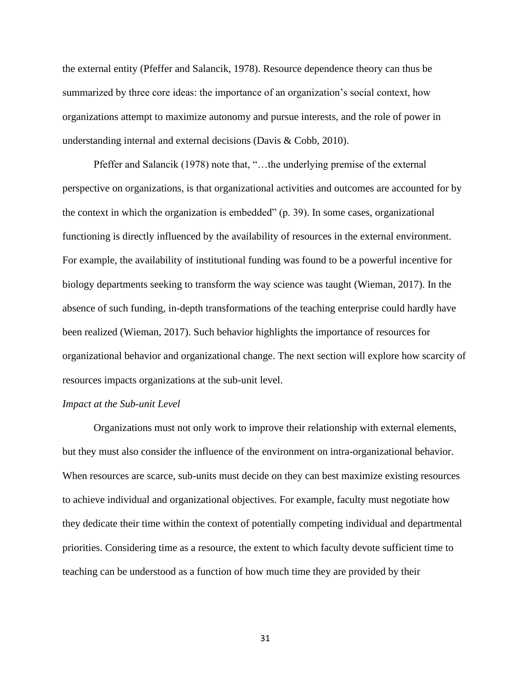the external entity (Pfeffer and Salancik, 1978). Resource dependence theory can thus be summarized by three core ideas: the importance of an organization's social context, how organizations attempt to maximize autonomy and pursue interests, and the role of power in understanding internal and external decisions (Davis & Cobb, 2010).

Pfeffer and Salancik (1978) note that, "…the underlying premise of the external perspective on organizations, is that organizational activities and outcomes are accounted for by the context in which the organization is embedded" (p. 39). In some cases, organizational functioning is directly influenced by the availability of resources in the external environment. For example, the availability of institutional funding was found to be a powerful incentive for biology departments seeking to transform the way science was taught (Wieman, 2017). In the absence of such funding, in-depth transformations of the teaching enterprise could hardly have been realized (Wieman, 2017). Such behavior highlights the importance of resources for organizational behavior and organizational change. The next section will explore how scarcity of resources impacts organizations at the sub-unit level.

#### *Impact at the Sub-unit Level*

Organizations must not only work to improve their relationship with external elements, but they must also consider the influence of the environment on intra-organizational behavior. When resources are scarce, sub-units must decide on they can best maximize existing resources to achieve individual and organizational objectives. For example, faculty must negotiate how they dedicate their time within the context of potentially competing individual and departmental priorities. Considering time as a resource, the extent to which faculty devote sufficient time to teaching can be understood as a function of how much time they are provided by their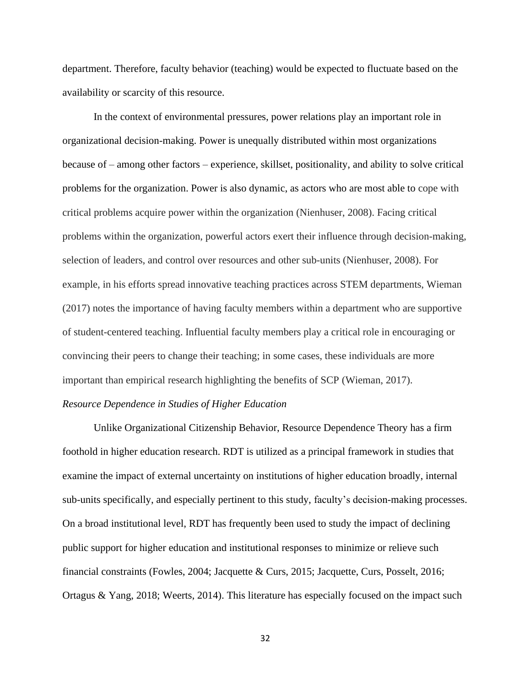department. Therefore, faculty behavior (teaching) would be expected to fluctuate based on the availability or scarcity of this resource.

In the context of environmental pressures, power relations play an important role in organizational decision-making. Power is unequally distributed within most organizations because of – among other factors – experience, skillset, positionality, and ability to solve critical problems for the organization. Power is also dynamic, as actors who are most able to cope with critical problems acquire power within the organization (Nienhuser, 2008). Facing critical problems within the organization, powerful actors exert their influence through decision-making, selection of leaders, and control over resources and other sub-units (Nienhuser, 2008). For example, in his efforts spread innovative teaching practices across STEM departments, Wieman (2017) notes the importance of having faculty members within a department who are supportive of student-centered teaching. Influential faculty members play a critical role in encouraging or convincing their peers to change their teaching; in some cases, these individuals are more important than empirical research highlighting the benefits of SCP (Wieman, 2017).

# *Resource Dependence in Studies of Higher Education*

Unlike Organizational Citizenship Behavior, Resource Dependence Theory has a firm foothold in higher education research. RDT is utilized as a principal framework in studies that examine the impact of external uncertainty on institutions of higher education broadly, internal sub-units specifically, and especially pertinent to this study, faculty's decision-making processes. On a broad institutional level, RDT has frequently been used to study the impact of declining public support for higher education and institutional responses to minimize or relieve such financial constraints (Fowles, 2004; Jacquette & Curs, 2015; Jacquette, Curs, Posselt, 2016; Ortagus & Yang, 2018; Weerts, 2014). This literature has especially focused on the impact such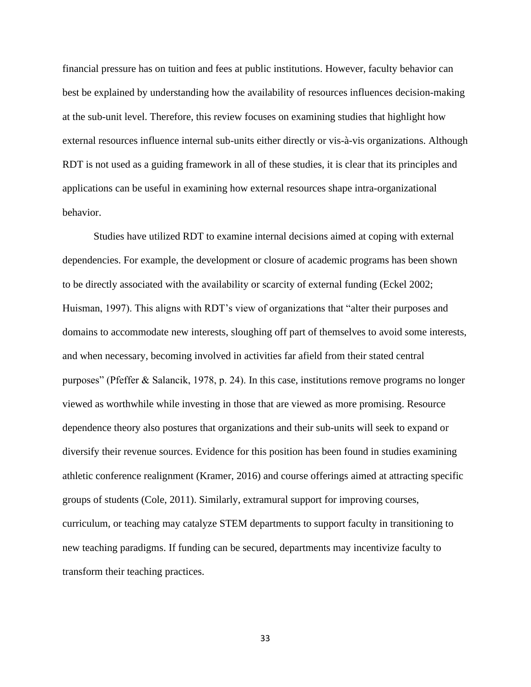financial pressure has on tuition and fees at public institutions. However, faculty behavior can best be explained by understanding how the availability of resources influences decision-making at the sub-unit level. Therefore, this review focuses on examining studies that highlight how external resources influence internal sub-units either directly or vis-à-vis organizations. Although RDT is not used as a guiding framework in all of these studies, it is clear that its principles and applications can be useful in examining how external resources shape intra-organizational behavior.

Studies have utilized RDT to examine internal decisions aimed at coping with external dependencies. For example, the development or closure of academic programs has been shown to be directly associated with the availability or scarcity of external funding (Eckel 2002; Huisman, 1997). This aligns with RDT's view of organizations that "alter their purposes and domains to accommodate new interests, sloughing off part of themselves to avoid some interests, and when necessary, becoming involved in activities far afield from their stated central purposes" (Pfeffer & Salancik, 1978, p. 24). In this case, institutions remove programs no longer viewed as worthwhile while investing in those that are viewed as more promising. Resource dependence theory also postures that organizations and their sub-units will seek to expand or diversify their revenue sources. Evidence for this position has been found in studies examining athletic conference realignment (Kramer, 2016) and course offerings aimed at attracting specific groups of students (Cole, 2011). Similarly, extramural support for improving courses, curriculum, or teaching may catalyze STEM departments to support faculty in transitioning to new teaching paradigms. If funding can be secured, departments may incentivize faculty to transform their teaching practices.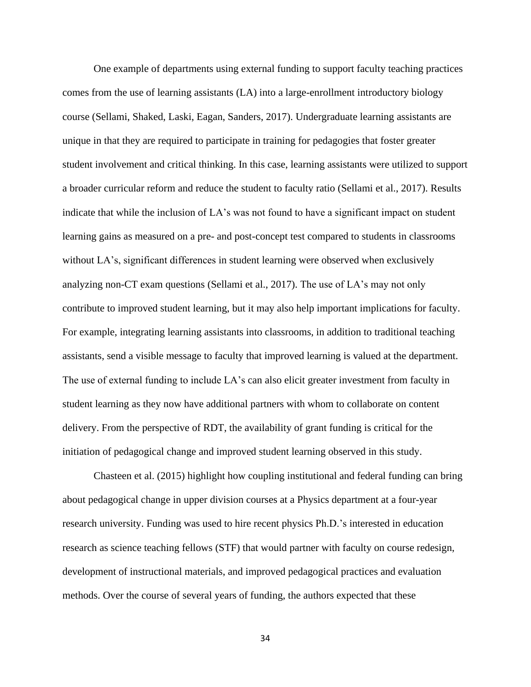One example of departments using external funding to support faculty teaching practices comes from the use of learning assistants (LA) into a large-enrollment introductory biology course (Sellami, Shaked, Laski, Eagan, Sanders, 2017). Undergraduate learning assistants are unique in that they are required to participate in training for pedagogies that foster greater student involvement and critical thinking. In this case, learning assistants were utilized to support a broader curricular reform and reduce the student to faculty ratio (Sellami et al., 2017). Results indicate that while the inclusion of LA's was not found to have a significant impact on student learning gains as measured on a pre- and post-concept test compared to students in classrooms without LA's, significant differences in student learning were observed when exclusively analyzing non-CT exam questions (Sellami et al., 2017). The use of LA's may not only contribute to improved student learning, but it may also help important implications for faculty. For example, integrating learning assistants into classrooms, in addition to traditional teaching assistants, send a visible message to faculty that improved learning is valued at the department. The use of external funding to include LA's can also elicit greater investment from faculty in student learning as they now have additional partners with whom to collaborate on content delivery. From the perspective of RDT, the availability of grant funding is critical for the initiation of pedagogical change and improved student learning observed in this study.

Chasteen et al. (2015) highlight how coupling institutional and federal funding can bring about pedagogical change in upper division courses at a Physics department at a four-year research university. Funding was used to hire recent physics Ph.D.'s interested in education research as science teaching fellows (STF) that would partner with faculty on course redesign, development of instructional materials, and improved pedagogical practices and evaluation methods. Over the course of several years of funding, the authors expected that these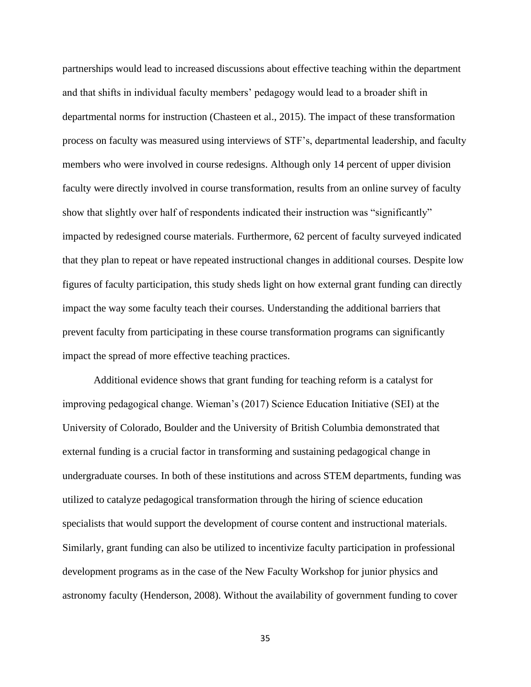partnerships would lead to increased discussions about effective teaching within the department and that shifts in individual faculty members' pedagogy would lead to a broader shift in departmental norms for instruction (Chasteen et al., 2015). The impact of these transformation process on faculty was measured using interviews of STF's, departmental leadership, and faculty members who were involved in course redesigns. Although only 14 percent of upper division faculty were directly involved in course transformation, results from an online survey of faculty show that slightly over half of respondents indicated their instruction was "significantly" impacted by redesigned course materials. Furthermore, 62 percent of faculty surveyed indicated that they plan to repeat or have repeated instructional changes in additional courses. Despite low figures of faculty participation, this study sheds light on how external grant funding can directly impact the way some faculty teach their courses. Understanding the additional barriers that prevent faculty from participating in these course transformation programs can significantly impact the spread of more effective teaching practices.

Additional evidence shows that grant funding for teaching reform is a catalyst for improving pedagogical change. Wieman's (2017) Science Education Initiative (SEI) at the University of Colorado, Boulder and the University of British Columbia demonstrated that external funding is a crucial factor in transforming and sustaining pedagogical change in undergraduate courses. In both of these institutions and across STEM departments, funding was utilized to catalyze pedagogical transformation through the hiring of science education specialists that would support the development of course content and instructional materials. Similarly, grant funding can also be utilized to incentivize faculty participation in professional development programs as in the case of the New Faculty Workshop for junior physics and astronomy faculty (Henderson, 2008). Without the availability of government funding to cover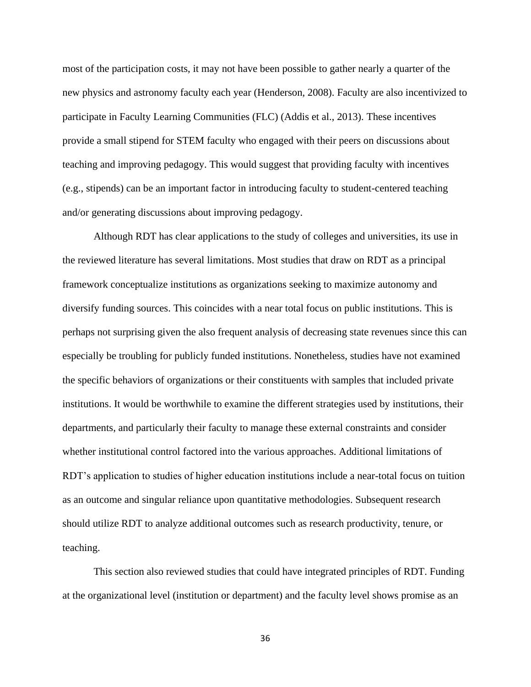most of the participation costs, it may not have been possible to gather nearly a quarter of the new physics and astronomy faculty each year (Henderson, 2008). Faculty are also incentivized to participate in Faculty Learning Communities (FLC) (Addis et al., 2013). These incentives provide a small stipend for STEM faculty who engaged with their peers on discussions about teaching and improving pedagogy. This would suggest that providing faculty with incentives (e.g., stipends) can be an important factor in introducing faculty to student-centered teaching and/or generating discussions about improving pedagogy.

Although RDT has clear applications to the study of colleges and universities, its use in the reviewed literature has several limitations. Most studies that draw on RDT as a principal framework conceptualize institutions as organizations seeking to maximize autonomy and diversify funding sources. This coincides with a near total focus on public institutions. This is perhaps not surprising given the also frequent analysis of decreasing state revenues since this can especially be troubling for publicly funded institutions. Nonetheless, studies have not examined the specific behaviors of organizations or their constituents with samples that included private institutions. It would be worthwhile to examine the different strategies used by institutions, their departments, and particularly their faculty to manage these external constraints and consider whether institutional control factored into the various approaches. Additional limitations of RDT's application to studies of higher education institutions include a near-total focus on tuition as an outcome and singular reliance upon quantitative methodologies. Subsequent research should utilize RDT to analyze additional outcomes such as research productivity, tenure, or teaching.

This section also reviewed studies that could have integrated principles of RDT. Funding at the organizational level (institution or department) and the faculty level shows promise as an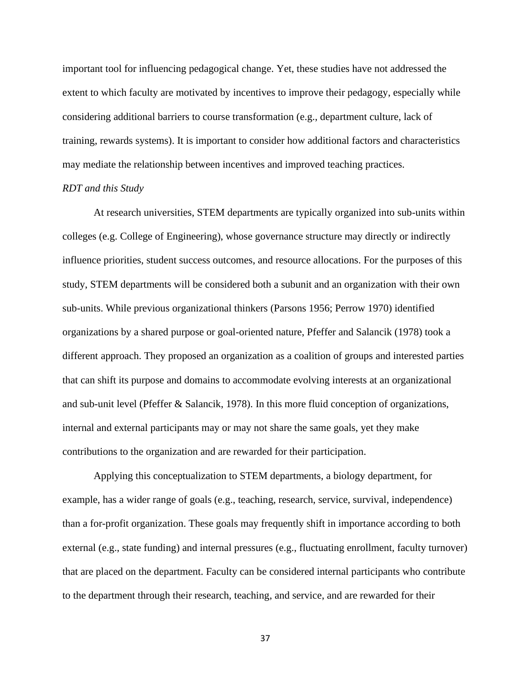important tool for influencing pedagogical change. Yet, these studies have not addressed the extent to which faculty are motivated by incentives to improve their pedagogy, especially while considering additional barriers to course transformation (e.g., department culture, lack of training, rewards systems). It is important to consider how additional factors and characteristics may mediate the relationship between incentives and improved teaching practices.

# *RDT and this Study*

At research universities, STEM departments are typically organized into sub-units within colleges (e.g. College of Engineering), whose governance structure may directly or indirectly influence priorities, student success outcomes, and resource allocations. For the purposes of this study, STEM departments will be considered both a subunit and an organization with their own sub-units. While previous organizational thinkers (Parsons 1956; Perrow 1970) identified organizations by a shared purpose or goal-oriented nature, Pfeffer and Salancik (1978) took a different approach. They proposed an organization as a coalition of groups and interested parties that can shift its purpose and domains to accommodate evolving interests at an organizational and sub-unit level (Pfeffer & Salancik, 1978). In this more fluid conception of organizations, internal and external participants may or may not share the same goals, yet they make contributions to the organization and are rewarded for their participation.

Applying this conceptualization to STEM departments, a biology department, for example, has a wider range of goals (e.g., teaching, research, service, survival, independence) than a for-profit organization. These goals may frequently shift in importance according to both external (e.g., state funding) and internal pressures (e.g., fluctuating enrollment, faculty turnover) that are placed on the department. Faculty can be considered internal participants who contribute to the department through their research, teaching, and service, and are rewarded for their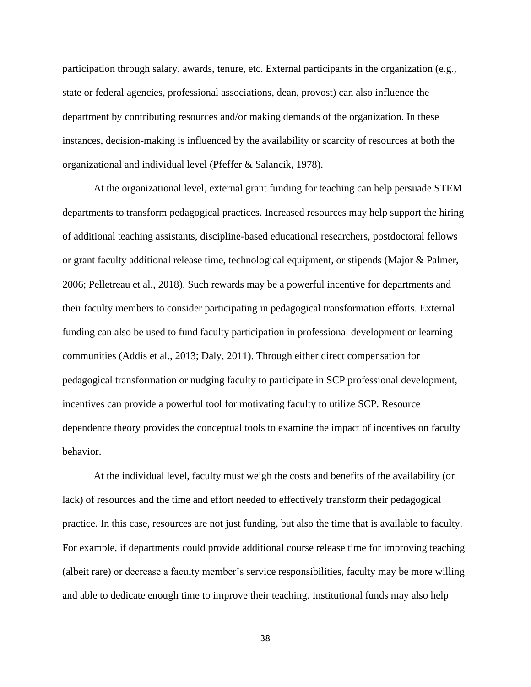participation through salary, awards, tenure, etc. External participants in the organization (e.g., state or federal agencies, professional associations, dean, provost) can also influence the department by contributing resources and/or making demands of the organization. In these instances, decision-making is influenced by the availability or scarcity of resources at both the organizational and individual level (Pfeffer & Salancik, 1978).

At the organizational level, external grant funding for teaching can help persuade STEM departments to transform pedagogical practices. Increased resources may help support the hiring of additional teaching assistants, discipline-based educational researchers, postdoctoral fellows or grant faculty additional release time, technological equipment, or stipends (Major & Palmer, 2006; Pelletreau et al., 2018). Such rewards may be a powerful incentive for departments and their faculty members to consider participating in pedagogical transformation efforts. External funding can also be used to fund faculty participation in professional development or learning communities (Addis et al., 2013; Daly, 2011). Through either direct compensation for pedagogical transformation or nudging faculty to participate in SCP professional development, incentives can provide a powerful tool for motivating faculty to utilize SCP. Resource dependence theory provides the conceptual tools to examine the impact of incentives on faculty behavior.

At the individual level, faculty must weigh the costs and benefits of the availability (or lack) of resources and the time and effort needed to effectively transform their pedagogical practice. In this case, resources are not just funding, but also the time that is available to faculty. For example, if departments could provide additional course release time for improving teaching (albeit rare) or decrease a faculty member's service responsibilities, faculty may be more willing and able to dedicate enough time to improve their teaching. Institutional funds may also help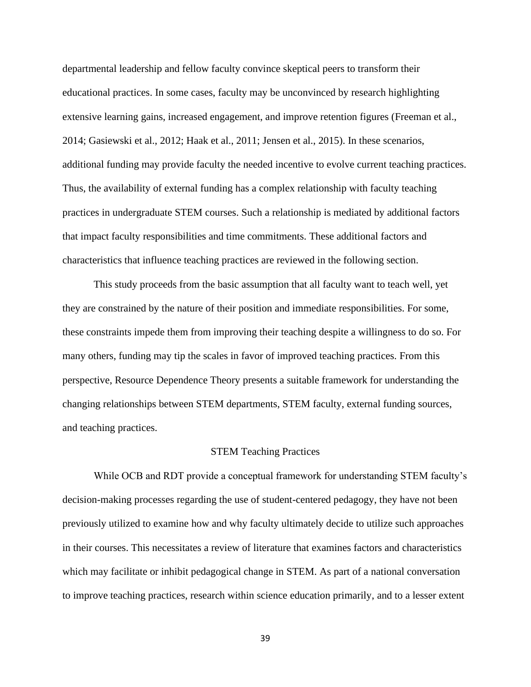departmental leadership and fellow faculty convince skeptical peers to transform their educational practices. In some cases, faculty may be unconvinced by research highlighting extensive learning gains, increased engagement, and improve retention figures (Freeman et al., 2014; Gasiewski et al., 2012; Haak et al., 2011; Jensen et al., 2015). In these scenarios, additional funding may provide faculty the needed incentive to evolve current teaching practices. Thus, the availability of external funding has a complex relationship with faculty teaching practices in undergraduate STEM courses. Such a relationship is mediated by additional factors that impact faculty responsibilities and time commitments. These additional factors and characteristics that influence teaching practices are reviewed in the following section.

This study proceeds from the basic assumption that all faculty want to teach well, yet they are constrained by the nature of their position and immediate responsibilities. For some, these constraints impede them from improving their teaching despite a willingness to do so. For many others, funding may tip the scales in favor of improved teaching practices. From this perspective, Resource Dependence Theory presents a suitable framework for understanding the changing relationships between STEM departments, STEM faculty, external funding sources, and teaching practices.

### STEM Teaching Practices

While OCB and RDT provide a conceptual framework for understanding STEM faculty's decision-making processes regarding the use of student-centered pedagogy, they have not been previously utilized to examine how and why faculty ultimately decide to utilize such approaches in their courses. This necessitates a review of literature that examines factors and characteristics which may facilitate or inhibit pedagogical change in STEM. As part of a national conversation to improve teaching practices, research within science education primarily, and to a lesser extent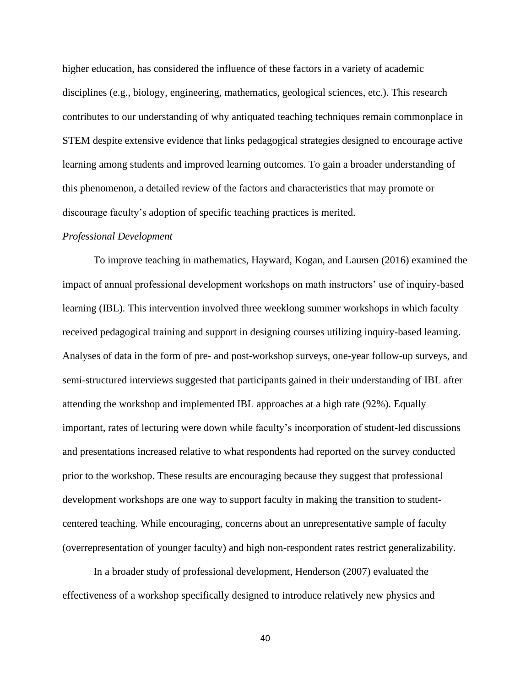higher education, has considered the influence of these factors in a variety of academic disciplines (e.g., biology, engineering, mathematics, geological sciences, etc.). This research contributes to our understanding of why antiquated teaching techniques remain commonplace in STEM despite extensive evidence that links pedagogical strategies designed to encourage active learning among students and improved learning outcomes. To gain a broader understanding of this phenomenon, a detailed review of the factors and characteristics that may promote or discourage faculty's adoption of specific teaching practices is merited.

## *Professional Development*

To improve teaching in mathematics, Hayward, Kogan, and Laursen (2016) examined the impact of annual professional development workshops on math instructors' use of inquiry-based learning (IBL). This intervention involved three weeklong summer workshops in which faculty received pedagogical training and support in designing courses utilizing inquiry-based learning. Analyses of data in the form of pre- and post-workshop surveys, one-year follow-up surveys, and semi-structured interviews suggested that participants gained in their understanding of IBL after attending the workshop and implemented IBL approaches at a high rate (92%). Equally important, rates of lecturing were down while faculty's incorporation of student-led discussions and presentations increased relative to what respondents had reported on the survey conducted prior to the workshop. These results are encouraging because they suggest that professional development workshops are one way to support faculty in making the transition to studentcentered teaching. While encouraging, concerns about an unrepresentative sample of faculty (overrepresentation of younger faculty) and high non-respondent rates restrict generalizability.

In a broader study of professional development, Henderson (2007) evaluated the effectiveness of a workshop specifically designed to introduce relatively new physics and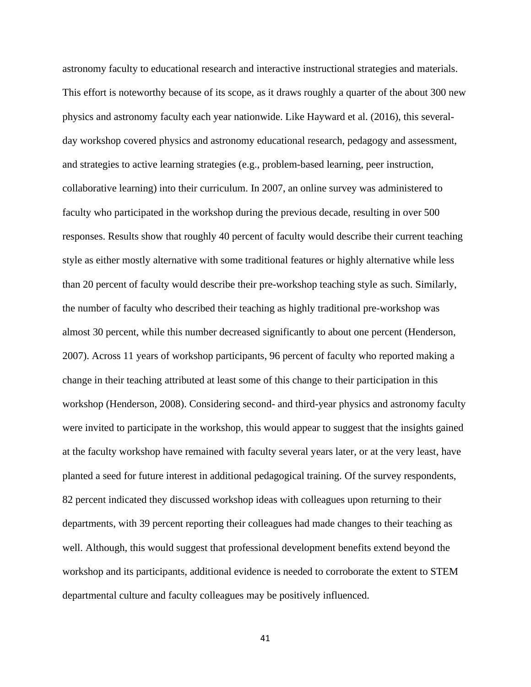astronomy faculty to educational research and interactive instructional strategies and materials. This effort is noteworthy because of its scope, as it draws roughly a quarter of the about 300 new physics and astronomy faculty each year nationwide. Like Hayward et al. (2016), this severalday workshop covered physics and astronomy educational research, pedagogy and assessment, and strategies to active learning strategies (e.g., problem-based learning, peer instruction, collaborative learning) into their curriculum. In 2007, an online survey was administered to faculty who participated in the workshop during the previous decade, resulting in over 500 responses. Results show that roughly 40 percent of faculty would describe their current teaching style as either mostly alternative with some traditional features or highly alternative while less than 20 percent of faculty would describe their pre-workshop teaching style as such. Similarly, the number of faculty who described their teaching as highly traditional pre-workshop was almost 30 percent, while this number decreased significantly to about one percent (Henderson, 2007). Across 11 years of workshop participants, 96 percent of faculty who reported making a change in their teaching attributed at least some of this change to their participation in this workshop (Henderson, 2008). Considering second- and third-year physics and astronomy faculty were invited to participate in the workshop, this would appear to suggest that the insights gained at the faculty workshop have remained with faculty several years later, or at the very least, have planted a seed for future interest in additional pedagogical training. Of the survey respondents, 82 percent indicated they discussed workshop ideas with colleagues upon returning to their departments, with 39 percent reporting their colleagues had made changes to their teaching as well. Although, this would suggest that professional development benefits extend beyond the workshop and its participants, additional evidence is needed to corroborate the extent to STEM departmental culture and faculty colleagues may be positively influenced.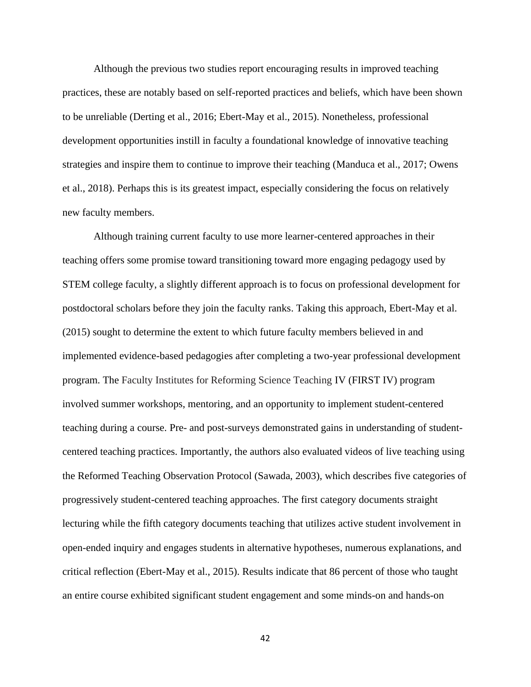Although the previous two studies report encouraging results in improved teaching practices, these are notably based on self-reported practices and beliefs, which have been shown to be unreliable (Derting et al., 2016; Ebert-May et al., 2015). Nonetheless, professional development opportunities instill in faculty a foundational knowledge of innovative teaching strategies and inspire them to continue to improve their teaching (Manduca et al., 2017; Owens et al., 2018). Perhaps this is its greatest impact, especially considering the focus on relatively new faculty members.

Although training current faculty to use more learner-centered approaches in their teaching offers some promise toward transitioning toward more engaging pedagogy used by STEM college faculty, a slightly different approach is to focus on professional development for postdoctoral scholars before they join the faculty ranks. Taking this approach, Ebert-May et al. (2015) sought to determine the extent to which future faculty members believed in and implemented evidence-based pedagogies after completing a two-year professional development program. The Faculty Institutes for Reforming Science Teaching IV (FIRST IV) program involved summer workshops, mentoring, and an opportunity to implement student-centered teaching during a course. Pre- and post-surveys demonstrated gains in understanding of studentcentered teaching practices. Importantly, the authors also evaluated videos of live teaching using the Reformed Teaching Observation Protocol (Sawada, 2003), which describes five categories of progressively student-centered teaching approaches. The first category documents straight lecturing while the fifth category documents teaching that utilizes active student involvement in open-ended inquiry and engages students in alternative hypotheses, numerous explanations, and critical reflection (Ebert-May et al., 2015). Results indicate that 86 percent of those who taught an entire course exhibited significant student engagement and some minds-on and hands-on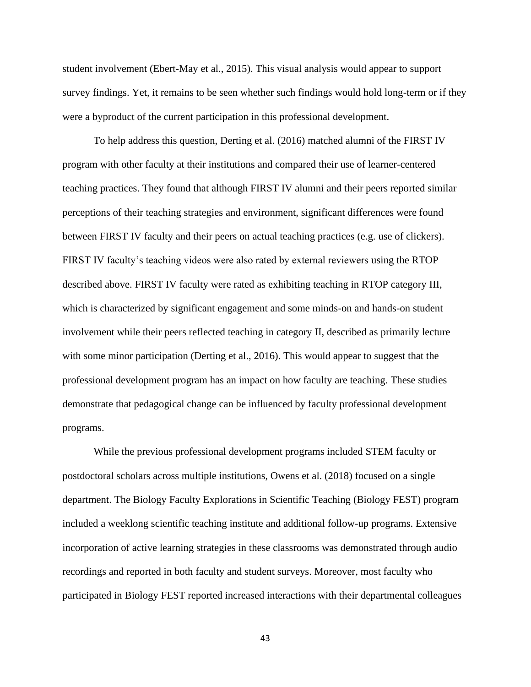student involvement (Ebert-May et al., 2015). This visual analysis would appear to support survey findings. Yet, it remains to be seen whether such findings would hold long-term or if they were a byproduct of the current participation in this professional development.

To help address this question, Derting et al. (2016) matched alumni of the FIRST IV program with other faculty at their institutions and compared their use of learner-centered teaching practices. They found that although FIRST IV alumni and their peers reported similar perceptions of their teaching strategies and environment, significant differences were found between FIRST IV faculty and their peers on actual teaching practices (e.g. use of clickers). FIRST IV faculty's teaching videos were also rated by external reviewers using the RTOP described above. FIRST IV faculty were rated as exhibiting teaching in RTOP category III, which is characterized by significant engagement and some minds-on and hands-on student involvement while their peers reflected teaching in category II, described as primarily lecture with some minor participation (Derting et al., 2016). This would appear to suggest that the professional development program has an impact on how faculty are teaching. These studies demonstrate that pedagogical change can be influenced by faculty professional development programs.

While the previous professional development programs included STEM faculty or postdoctoral scholars across multiple institutions, Owens et al. (2018) focused on a single department. The Biology Faculty Explorations in Scientific Teaching (Biology FEST) program included a weeklong scientific teaching institute and additional follow-up programs. Extensive incorporation of active learning strategies in these classrooms was demonstrated through audio recordings and reported in both faculty and student surveys. Moreover, most faculty who participated in Biology FEST reported increased interactions with their departmental colleagues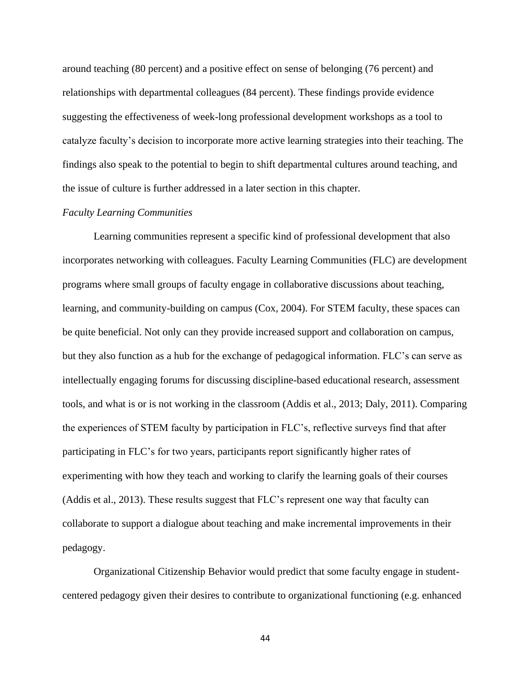around teaching (80 percent) and a positive effect on sense of belonging (76 percent) and relationships with departmental colleagues (84 percent). These findings provide evidence suggesting the effectiveness of week-long professional development workshops as a tool to catalyze faculty's decision to incorporate more active learning strategies into their teaching. The findings also speak to the potential to begin to shift departmental cultures around teaching, and the issue of culture is further addressed in a later section in this chapter.

## *Faculty Learning Communities*

Learning communities represent a specific kind of professional development that also incorporates networking with colleagues. Faculty Learning Communities (FLC) are development programs where small groups of faculty engage in collaborative discussions about teaching, learning, and community-building on campus (Cox, 2004). For STEM faculty, these spaces can be quite beneficial. Not only can they provide increased support and collaboration on campus, but they also function as a hub for the exchange of pedagogical information. FLC's can serve as intellectually engaging forums for discussing discipline-based educational research, assessment tools, and what is or is not working in the classroom (Addis et al., 2013; Daly, 2011). Comparing the experiences of STEM faculty by participation in FLC's, reflective surveys find that after participating in FLC's for two years, participants report significantly higher rates of experimenting with how they teach and working to clarify the learning goals of their courses (Addis et al., 2013). These results suggest that FLC's represent one way that faculty can collaborate to support a dialogue about teaching and make incremental improvements in their pedagogy.

Organizational Citizenship Behavior would predict that some faculty engage in studentcentered pedagogy given their desires to contribute to organizational functioning (e.g. enhanced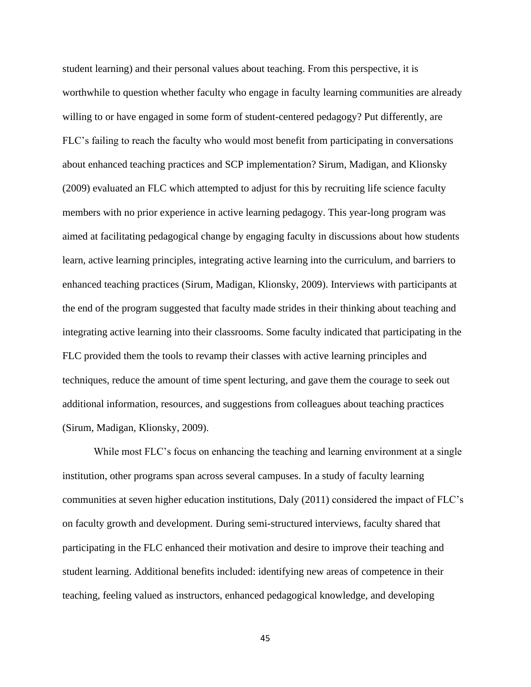student learning) and their personal values about teaching. From this perspective, it is worthwhile to question whether faculty who engage in faculty learning communities are already willing to or have engaged in some form of student-centered pedagogy? Put differently, are FLC's failing to reach the faculty who would most benefit from participating in conversations about enhanced teaching practices and SCP implementation? Sirum, Madigan, and Klionsky (2009) evaluated an FLC which attempted to adjust for this by recruiting life science faculty members with no prior experience in active learning pedagogy. This year-long program was aimed at facilitating pedagogical change by engaging faculty in discussions about how students learn, active learning principles, integrating active learning into the curriculum, and barriers to enhanced teaching practices (Sirum, Madigan, Klionsky, 2009). Interviews with participants at the end of the program suggested that faculty made strides in their thinking about teaching and integrating active learning into their classrooms. Some faculty indicated that participating in the FLC provided them the tools to revamp their classes with active learning principles and techniques, reduce the amount of time spent lecturing, and gave them the courage to seek out additional information, resources, and suggestions from colleagues about teaching practices (Sirum, Madigan, Klionsky, 2009).

While most FLC's focus on enhancing the teaching and learning environment at a single institution, other programs span across several campuses. In a study of faculty learning communities at seven higher education institutions, Daly (2011) considered the impact of FLC's on faculty growth and development. During semi-structured interviews, faculty shared that participating in the FLC enhanced their motivation and desire to improve their teaching and student learning. Additional benefits included: identifying new areas of competence in their teaching, feeling valued as instructors, enhanced pedagogical knowledge, and developing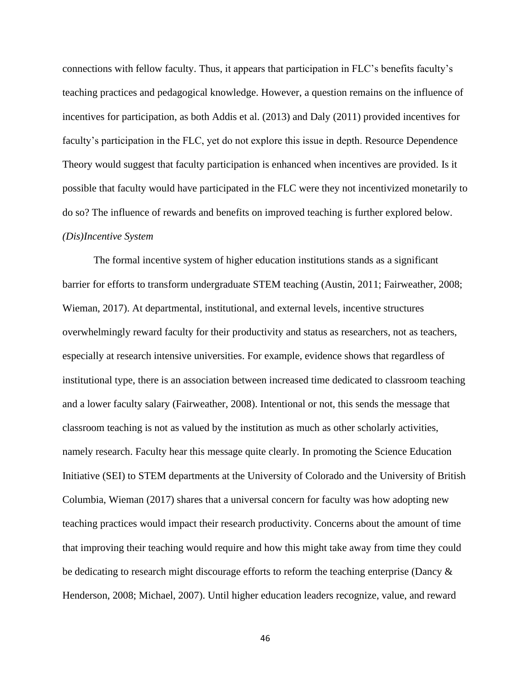connections with fellow faculty. Thus, it appears that participation in FLC's benefits faculty's teaching practices and pedagogical knowledge. However, a question remains on the influence of incentives for participation, as both Addis et al. (2013) and Daly (2011) provided incentives for faculty's participation in the FLC, yet do not explore this issue in depth. Resource Dependence Theory would suggest that faculty participation is enhanced when incentives are provided. Is it possible that faculty would have participated in the FLC were they not incentivized monetarily to do so? The influence of rewards and benefits on improved teaching is further explored below. *(Dis)Incentive System* 

The formal incentive system of higher education institutions stands as a significant barrier for efforts to transform undergraduate STEM teaching (Austin, 2011; Fairweather, 2008; Wieman, 2017). At departmental, institutional, and external levels, incentive structures overwhelmingly reward faculty for their productivity and status as researchers, not as teachers, especially at research intensive universities. For example, evidence shows that regardless of institutional type, there is an association between increased time dedicated to classroom teaching and a lower faculty salary (Fairweather, 2008). Intentional or not, this sends the message that classroom teaching is not as valued by the institution as much as other scholarly activities, namely research. Faculty hear this message quite clearly. In promoting the Science Education Initiative (SEI) to STEM departments at the University of Colorado and the University of British Columbia, Wieman (2017) shares that a universal concern for faculty was how adopting new teaching practices would impact their research productivity. Concerns about the amount of time that improving their teaching would require and how this might take away from time they could be dedicating to research might discourage efforts to reform the teaching enterprise (Dancy & Henderson, 2008; Michael, 2007). Until higher education leaders recognize, value, and reward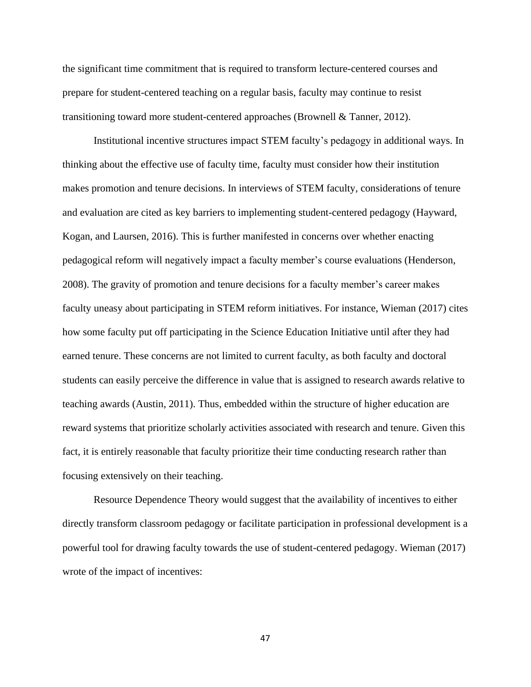the significant time commitment that is required to transform lecture-centered courses and prepare for student-centered teaching on a regular basis, faculty may continue to resist transitioning toward more student-centered approaches (Brownell & Tanner, 2012).

Institutional incentive structures impact STEM faculty's pedagogy in additional ways. In thinking about the effective use of faculty time, faculty must consider how their institution makes promotion and tenure decisions. In interviews of STEM faculty, considerations of tenure and evaluation are cited as key barriers to implementing student-centered pedagogy (Hayward, Kogan, and Laursen, 2016). This is further manifested in concerns over whether enacting pedagogical reform will negatively impact a faculty member's course evaluations (Henderson, 2008). The gravity of promotion and tenure decisions for a faculty member's career makes faculty uneasy about participating in STEM reform initiatives. For instance, Wieman (2017) cites how some faculty put off participating in the Science Education Initiative until after they had earned tenure. These concerns are not limited to current faculty, as both faculty and doctoral students can easily perceive the difference in value that is assigned to research awards relative to teaching awards (Austin, 2011). Thus, embedded within the structure of higher education are reward systems that prioritize scholarly activities associated with research and tenure. Given this fact, it is entirely reasonable that faculty prioritize their time conducting research rather than focusing extensively on their teaching.

Resource Dependence Theory would suggest that the availability of incentives to either directly transform classroom pedagogy or facilitate participation in professional development is a powerful tool for drawing faculty towards the use of student-centered pedagogy. Wieman (2017) wrote of the impact of incentives: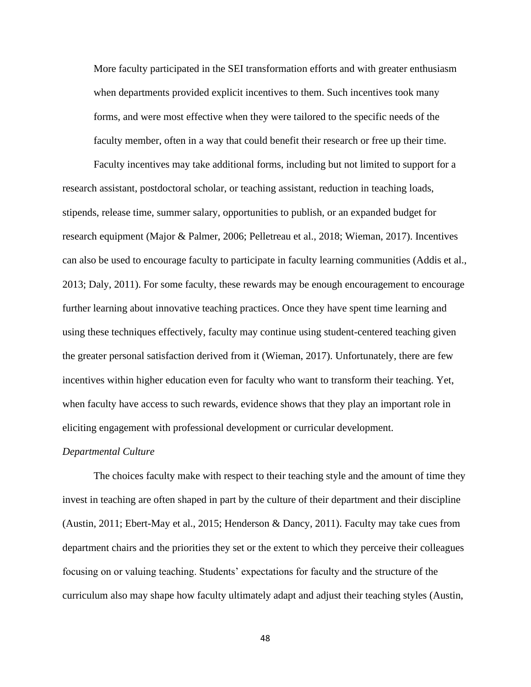More faculty participated in the SEI transformation efforts and with greater enthusiasm when departments provided explicit incentives to them. Such incentives took many forms, and were most effective when they were tailored to the specific needs of the faculty member, often in a way that could benefit their research or free up their time.

Faculty incentives may take additional forms, including but not limited to support for a research assistant, postdoctoral scholar, or teaching assistant, reduction in teaching loads, stipends, release time, summer salary, opportunities to publish, or an expanded budget for research equipment (Major & Palmer, 2006; Pelletreau et al., 2018; Wieman, 2017). Incentives can also be used to encourage faculty to participate in faculty learning communities (Addis et al., 2013; Daly, 2011). For some faculty, these rewards may be enough encouragement to encourage further learning about innovative teaching practices. Once they have spent time learning and using these techniques effectively, faculty may continue using student-centered teaching given the greater personal satisfaction derived from it (Wieman, 2017). Unfortunately, there are few incentives within higher education even for faculty who want to transform their teaching. Yet, when faculty have access to such rewards, evidence shows that they play an important role in eliciting engagement with professional development or curricular development.

# *Departmental Culture*

The choices faculty make with respect to their teaching style and the amount of time they invest in teaching are often shaped in part by the culture of their department and their discipline (Austin, 2011; Ebert-May et al., 2015; Henderson & Dancy, 2011). Faculty may take cues from department chairs and the priorities they set or the extent to which they perceive their colleagues focusing on or valuing teaching. Students' expectations for faculty and the structure of the curriculum also may shape how faculty ultimately adapt and adjust their teaching styles (Austin,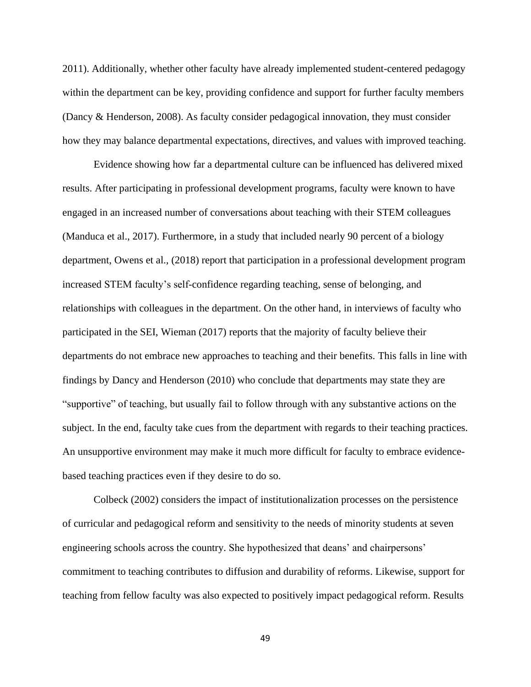2011). Additionally, whether other faculty have already implemented student-centered pedagogy within the department can be key, providing confidence and support for further faculty members (Dancy & Henderson, 2008). As faculty consider pedagogical innovation, they must consider how they may balance departmental expectations, directives, and values with improved teaching.

Evidence showing how far a departmental culture can be influenced has delivered mixed results. After participating in professional development programs, faculty were known to have engaged in an increased number of conversations about teaching with their STEM colleagues (Manduca et al., 2017). Furthermore, in a study that included nearly 90 percent of a biology department, Owens et al., (2018) report that participation in a professional development program increased STEM faculty's self-confidence regarding teaching, sense of belonging, and relationships with colleagues in the department. On the other hand, in interviews of faculty who participated in the SEI, Wieman (2017) reports that the majority of faculty believe their departments do not embrace new approaches to teaching and their benefits. This falls in line with findings by Dancy and Henderson (2010) who conclude that departments may state they are "supportive" of teaching, but usually fail to follow through with any substantive actions on the subject. In the end, faculty take cues from the department with regards to their teaching practices. An unsupportive environment may make it much more difficult for faculty to embrace evidencebased teaching practices even if they desire to do so.

Colbeck (2002) considers the impact of institutionalization processes on the persistence of curricular and pedagogical reform and sensitivity to the needs of minority students at seven engineering schools across the country. She hypothesized that deans' and chairpersons' commitment to teaching contributes to diffusion and durability of reforms. Likewise, support for teaching from fellow faculty was also expected to positively impact pedagogical reform. Results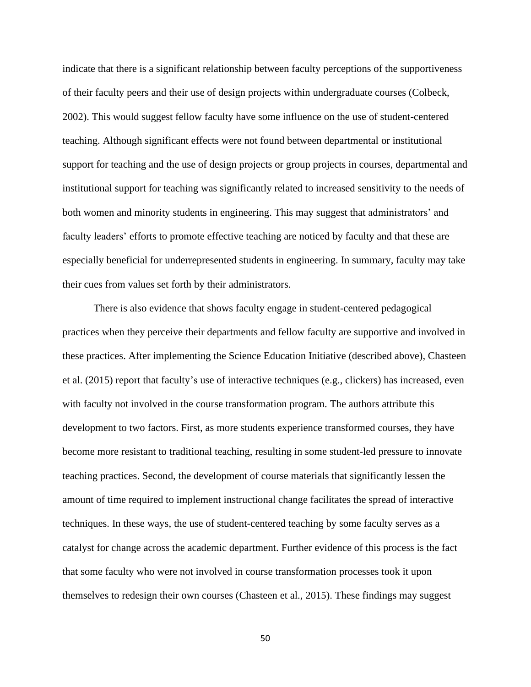indicate that there is a significant relationship between faculty perceptions of the supportiveness of their faculty peers and their use of design projects within undergraduate courses (Colbeck, 2002). This would suggest fellow faculty have some influence on the use of student-centered teaching. Although significant effects were not found between departmental or institutional support for teaching and the use of design projects or group projects in courses, departmental and institutional support for teaching was significantly related to increased sensitivity to the needs of both women and minority students in engineering. This may suggest that administrators' and faculty leaders' efforts to promote effective teaching are noticed by faculty and that these are especially beneficial for underrepresented students in engineering. In summary, faculty may take their cues from values set forth by their administrators.

There is also evidence that shows faculty engage in student-centered pedagogical practices when they perceive their departments and fellow faculty are supportive and involved in these practices. After implementing the Science Education Initiative (described above), Chasteen et al. (2015) report that faculty's use of interactive techniques (e.g., clickers) has increased, even with faculty not involved in the course transformation program. The authors attribute this development to two factors. First, as more students experience transformed courses, they have become more resistant to traditional teaching, resulting in some student-led pressure to innovate teaching practices. Second, the development of course materials that significantly lessen the amount of time required to implement instructional change facilitates the spread of interactive techniques. In these ways, the use of student-centered teaching by some faculty serves as a catalyst for change across the academic department. Further evidence of this process is the fact that some faculty who were not involved in course transformation processes took it upon themselves to redesign their own courses (Chasteen et al., 2015). These findings may suggest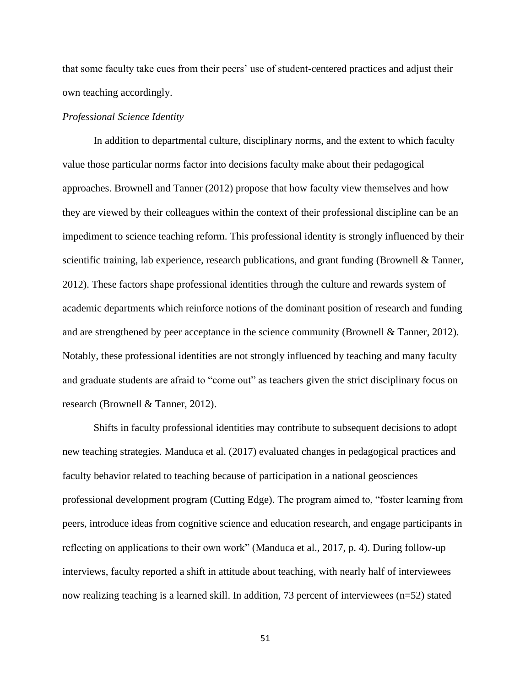that some faculty take cues from their peers' use of student-centered practices and adjust their own teaching accordingly.

# *Professional Science Identity*

In addition to departmental culture, disciplinary norms, and the extent to which faculty value those particular norms factor into decisions faculty make about their pedagogical approaches. Brownell and Tanner (2012) propose that how faculty view themselves and how they are viewed by their colleagues within the context of their professional discipline can be an impediment to science teaching reform. This professional identity is strongly influenced by their scientific training, lab experience, research publications, and grant funding (Brownell & Tanner, 2012). These factors shape professional identities through the culture and rewards system of academic departments which reinforce notions of the dominant position of research and funding and are strengthened by peer acceptance in the science community (Brownell & Tanner, 2012). Notably, these professional identities are not strongly influenced by teaching and many faculty and graduate students are afraid to "come out" as teachers given the strict disciplinary focus on research (Brownell & Tanner, 2012).

Shifts in faculty professional identities may contribute to subsequent decisions to adopt new teaching strategies. Manduca et al. (2017) evaluated changes in pedagogical practices and faculty behavior related to teaching because of participation in a national geosciences professional development program (Cutting Edge). The program aimed to, "foster learning from peers, introduce ideas from cognitive science and education research, and engage participants in reflecting on applications to their own work" (Manduca et al., 2017, p. 4). During follow-up interviews, faculty reported a shift in attitude about teaching, with nearly half of interviewees now realizing teaching is a learned skill. In addition, 73 percent of interviewees (n=52) stated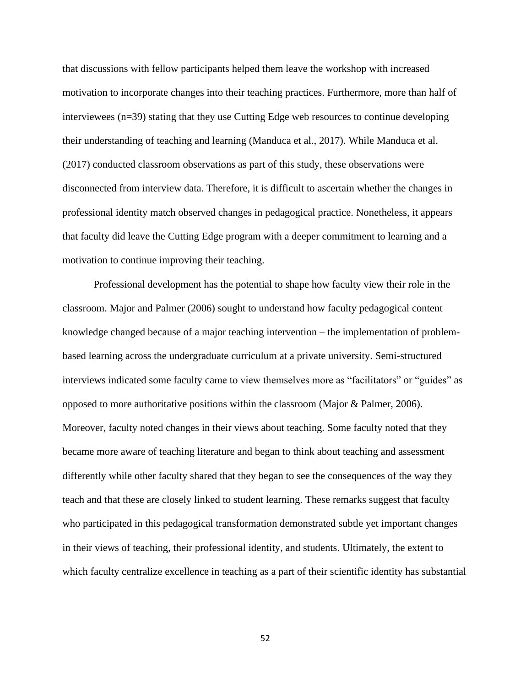that discussions with fellow participants helped them leave the workshop with increased motivation to incorporate changes into their teaching practices. Furthermore, more than half of interviewees (n=39) stating that they use Cutting Edge web resources to continue developing their understanding of teaching and learning (Manduca et al., 2017). While Manduca et al. (2017) conducted classroom observations as part of this study, these observations were disconnected from interview data. Therefore, it is difficult to ascertain whether the changes in professional identity match observed changes in pedagogical practice. Nonetheless, it appears that faculty did leave the Cutting Edge program with a deeper commitment to learning and a motivation to continue improving their teaching.

Professional development has the potential to shape how faculty view their role in the classroom. Major and Palmer (2006) sought to understand how faculty pedagogical content knowledge changed because of a major teaching intervention – the implementation of problembased learning across the undergraduate curriculum at a private university. Semi-structured interviews indicated some faculty came to view themselves more as "facilitators" or "guides" as opposed to more authoritative positions within the classroom (Major & Palmer, 2006). Moreover, faculty noted changes in their views about teaching. Some faculty noted that they became more aware of teaching literature and began to think about teaching and assessment differently while other faculty shared that they began to see the consequences of the way they teach and that these are closely linked to student learning. These remarks suggest that faculty who participated in this pedagogical transformation demonstrated subtle yet important changes in their views of teaching, their professional identity, and students. Ultimately, the extent to which faculty centralize excellence in teaching as a part of their scientific identity has substantial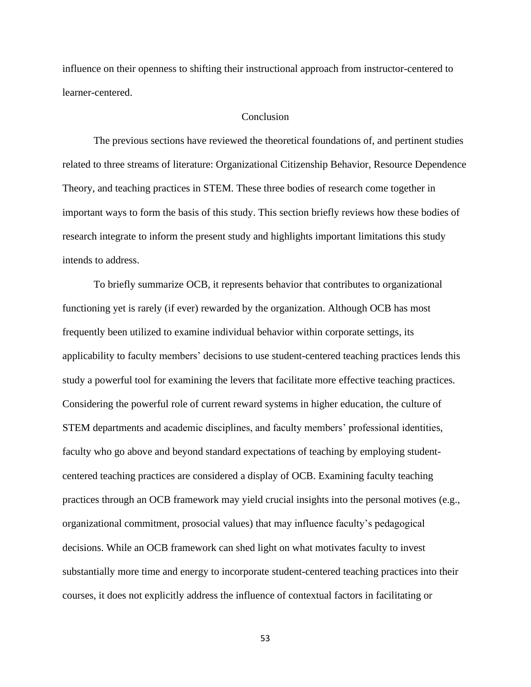influence on their openness to shifting their instructional approach from instructor-centered to learner-centered.

## Conclusion

The previous sections have reviewed the theoretical foundations of, and pertinent studies related to three streams of literature: Organizational Citizenship Behavior, Resource Dependence Theory, and teaching practices in STEM. These three bodies of research come together in important ways to form the basis of this study. This section briefly reviews how these bodies of research integrate to inform the present study and highlights important limitations this study intends to address.

To briefly summarize OCB, it represents behavior that contributes to organizational functioning yet is rarely (if ever) rewarded by the organization. Although OCB has most frequently been utilized to examine individual behavior within corporate settings, its applicability to faculty members' decisions to use student-centered teaching practices lends this study a powerful tool for examining the levers that facilitate more effective teaching practices. Considering the powerful role of current reward systems in higher education, the culture of STEM departments and academic disciplines, and faculty members' professional identities, faculty who go above and beyond standard expectations of teaching by employing studentcentered teaching practices are considered a display of OCB. Examining faculty teaching practices through an OCB framework may yield crucial insights into the personal motives (e.g., organizational commitment, prosocial values) that may influence faculty's pedagogical decisions. While an OCB framework can shed light on what motivates faculty to invest substantially more time and energy to incorporate student-centered teaching practices into their courses, it does not explicitly address the influence of contextual factors in facilitating or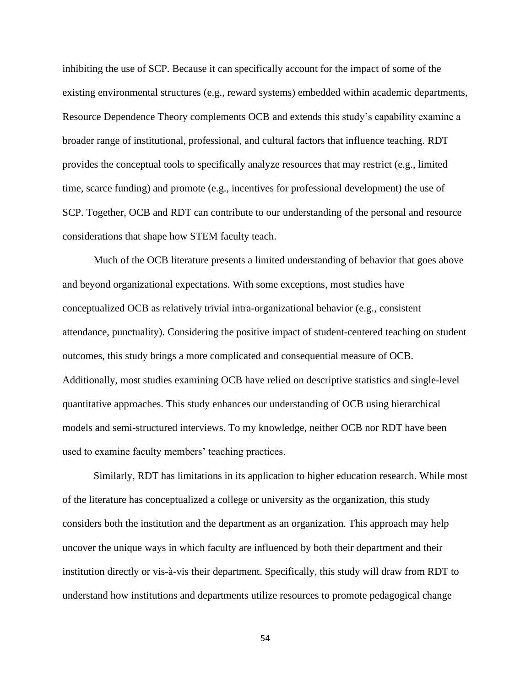inhibiting the use of SCP. Because it can specifically account for the impact of some of the existing environmental structures (e.g., reward systems) embedded within academic departments, Resource Dependence Theory complements OCB and extends this study's capability examine a broader range of institutional, professional, and cultural factors that influence teaching. RDT provides the conceptual tools to specifically analyze resources that may restrict (e.g., limited time, scarce funding) and promote (e.g., incentives for professional development) the use of SCP. Together, OCB and RDT can contribute to our understanding of the personal and resource considerations that shape how STEM faculty teach.

Much of the OCB literature presents a limited understanding of behavior that goes above and beyond organizational expectations. With some exceptions, most studies have conceptualized OCB as relatively trivial intra-organizational behavior (e.g., consistent attendance, punctuality). Considering the positive impact of student-centered teaching on student outcomes, this study brings a more complicated and consequential measure of OCB. Additionally, most studies examining OCB have relied on descriptive statistics and single-level quantitative approaches. This study enhances our understanding of OCB using hierarchical models and semi-structured interviews. To my knowledge, neither OCB nor RDT have been used to examine faculty members' teaching practices.

Similarly, RDT has limitations in its application to higher education research. While most of the literature has conceptualized a college or university as the organization, this study considers both the institution and the department as an organization. This approach may help uncover the unique ways in which faculty are influenced by both their department and their institution directly or vis-à-vis their department. Specifically, this study will draw from RDT to understand how institutions and departments utilize resources to promote pedagogical change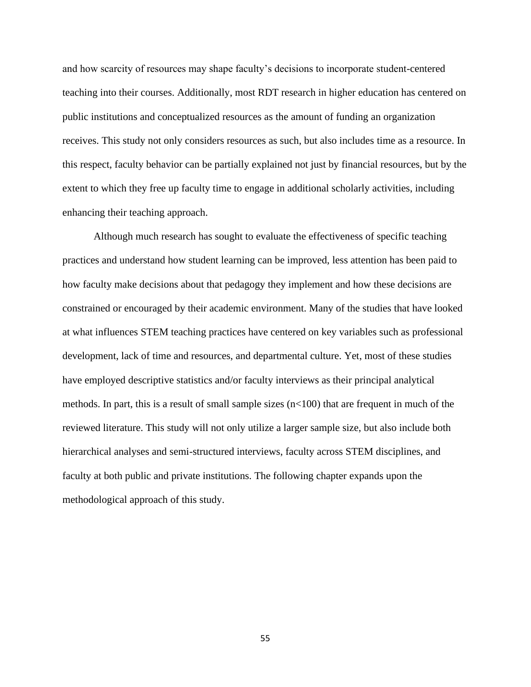and how scarcity of resources may shape faculty's decisions to incorporate student-centered teaching into their courses. Additionally, most RDT research in higher education has centered on public institutions and conceptualized resources as the amount of funding an organization receives. This study not only considers resources as such, but also includes time as a resource. In this respect, faculty behavior can be partially explained not just by financial resources, but by the extent to which they free up faculty time to engage in additional scholarly activities, including enhancing their teaching approach.

Although much research has sought to evaluate the effectiveness of specific teaching practices and understand how student learning can be improved, less attention has been paid to how faculty make decisions about that pedagogy they implement and how these decisions are constrained or encouraged by their academic environment. Many of the studies that have looked at what influences STEM teaching practices have centered on key variables such as professional development, lack of time and resources, and departmental culture. Yet, most of these studies have employed descriptive statistics and/or faculty interviews as their principal analytical methods. In part, this is a result of small sample sizes (n<100) that are frequent in much of the reviewed literature. This study will not only utilize a larger sample size, but also include both hierarchical analyses and semi-structured interviews, faculty across STEM disciplines, and faculty at both public and private institutions. The following chapter expands upon the methodological approach of this study.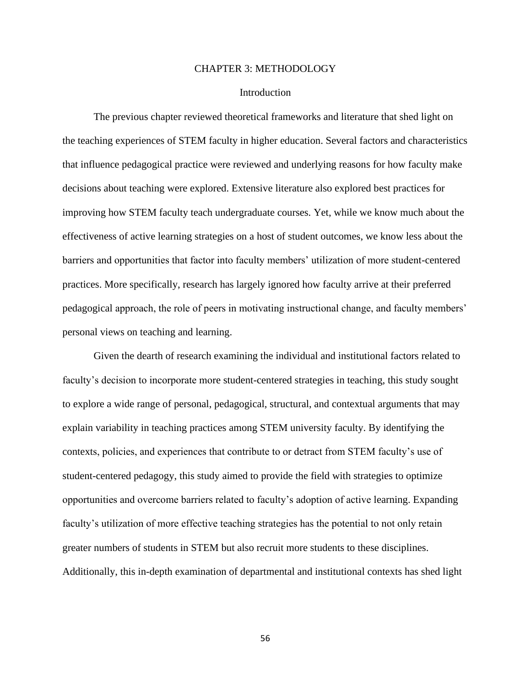## CHAPTER 3: METHODOLOGY

## Introduction

The previous chapter reviewed theoretical frameworks and literature that shed light on the teaching experiences of STEM faculty in higher education. Several factors and characteristics that influence pedagogical practice were reviewed and underlying reasons for how faculty make decisions about teaching were explored. Extensive literature also explored best practices for improving how STEM faculty teach undergraduate courses. Yet, while we know much about the effectiveness of active learning strategies on a host of student outcomes, we know less about the barriers and opportunities that factor into faculty members' utilization of more student-centered practices. More specifically, research has largely ignored how faculty arrive at their preferred pedagogical approach, the role of peers in motivating instructional change, and faculty members' personal views on teaching and learning.

Given the dearth of research examining the individual and institutional factors related to faculty's decision to incorporate more student-centered strategies in teaching, this study sought to explore a wide range of personal, pedagogical, structural, and contextual arguments that may explain variability in teaching practices among STEM university faculty. By identifying the contexts, policies, and experiences that contribute to or detract from STEM faculty's use of student-centered pedagogy, this study aimed to provide the field with strategies to optimize opportunities and overcome barriers related to faculty's adoption of active learning. Expanding faculty's utilization of more effective teaching strategies has the potential to not only retain greater numbers of students in STEM but also recruit more students to these disciplines. Additionally, this in-depth examination of departmental and institutional contexts has shed light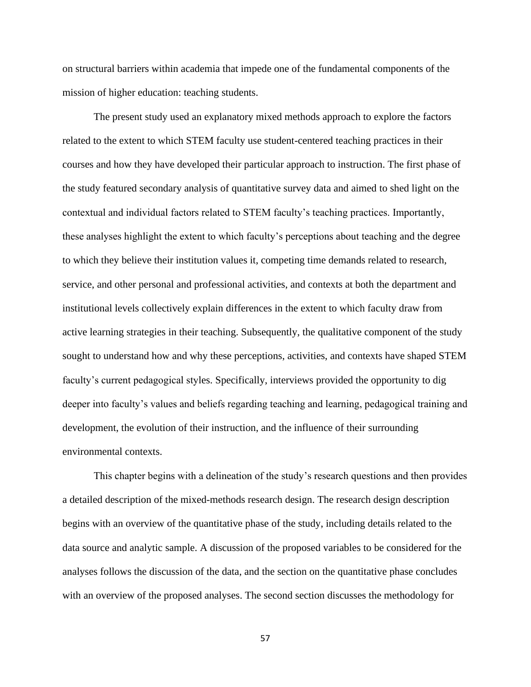on structural barriers within academia that impede one of the fundamental components of the mission of higher education: teaching students.

The present study used an explanatory mixed methods approach to explore the factors related to the extent to which STEM faculty use student-centered teaching practices in their courses and how they have developed their particular approach to instruction. The first phase of the study featured secondary analysis of quantitative survey data and aimed to shed light on the contextual and individual factors related to STEM faculty's teaching practices. Importantly, these analyses highlight the extent to which faculty's perceptions about teaching and the degree to which they believe their institution values it, competing time demands related to research, service, and other personal and professional activities, and contexts at both the department and institutional levels collectively explain differences in the extent to which faculty draw from active learning strategies in their teaching. Subsequently, the qualitative component of the study sought to understand how and why these perceptions, activities, and contexts have shaped STEM faculty's current pedagogical styles. Specifically, interviews provided the opportunity to dig deeper into faculty's values and beliefs regarding teaching and learning, pedagogical training and development, the evolution of their instruction, and the influence of their surrounding environmental contexts.

This chapter begins with a delineation of the study's research questions and then provides a detailed description of the mixed-methods research design. The research design description begins with an overview of the quantitative phase of the study, including details related to the data source and analytic sample. A discussion of the proposed variables to be considered for the analyses follows the discussion of the data, and the section on the quantitative phase concludes with an overview of the proposed analyses. The second section discusses the methodology for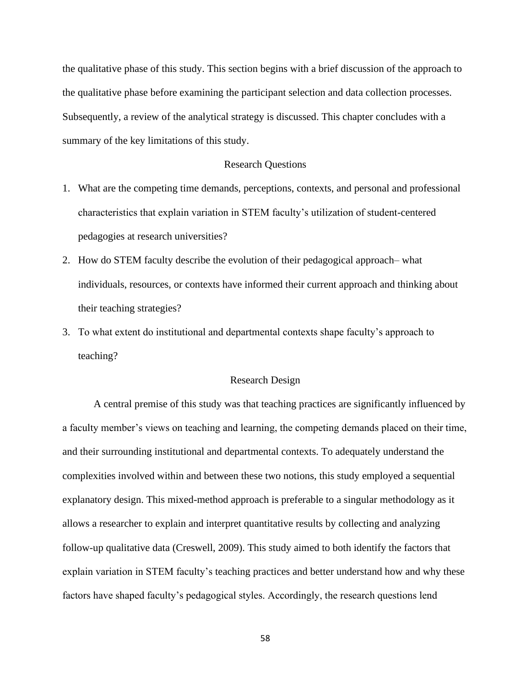the qualitative phase of this study. This section begins with a brief discussion of the approach to the qualitative phase before examining the participant selection and data collection processes. Subsequently, a review of the analytical strategy is discussed. This chapter concludes with a summary of the key limitations of this study.

## Research Questions

- 1. What are the competing time demands, perceptions, contexts, and personal and professional characteristics that explain variation in STEM faculty's utilization of student-centered pedagogies at research universities?
- 2. How do STEM faculty describe the evolution of their pedagogical approach– what individuals, resources, or contexts have informed their current approach and thinking about their teaching strategies?
- 3. To what extent do institutional and departmental contexts shape faculty's approach to teaching?

## Research Design

A central premise of this study was that teaching practices are significantly influenced by a faculty member's views on teaching and learning, the competing demands placed on their time, and their surrounding institutional and departmental contexts. To adequately understand the complexities involved within and between these two notions, this study employed a sequential explanatory design. This mixed-method approach is preferable to a singular methodology as it allows a researcher to explain and interpret quantitative results by collecting and analyzing follow-up qualitative data (Creswell, 2009). This study aimed to both identify the factors that explain variation in STEM faculty's teaching practices and better understand how and why these factors have shaped faculty's pedagogical styles. Accordingly, the research questions lend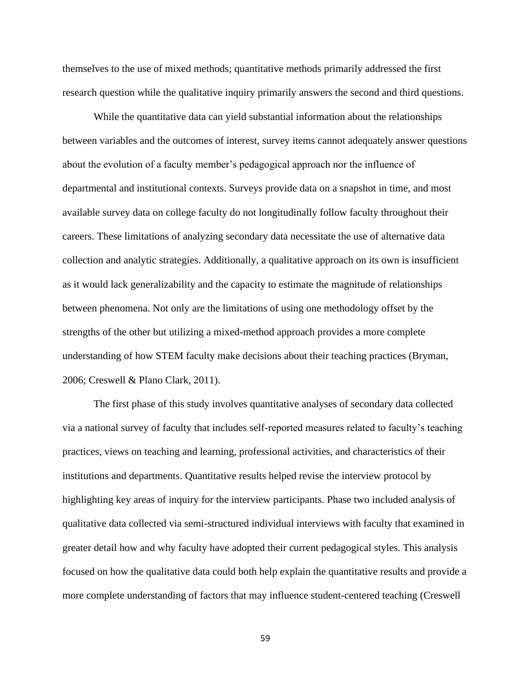themselves to the use of mixed methods; quantitative methods primarily addressed the first research question while the qualitative inquiry primarily answers the second and third questions.

While the quantitative data can yield substantial information about the relationships between variables and the outcomes of interest, survey items cannot adequately answer questions about the evolution of a faculty member's pedagogical approach nor the influence of departmental and institutional contexts. Surveys provide data on a snapshot in time, and most available survey data on college faculty do not longitudinally follow faculty throughout their careers. These limitations of analyzing secondary data necessitate the use of alternative data collection and analytic strategies. Additionally, a qualitative approach on its own is insufficient as it would lack generalizability and the capacity to estimate the magnitude of relationships between phenomena. Not only are the limitations of using one methodology offset by the strengths of the other but utilizing a mixed-method approach provides a more complete understanding of how STEM faculty make decisions about their teaching practices (Bryman, 2006; Creswell & Plano Clark, 2011).

The first phase of this study involves quantitative analyses of secondary data collected via a national survey of faculty that includes self-reported measures related to faculty's teaching practices, views on teaching and learning, professional activities, and characteristics of their institutions and departments. Quantitative results helped revise the interview protocol by highlighting key areas of inquiry for the interview participants. Phase two included analysis of qualitative data collected via semi-structured individual interviews with faculty that examined in greater detail how and why faculty have adopted their current pedagogical styles. This analysis focused on how the qualitative data could both help explain the quantitative results and provide a more complete understanding of factors that may influence student-centered teaching (Creswell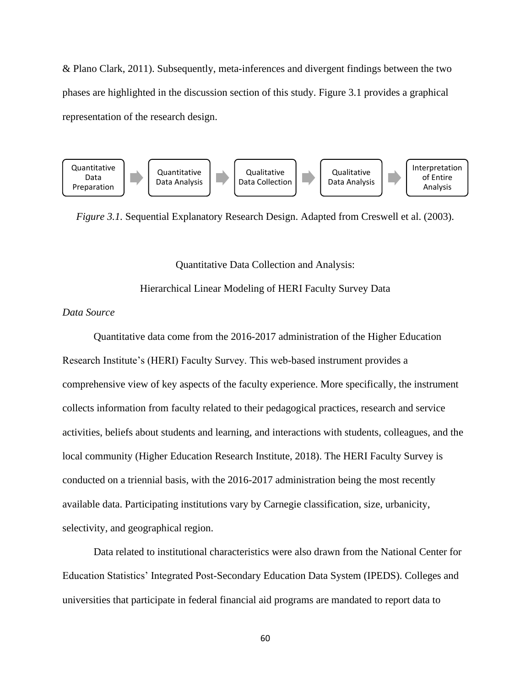& Plano Clark, 2011). Subsequently, meta-inferences and divergent findings between the two phases are highlighted in the discussion section of this study. Figure 3.1 provides a graphical representation of the research design.



*Figure 3.1.* Sequential Explanatory Research Design. Adapted from Creswell et al. (2003).

Quantitative Data Collection and Analysis:

Hierarchical Linear Modeling of HERI Faculty Survey Data

# *Data Source*

Quantitative data come from the 2016-2017 administration of the Higher Education Research Institute's (HERI) Faculty Survey. This web-based instrument provides a comprehensive view of key aspects of the faculty experience. More specifically, the instrument collects information from faculty related to their pedagogical practices, research and service activities, beliefs about students and learning, and interactions with students, colleagues, and the local community (Higher Education Research Institute, 2018). The HERI Faculty Survey is conducted on a triennial basis, with the 2016-2017 administration being the most recently available data. Participating institutions vary by Carnegie classification, size, urbanicity, selectivity, and geographical region.

Data related to institutional characteristics were also drawn from the National Center for Education Statistics' Integrated Post-Secondary Education Data System (IPEDS). Colleges and universities that participate in federal financial aid programs are mandated to report data to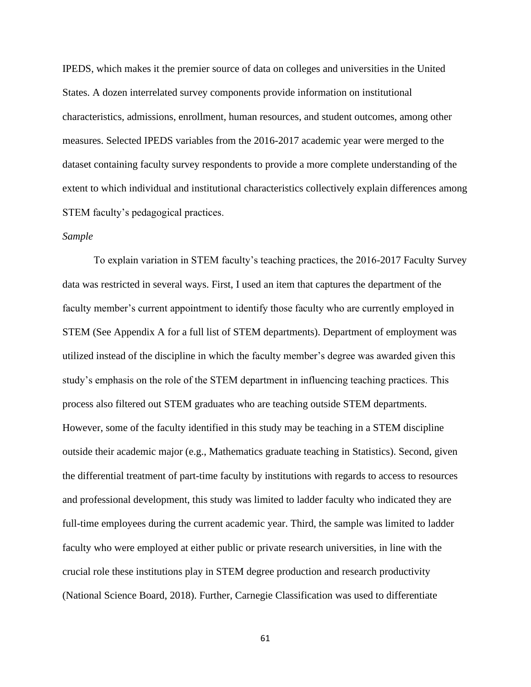IPEDS, which makes it the premier source of data on colleges and universities in the United States. A dozen interrelated survey components provide information on institutional characteristics, admissions, enrollment, human resources, and student outcomes, among other measures. Selected IPEDS variables from the 2016-2017 academic year were merged to the dataset containing faculty survey respondents to provide a more complete understanding of the extent to which individual and institutional characteristics collectively explain differences among STEM faculty's pedagogical practices.

## *Sample*

To explain variation in STEM faculty's teaching practices, the 2016-2017 Faculty Survey data was restricted in several ways. First, I used an item that captures the department of the faculty member's current appointment to identify those faculty who are currently employed in STEM (See Appendix A for a full list of STEM departments). Department of employment was utilized instead of the discipline in which the faculty member's degree was awarded given this study's emphasis on the role of the STEM department in influencing teaching practices. This process also filtered out STEM graduates who are teaching outside STEM departments. However, some of the faculty identified in this study may be teaching in a STEM discipline outside their academic major (e.g., Mathematics graduate teaching in Statistics). Second, given the differential treatment of part-time faculty by institutions with regards to access to resources and professional development, this study was limited to ladder faculty who indicated they are full-time employees during the current academic year. Third, the sample was limited to ladder faculty who were employed at either public or private research universities, in line with the crucial role these institutions play in STEM degree production and research productivity (National Science Board, 2018). Further, Carnegie Classification was used to differentiate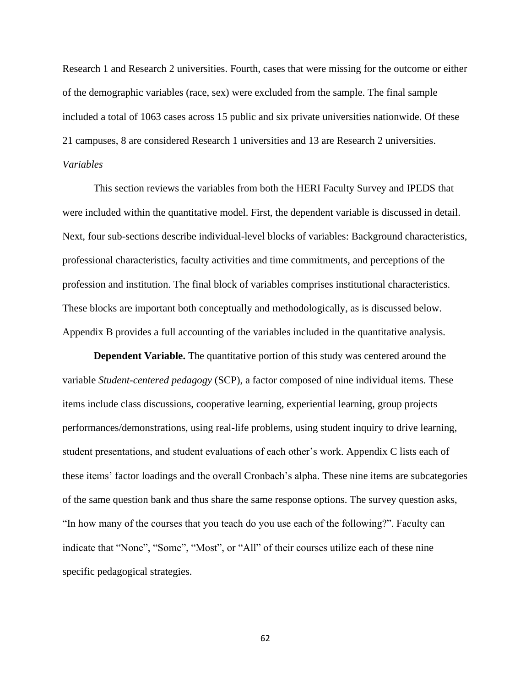Research 1 and Research 2 universities. Fourth, cases that were missing for the outcome or either of the demographic variables (race, sex) were excluded from the sample. The final sample included a total of 1063 cases across 15 public and six private universities nationwide. Of these 21 campuses, 8 are considered Research 1 universities and 13 are Research 2 universities. *Variables*

This section reviews the variables from both the HERI Faculty Survey and IPEDS that were included within the quantitative model. First, the dependent variable is discussed in detail. Next, four sub-sections describe individual-level blocks of variables: Background characteristics, professional characteristics, faculty activities and time commitments, and perceptions of the profession and institution. The final block of variables comprises institutional characteristics. These blocks are important both conceptually and methodologically, as is discussed below. Appendix B provides a full accounting of the variables included in the quantitative analysis.

**Dependent Variable.** The quantitative portion of this study was centered around the variable *Student-centered pedagogy* (SCP), a factor composed of nine individual items. These items include class discussions, cooperative learning, experiential learning, group projects performances/demonstrations, using real-life problems, using student inquiry to drive learning, student presentations, and student evaluations of each other's work. Appendix C lists each of these items' factor loadings and the overall Cronbach's alpha. These nine items are subcategories of the same question bank and thus share the same response options. The survey question asks, "In how many of the courses that you teach do you use each of the following?". Faculty can indicate that "None", "Some", "Most", or "All" of their courses utilize each of these nine specific pedagogical strategies.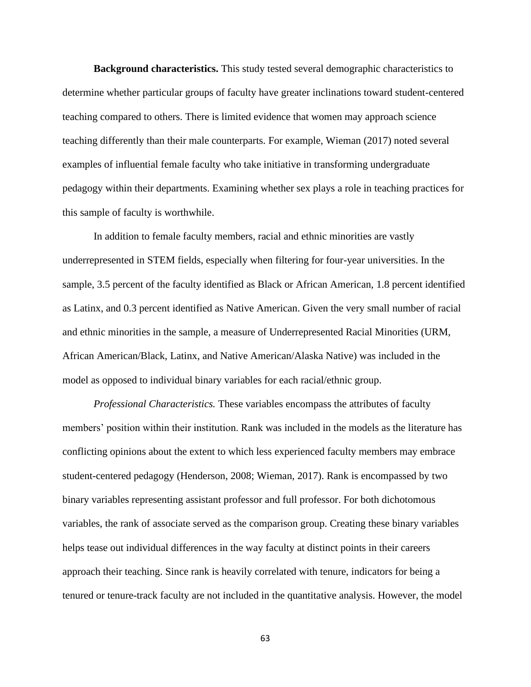**Background characteristics.** This study tested several demographic characteristics to determine whether particular groups of faculty have greater inclinations toward student-centered teaching compared to others. There is limited evidence that women may approach science teaching differently than their male counterparts. For example, Wieman (2017) noted several examples of influential female faculty who take initiative in transforming undergraduate pedagogy within their departments. Examining whether sex plays a role in teaching practices for this sample of faculty is worthwhile.

In addition to female faculty members, racial and ethnic minorities are vastly underrepresented in STEM fields, especially when filtering for four-year universities. In the sample, 3.5 percent of the faculty identified as Black or African American, 1.8 percent identified as Latinx, and 0.3 percent identified as Native American. Given the very small number of racial and ethnic minorities in the sample, a measure of Underrepresented Racial Minorities (URM, African American/Black, Latinx, and Native American/Alaska Native) was included in the model as opposed to individual binary variables for each racial/ethnic group.

*Professional Characteristics.* These variables encompass the attributes of faculty members' position within their institution. Rank was included in the models as the literature has conflicting opinions about the extent to which less experienced faculty members may embrace student-centered pedagogy (Henderson, 2008; Wieman, 2017). Rank is encompassed by two binary variables representing assistant professor and full professor. For both dichotomous variables, the rank of associate served as the comparison group. Creating these binary variables helps tease out individual differences in the way faculty at distinct points in their careers approach their teaching. Since rank is heavily correlated with tenure, indicators for being a tenured or tenure-track faculty are not included in the quantitative analysis. However, the model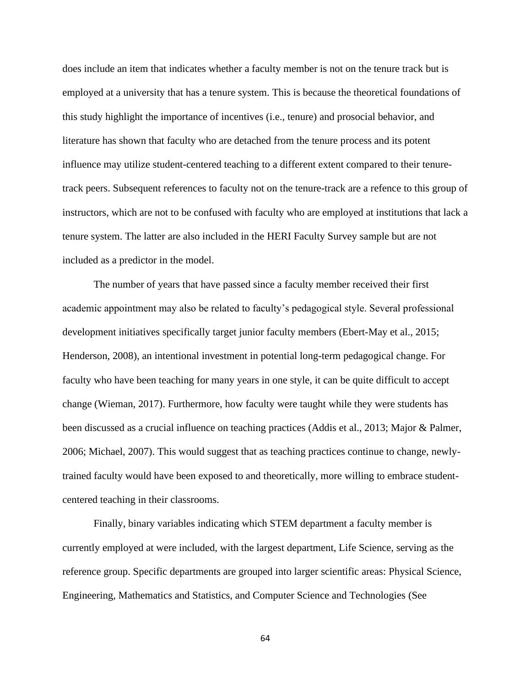does include an item that indicates whether a faculty member is not on the tenure track but is employed at a university that has a tenure system. This is because the theoretical foundations of this study highlight the importance of incentives (i.e., tenure) and prosocial behavior, and literature has shown that faculty who are detached from the tenure process and its potent influence may utilize student-centered teaching to a different extent compared to their tenuretrack peers. Subsequent references to faculty not on the tenure-track are a refence to this group of instructors, which are not to be confused with faculty who are employed at institutions that lack a tenure system. The latter are also included in the HERI Faculty Survey sample but are not included as a predictor in the model.

The number of years that have passed since a faculty member received their first academic appointment may also be related to faculty's pedagogical style. Several professional development initiatives specifically target junior faculty members (Ebert-May et al., 2015; Henderson, 2008), an intentional investment in potential long-term pedagogical change. For faculty who have been teaching for many years in one style, it can be quite difficult to accept change (Wieman, 2017). Furthermore, how faculty were taught while they were students has been discussed as a crucial influence on teaching practices (Addis et al., 2013; Major & Palmer, 2006; Michael, 2007). This would suggest that as teaching practices continue to change, newlytrained faculty would have been exposed to and theoretically, more willing to embrace studentcentered teaching in their classrooms.

Finally, binary variables indicating which STEM department a faculty member is currently employed at were included, with the largest department, Life Science, serving as the reference group. Specific departments are grouped into larger scientific areas: Physical Science, Engineering, Mathematics and Statistics, and Computer Science and Technologies (See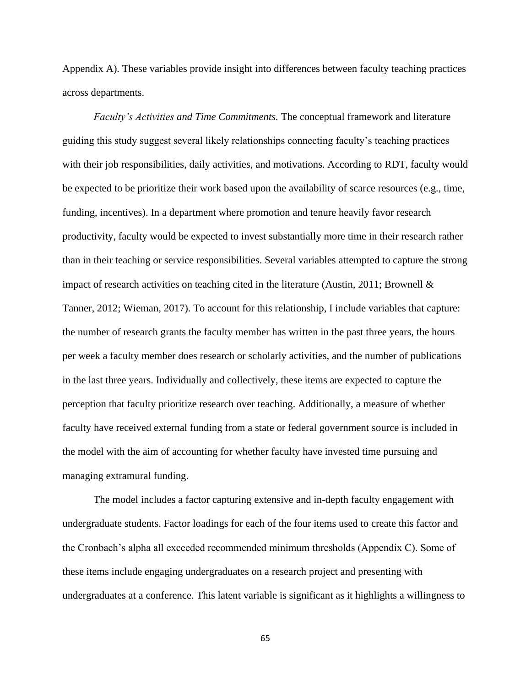Appendix A). These variables provide insight into differences between faculty teaching practices across departments.

*Faculty's Activities and Time Commitments.* The conceptual framework and literature guiding this study suggest several likely relationships connecting faculty's teaching practices with their job responsibilities, daily activities, and motivations. According to RDT, faculty would be expected to be prioritize their work based upon the availability of scarce resources (e.g., time, funding, incentives). In a department where promotion and tenure heavily favor research productivity, faculty would be expected to invest substantially more time in their research rather than in their teaching or service responsibilities. Several variables attempted to capture the strong impact of research activities on teaching cited in the literature (Austin, 2011; Brownell & Tanner, 2012; Wieman, 2017). To account for this relationship, I include variables that capture: the number of research grants the faculty member has written in the past three years, the hours per week a faculty member does research or scholarly activities, and the number of publications in the last three years. Individually and collectively, these items are expected to capture the perception that faculty prioritize research over teaching. Additionally, a measure of whether faculty have received external funding from a state or federal government source is included in the model with the aim of accounting for whether faculty have invested time pursuing and managing extramural funding.

The model includes a factor capturing extensive and in-depth faculty engagement with undergraduate students. Factor loadings for each of the four items used to create this factor and the Cronbach's alpha all exceeded recommended minimum thresholds (Appendix C). Some of these items include engaging undergraduates on a research project and presenting with undergraduates at a conference. This latent variable is significant as it highlights a willingness to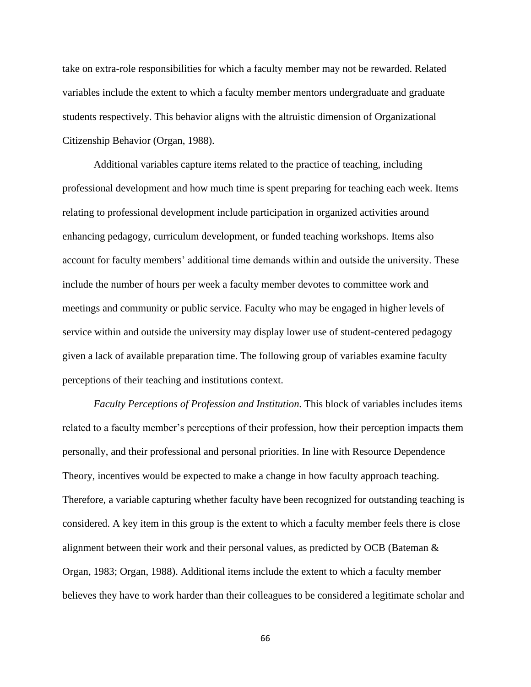take on extra-role responsibilities for which a faculty member may not be rewarded. Related variables include the extent to which a faculty member mentors undergraduate and graduate students respectively. This behavior aligns with the altruistic dimension of Organizational Citizenship Behavior (Organ, 1988).

Additional variables capture items related to the practice of teaching, including professional development and how much time is spent preparing for teaching each week. Items relating to professional development include participation in organized activities around enhancing pedagogy, curriculum development, or funded teaching workshops. Items also account for faculty members' additional time demands within and outside the university. These include the number of hours per week a faculty member devotes to committee work and meetings and community or public service. Faculty who may be engaged in higher levels of service within and outside the university may display lower use of student-centered pedagogy given a lack of available preparation time. The following group of variables examine faculty perceptions of their teaching and institutions context.

*Faculty Perceptions of Profession and Institution.* This block of variables includes items related to a faculty member's perceptions of their profession, how their perception impacts them personally, and their professional and personal priorities. In line with Resource Dependence Theory, incentives would be expected to make a change in how faculty approach teaching. Therefore, a variable capturing whether faculty have been recognized for outstanding teaching is considered. A key item in this group is the extent to which a faculty member feels there is close alignment between their work and their personal values, as predicted by OCB (Bateman & Organ, 1983; Organ, 1988). Additional items include the extent to which a faculty member believes they have to work harder than their colleagues to be considered a legitimate scholar and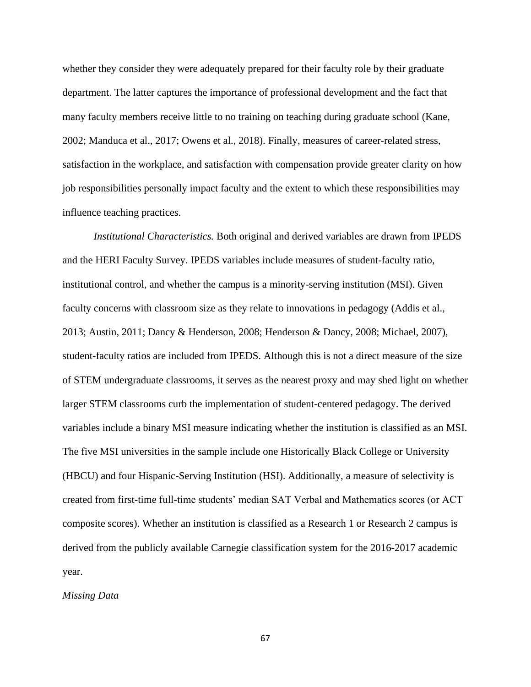whether they consider they were adequately prepared for their faculty role by their graduate department. The latter captures the importance of professional development and the fact that many faculty members receive little to no training on teaching during graduate school (Kane, 2002; Manduca et al., 2017; Owens et al., 2018). Finally, measures of career-related stress, satisfaction in the workplace, and satisfaction with compensation provide greater clarity on how job responsibilities personally impact faculty and the extent to which these responsibilities may influence teaching practices.

*Institutional Characteristics.* Both original and derived variables are drawn from IPEDS and the HERI Faculty Survey. IPEDS variables include measures of student-faculty ratio, institutional control, and whether the campus is a minority-serving institution (MSI). Given faculty concerns with classroom size as they relate to innovations in pedagogy (Addis et al., 2013; Austin, 2011; Dancy & Henderson, 2008; Henderson & Dancy, 2008; Michael, 2007), student-faculty ratios are included from IPEDS. Although this is not a direct measure of the size of STEM undergraduate classrooms, it serves as the nearest proxy and may shed light on whether larger STEM classrooms curb the implementation of student-centered pedagogy. The derived variables include a binary MSI measure indicating whether the institution is classified as an MSI. The five MSI universities in the sample include one Historically Black College or University (HBCU) and four Hispanic-Serving Institution (HSI). Additionally, a measure of selectivity is created from first-time full-time students' median SAT Verbal and Mathematics scores (or ACT composite scores). Whether an institution is classified as a Research 1 or Research 2 campus is derived from the publicly available Carnegie classification system for the 2016-2017 academic year.

# *Missing Data*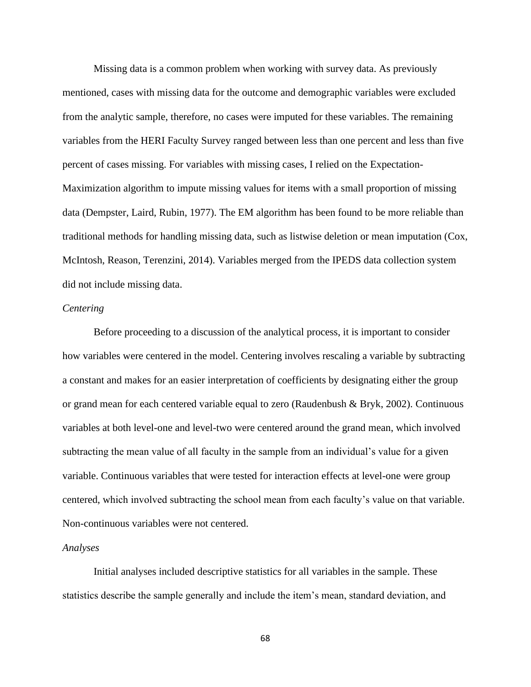Missing data is a common problem when working with survey data. As previously mentioned, cases with missing data for the outcome and demographic variables were excluded from the analytic sample, therefore, no cases were imputed for these variables. The remaining variables from the HERI Faculty Survey ranged between less than one percent and less than five percent of cases missing. For variables with missing cases, I relied on the Expectation-Maximization algorithm to impute missing values for items with a small proportion of missing data (Dempster, Laird, Rubin, 1977). The EM algorithm has been found to be more reliable than traditional methods for handling missing data, such as listwise deletion or mean imputation (Cox, McIntosh, Reason, Terenzini, 2014). Variables merged from the IPEDS data collection system did not include missing data.

#### *Centering*

Before proceeding to a discussion of the analytical process, it is important to consider how variables were centered in the model. Centering involves rescaling a variable by subtracting a constant and makes for an easier interpretation of coefficients by designating either the group or grand mean for each centered variable equal to zero (Raudenbush & Bryk, 2002). Continuous variables at both level-one and level-two were centered around the grand mean, which involved subtracting the mean value of all faculty in the sample from an individual's value for a given variable. Continuous variables that were tested for interaction effects at level-one were group centered, which involved subtracting the school mean from each faculty's value on that variable. Non-continuous variables were not centered.

#### *Analyses*

Initial analyses included descriptive statistics for all variables in the sample. These statistics describe the sample generally and include the item's mean, standard deviation, and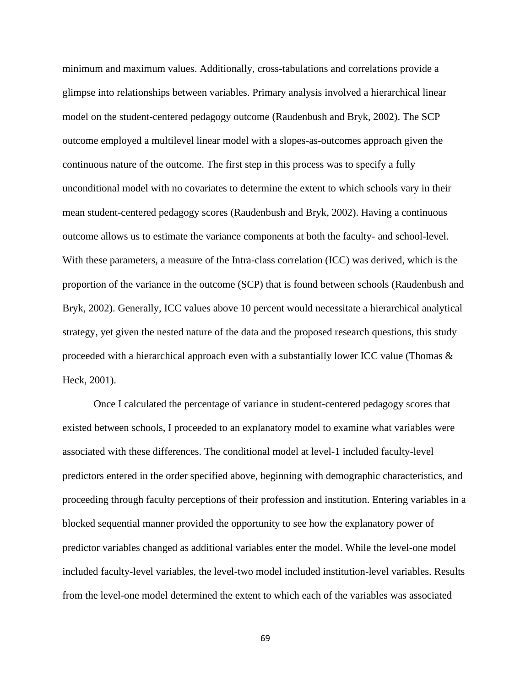minimum and maximum values. Additionally, cross-tabulations and correlations provide a glimpse into relationships between variables. Primary analysis involved a hierarchical linear model on the student-centered pedagogy outcome (Raudenbush and Bryk, 2002). The SCP outcome employed a multilevel linear model with a slopes-as-outcomes approach given the continuous nature of the outcome. The first step in this process was to specify a fully unconditional model with no covariates to determine the extent to which schools vary in their mean student-centered pedagogy scores (Raudenbush and Bryk, 2002). Having a continuous outcome allows us to estimate the variance components at both the faculty- and school-level. With these parameters, a measure of the Intra-class correlation (ICC) was derived, which is the proportion of the variance in the outcome (SCP) that is found between schools (Raudenbush and Bryk, 2002). Generally, ICC values above 10 percent would necessitate a hierarchical analytical strategy, yet given the nested nature of the data and the proposed research questions, this study proceeded with a hierarchical approach even with a substantially lower ICC value (Thomas & Heck, 2001).

Once I calculated the percentage of variance in student-centered pedagogy scores that existed between schools, I proceeded to an explanatory model to examine what variables were associated with these differences. The conditional model at level-1 included faculty-level predictors entered in the order specified above, beginning with demographic characteristics, and proceeding through faculty perceptions of their profession and institution. Entering variables in a blocked sequential manner provided the opportunity to see how the explanatory power of predictor variables changed as additional variables enter the model. While the level-one model included faculty-level variables, the level-two model included institution-level variables. Results from the level-one model determined the extent to which each of the variables was associated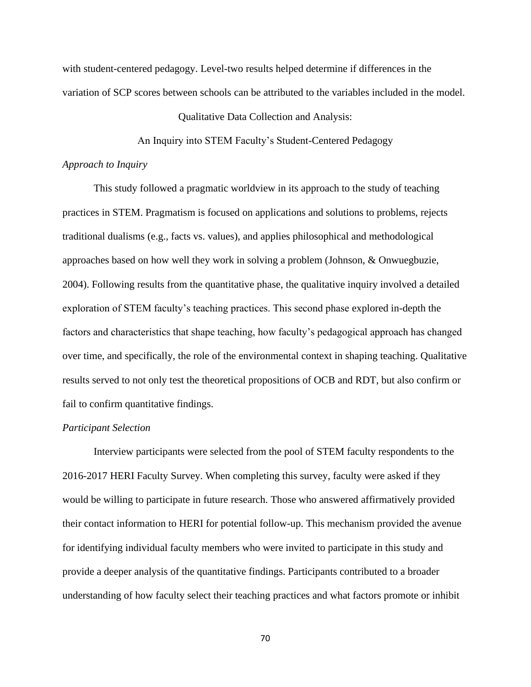with student-centered pedagogy. Level-two results helped determine if differences in the variation of SCP scores between schools can be attributed to the variables included in the model.

#### Qualitative Data Collection and Analysis:

An Inquiry into STEM Faculty's Student-Centered Pedagogy

## *Approach to Inquiry*

This study followed a pragmatic worldview in its approach to the study of teaching practices in STEM. Pragmatism is focused on applications and solutions to problems, rejects traditional dualisms (e.g., facts vs. values), and applies philosophical and methodological approaches based on how well they work in solving a problem (Johnson, & Onwuegbuzie, 2004). Following results from the quantitative phase, the qualitative inquiry involved a detailed exploration of STEM faculty's teaching practices. This second phase explored in-depth the factors and characteristics that shape teaching, how faculty's pedagogical approach has changed over time, and specifically, the role of the environmental context in shaping teaching. Qualitative results served to not only test the theoretical propositions of OCB and RDT, but also confirm or fail to confirm quantitative findings.

## *Participant Selection*

Interview participants were selected from the pool of STEM faculty respondents to the 2016-2017 HERI Faculty Survey. When completing this survey, faculty were asked if they would be willing to participate in future research. Those who answered affirmatively provided their contact information to HERI for potential follow-up. This mechanism provided the avenue for identifying individual faculty members who were invited to participate in this study and provide a deeper analysis of the quantitative findings. Participants contributed to a broader understanding of how faculty select their teaching practices and what factors promote or inhibit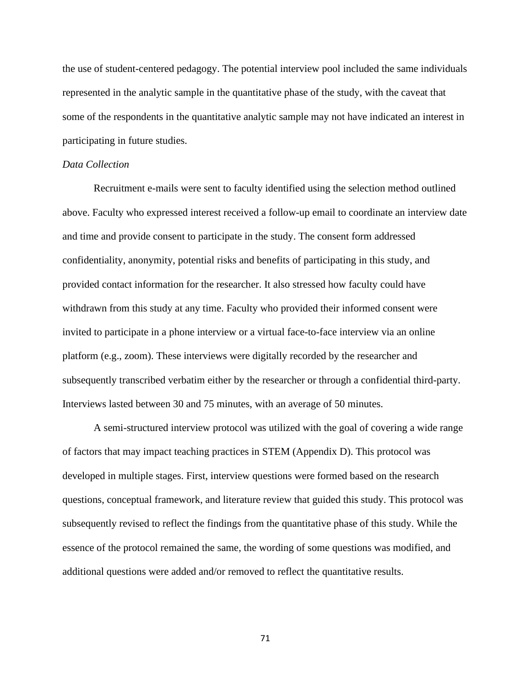the use of student-centered pedagogy. The potential interview pool included the same individuals represented in the analytic sample in the quantitative phase of the study, with the caveat that some of the respondents in the quantitative analytic sample may not have indicated an interest in participating in future studies.

### *Data Collection*

Recruitment e-mails were sent to faculty identified using the selection method outlined above. Faculty who expressed interest received a follow-up email to coordinate an interview date and time and provide consent to participate in the study. The consent form addressed confidentiality, anonymity, potential risks and benefits of participating in this study, and provided contact information for the researcher. It also stressed how faculty could have withdrawn from this study at any time. Faculty who provided their informed consent were invited to participate in a phone interview or a virtual face-to-face interview via an online platform (e.g., zoom). These interviews were digitally recorded by the researcher and subsequently transcribed verbatim either by the researcher or through a confidential third-party. Interviews lasted between 30 and 75 minutes, with an average of 50 minutes.

A semi-structured interview protocol was utilized with the goal of covering a wide range of factors that may impact teaching practices in STEM (Appendix D). This protocol was developed in multiple stages. First, interview questions were formed based on the research questions, conceptual framework, and literature review that guided this study. This protocol was subsequently revised to reflect the findings from the quantitative phase of this study. While the essence of the protocol remained the same, the wording of some questions was modified, and additional questions were added and/or removed to reflect the quantitative results.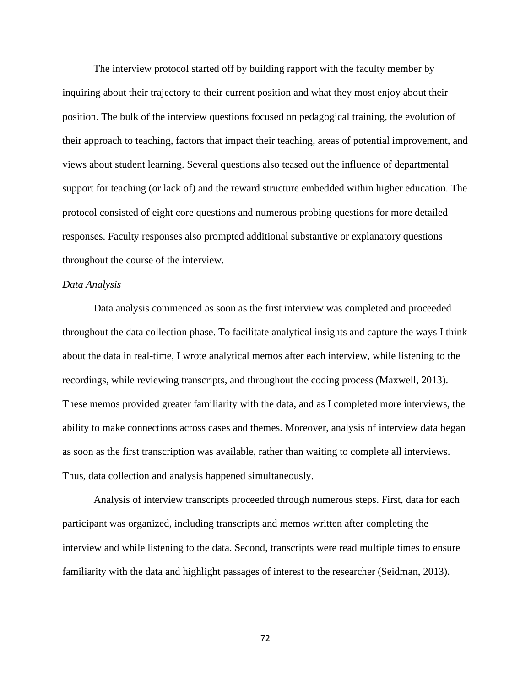The interview protocol started off by building rapport with the faculty member by inquiring about their trajectory to their current position and what they most enjoy about their position. The bulk of the interview questions focused on pedagogical training, the evolution of their approach to teaching, factors that impact their teaching, areas of potential improvement, and views about student learning. Several questions also teased out the influence of departmental support for teaching (or lack of) and the reward structure embedded within higher education. The protocol consisted of eight core questions and numerous probing questions for more detailed responses. Faculty responses also prompted additional substantive or explanatory questions throughout the course of the interview.

#### *Data Analysis*

Data analysis commenced as soon as the first interview was completed and proceeded throughout the data collection phase. To facilitate analytical insights and capture the ways I think about the data in real-time, I wrote analytical memos after each interview, while listening to the recordings, while reviewing transcripts, and throughout the coding process (Maxwell, 2013). These memos provided greater familiarity with the data, and as I completed more interviews, the ability to make connections across cases and themes. Moreover, analysis of interview data began as soon as the first transcription was available, rather than waiting to complete all interviews. Thus, data collection and analysis happened simultaneously.

Analysis of interview transcripts proceeded through numerous steps. First, data for each participant was organized, including transcripts and memos written after completing the interview and while listening to the data. Second, transcripts were read multiple times to ensure familiarity with the data and highlight passages of interest to the researcher (Seidman, 2013).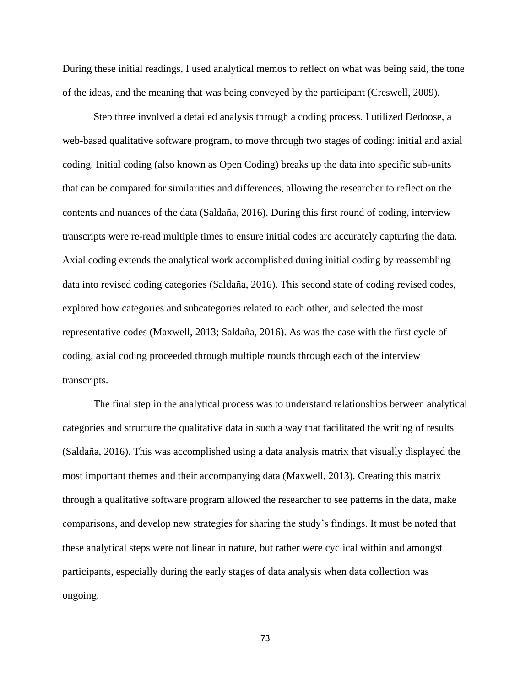During these initial readings, I used analytical memos to reflect on what was being said, the tone of the ideas, and the meaning that was being conveyed by the participant (Creswell, 2009).

Step three involved a detailed analysis through a coding process. I utilized Dedoose, a web-based qualitative software program, to move through two stages of coding: initial and axial coding. Initial coding (also known as Open Coding) breaks up the data into specific sub-units that can be compared for similarities and differences, allowing the researcher to reflect on the contents and nuances of the data (Saldaña, 2016). During this first round of coding, interview transcripts were re-read multiple times to ensure initial codes are accurately capturing the data. Axial coding extends the analytical work accomplished during initial coding by reassembling data into revised coding categories (Saldaña, 2016). This second state of coding revised codes, explored how categories and subcategories related to each other, and selected the most representative codes (Maxwell, 2013; Saldaña, 2016). As was the case with the first cycle of coding, axial coding proceeded through multiple rounds through each of the interview transcripts.

The final step in the analytical process was to understand relationships between analytical categories and structure the qualitative data in such a way that facilitated the writing of results (Saldaña, 2016). This was accomplished using a data analysis matrix that visually displayed the most important themes and their accompanying data (Maxwell, 2013). Creating this matrix through a qualitative software program allowed the researcher to see patterns in the data, make comparisons, and develop new strategies for sharing the study's findings. It must be noted that these analytical steps were not linear in nature, but rather were cyclical within and amongst participants, especially during the early stages of data analysis when data collection was ongoing.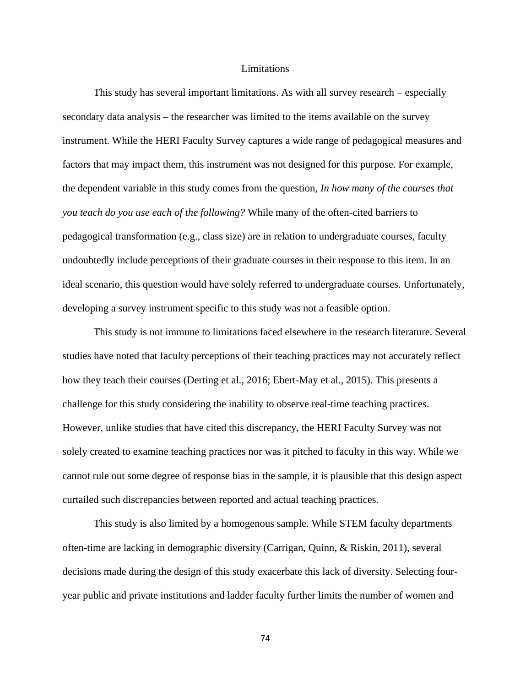#### Limitations

This study has several important limitations. As with all survey research – especially secondary data analysis – the researcher was limited to the items available on the survey instrument. While the HERI Faculty Survey captures a wide range of pedagogical measures and factors that may impact them, this instrument was not designed for this purpose. For example, the dependent variable in this study comes from the question, *In how many of the courses that you teach do you use each of the following?* While many of the often-cited barriers to pedagogical transformation (e.g., class size) are in relation to undergraduate courses, faculty undoubtedly include perceptions of their graduate courses in their response to this item. In an ideal scenario, this question would have solely referred to undergraduate courses. Unfortunately, developing a survey instrument specific to this study was not a feasible option.

This study is not immune to limitations faced elsewhere in the research literature. Several studies have noted that faculty perceptions of their teaching practices may not accurately reflect how they teach their courses (Derting et al., 2016; Ebert-May et al., 2015). This presents a challenge for this study considering the inability to observe real-time teaching practices. However, unlike studies that have cited this discrepancy, the HERI Faculty Survey was not solely created to examine teaching practices nor was it pitched to faculty in this way. While we cannot rule out some degree of response bias in the sample, it is plausible that this design aspect curtailed such discrepancies between reported and actual teaching practices.

This study is also limited by a homogenous sample. While STEM faculty departments often-time are lacking in demographic diversity (Carrigan, Quinn, & Riskin, 2011), several decisions made during the design of this study exacerbate this lack of diversity. Selecting fouryear public and private institutions and ladder faculty further limits the number of women and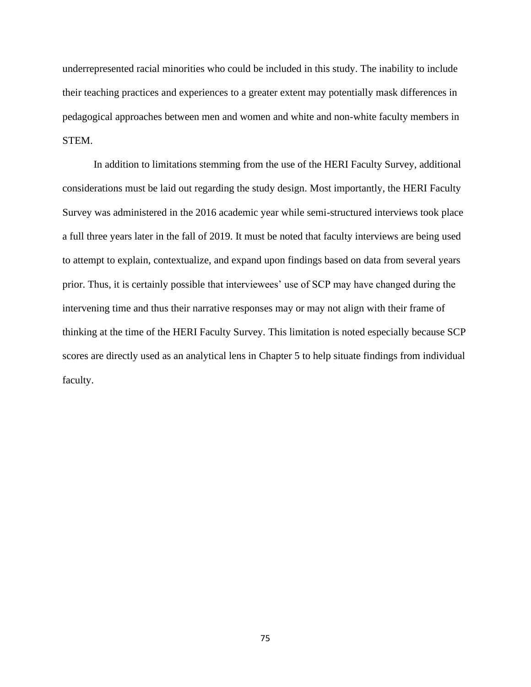underrepresented racial minorities who could be included in this study. The inability to include their teaching practices and experiences to a greater extent may potentially mask differences in pedagogical approaches between men and women and white and non-white faculty members in STEM.

In addition to limitations stemming from the use of the HERI Faculty Survey, additional considerations must be laid out regarding the study design. Most importantly, the HERI Faculty Survey was administered in the 2016 academic year while semi-structured interviews took place a full three years later in the fall of 2019. It must be noted that faculty interviews are being used to attempt to explain, contextualize, and expand upon findings based on data from several years prior. Thus, it is certainly possible that interviewees' use of SCP may have changed during the intervening time and thus their narrative responses may or may not align with their frame of thinking at the time of the HERI Faculty Survey. This limitation is noted especially because SCP scores are directly used as an analytical lens in Chapter 5 to help situate findings from individual faculty.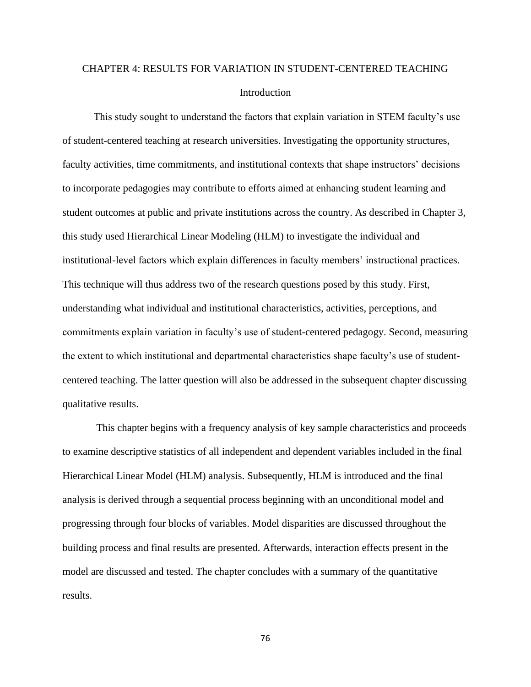# CHAPTER 4: RESULTS FOR VARIATION IN STUDENT-CENTERED TEACHING Introduction

This study sought to understand the factors that explain variation in STEM faculty's use of student-centered teaching at research universities. Investigating the opportunity structures, faculty activities, time commitments, and institutional contexts that shape instructors' decisions to incorporate pedagogies may contribute to efforts aimed at enhancing student learning and student outcomes at public and private institutions across the country. As described in Chapter 3, this study used Hierarchical Linear Modeling (HLM) to investigate the individual and institutional-level factors which explain differences in faculty members' instructional practices. This technique will thus address two of the research questions posed by this study. First, understanding what individual and institutional characteristics, activities, perceptions, and commitments explain variation in faculty's use of student-centered pedagogy. Second, measuring the extent to which institutional and departmental characteristics shape faculty's use of studentcentered teaching. The latter question will also be addressed in the subsequent chapter discussing qualitative results.

This chapter begins with a frequency analysis of key sample characteristics and proceeds to examine descriptive statistics of all independent and dependent variables included in the final Hierarchical Linear Model (HLM) analysis. Subsequently, HLM is introduced and the final analysis is derived through a sequential process beginning with an unconditional model and progressing through four blocks of variables. Model disparities are discussed throughout the building process and final results are presented. Afterwards, interaction effects present in the model are discussed and tested. The chapter concludes with a summary of the quantitative results.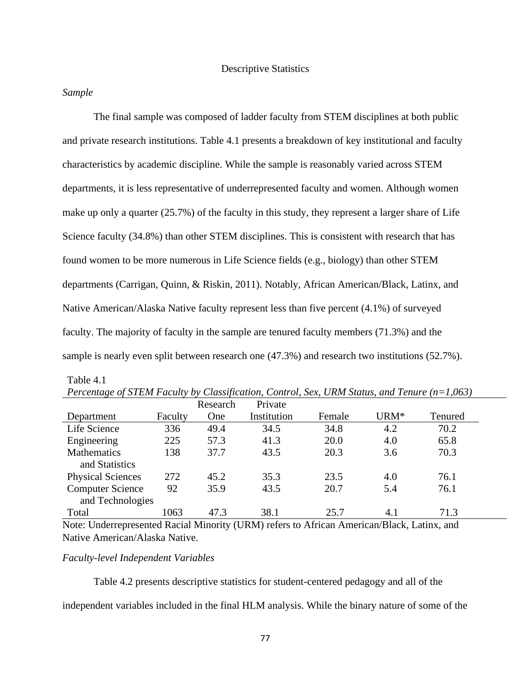## Descriptive Statistics

## *Sample*

Table 4.1

The final sample was composed of ladder faculty from STEM disciplines at both public and private research institutions. Table 4.1 presents a breakdown of key institutional and faculty characteristics by academic discipline. While the sample is reasonably varied across STEM departments, it is less representative of underrepresented faculty and women. Although women make up only a quarter (25.7%) of the faculty in this study, they represent a larger share of Life Science faculty (34.8%) than other STEM disciplines. This is consistent with research that has found women to be more numerous in Life Science fields (e.g., biology) than other STEM departments (Carrigan, Quinn, & Riskin, 2011). Notably, African American/Black, Latinx, and Native American/Alaska Native faculty represent less than five percent (4.1%) of surveyed faculty. The majority of faculty in the sample are tenured faculty members (71.3%) and the sample is nearly even split between research one (47.3%) and research two institutions (52.7%).

|                          |         | Research | Private     |        |                  |         |
|--------------------------|---------|----------|-------------|--------|------------------|---------|
| Department               | Faculty | One      | Institution | Female | URM <sup>*</sup> | Tenured |
| Life Science             | 336     | 49.4     | 34.5        | 34.8   | 4.2              | 70.2    |
| Engineering              | 225     | 57.3     | 41.3        | 20.0   | 4.0              | 65.8    |
| Mathematics              | 138     | 37.7     | 43.5        | 20.3   | 3.6              | 70.3    |
| and Statistics           |         |          |             |        |                  |         |
| <b>Physical Sciences</b> | 272     | 45.2     | 35.3        | 23.5   | 4.0              | 76.1    |
| <b>Computer Science</b>  | 92      | 35.9     | 43.5        | 20.7   | 5.4              | 76.1    |
| and Technologies         |         |          |             |        |                  |         |
| Total                    | 1063    | 47.3     | 38.1        | 25.7   | 4.1              | 71.3    |

| Percentage of STEM Faculty by Classification, Control, Sex, URM Status, and Tenure $(n=1,063)$ |  |  |
|------------------------------------------------------------------------------------------------|--|--|
|------------------------------------------------------------------------------------------------|--|--|

Note: Underrepresented Racial Minority (URM) refers to African American/Black, Latinx, and Native American/Alaska Native.

# *Faculty-level Independent Variables*

Table 4.2 presents descriptive statistics for student-centered pedagogy and all of the

independent variables included in the final HLM analysis. While the binary nature of some of the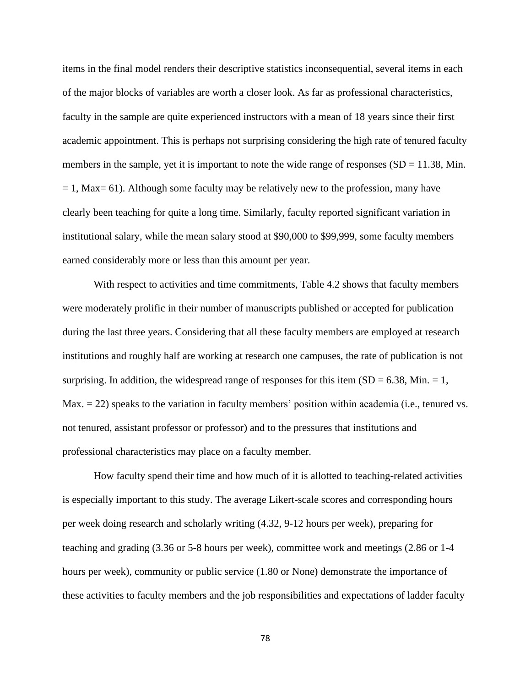items in the final model renders their descriptive statistics inconsequential, several items in each of the major blocks of variables are worth a closer look. As far as professional characteristics, faculty in the sample are quite experienced instructors with a mean of 18 years since their first academic appointment. This is perhaps not surprising considering the high rate of tenured faculty members in the sample, yet it is important to note the wide range of responses  $(SD = 11.38, Min)$ .  $= 1$ , Max= 61). Although some faculty may be relatively new to the profession, many have clearly been teaching for quite a long time. Similarly, faculty reported significant variation in institutional salary, while the mean salary stood at \$90,000 to \$99,999, some faculty members earned considerably more or less than this amount per year.

With respect to activities and time commitments, Table 4.2 shows that faculty members were moderately prolific in their number of manuscripts published or accepted for publication during the last three years. Considering that all these faculty members are employed at research institutions and roughly half are working at research one campuses, the rate of publication is not surprising. In addition, the widespread range of responses for this item  $(SD = 6.38, Min. = 1,$  $Max = 22$ ) speaks to the variation in faculty members' position within academia (i.e., tenured vs. not tenured, assistant professor or professor) and to the pressures that institutions and professional characteristics may place on a faculty member.

How faculty spend their time and how much of it is allotted to teaching-related activities is especially important to this study. The average Likert-scale scores and corresponding hours per week doing research and scholarly writing (4.32, 9-12 hours per week), preparing for teaching and grading (3.36 or 5-8 hours per week), committee work and meetings (2.86 or 1-4 hours per week), community or public service (1.80 or None) demonstrate the importance of these activities to faculty members and the job responsibilities and expectations of ladder faculty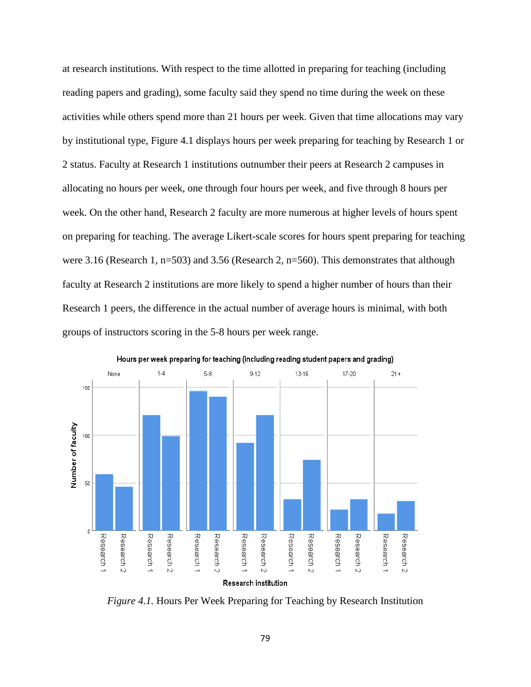at research institutions. With respect to the time allotted in preparing for teaching (including reading papers and grading), some faculty said they spend no time during the week on these activities while others spend more than 21 hours per week. Given that time allocations may vary by institutional type, Figure 4.1 displays hours per week preparing for teaching by Research 1 or 2 status. Faculty at Research 1 institutions outnumber their peers at Research 2 campuses in allocating no hours per week, one through four hours per week, and five through 8 hours per week. On the other hand, Research 2 faculty are more numerous at higher levels of hours spent on preparing for teaching. The average Likert-scale scores for hours spent preparing for teaching were 3.16 (Research 1, n=503) and 3.56 (Research 2, n=560). This demonstrates that although faculty at Research 2 institutions are more likely to spend a higher number of hours than their Research 1 peers, the difference in the actual number of average hours is minimal, with both groups of instructors scoring in the 5-8 hours per week range.



Hours per week preparing for teaching (including reading student papers and grading)

*Figure 4.1.* Hours Per Week Preparing for Teaching by Research Institution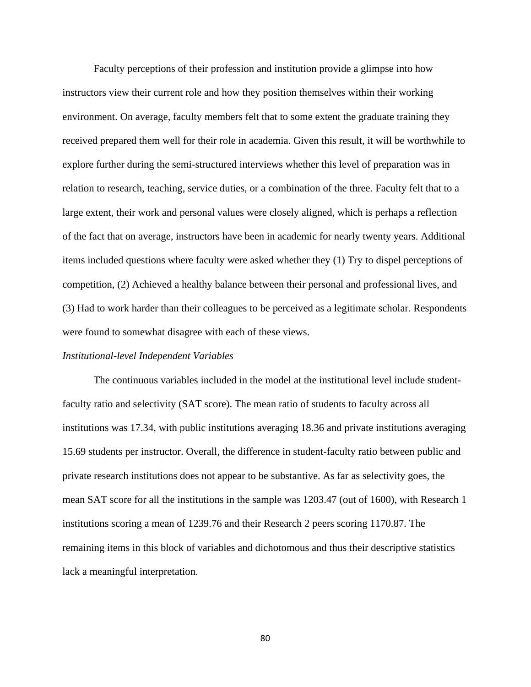Faculty perceptions of their profession and institution provide a glimpse into how instructors view their current role and how they position themselves within their working environment. On average, faculty members felt that to some extent the graduate training they received prepared them well for their role in academia. Given this result, it will be worthwhile to explore further during the semi-structured interviews whether this level of preparation was in relation to research, teaching, service duties, or a combination of the three. Faculty felt that to a large extent, their work and personal values were closely aligned, which is perhaps a reflection of the fact that on average, instructors have been in academic for nearly twenty years. Additional items included questions where faculty were asked whether they (1) Try to dispel perceptions of competition, (2) Achieved a healthy balance between their personal and professional lives, and (3) Had to work harder than their colleagues to be perceived as a legitimate scholar. Respondents were found to somewhat disagree with each of these views.

#### *Institutional-level Independent Variables*

The continuous variables included in the model at the institutional level include studentfaculty ratio and selectivity (SAT score). The mean ratio of students to faculty across all institutions was 17.34, with public institutions averaging 18.36 and private institutions averaging 15.69 students per instructor. Overall, the difference in student-faculty ratio between public and private research institutions does not appear to be substantive. As far as selectivity goes, the mean SAT score for all the institutions in the sample was 1203.47 (out of 1600), with Research 1 institutions scoring a mean of 1239.76 and their Research 2 peers scoring 1170.87. The remaining items in this block of variables and dichotomous and thus their descriptive statistics lack a meaningful interpretation.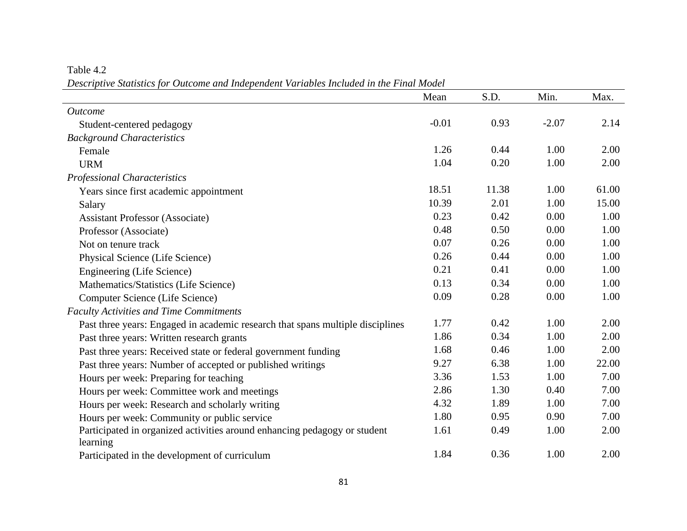Table 4.2

*Descriptive Statistics for Outcome and Independent Variables Included in the Final Model*

|                                                                                       | Mean    | S.D.  | Min.    | Max.  |
|---------------------------------------------------------------------------------------|---------|-------|---------|-------|
| <i><u>Outcome</u></i>                                                                 |         |       |         |       |
| Student-centered pedagogy                                                             | $-0.01$ | 0.93  | $-2.07$ | 2.14  |
| <b>Background Characteristics</b>                                                     |         |       |         |       |
| Female                                                                                | 1.26    | 0.44  | 1.00    | 2.00  |
| <b>URM</b>                                                                            | 1.04    | 0.20  | 1.00    | 2.00  |
| <b>Professional Characteristics</b>                                                   |         |       |         |       |
| Years since first academic appointment                                                | 18.51   | 11.38 | 1.00    | 61.00 |
| Salary                                                                                | 10.39   | 2.01  | 1.00    | 15.00 |
| <b>Assistant Professor (Associate)</b>                                                | 0.23    | 0.42  | 0.00    | 1.00  |
| Professor (Associate)                                                                 | 0.48    | 0.50  | 0.00    | 1.00  |
| Not on tenure track                                                                   | 0.07    | 0.26  | 0.00    | 1.00  |
| Physical Science (Life Science)                                                       | 0.26    | 0.44  | 0.00    | 1.00  |
| Engineering (Life Science)                                                            | 0.21    | 0.41  | 0.00    | 1.00  |
| Mathematics/Statistics (Life Science)                                                 | 0.13    | 0.34  | 0.00    | 1.00  |
| Computer Science (Life Science)                                                       | 0.09    | 0.28  | 0.00    | 1.00  |
| <b>Faculty Activities and Time Commitments</b>                                        |         |       |         |       |
| Past three years: Engaged in academic research that spans multiple disciplines        | 1.77    | 0.42  | 1.00    | 2.00  |
| Past three years: Written research grants                                             | 1.86    | 0.34  | 1.00    | 2.00  |
| Past three years: Received state or federal government funding                        | 1.68    | 0.46  | 1.00    | 2.00  |
| Past three years: Number of accepted or published writings                            | 9.27    | 6.38  | 1.00    | 22.00 |
| Hours per week: Preparing for teaching                                                | 3.36    | 1.53  | 1.00    | 7.00  |
| Hours per week: Committee work and meetings                                           | 2.86    | 1.30  | 0.40    | 7.00  |
| Hours per week: Research and scholarly writing                                        | 4.32    | 1.89  | 1.00    | 7.00  |
| Hours per week: Community or public service                                           | 1.80    | 0.95  | 0.90    | 7.00  |
| Participated in organized activities around enhancing pedagogy or student<br>learning | 1.61    | 0.49  | 1.00    | 2.00  |
| Participated in the development of curriculum                                         | 1.84    | 0.36  | 1.00    | 2.00  |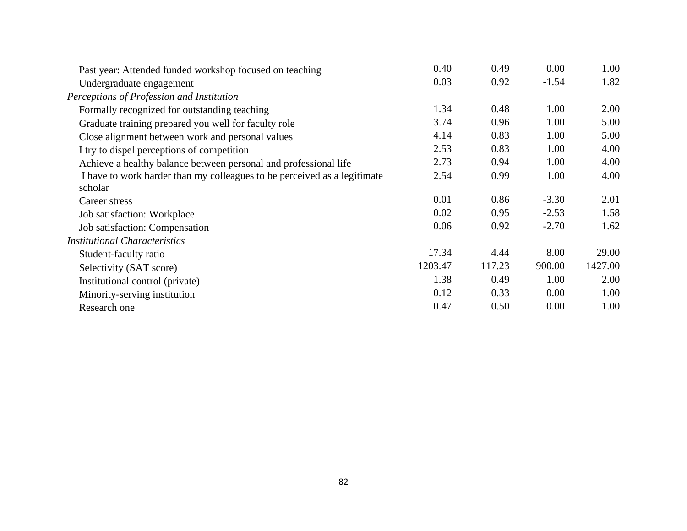| Past year: Attended funded workshop focused on teaching                  | 0.40    | 0.49   | 0.00    | 1.00    |
|--------------------------------------------------------------------------|---------|--------|---------|---------|
| Undergraduate engagement                                                 | 0.03    | 0.92   | $-1.54$ | 1.82    |
| Perceptions of Profession and Institution                                |         |        |         |         |
| Formally recognized for outstanding teaching                             | 1.34    | 0.48   | 1.00    | 2.00    |
| Graduate training prepared you well for faculty role                     | 3.74    | 0.96   | 1.00    | 5.00    |
| Close alignment between work and personal values                         | 4.14    | 0.83   | 1.00    | 5.00    |
| I try to dispel perceptions of competition                               | 2.53    | 0.83   | 1.00    | 4.00    |
| Achieve a healthy balance between personal and professional life         | 2.73    | 0.94   | 1.00    | 4.00    |
| I have to work harder than my colleagues to be perceived as a legitimate | 2.54    | 0.99   | 1.00    | 4.00    |
| scholar                                                                  |         |        |         |         |
| Career stress                                                            | 0.01    | 0.86   | $-3.30$ | 2.01    |
| Job satisfaction: Workplace                                              | 0.02    | 0.95   | $-2.53$ | 1.58    |
| Job satisfaction: Compensation                                           | 0.06    | 0.92   | $-2.70$ | 1.62    |
| <b>Institutional Characteristics</b>                                     |         |        |         |         |
| Student-faculty ratio                                                    | 17.34   | 4.44   | 8.00    | 29.00   |
| Selectivity (SAT score)                                                  | 1203.47 | 117.23 | 900.00  | 1427.00 |
| Institutional control (private)                                          | 1.38    | 0.49   | 1.00    | 2.00    |
| Minority-serving institution                                             | 0.12    | 0.33   | 0.00    | 1.00    |
| Research one                                                             | 0.47    | 0.50   | 0.00    | 1.00    |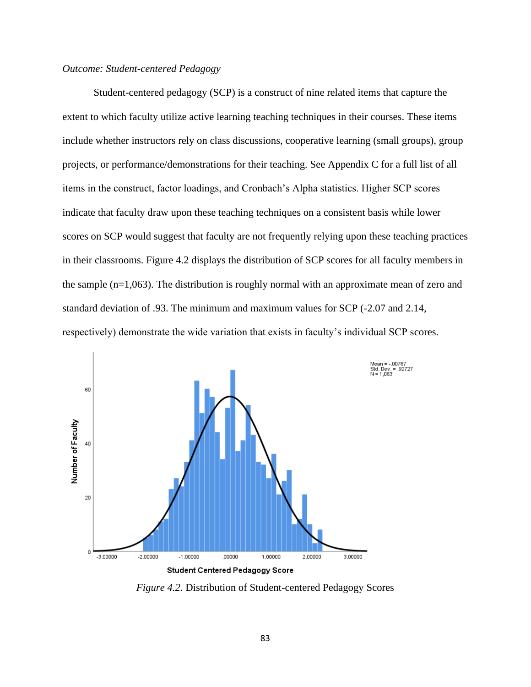# *Outcome: Student-centered Pedagogy*

Student-centered pedagogy (SCP) is a construct of nine related items that capture the extent to which faculty utilize active learning teaching techniques in their courses. These items include whether instructors rely on class discussions, cooperative learning (small groups), group projects, or performance/demonstrations for their teaching. See Appendix C for a full list of all items in the construct, factor loadings, and Cronbach's Alpha statistics. Higher SCP scores indicate that faculty draw upon these teaching techniques on a consistent basis while lower scores on SCP would suggest that faculty are not frequently relying upon these teaching practices in their classrooms. Figure 4.2 displays the distribution of SCP scores for all faculty members in the sample (n=1,063). The distribution is roughly normal with an approximate mean of zero and standard deviation of .93. The minimum and maximum values for SCP (-2.07 and 2.14, respectively) demonstrate the wide variation that exists in faculty's individual SCP scores.



*Figure 4.2.* Distribution of Student-centered Pedagogy Scores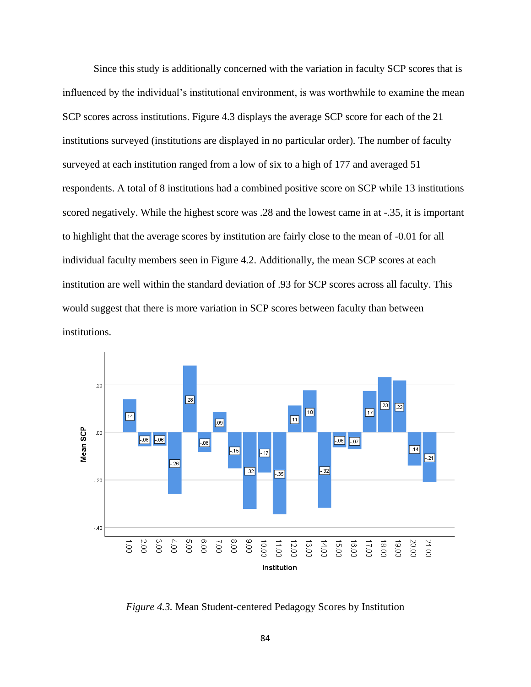Since this study is additionally concerned with the variation in faculty SCP scores that is influenced by the individual's institutional environment, is was worthwhile to examine the mean SCP scores across institutions. Figure 4.3 displays the average SCP score for each of the 21 institutions surveyed (institutions are displayed in no particular order). The number of faculty surveyed at each institution ranged from a low of six to a high of 177 and averaged 51 respondents. A total of 8 institutions had a combined positive score on SCP while 13 institutions scored negatively. While the highest score was .28 and the lowest came in at -.35, it is important to highlight that the average scores by institution are fairly close to the mean of -0.01 for all individual faculty members seen in Figure 4.2. Additionally, the mean SCP scores at each institution are well within the standard deviation of .93 for SCP scores across all faculty. This would suggest that there is more variation in SCP scores between faculty than between institutions.



*Figure 4.3.* Mean Student-centered Pedagogy Scores by Institution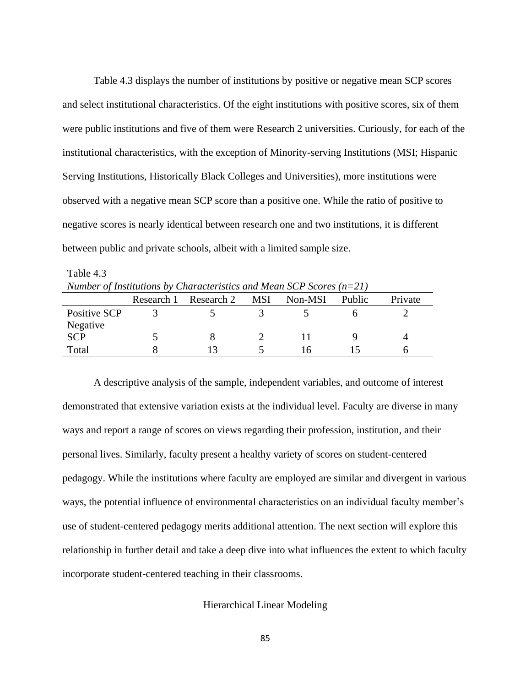Table 4.3 displays the number of institutions by positive or negative mean SCP scores and select institutional characteristics. Of the eight institutions with positive scores, six of them were public institutions and five of them were Research 2 universities. Curiously, for each of the institutional characteristics, with the exception of Minority-serving Institutions (MSI; Hispanic Serving Institutions, Historically Black Colleges and Universities), more institutions were observed with a negative mean SCP score than a positive one. While the ratio of positive to negative scores is nearly identical between research one and two institutions, it is different between public and private schools, albeit with a limited sample size.

Table 4.3 *Number of Institutions by Characteristics and Mean SCP Scores (n=21)*

|              | Research 1 | Research 2 | MSI | Non-MSI | Public | Private |
|--------------|------------|------------|-----|---------|--------|---------|
| Positive SCP |            |            |     |         |        |         |
| Negative     |            |            |     |         |        |         |
| <b>SCP</b>   |            |            |     |         |        |         |
| Total        |            |            |     |         |        |         |

A descriptive analysis of the sample, independent variables, and outcome of interest demonstrated that extensive variation exists at the individual level. Faculty are diverse in many ways and report a range of scores on views regarding their profession, institution, and their personal lives. Similarly, faculty present a healthy variety of scores on student-centered pedagogy. While the institutions where faculty are employed are similar and divergent in various ways, the potential influence of environmental characteristics on an individual faculty member's use of student-centered pedagogy merits additional attention. The next section will explore this relationship in further detail and take a deep dive into what influences the extent to which faculty incorporate student-centered teaching in their classrooms.

Hierarchical Linear Modeling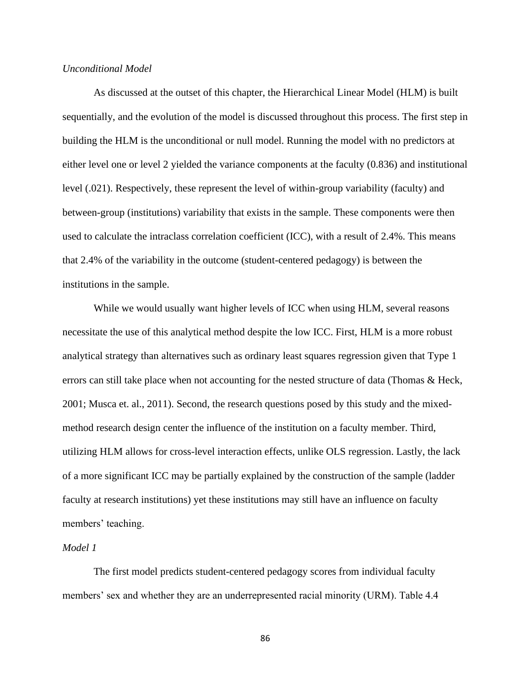# *Unconditional Model*

As discussed at the outset of this chapter, the Hierarchical Linear Model (HLM) is built sequentially, and the evolution of the model is discussed throughout this process. The first step in building the HLM is the unconditional or null model. Running the model with no predictors at either level one or level 2 yielded the variance components at the faculty (0.836) and institutional level (.021). Respectively, these represent the level of within-group variability (faculty) and between-group (institutions) variability that exists in the sample. These components were then used to calculate the intraclass correlation coefficient (ICC), with a result of 2.4%. This means that 2.4% of the variability in the outcome (student-centered pedagogy) is between the institutions in the sample.

While we would usually want higher levels of ICC when using HLM, several reasons necessitate the use of this analytical method despite the low ICC. First, HLM is a more robust analytical strategy than alternatives such as ordinary least squares regression given that Type 1 errors can still take place when not accounting for the nested structure of data (Thomas & Heck, 2001; Musca et. al., 2011). Second, the research questions posed by this study and the mixedmethod research design center the influence of the institution on a faculty member. Third, utilizing HLM allows for cross-level interaction effects, unlike OLS regression. Lastly, the lack of a more significant ICC may be partially explained by the construction of the sample (ladder faculty at research institutions) yet these institutions may still have an influence on faculty members' teaching.

## *Model 1*

The first model predicts student-centered pedagogy scores from individual faculty members' sex and whether they are an underrepresented racial minority (URM). Table 4.4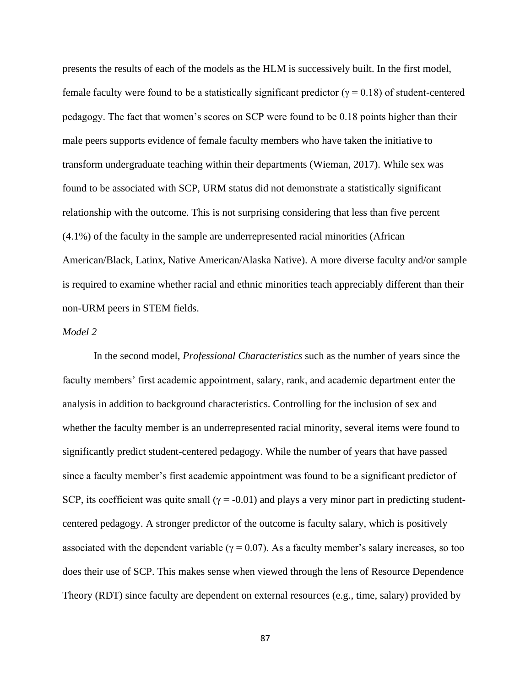presents the results of each of the models as the HLM is successively built. In the first model, female faculty were found to be a statistically significant predictor ( $γ = 0.18$ ) of student-centered pedagogy. The fact that women's scores on SCP were found to be 0.18 points higher than their male peers supports evidence of female faculty members who have taken the initiative to transform undergraduate teaching within their departments (Wieman, 2017). While sex was found to be associated with SCP, URM status did not demonstrate a statistically significant relationship with the outcome. This is not surprising considering that less than five percent (4.1%) of the faculty in the sample are underrepresented racial minorities (African American/Black, Latinx, Native American/Alaska Native). A more diverse faculty and/or sample is required to examine whether racial and ethnic minorities teach appreciably different than their non-URM peers in STEM fields.

## *Model 2*

In the second model, *Professional Characteristics* such as the number of years since the faculty members' first academic appointment, salary, rank, and academic department enter the analysis in addition to background characteristics. Controlling for the inclusion of sex and whether the faculty member is an underrepresented racial minority, several items were found to significantly predict student-centered pedagogy. While the number of years that have passed since a faculty member's first academic appointment was found to be a significant predictor of SCP, its coefficient was quite small ( $\gamma$  = -0.01) and plays a very minor part in predicting studentcentered pedagogy. A stronger predictor of the outcome is faculty salary, which is positively associated with the dependent variable ( $\gamma = 0.07$ ). As a faculty member's salary increases, so too does their use of SCP. This makes sense when viewed through the lens of Resource Dependence Theory (RDT) since faculty are dependent on external resources (e.g., time, salary) provided by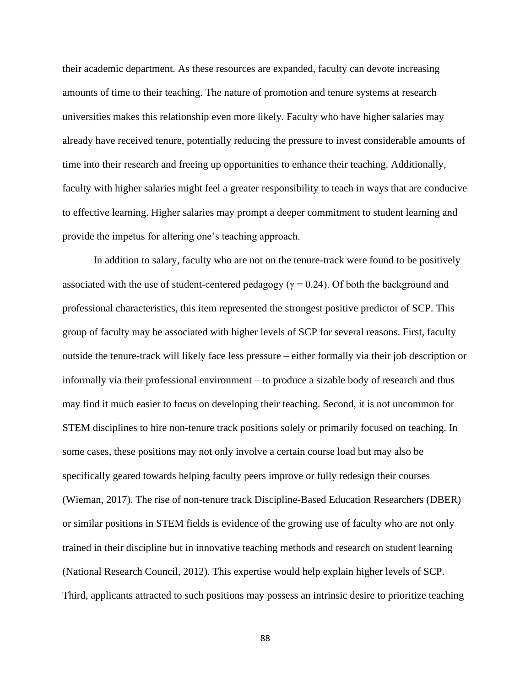their academic department. As these resources are expanded, faculty can devote increasing amounts of time to their teaching. The nature of promotion and tenure systems at research universities makes this relationship even more likely. Faculty who have higher salaries may already have received tenure, potentially reducing the pressure to invest considerable amounts of time into their research and freeing up opportunities to enhance their teaching. Additionally, faculty with higher salaries might feel a greater responsibility to teach in ways that are conducive to effective learning. Higher salaries may prompt a deeper commitment to student learning and provide the impetus for altering one's teaching approach.

In addition to salary, faculty who are not on the tenure-track were found to be positively associated with the use of student-centered pedagogy ( $\gamma = 0.24$ ). Of both the background and professional characteristics, this item represented the strongest positive predictor of SCP. This group of faculty may be associated with higher levels of SCP for several reasons. First, faculty outside the tenure-track will likely face less pressure – either formally via their job description or informally via their professional environment – to produce a sizable body of research and thus may find it much easier to focus on developing their teaching. Second, it is not uncommon for STEM disciplines to hire non-tenure track positions solely or primarily focused on teaching. In some cases, these positions may not only involve a certain course load but may also be specifically geared towards helping faculty peers improve or fully redesign their courses (Wieman, 2017). The rise of non-tenure track Discipline-Based Education Researchers (DBER) or similar positions in STEM fields is evidence of the growing use of faculty who are not only trained in their discipline but in innovative teaching methods and research on student learning (National Research Council, 2012). This expertise would help explain higher levels of SCP. Third, applicants attracted to such positions may possess an intrinsic desire to prioritize teaching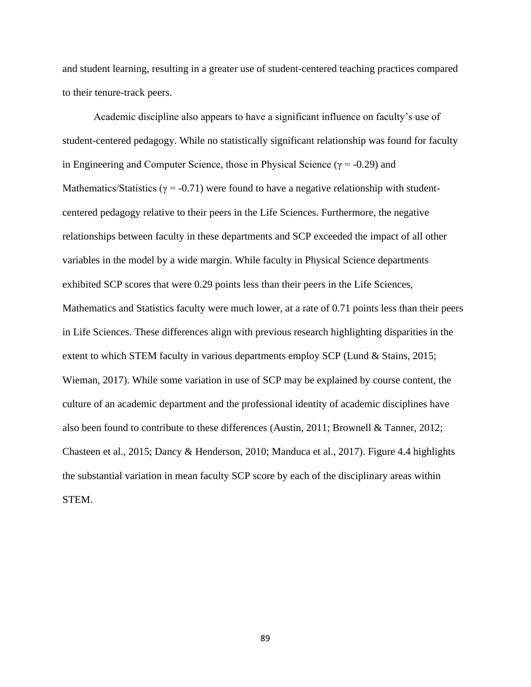and student learning, resulting in a greater use of student-centered teaching practices compared to their tenure-track peers.

Academic discipline also appears to have a significant influence on faculty's use of student-centered pedagogy. While no statistically significant relationship was found for faculty in Engineering and Computer Science, those in Physical Science ( $\gamma$  = -0.29) and Mathematics/Statistics ( $\gamma$  = -0.71) were found to have a negative relationship with studentcentered pedagogy relative to their peers in the Life Sciences. Furthermore, the negative relationships between faculty in these departments and SCP exceeded the impact of all other variables in the model by a wide margin. While faculty in Physical Science departments exhibited SCP scores that were 0.29 points less than their peers in the Life Sciences, Mathematics and Statistics faculty were much lower, at a rate of 0.71 points less than their peers in Life Sciences. These differences align with previous research highlighting disparities in the extent to which STEM faculty in various departments employ SCP (Lund & Stains, 2015; Wieman, 2017). While some variation in use of SCP may be explained by course content, the culture of an academic department and the professional identity of academic disciplines have also been found to contribute to these differences (Austin, 2011; Brownell & Tanner, 2012; Chasteen et al., 2015; Dancy & Henderson, 2010; Manduca et al., 2017). Figure 4.4 highlights the substantial variation in mean faculty SCP score by each of the disciplinary areas within STEM.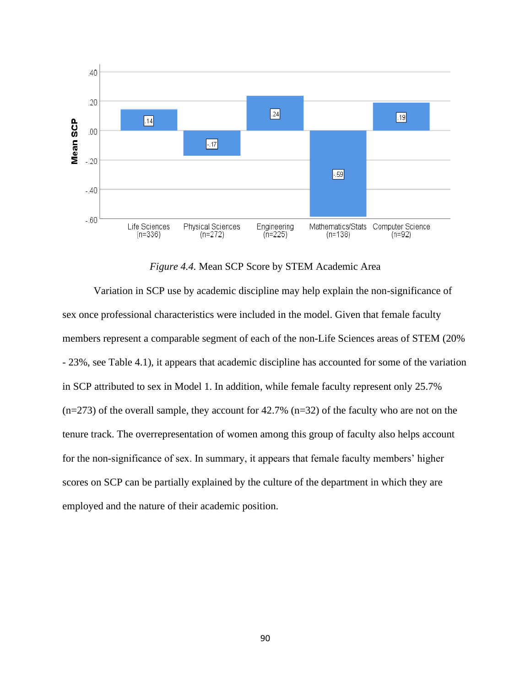

*Figure 4.4.* Mean SCP Score by STEM Academic Area

Variation in SCP use by academic discipline may help explain the non-significance of sex once professional characteristics were included in the model. Given that female faculty members represent a comparable segment of each of the non-Life Sciences areas of STEM (20% - 23%, see Table 4.1), it appears that academic discipline has accounted for some of the variation in SCP attributed to sex in Model 1. In addition, while female faculty represent only 25.7%  $(n=273)$  of the overall sample, they account for 42.7%  $(n=32)$  of the faculty who are not on the tenure track. The overrepresentation of women among this group of faculty also helps account for the non-significance of sex. In summary, it appears that female faculty members' higher scores on SCP can be partially explained by the culture of the department in which they are employed and the nature of their academic position.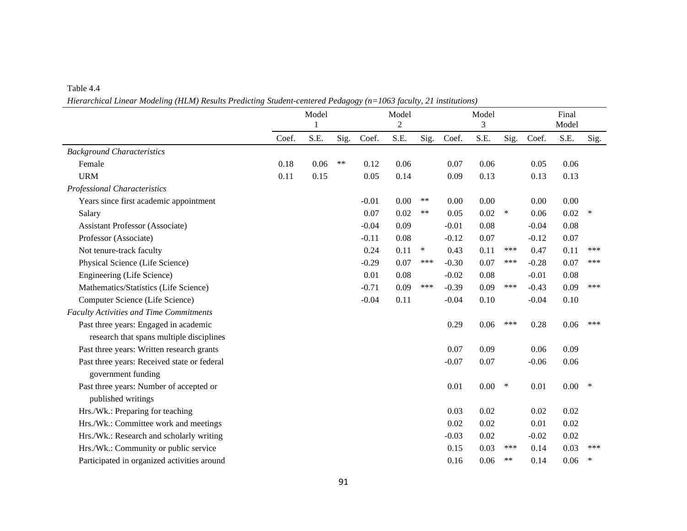#### Table 4.4

*Hierarchical Linear Modeling (HLM) Results Predicting Student-centered Pedagogy (n=1063 faculty, 21 institutions)*

|                                                |       | Model<br>1 |       |         | Model<br>$\overline{2}$ |        | Model<br>3 |          |        |         | Final<br>Model |        |
|------------------------------------------------|-------|------------|-------|---------|-------------------------|--------|------------|----------|--------|---------|----------------|--------|
|                                                | Coef. | S.E.       | Sig.  | Coef.   | S.E.                    | Sig.   | Coef.      | S.E.     | Sig.   | Coef.   | S.E.           | Sig.   |
| <b>Background Characteristics</b>              |       |            |       |         |                         |        |            |          |        |         |                |        |
| Female                                         | 0.18  | 0.06       | $***$ | 0.12    | 0.06                    |        | 0.07       | 0.06     |        | 0.05    | 0.06           |        |
| <b>URM</b>                                     | 0.11  | 0.15       |       | 0.05    | 0.14                    |        | 0.09       | 0.13     |        | 0.13    | 0.13           |        |
| <b>Professional Characteristics</b>            |       |            |       |         |                         |        |            |          |        |         |                |        |
| Years since first academic appointment         |       |            |       | $-0.01$ | 0.00                    | $***$  | 0.00       | 0.00     |        | 0.00    | 0.00           |        |
| Salary                                         |       |            |       | 0.07    | 0.02                    | $***$  | 0.05       | 0.02     | $\ast$ | 0.06    | 0.02           | ∗      |
| <b>Assistant Professor (Associate)</b>         |       |            |       | $-0.04$ | 0.09                    |        | $-0.01$    | 0.08     |        | $-0.04$ | 0.08           |        |
| Professor (Associate)                          |       |            |       | $-0.11$ | 0.08                    |        | $-0.12$    | 0.07     |        | $-0.12$ | 0.07           |        |
| Not tenure-track faculty                       |       |            |       | 0.24    | 0.11                    | $\ast$ | 0.43       | 0.11     | ***    | 0.47    | 0.11           | ***    |
| Physical Science (Life Science)                |       |            |       | $-0.29$ | 0.07                    | ***    | $-0.30$    | 0.07     | ***    | $-0.28$ | 0.07           | ***    |
| Engineering (Life Science)                     |       |            |       | 0.01    | 0.08                    |        | $-0.02$    | 0.08     |        | $-0.01$ | 0.08           |        |
| Mathematics/Statistics (Life Science)          |       |            |       | $-0.71$ | 0.09                    | ***    | $-0.39$    | 0.09     | ***    | $-0.43$ | 0.09           | ***    |
| Computer Science (Life Science)                |       |            |       | $-0.04$ | 0.11                    |        | $-0.04$    | 0.10     |        | $-0.04$ | 0.10           |        |
| <b>Faculty Activities and Time Commitments</b> |       |            |       |         |                         |        |            |          |        |         |                |        |
| Past three years: Engaged in academic          |       |            |       |         |                         |        | 0.29       | 0.06     | ***    | 0.28    | 0.06           | ***    |
| research that spans multiple disciplines       |       |            |       |         |                         |        |            |          |        |         |                |        |
| Past three years: Written research grants      |       |            |       |         |                         |        | 0.07       | 0.09     |        | 0.06    | 0.09           |        |
| Past three years: Received state or federal    |       |            |       |         |                         |        | $-0.07$    | 0.07     |        | $-0.06$ | 0.06           |        |
| government funding                             |       |            |       |         |                         |        |            |          |        |         |                |        |
| Past three years: Number of accepted or        |       |            |       |         |                         |        | 0.01       | $0.00\,$ | $\ast$ | 0.01    | $0.00\,$       | $\ast$ |
| published writings                             |       |            |       |         |                         |        |            |          |        |         |                |        |
| Hrs./Wk.: Preparing for teaching               |       |            |       |         |                         |        | 0.03       | 0.02     |        | 0.02    | 0.02           |        |
| Hrs./Wk.: Committee work and meetings          |       |            |       |         |                         |        | 0.02       | 0.02     |        | 0.01    | 0.02           |        |
| Hrs./Wk.: Research and scholarly writing       |       |            |       |         |                         |        | $-0.03$    | 0.02     |        | $-0.02$ | 0.02           |        |
| Hrs./Wk.: Community or public service          |       |            |       |         |                         |        | 0.15       | 0.03     | ***    | 0.14    | 0.03           | ***    |
| Participated in organized activities around    |       |            |       |         |                         |        | 0.16       | 0.06     | **     | 0.14    | 0.06           | $\ast$ |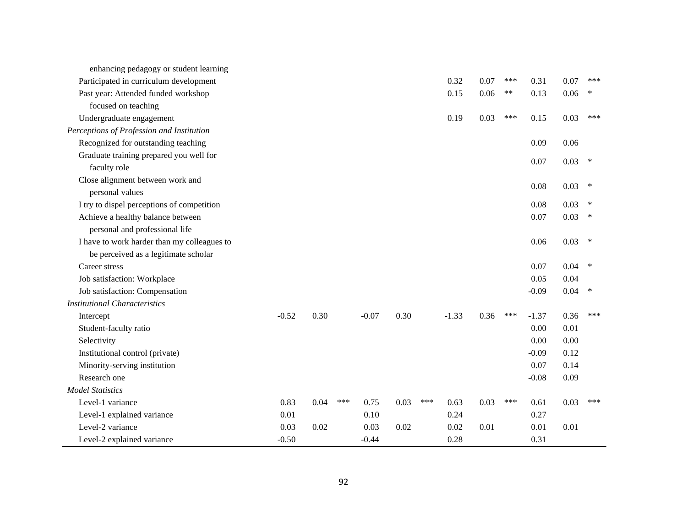| enhancing pedagogy or student learning      |         |      |     |         |      |     |         |      |     |         |      |        |
|---------------------------------------------|---------|------|-----|---------|------|-----|---------|------|-----|---------|------|--------|
| Participated in curriculum development      |         |      |     |         |      |     | 0.32    | 0.07 | *** | 0.31    | 0.07 | ***    |
| Past year: Attended funded workshop         |         |      |     |         |      |     | 0.15    | 0.06 | **  | 0.13    | 0.06 | ∗      |
| focused on teaching                         |         |      |     |         |      |     |         |      |     |         |      |        |
| Undergraduate engagement                    |         |      |     |         |      |     | 0.19    | 0.03 | *** | 0.15    | 0.03 | ***    |
| Perceptions of Profession and Institution   |         |      |     |         |      |     |         |      |     |         |      |        |
| Recognized for outstanding teaching         |         |      |     |         |      |     |         |      |     | 0.09    | 0.06 |        |
| Graduate training prepared you well for     |         |      |     |         |      |     |         |      |     | 0.07    | 0.03 | $\ast$ |
| faculty role                                |         |      |     |         |      |     |         |      |     |         |      |        |
| Close alignment between work and            |         |      |     |         |      |     |         |      |     | 0.08    | 0.03 | ∗      |
| personal values                             |         |      |     |         |      |     |         |      |     |         |      |        |
| I try to dispel perceptions of competition  |         |      |     |         |      |     |         |      |     | 0.08    | 0.03 | $\ast$ |
| Achieve a healthy balance between           |         |      |     |         |      |     |         |      |     | 0.07    | 0.03 |        |
| personal and professional life              |         |      |     |         |      |     |         |      |     |         |      |        |
| I have to work harder than my colleagues to |         |      |     |         |      |     |         |      |     | 0.06    | 0.03 | $\ast$ |
| be perceived as a legitimate scholar        |         |      |     |         |      |     |         |      |     |         |      |        |
| Career stress                               |         |      |     |         |      |     |         |      |     | 0.07    | 0.04 | *      |
| Job satisfaction: Workplace                 |         |      |     |         |      |     |         |      |     | 0.05    | 0.04 |        |
| Job satisfaction: Compensation              |         |      |     |         |      |     |         |      |     | $-0.09$ | 0.04 | ∗      |
| <b>Institutional Characteristics</b>        |         |      |     |         |      |     |         |      |     |         |      |        |
| Intercept                                   | $-0.52$ | 0.30 |     | $-0.07$ | 0.30 |     | $-1.33$ | 0.36 | *** | $-1.37$ | 0.36 | ***    |
| Student-faculty ratio                       |         |      |     |         |      |     |         |      |     | 0.00    | 0.01 |        |
| Selectivity                                 |         |      |     |         |      |     |         |      |     | 0.00    | 0.00 |        |
| Institutional control (private)             |         |      |     |         |      |     |         |      |     | $-0.09$ | 0.12 |        |
| Minority-serving institution                |         |      |     |         |      |     |         |      |     | 0.07    | 0.14 |        |
| Research one                                |         |      |     |         |      |     |         |      |     | $-0.08$ | 0.09 |        |
| <b>Model Statistics</b>                     |         |      |     |         |      |     |         |      |     |         |      |        |
| Level-1 variance                            | 0.83    | 0.04 | *** | 0.75    | 0.03 | *** | 0.63    | 0.03 | *** | 0.61    | 0.03 | ***    |
| Level-1 explained variance                  | 0.01    |      |     | 0.10    |      |     | 0.24    |      |     | 0.27    |      |        |
| Level-2 variance                            | 0.03    | 0.02 |     | 0.03    | 0.02 |     | 0.02    | 0.01 |     | 0.01    | 0.01 |        |
| Level-2 explained variance                  | $-0.50$ |      |     | $-0.44$ |      |     | 0.28    |      |     | 0.31    |      |        |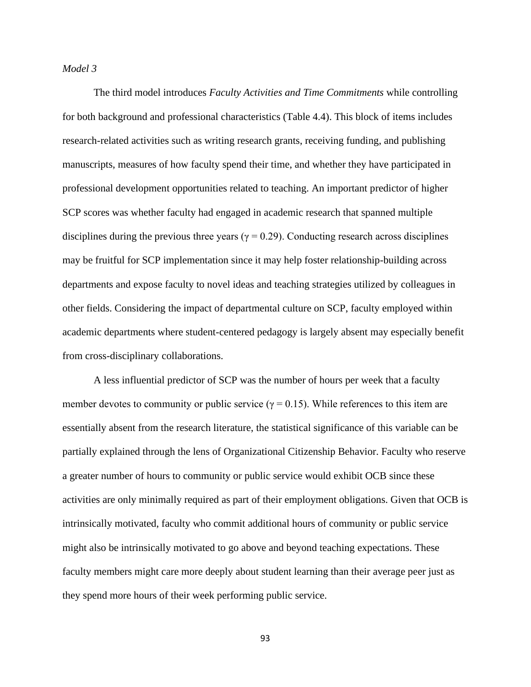## *Model 3*

The third model introduces *Faculty Activities and Time Commitments* while controlling for both background and professional characteristics (Table 4.4). This block of items includes research-related activities such as writing research grants, receiving funding, and publishing manuscripts, measures of how faculty spend their time, and whether they have participated in professional development opportunities related to teaching. An important predictor of higher SCP scores was whether faculty had engaged in academic research that spanned multiple disciplines during the previous three years ( $\gamma = 0.29$ ). Conducting research across disciplines may be fruitful for SCP implementation since it may help foster relationship-building across departments and expose faculty to novel ideas and teaching strategies utilized by colleagues in other fields. Considering the impact of departmental culture on SCP, faculty employed within academic departments where student-centered pedagogy is largely absent may especially benefit from cross-disciplinary collaborations.

A less influential predictor of SCP was the number of hours per week that a faculty member devotes to community or public service ( $\gamma = 0.15$ ). While references to this item are essentially absent from the research literature, the statistical significance of this variable can be partially explained through the lens of Organizational Citizenship Behavior. Faculty who reserve a greater number of hours to community or public service would exhibit OCB since these activities are only minimally required as part of their employment obligations. Given that OCB is intrinsically motivated, faculty who commit additional hours of community or public service might also be intrinsically motivated to go above and beyond teaching expectations. These faculty members might care more deeply about student learning than their average peer just as they spend more hours of their week performing public service.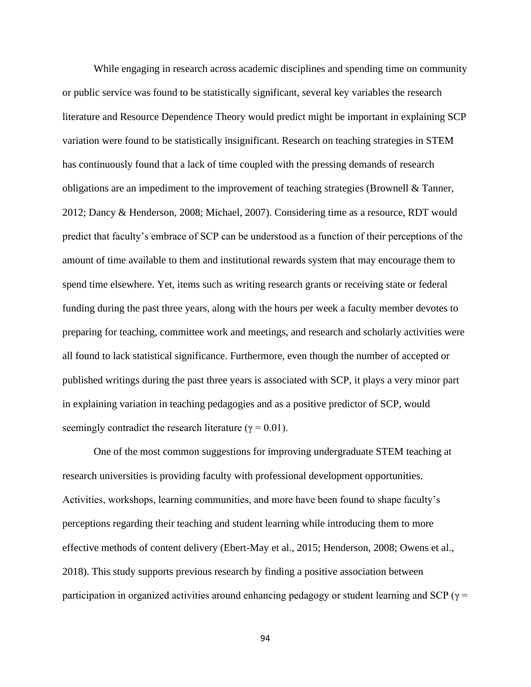While engaging in research across academic disciplines and spending time on community or public service was found to be statistically significant, several key variables the research literature and Resource Dependence Theory would predict might be important in explaining SCP variation were found to be statistically insignificant. Research on teaching strategies in STEM has continuously found that a lack of time coupled with the pressing demands of research obligations are an impediment to the improvement of teaching strategies (Brownell & Tanner, 2012; Dancy & Henderson, 2008; Michael, 2007). Considering time as a resource, RDT would predict that faculty's embrace of SCP can be understood as a function of their perceptions of the amount of time available to them and institutional rewards system that may encourage them to spend time elsewhere. Yet, items such as writing research grants or receiving state or federal funding during the past three years, along with the hours per week a faculty member devotes to preparing for teaching, committee work and meetings, and research and scholarly activities were all found to lack statistical significance. Furthermore, even though the number of accepted or published writings during the past three years is associated with SCP, it plays a very minor part in explaining variation in teaching pedagogies and as a positive predictor of SCP, would seemingly contradict the research literature ( $\gamma = 0.01$ ).

One of the most common suggestions for improving undergraduate STEM teaching at research universities is providing faculty with professional development opportunities. Activities, workshops, learning communities, and more have been found to shape faculty's perceptions regarding their teaching and student learning while introducing them to more effective methods of content delivery (Ebert-May et al., 2015; Henderson, 2008; Owens et al., 2018). This study supports previous research by finding a positive association between participation in organized activities around enhancing pedagogy or student learning and SCP ( $\gamma$  =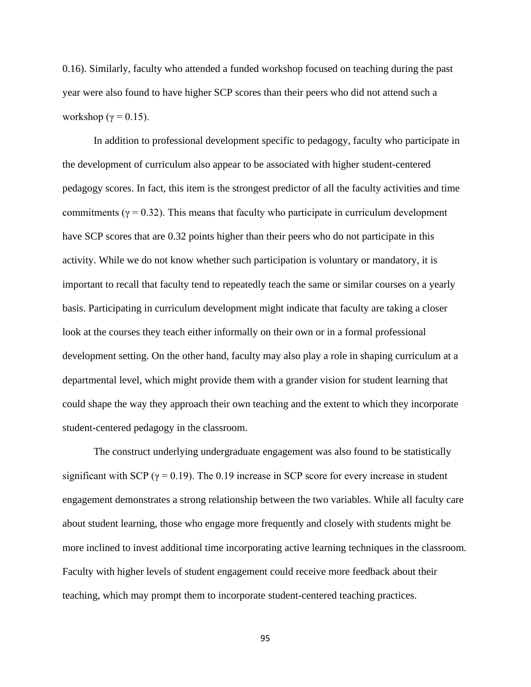0.16). Similarly, faculty who attended a funded workshop focused on teaching during the past year were also found to have higher SCP scores than their peers who did not attend such a workshop ( $\gamma = 0.15$ ).

In addition to professional development specific to pedagogy, faculty who participate in the development of curriculum also appear to be associated with higher student-centered pedagogy scores. In fact, this item is the strongest predictor of all the faculty activities and time commitments ( $\gamma = 0.32$ ). This means that faculty who participate in curriculum development have SCP scores that are 0.32 points higher than their peers who do not participate in this activity. While we do not know whether such participation is voluntary or mandatory, it is important to recall that faculty tend to repeatedly teach the same or similar courses on a yearly basis. Participating in curriculum development might indicate that faculty are taking a closer look at the courses they teach either informally on their own or in a formal professional development setting. On the other hand, faculty may also play a role in shaping curriculum at a departmental level, which might provide them with a grander vision for student learning that could shape the way they approach their own teaching and the extent to which they incorporate student-centered pedagogy in the classroom.

The construct underlying undergraduate engagement was also found to be statistically significant with SCP ( $\gamma$  = 0.19). The 0.19 increase in SCP score for every increase in student engagement demonstrates a strong relationship between the two variables. While all faculty care about student learning, those who engage more frequently and closely with students might be more inclined to invest additional time incorporating active learning techniques in the classroom. Faculty with higher levels of student engagement could receive more feedback about their teaching, which may prompt them to incorporate student-centered teaching practices.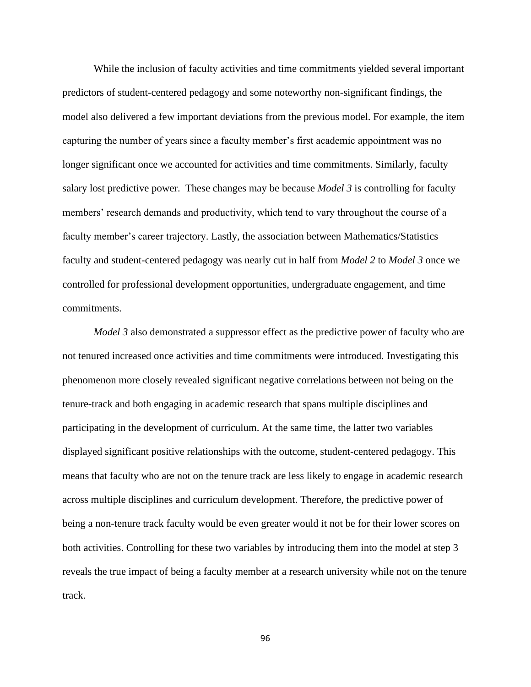While the inclusion of faculty activities and time commitments yielded several important predictors of student-centered pedagogy and some noteworthy non-significant findings, the model also delivered a few important deviations from the previous model. For example, the item capturing the number of years since a faculty member's first academic appointment was no longer significant once we accounted for activities and time commitments. Similarly, faculty salary lost predictive power. These changes may be because *Model 3* is controlling for faculty members' research demands and productivity, which tend to vary throughout the course of a faculty member's career trajectory. Lastly, the association between Mathematics/Statistics faculty and student-centered pedagogy was nearly cut in half from *Model 2* to *Model 3* once we controlled for professional development opportunities, undergraduate engagement, and time commitments.

*Model 3* also demonstrated a suppressor effect as the predictive power of faculty who are not tenured increased once activities and time commitments were introduced. Investigating this phenomenon more closely revealed significant negative correlations between not being on the tenure-track and both engaging in academic research that spans multiple disciplines and participating in the development of curriculum. At the same time, the latter two variables displayed significant positive relationships with the outcome, student-centered pedagogy. This means that faculty who are not on the tenure track are less likely to engage in academic research across multiple disciplines and curriculum development. Therefore, the predictive power of being a non-tenure track faculty would be even greater would it not be for their lower scores on both activities. Controlling for these two variables by introducing them into the model at step 3 reveals the true impact of being a faculty member at a research university while not on the tenure track.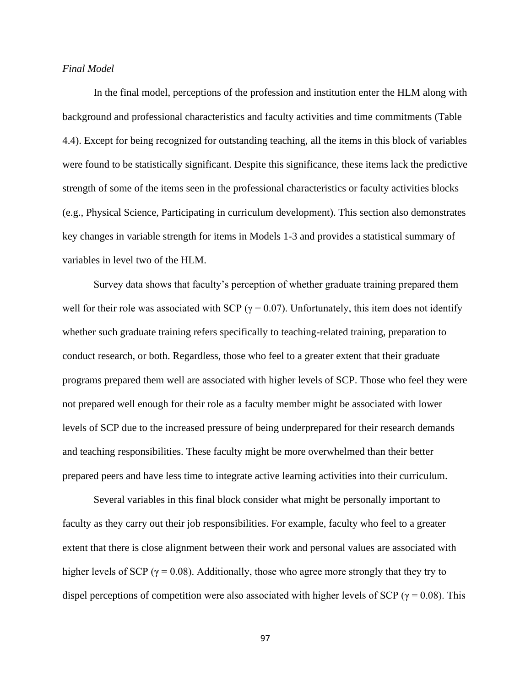#### *Final Model*

In the final model, perceptions of the profession and institution enter the HLM along with background and professional characteristics and faculty activities and time commitments (Table 4.4). Except for being recognized for outstanding teaching, all the items in this block of variables were found to be statistically significant. Despite this significance, these items lack the predictive strength of some of the items seen in the professional characteristics or faculty activities blocks (e.g., Physical Science, Participating in curriculum development). This section also demonstrates key changes in variable strength for items in Models 1-3 and provides a statistical summary of variables in level two of the HLM.

Survey data shows that faculty's perception of whether graduate training prepared them well for their role was associated with SCP ( $\gamma = 0.07$ ). Unfortunately, this item does not identify whether such graduate training refers specifically to teaching-related training, preparation to conduct research, or both. Regardless, those who feel to a greater extent that their graduate programs prepared them well are associated with higher levels of SCP. Those who feel they were not prepared well enough for their role as a faculty member might be associated with lower levels of SCP due to the increased pressure of being underprepared for their research demands and teaching responsibilities. These faculty might be more overwhelmed than their better prepared peers and have less time to integrate active learning activities into their curriculum.

Several variables in this final block consider what might be personally important to faculty as they carry out their job responsibilities. For example, faculty who feel to a greater extent that there is close alignment between their work and personal values are associated with higher levels of SCP ( $\gamma$  = 0.08). Additionally, those who agree more strongly that they try to dispel perceptions of competition were also associated with higher levels of SCP ( $\gamma$  = 0.08). This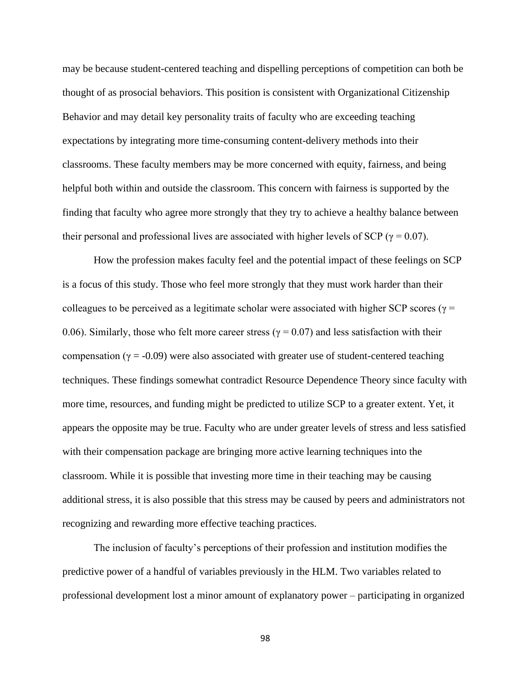may be because student-centered teaching and dispelling perceptions of competition can both be thought of as prosocial behaviors. This position is consistent with Organizational Citizenship Behavior and may detail key personality traits of faculty who are exceeding teaching expectations by integrating more time-consuming content-delivery methods into their classrooms. These faculty members may be more concerned with equity, fairness, and being helpful both within and outside the classroom. This concern with fairness is supported by the finding that faculty who agree more strongly that they try to achieve a healthy balance between their personal and professional lives are associated with higher levels of SCP ( $\gamma = 0.07$ ).

How the profession makes faculty feel and the potential impact of these feelings on SCP is a focus of this study. Those who feel more strongly that they must work harder than their colleagues to be perceived as a legitimate scholar were associated with higher SCP scores ( $\gamma$  = 0.06). Similarly, those who felt more career stress ( $\gamma$  = 0.07) and less satisfaction with their compensation ( $\gamma = -0.09$ ) were also associated with greater use of student-centered teaching techniques. These findings somewhat contradict Resource Dependence Theory since faculty with more time, resources, and funding might be predicted to utilize SCP to a greater extent. Yet, it appears the opposite may be true. Faculty who are under greater levels of stress and less satisfied with their compensation package are bringing more active learning techniques into the classroom. While it is possible that investing more time in their teaching may be causing additional stress, it is also possible that this stress may be caused by peers and administrators not recognizing and rewarding more effective teaching practices.

The inclusion of faculty's perceptions of their profession and institution modifies the predictive power of a handful of variables previously in the HLM. Two variables related to professional development lost a minor amount of explanatory power – participating in organized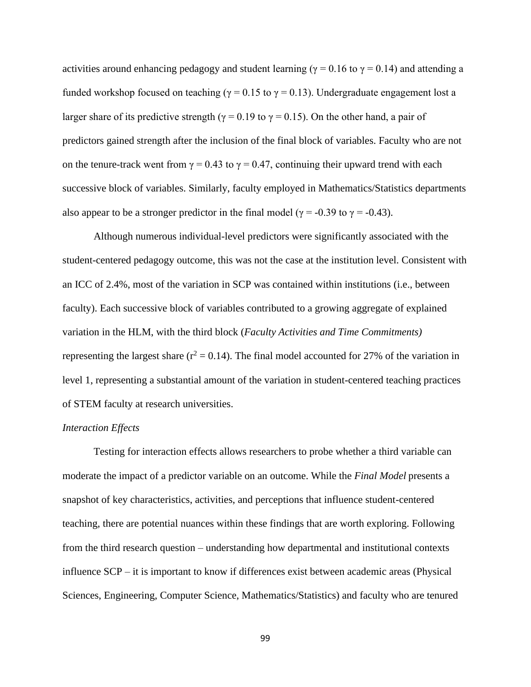activities around enhancing pedagogy and student learning ( $\gamma = 0.16$  to  $\gamma = 0.14$ ) and attending a funded workshop focused on teaching ( $\gamma = 0.15$  to  $\gamma = 0.13$ ). Undergraduate engagement lost a larger share of its predictive strength ( $\gamma = 0.19$  to  $\gamma = 0.15$ ). On the other hand, a pair of predictors gained strength after the inclusion of the final block of variables. Faculty who are not on the tenure-track went from  $\gamma = 0.43$  to  $\gamma = 0.47$ , continuing their upward trend with each successive block of variables. Similarly, faculty employed in Mathematics/Statistics departments also appear to be a stronger predictor in the final model ( $\gamma$  = -0.39 to  $\gamma$  = -0.43).

Although numerous individual-level predictors were significantly associated with the student-centered pedagogy outcome, this was not the case at the institution level. Consistent with an ICC of 2.4%, most of the variation in SCP was contained within institutions (i.e., between faculty). Each successive block of variables contributed to a growing aggregate of explained variation in the HLM, with the third block (*Faculty Activities and Time Commitments)*  representing the largest share ( $r^2 = 0.14$ ). The final model accounted for 27% of the variation in level 1, representing a substantial amount of the variation in student-centered teaching practices of STEM faculty at research universities.

#### *Interaction Effects*

Testing for interaction effects allows researchers to probe whether a third variable can moderate the impact of a predictor variable on an outcome. While the *Final Model* presents a snapshot of key characteristics, activities, and perceptions that influence student-centered teaching, there are potential nuances within these findings that are worth exploring. Following from the third research question – understanding how departmental and institutional contexts influence SCP – it is important to know if differences exist between academic areas (Physical Sciences, Engineering, Computer Science, Mathematics/Statistics) and faculty who are tenured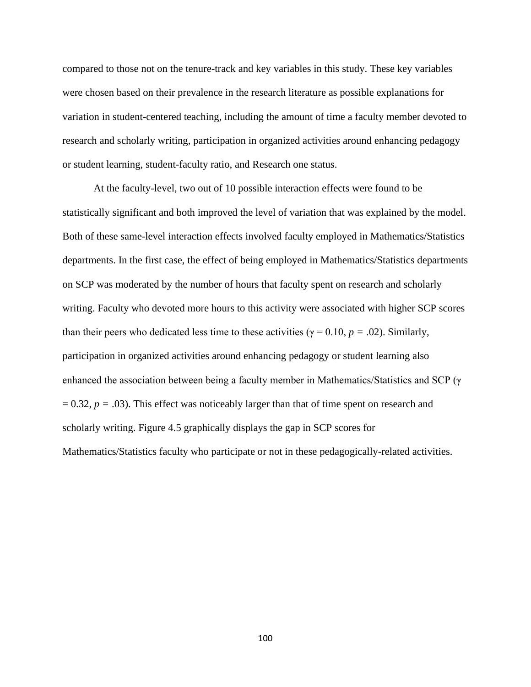compared to those not on the tenure-track and key variables in this study. These key variables were chosen based on their prevalence in the research literature as possible explanations for variation in student-centered teaching, including the amount of time a faculty member devoted to research and scholarly writing, participation in organized activities around enhancing pedagogy or student learning, student-faculty ratio, and Research one status.

At the faculty-level, two out of 10 possible interaction effects were found to be statistically significant and both improved the level of variation that was explained by the model. Both of these same-level interaction effects involved faculty employed in Mathematics/Statistics departments. In the first case, the effect of being employed in Mathematics/Statistics departments on SCP was moderated by the number of hours that faculty spent on research and scholarly writing. Faculty who devoted more hours to this activity were associated with higher SCP scores than their peers who dedicated less time to these activities ( $\gamma = 0.10$ ,  $p = .02$ ). Similarly, participation in organized activities around enhancing pedagogy or student learning also enhanced the association between being a faculty member in Mathematics/Statistics and SCP ( $\gamma$ )  $= 0.32, p = .03$ ). This effect was noticeably larger than that of time spent on research and scholarly writing. Figure 4.5 graphically displays the gap in SCP scores for Mathematics/Statistics faculty who participate or not in these pedagogically-related activities.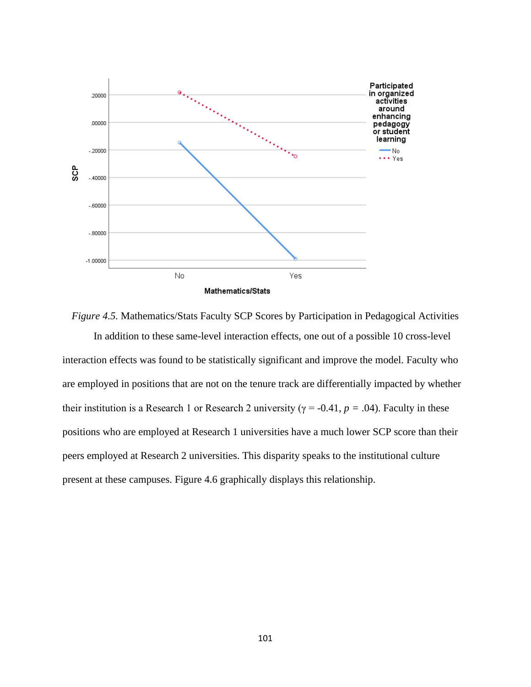

*Figure 4.5.* Mathematics/Stats Faculty SCP Scores by Participation in Pedagogical Activities In addition to these same-level interaction effects, one out of a possible 10 cross-level interaction effects was found to be statistically significant and improve the model. Faculty who are employed in positions that are not on the tenure track are differentially impacted by whether their institution is a Research 1 or Research 2 university ( $\gamma$  = -0.41,  $p$  = .04). Faculty in these positions who are employed at Research 1 universities have a much lower SCP score than their peers employed at Research 2 universities. This disparity speaks to the institutional culture present at these campuses. Figure 4.6 graphically displays this relationship.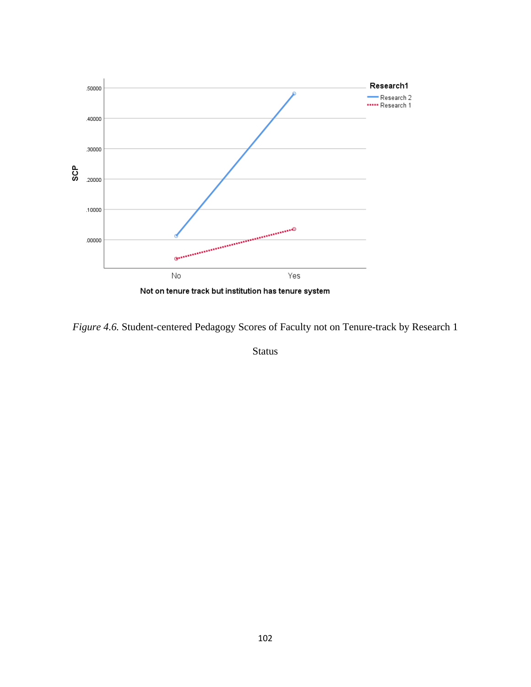

*Figure 4.6.* Student-centered Pedagogy Scores of Faculty not on Tenure-track by Research 1

Status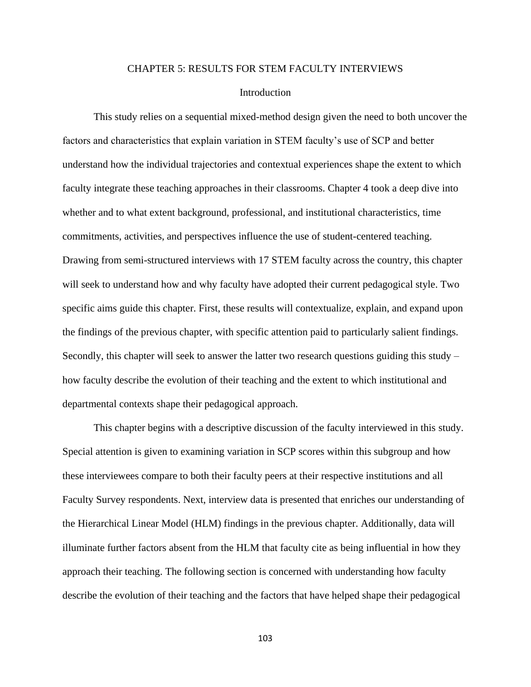#### CHAPTER 5: RESULTS FOR STEM FACULTY INTERVIEWS

#### Introduction

This study relies on a sequential mixed-method design given the need to both uncover the factors and characteristics that explain variation in STEM faculty's use of SCP and better understand how the individual trajectories and contextual experiences shape the extent to which faculty integrate these teaching approaches in their classrooms. Chapter 4 took a deep dive into whether and to what extent background, professional, and institutional characteristics, time commitments, activities, and perspectives influence the use of student-centered teaching. Drawing from semi-structured interviews with 17 STEM faculty across the country, this chapter will seek to understand how and why faculty have adopted their current pedagogical style. Two specific aims guide this chapter. First, these results will contextualize, explain, and expand upon the findings of the previous chapter, with specific attention paid to particularly salient findings. Secondly, this chapter will seek to answer the latter two research questions guiding this study – how faculty describe the evolution of their teaching and the extent to which institutional and departmental contexts shape their pedagogical approach.

This chapter begins with a descriptive discussion of the faculty interviewed in this study. Special attention is given to examining variation in SCP scores within this subgroup and how these interviewees compare to both their faculty peers at their respective institutions and all Faculty Survey respondents. Next, interview data is presented that enriches our understanding of the Hierarchical Linear Model (HLM) findings in the previous chapter. Additionally, data will illuminate further factors absent from the HLM that faculty cite as being influential in how they approach their teaching. The following section is concerned with understanding how faculty describe the evolution of their teaching and the factors that have helped shape their pedagogical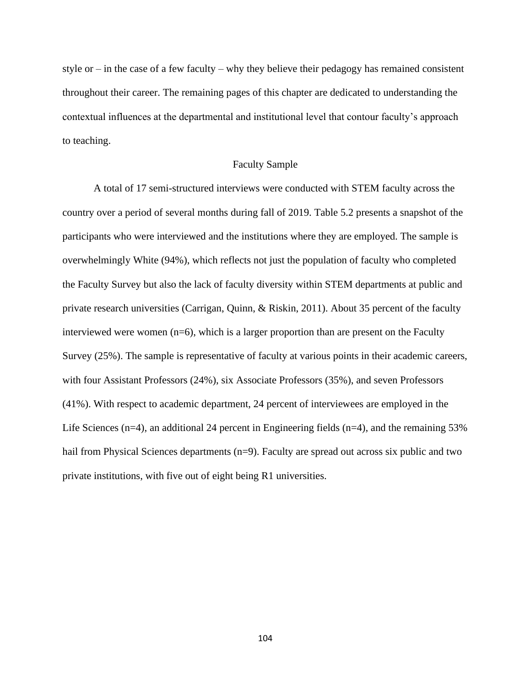style or  $-$  in the case of a few faculty  $-$  why they believe their pedagogy has remained consistent throughout their career. The remaining pages of this chapter are dedicated to understanding the contextual influences at the departmental and institutional level that contour faculty's approach to teaching.

## Faculty Sample

A total of 17 semi-structured interviews were conducted with STEM faculty across the country over a period of several months during fall of 2019. Table 5.2 presents a snapshot of the participants who were interviewed and the institutions where they are employed. The sample is overwhelmingly White (94%), which reflects not just the population of faculty who completed the Faculty Survey but also the lack of faculty diversity within STEM departments at public and private research universities (Carrigan, Quinn, & Riskin, 2011). About 35 percent of the faculty interviewed were women  $(n=6)$ , which is a larger proportion than are present on the Faculty Survey (25%). The sample is representative of faculty at various points in their academic careers, with four Assistant Professors (24%), six Associate Professors (35%), and seven Professors (41%). With respect to academic department, 24 percent of interviewees are employed in the Life Sciences ( $n=4$ ), an additional 24 percent in Engineering fields ( $n=4$ ), and the remaining 53% hail from Physical Sciences departments (n=9). Faculty are spread out across six public and two private institutions, with five out of eight being R1 universities.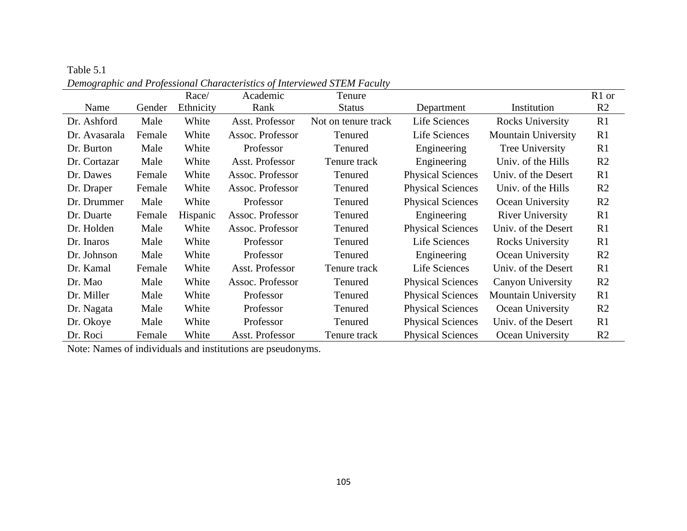|               |        | Race/     | Academic         | Tenure              |                          |                            | R <sub>1</sub> or |
|---------------|--------|-----------|------------------|---------------------|--------------------------|----------------------------|-------------------|
| Name          | Gender | Ethnicity | Rank             | <b>Status</b>       | Department               | Institution                | R <sub>2</sub>    |
| Dr. Ashford   | Male   | White     | Asst. Professor  | Not on tenure track | Life Sciences            | Rocks University           | R1                |
| Dr. Avasarala | Female | White     | Assoc. Professor | <b>Tenured</b>      | Life Sciences            | <b>Mountain University</b> | R1                |
| Dr. Burton    | Male   | White     | Professor        | Tenured             | Engineering              | Tree University            | R1                |
| Dr. Cortazar  | Male   | White     | Asst. Professor  | Tenure track        | Engineering              | Univ. of the Hills         | R2                |
| Dr. Dawes     | Female | White     | Assoc. Professor | Tenured             | <b>Physical Sciences</b> | Univ. of the Desert        | R1                |
| Dr. Draper    | Female | White     | Assoc. Professor | Tenured             | <b>Physical Sciences</b> | Univ. of the Hills         | R <sub>2</sub>    |
| Dr. Drummer   | Male   | White     | Professor        | Tenured             | <b>Physical Sciences</b> | Ocean University           | R2                |
| Dr. Duarte    | Female | Hispanic  | Assoc. Professor | Tenured             | Engineering              | <b>River University</b>    | R1                |
| Dr. Holden    | Male   | White     | Assoc. Professor | Tenured             | <b>Physical Sciences</b> | Univ. of the Desert        | R1                |
| Dr. Inaros    | Male   | White     | Professor        | Tenured             | Life Sciences            | Rocks University           | R1                |
| Dr. Johnson   | Male   | White     | Professor        | Tenured             | Engineering              | Ocean University           | R2                |
| Dr. Kamal     | Female | White     | Asst. Professor  | Tenure track        | Life Sciences            | Univ. of the Desert        | R1                |
| Dr. Mao       | Male   | White     | Assoc. Professor | Tenured             | <b>Physical Sciences</b> | Canyon University          | R2                |
| Dr. Miller    | Male   | White     | Professor        | Tenured             | <b>Physical Sciences</b> | <b>Mountain University</b> | R1                |
| Dr. Nagata    | Male   | White     | Professor        | Tenured             | <b>Physical Sciences</b> | Ocean University           | R2                |
| Dr. Okoye     | Male   | White     | Professor        | Tenured             | <b>Physical Sciences</b> | Univ. of the Desert        | R1                |
| Dr. Roci      | Female | White     | Asst. Professor  | Tenure track        | <b>Physical Sciences</b> | Ocean University           | R2                |

Table 5.1 *Demographic and Professional Characteristics of Interviewed STEM Faculty*

Note: Names of individuals and institutions are pseudonyms.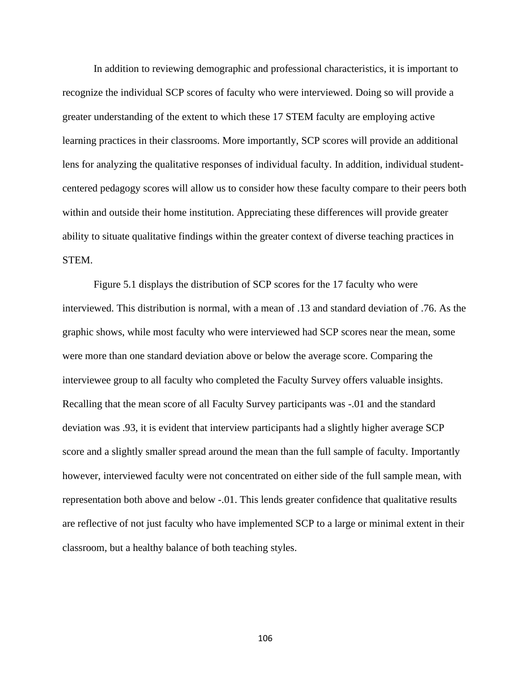In addition to reviewing demographic and professional characteristics, it is important to recognize the individual SCP scores of faculty who were interviewed. Doing so will provide a greater understanding of the extent to which these 17 STEM faculty are employing active learning practices in their classrooms. More importantly, SCP scores will provide an additional lens for analyzing the qualitative responses of individual faculty. In addition, individual studentcentered pedagogy scores will allow us to consider how these faculty compare to their peers both within and outside their home institution. Appreciating these differences will provide greater ability to situate qualitative findings within the greater context of diverse teaching practices in STEM.

Figure 5.1 displays the distribution of SCP scores for the 17 faculty who were interviewed. This distribution is normal, with a mean of .13 and standard deviation of .76. As the graphic shows, while most faculty who were interviewed had SCP scores near the mean, some were more than one standard deviation above or below the average score. Comparing the interviewee group to all faculty who completed the Faculty Survey offers valuable insights. Recalling that the mean score of all Faculty Survey participants was -.01 and the standard deviation was .93, it is evident that interview participants had a slightly higher average SCP score and a slightly smaller spread around the mean than the full sample of faculty. Importantly however, interviewed faculty were not concentrated on either side of the full sample mean, with representation both above and below -.01. This lends greater confidence that qualitative results are reflective of not just faculty who have implemented SCP to a large or minimal extent in their classroom, but a healthy balance of both teaching styles.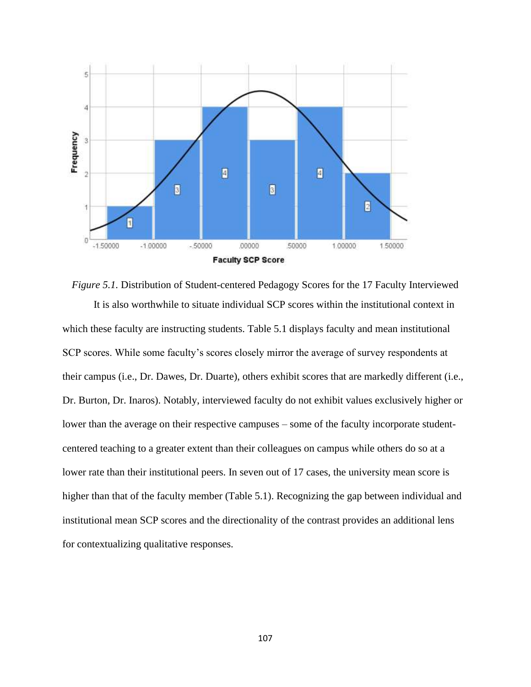

*Figure 5.1.* Distribution of Student-centered Pedagogy Scores for the 17 Faculty Interviewed It is also worthwhile to situate individual SCP scores within the institutional context in which these faculty are instructing students. Table 5.1 displays faculty and mean institutional SCP scores. While some faculty's scores closely mirror the average of survey respondents at their campus (i.e., Dr. Dawes, Dr. Duarte), others exhibit scores that are markedly different (i.e., Dr. Burton, Dr. Inaros). Notably, interviewed faculty do not exhibit values exclusively higher or lower than the average on their respective campuses – some of the faculty incorporate studentcentered teaching to a greater extent than their colleagues on campus while others do so at a lower rate than their institutional peers. In seven out of 17 cases, the university mean score is higher than that of the faculty member (Table 5.1). Recognizing the gap between individual and institutional mean SCP scores and the directionality of the contrast provides an additional lens for contextualizing qualitative responses.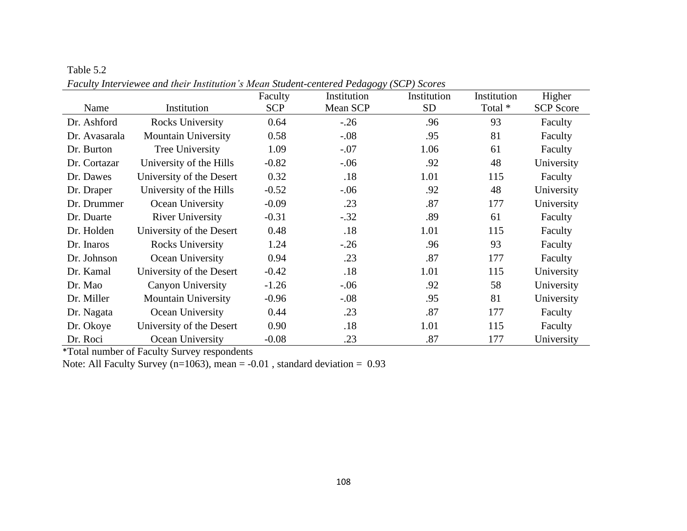|               | acan't caught them is and their mistrimon is mean station center can caughty (SCT | Faculty    | Institution | Institution | Institution | Higher           |
|---------------|-----------------------------------------------------------------------------------|------------|-------------|-------------|-------------|------------------|
| Name          | Institution                                                                       | <b>SCP</b> | Mean SCP    | <b>SD</b>   | Total *     | <b>SCP</b> Score |
| Dr. Ashford   | <b>Rocks University</b>                                                           | 0.64       | $-.26$      | .96         | 93          | Faculty          |
| Dr. Avasarala | <b>Mountain University</b>                                                        | 0.58       | $-.08$      | .95         | 81          | Faculty          |
| Dr. Burton    | Tree University                                                                   | 1.09       | $-.07$      | 1.06        | 61          | Faculty          |
| Dr. Cortazar  | University of the Hills                                                           | $-0.82$    | $-0.06$     | .92         | 48          | University       |
| Dr. Dawes     | University of the Desert                                                          | 0.32       | .18         | 1.01        | 115         | Faculty          |
| Dr. Draper    | University of the Hills                                                           | $-0.52$    | $-.06$      | .92         | 48          | University       |
| Dr. Drummer   | Ocean University                                                                  | $-0.09$    | .23         | .87         | 177         | University       |
| Dr. Duarte    | <b>River University</b>                                                           | $-0.31$    | $-.32$      | .89         | 61          | Faculty          |
| Dr. Holden    | University of the Desert                                                          | 0.48       | .18         | 1.01        | 115         | Faculty          |
| Dr. Inaros    | Rocks University                                                                  | 1.24       | $-.26$      | .96         | 93          | Faculty          |
| Dr. Johnson   | Ocean University                                                                  | 0.94       | .23         | .87         | 177         | Faculty          |
| Dr. Kamal     | University of the Desert                                                          | $-0.42$    | .18         | 1.01        | 115         | University       |
| Dr. Mao       | <b>Canyon University</b>                                                          | $-1.26$    | $-.06$      | .92         | 58          | University       |
| Dr. Miller    | <b>Mountain University</b>                                                        | $-0.96$    | $-.08$      | .95         | 81          | University       |
| Dr. Nagata    | Ocean University                                                                  | 0.44       | .23         | .87         | 177         | Faculty          |
| Dr. Okoye     | University of the Desert                                                          | 0.90       | .18         | 1.01        | 115         | Faculty          |
| Dr. Roci      | Ocean University                                                                  | $-0.08$    | .23         | .87         | 177         | University       |

*Faculty Interviewee and their Institution's Mean Student-centered Pedagogy (SCP) Scores*

\*Total number of Faculty Survey respondents

Table 5.2

Note: All Faculty Survey ( $n=1063$ ), mean = -0.01, standard deviation = 0.93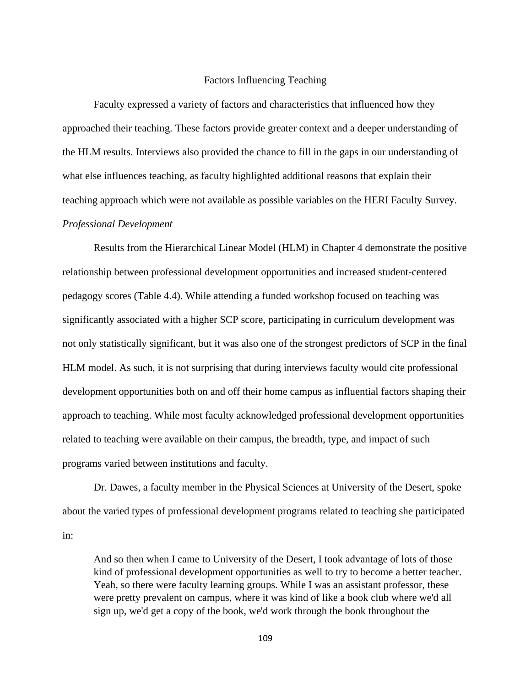## Factors Influencing Teaching

Faculty expressed a variety of factors and characteristics that influenced how they approached their teaching. These factors provide greater context and a deeper understanding of the HLM results. Interviews also provided the chance to fill in the gaps in our understanding of what else influences teaching, as faculty highlighted additional reasons that explain their teaching approach which were not available as possible variables on the HERI Faculty Survey. *Professional Development*

Results from the Hierarchical Linear Model (HLM) in Chapter 4 demonstrate the positive relationship between professional development opportunities and increased student-centered pedagogy scores (Table 4.4). While attending a funded workshop focused on teaching was significantly associated with a higher SCP score, participating in curriculum development was not only statistically significant, but it was also one of the strongest predictors of SCP in the final HLM model. As such, it is not surprising that during interviews faculty would cite professional development opportunities both on and off their home campus as influential factors shaping their approach to teaching. While most faculty acknowledged professional development opportunities related to teaching were available on their campus, the breadth, type, and impact of such programs varied between institutions and faculty.

Dr. Dawes, a faculty member in the Physical Sciences at University of the Desert, spoke about the varied types of professional development programs related to teaching she participated in:

And so then when I came to University of the Desert, I took advantage of lots of those kind of professional development opportunities as well to try to become a better teacher. Yeah, so there were faculty learning groups. While I was an assistant professor, these were pretty prevalent on campus, where it was kind of like a book club where we'd all sign up, we'd get a copy of the book, we'd work through the book throughout the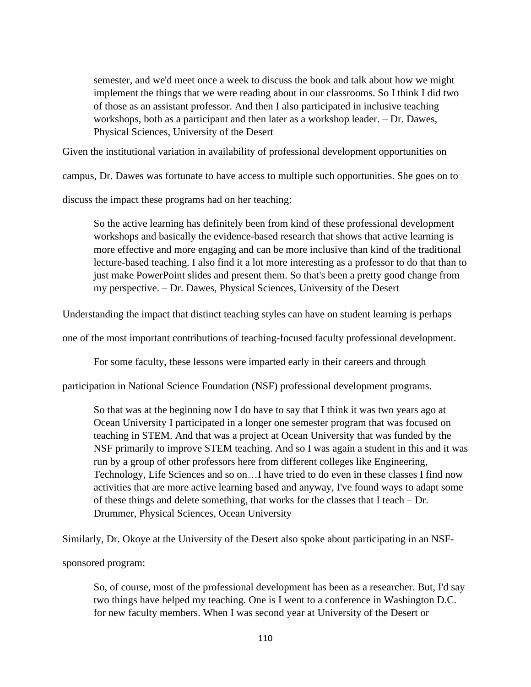semester, and we'd meet once a week to discuss the book and talk about how we might implement the things that we were reading about in our classrooms. So I think I did two of those as an assistant professor. And then I also participated in inclusive teaching workshops, both as a participant and then later as a workshop leader. – Dr. Dawes, Physical Sciences, University of the Desert

Given the institutional variation in availability of professional development opportunities on

campus, Dr. Dawes was fortunate to have access to multiple such opportunities. She goes on to

discuss the impact these programs had on her teaching:

So the active learning has definitely been from kind of these professional development workshops and basically the evidence-based research that shows that active learning is more effective and more engaging and can be more inclusive than kind of the traditional lecture-based teaching. I also find it a lot more interesting as a professor to do that than to just make PowerPoint slides and present them. So that's been a pretty good change from my perspective. – Dr. Dawes, Physical Sciences, University of the Desert

Understanding the impact that distinct teaching styles can have on student learning is perhaps

one of the most important contributions of teaching-focused faculty professional development.

For some faculty, these lessons were imparted early in their careers and through

participation in National Science Foundation (NSF) professional development programs.

So that was at the beginning now I do have to say that I think it was two years ago at Ocean University I participated in a longer one semester program that was focused on teaching in STEM. And that was a project at Ocean University that was funded by the NSF primarily to improve STEM teaching. And so I was again a student in this and it was run by a group of other professors here from different colleges like Engineering, Technology, Life Sciences and so on…I have tried to do even in these classes I find now activities that are more active learning based and anyway, I've found ways to adapt some of these things and delete something, that works for the classes that I teach – Dr. Drummer, Physical Sciences, Ocean University

Similarly, Dr. Okoye at the University of the Desert also spoke about participating in an NSF-

sponsored program:

So, of course, most of the professional development has been as a researcher. But, I'd say two things have helped my teaching. One is I went to a conference in Washington D.C. for new faculty members. When I was second year at University of the Desert or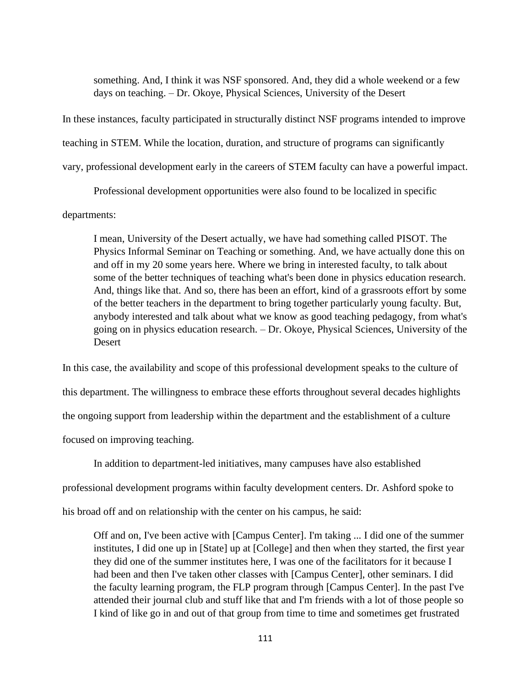something. And, I think it was NSF sponsored. And, they did a whole weekend or a few days on teaching. – Dr. Okoye, Physical Sciences, University of the Desert

In these instances, faculty participated in structurally distinct NSF programs intended to improve teaching in STEM. While the location, duration, and structure of programs can significantly vary, professional development early in the careers of STEM faculty can have a powerful impact.

Professional development opportunities were also found to be localized in specific departments:

I mean, University of the Desert actually, we have had something called PISOT. The Physics Informal Seminar on Teaching or something. And, we have actually done this on and off in my 20 some years here. Where we bring in interested faculty, to talk about some of the better techniques of teaching what's been done in physics education research. And, things like that. And so, there has been an effort, kind of a grassroots effort by some of the better teachers in the department to bring together particularly young faculty. But, anybody interested and talk about what we know as good teaching pedagogy, from what's going on in physics education research. – Dr. Okoye, Physical Sciences, University of the **Desert** 

In this case, the availability and scope of this professional development speaks to the culture of this department. The willingness to embrace these efforts throughout several decades highlights the ongoing support from leadership within the department and the establishment of a culture focused on improving teaching.

In addition to department-led initiatives, many campuses have also established

professional development programs within faculty development centers. Dr. Ashford spoke to

his broad off and on relationship with the center on his campus, he said:

Off and on, I've been active with [Campus Center]. I'm taking ... I did one of the summer institutes, I did one up in [State] up at [College] and then when they started, the first year they did one of the summer institutes here, I was one of the facilitators for it because I had been and then I've taken other classes with [Campus Center], other seminars. I did the faculty learning program, the FLP program through [Campus Center]. In the past I've attended their journal club and stuff like that and I'm friends with a lot of those people so I kind of like go in and out of that group from time to time and sometimes get frustrated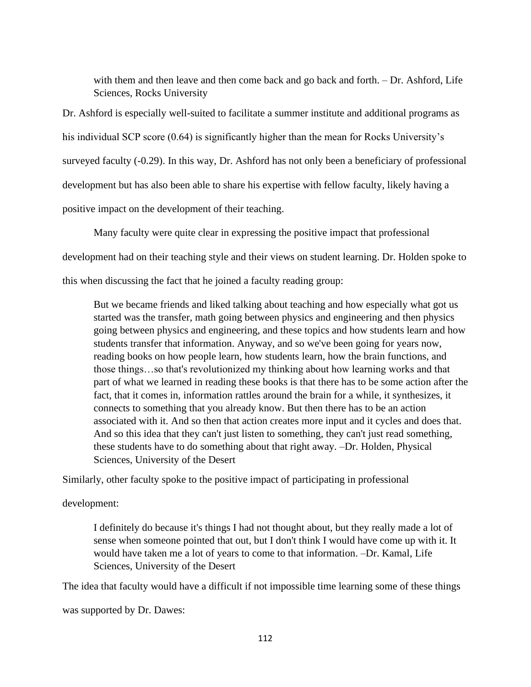with them and then leave and then come back and go back and forth. – Dr. Ashford, Life Sciences, Rocks University

Dr. Ashford is especially well-suited to facilitate a summer institute and additional programs as his individual SCP score (0.64) is significantly higher than the mean for Rocks University's surveyed faculty (-0.29). In this way, Dr. Ashford has not only been a beneficiary of professional development but has also been able to share his expertise with fellow faculty, likely having a positive impact on the development of their teaching.

Many faculty were quite clear in expressing the positive impact that professional

development had on their teaching style and their views on student learning. Dr. Holden spoke to

this when discussing the fact that he joined a faculty reading group:

But we became friends and liked talking about teaching and how especially what got us started was the transfer, math going between physics and engineering and then physics going between physics and engineering, and these topics and how students learn and how students transfer that information. Anyway, and so we've been going for years now, reading books on how people learn, how students learn, how the brain functions, and those things…so that's revolutionized my thinking about how learning works and that part of what we learned in reading these books is that there has to be some action after the fact, that it comes in, information rattles around the brain for a while, it synthesizes, it connects to something that you already know. But then there has to be an action associated with it. And so then that action creates more input and it cycles and does that. And so this idea that they can't just listen to something, they can't just read something, these students have to do something about that right away. –Dr. Holden, Physical Sciences, University of the Desert

Similarly, other faculty spoke to the positive impact of participating in professional

development:

I definitely do because it's things I had not thought about, but they really made a lot of sense when someone pointed that out, but I don't think I would have come up with it. It would have taken me a lot of years to come to that information. –Dr. Kamal, Life Sciences, University of the Desert

The idea that faculty would have a difficult if not impossible time learning some of these things

was supported by Dr. Dawes: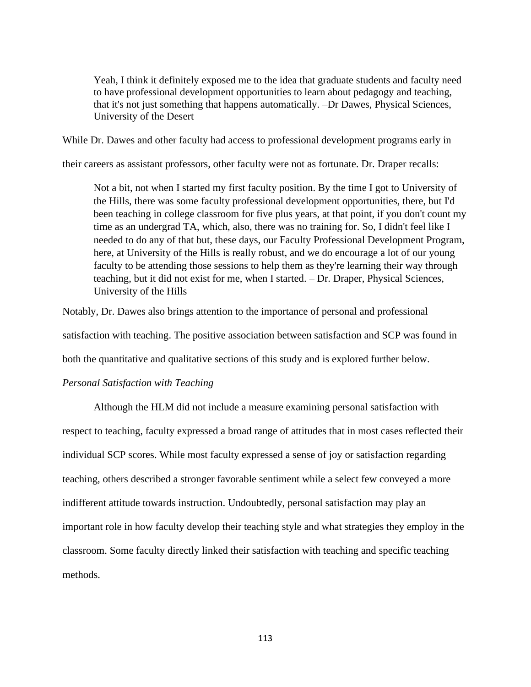Yeah, I think it definitely exposed me to the idea that graduate students and faculty need to have professional development opportunities to learn about pedagogy and teaching, that it's not just something that happens automatically. –Dr Dawes, Physical Sciences, University of the Desert

While Dr. Dawes and other faculty had access to professional development programs early in

their careers as assistant professors, other faculty were not as fortunate. Dr. Draper recalls:

Not a bit, not when I started my first faculty position. By the time I got to University of the Hills, there was some faculty professional development opportunities, there, but I'd been teaching in college classroom for five plus years, at that point, if you don't count my time as an undergrad TA, which, also, there was no training for. So, I didn't feel like I needed to do any of that but, these days, our Faculty Professional Development Program, here, at University of the Hills is really robust, and we do encourage a lot of our young faculty to be attending those sessions to help them as they're learning their way through teaching, but it did not exist for me, when I started. – Dr. Draper, Physical Sciences, University of the Hills

Notably, Dr. Dawes also brings attention to the importance of personal and professional satisfaction with teaching. The positive association between satisfaction and SCP was found in both the quantitative and qualitative sections of this study and is explored further below.

## *Personal Satisfaction with Teaching*

Although the HLM did not include a measure examining personal satisfaction with respect to teaching, faculty expressed a broad range of attitudes that in most cases reflected their individual SCP scores. While most faculty expressed a sense of joy or satisfaction regarding teaching, others described a stronger favorable sentiment while a select few conveyed a more indifferent attitude towards instruction. Undoubtedly, personal satisfaction may play an important role in how faculty develop their teaching style and what strategies they employ in the classroom. Some faculty directly linked their satisfaction with teaching and specific teaching methods.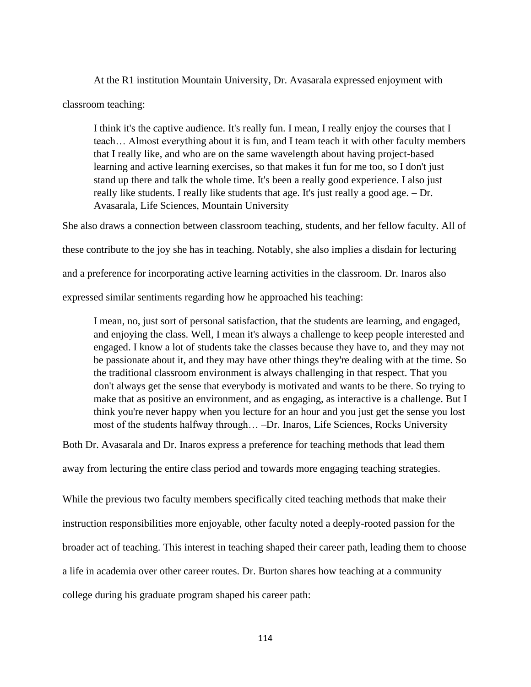At the R1 institution Mountain University, Dr. Avasarala expressed enjoyment with classroom teaching:

I think it's the captive audience. It's really fun. I mean, I really enjoy the courses that I teach… Almost everything about it is fun, and I team teach it with other faculty members that I really like, and who are on the same wavelength about having project-based learning and active learning exercises, so that makes it fun for me too, so I don't just stand up there and talk the whole time. It's been a really good experience. I also just really like students. I really like students that age. It's just really a good age. – Dr. Avasarala, Life Sciences, Mountain University

She also draws a connection between classroom teaching, students, and her fellow faculty. All of these contribute to the joy she has in teaching. Notably, she also implies a disdain for lecturing and a preference for incorporating active learning activities in the classroom. Dr. Inaros also expressed similar sentiments regarding how he approached his teaching:

I mean, no, just sort of personal satisfaction, that the students are learning, and engaged, and enjoying the class. Well, I mean it's always a challenge to keep people interested and engaged. I know a lot of students take the classes because they have to, and they may not be passionate about it, and they may have other things they're dealing with at the time. So the traditional classroom environment is always challenging in that respect. That you don't always get the sense that everybody is motivated and wants to be there. So trying to make that as positive an environment, and as engaging, as interactive is a challenge. But I think you're never happy when you lecture for an hour and you just get the sense you lost most of the students halfway through… –Dr. Inaros, Life Sciences, Rocks University

Both Dr. Avasarala and Dr. Inaros express a preference for teaching methods that lead them

away from lecturing the entire class period and towards more engaging teaching strategies.

While the previous two faculty members specifically cited teaching methods that make their instruction responsibilities more enjoyable, other faculty noted a deeply-rooted passion for the broader act of teaching. This interest in teaching shaped their career path, leading them to choose a life in academia over other career routes. Dr. Burton shares how teaching at a community college during his graduate program shaped his career path: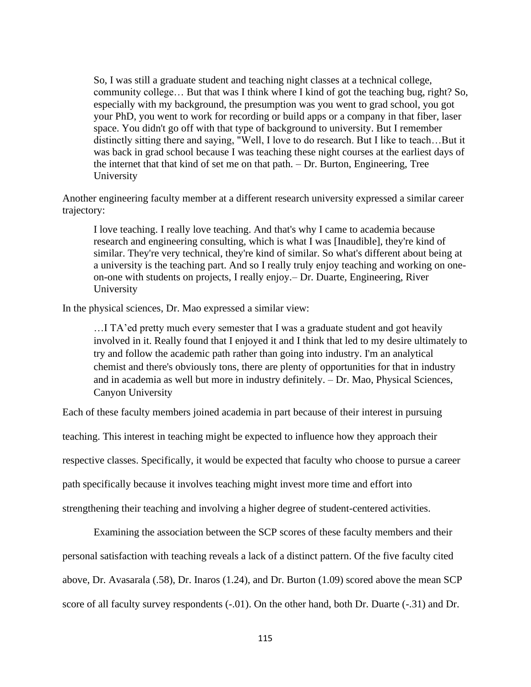So, I was still a graduate student and teaching night classes at a technical college, community college… But that was I think where I kind of got the teaching bug, right? So, especially with my background, the presumption was you went to grad school, you got your PhD, you went to work for recording or build apps or a company in that fiber, laser space. You didn't go off with that type of background to university. But I remember distinctly sitting there and saying, "Well, I love to do research. But I like to teach…But it was back in grad school because I was teaching these night courses at the earliest days of the internet that that kind of set me on that path. – Dr. Burton, Engineering, Tree University

Another engineering faculty member at a different research university expressed a similar career trajectory:

I love teaching. I really love teaching. And that's why I came to academia because research and engineering consulting, which is what I was [Inaudible], they're kind of similar. They're very technical, they're kind of similar. So what's different about being at a university is the teaching part. And so I really truly enjoy teaching and working on oneon-one with students on projects, I really enjoy.– Dr. Duarte, Engineering, River University

In the physical sciences, Dr. Mao expressed a similar view:

…I TA'ed pretty much every semester that I was a graduate student and got heavily involved in it. Really found that I enjoyed it and I think that led to my desire ultimately to try and follow the academic path rather than going into industry. I'm an analytical chemist and there's obviously tons, there are plenty of opportunities for that in industry and in academia as well but more in industry definitely. – Dr. Mao, Physical Sciences, Canyon University

Each of these faculty members joined academia in part because of their interest in pursuing

teaching. This interest in teaching might be expected to influence how they approach their

respective classes. Specifically, it would be expected that faculty who choose to pursue a career

path specifically because it involves teaching might invest more time and effort into

strengthening their teaching and involving a higher degree of student-centered activities.

Examining the association between the SCP scores of these faculty members and their personal satisfaction with teaching reveals a lack of a distinct pattern. Of the five faculty cited above, Dr. Avasarala (.58), Dr. Inaros (1.24), and Dr. Burton (1.09) scored above the mean SCP score of all faculty survey respondents (-.01). On the other hand, both Dr. Duarte (-.31) and Dr.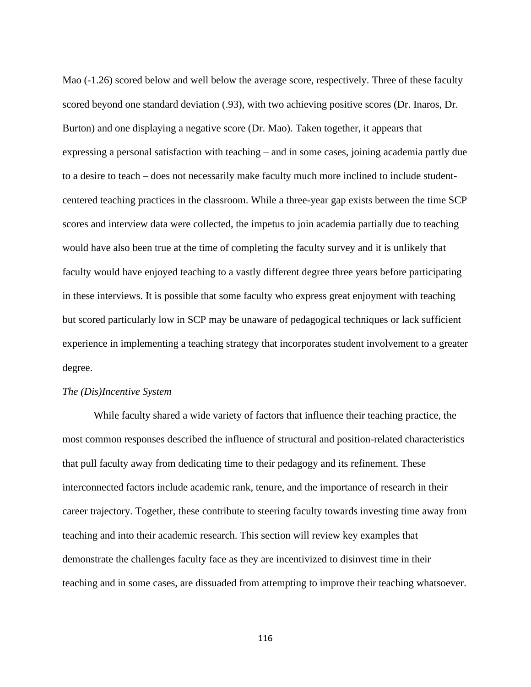Mao (-1.26) scored below and well below the average score, respectively. Three of these faculty scored beyond one standard deviation (.93), with two achieving positive scores (Dr. Inaros, Dr. Burton) and one displaying a negative score (Dr. Mao). Taken together, it appears that expressing a personal satisfaction with teaching – and in some cases, joining academia partly due to a desire to teach – does not necessarily make faculty much more inclined to include studentcentered teaching practices in the classroom. While a three-year gap exists between the time SCP scores and interview data were collected, the impetus to join academia partially due to teaching would have also been true at the time of completing the faculty survey and it is unlikely that faculty would have enjoyed teaching to a vastly different degree three years before participating in these interviews. It is possible that some faculty who express great enjoyment with teaching but scored particularly low in SCP may be unaware of pedagogical techniques or lack sufficient experience in implementing a teaching strategy that incorporates student involvement to a greater degree.

## *The (Dis)Incentive System*

While faculty shared a wide variety of factors that influence their teaching practice, the most common responses described the influence of structural and position-related characteristics that pull faculty away from dedicating time to their pedagogy and its refinement. These interconnected factors include academic rank, tenure, and the importance of research in their career trajectory. Together, these contribute to steering faculty towards investing time away from teaching and into their academic research. This section will review key examples that demonstrate the challenges faculty face as they are incentivized to disinvest time in their teaching and in some cases, are dissuaded from attempting to improve their teaching whatsoever.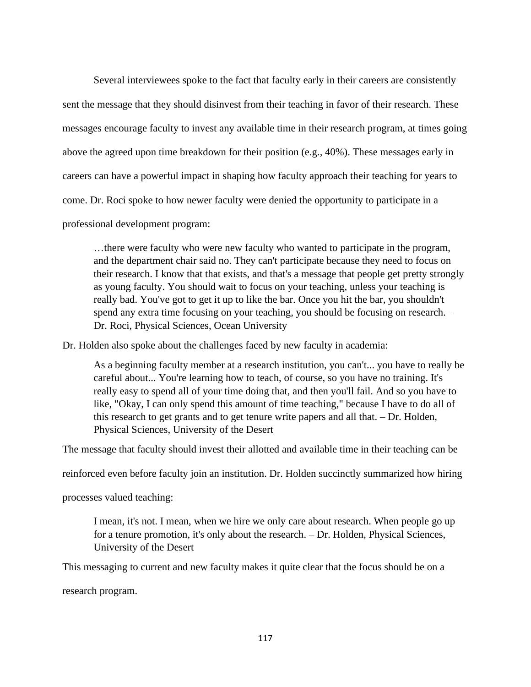Several interviewees spoke to the fact that faculty early in their careers are consistently sent the message that they should disinvest from their teaching in favor of their research. These messages encourage faculty to invest any available time in their research program, at times going above the agreed upon time breakdown for their position (e.g., 40%). These messages early in careers can have a powerful impact in shaping how faculty approach their teaching for years to come. Dr. Roci spoke to how newer faculty were denied the opportunity to participate in a professional development program:

…there were faculty who were new faculty who wanted to participate in the program, and the department chair said no. They can't participate because they need to focus on their research. I know that that exists, and that's a message that people get pretty strongly as young faculty. You should wait to focus on your teaching, unless your teaching is really bad. You've got to get it up to like the bar. Once you hit the bar, you shouldn't spend any extra time focusing on your teaching, you should be focusing on research. – Dr. Roci, Physical Sciences, Ocean University

Dr. Holden also spoke about the challenges faced by new faculty in academia:

As a beginning faculty member at a research institution, you can't... you have to really be careful about... You're learning how to teach, of course, so you have no training. It's really easy to spend all of your time doing that, and then you'll fail. And so you have to like, "Okay, I can only spend this amount of time teaching," because I have to do all of this research to get grants and to get tenure write papers and all that. – Dr. Holden, Physical Sciences, University of the Desert

The message that faculty should invest their allotted and available time in their teaching can be

reinforced even before faculty join an institution. Dr. Holden succinctly summarized how hiring

processes valued teaching:

I mean, it's not. I mean, when we hire we only care about research. When people go up for a tenure promotion, it's only about the research. – Dr. Holden, Physical Sciences, University of the Desert

This messaging to current and new faculty makes it quite clear that the focus should be on a

research program.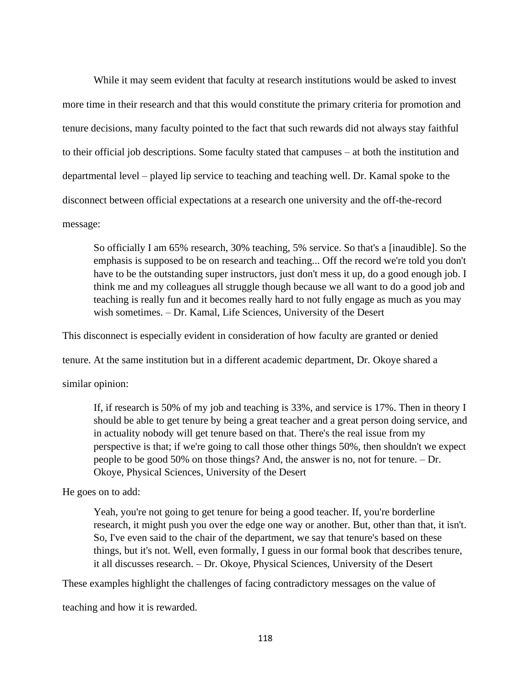While it may seem evident that faculty at research institutions would be asked to invest more time in their research and that this would constitute the primary criteria for promotion and tenure decisions, many faculty pointed to the fact that such rewards did not always stay faithful to their official job descriptions. Some faculty stated that campuses – at both the institution and departmental level – played lip service to teaching and teaching well. Dr. Kamal spoke to the disconnect between official expectations at a research one university and the off-the-record message:

So officially I am 65% research, 30% teaching, 5% service. So that's a [inaudible]. So the emphasis is supposed to be on research and teaching... Off the record we're told you don't have to be the outstanding super instructors, just don't mess it up, do a good enough job. I think me and my colleagues all struggle though because we all want to do a good job and teaching is really fun and it becomes really hard to not fully engage as much as you may wish sometimes. – Dr. Kamal, Life Sciences, University of the Desert

This disconnect is especially evident in consideration of how faculty are granted or denied

tenure. At the same institution but in a different academic department, Dr. Okoye shared a

similar opinion:

If, if research is 50% of my job and teaching is 33%, and service is 17%. Then in theory I should be able to get tenure by being a great teacher and a great person doing service, and in actuality nobody will get tenure based on that. There's the real issue from my perspective is that; if we're going to call those other things 50%, then shouldn't we expect people to be good 50% on those things? And, the answer is no, not for tenure. – Dr. Okoye, Physical Sciences, University of the Desert

He goes on to add:

Yeah, you're not going to get tenure for being a good teacher. If, you're borderline research, it might push you over the edge one way or another. But, other than that, it isn't. So, I've even said to the chair of the department, we say that tenure's based on these things, but it's not. Well, even formally, I guess in our formal book that describes tenure, it all discusses research. – Dr. Okoye, Physical Sciences, University of the Desert

These examples highlight the challenges of facing contradictory messages on the value of

teaching and how it is rewarded.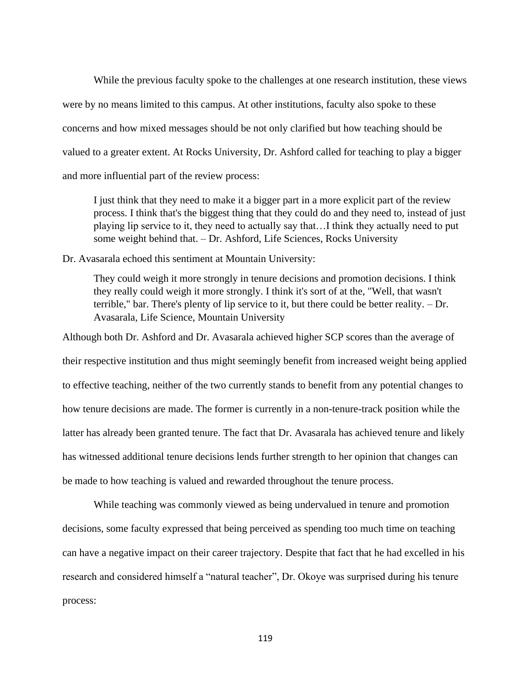While the previous faculty spoke to the challenges at one research institution, these views were by no means limited to this campus. At other institutions, faculty also spoke to these concerns and how mixed messages should be not only clarified but how teaching should be valued to a greater extent. At Rocks University, Dr. Ashford called for teaching to play a bigger and more influential part of the review process:

I just think that they need to make it a bigger part in a more explicit part of the review process. I think that's the biggest thing that they could do and they need to, instead of just playing lip service to it, they need to actually say that…I think they actually need to put some weight behind that. – Dr. Ashford, Life Sciences, Rocks University

Dr. Avasarala echoed this sentiment at Mountain University:

They could weigh it more strongly in tenure decisions and promotion decisions. I think they really could weigh it more strongly. I think it's sort of at the, "Well, that wasn't terrible," bar. There's plenty of lip service to it, but there could be better reality. – Dr. Avasarala, Life Science, Mountain University

Although both Dr. Ashford and Dr. Avasarala achieved higher SCP scores than the average of their respective institution and thus might seemingly benefit from increased weight being applied to effective teaching, neither of the two currently stands to benefit from any potential changes to how tenure decisions are made. The former is currently in a non-tenure-track position while the latter has already been granted tenure. The fact that Dr. Avasarala has achieved tenure and likely has witnessed additional tenure decisions lends further strength to her opinion that changes can be made to how teaching is valued and rewarded throughout the tenure process.

While teaching was commonly viewed as being undervalued in tenure and promotion decisions, some faculty expressed that being perceived as spending too much time on teaching can have a negative impact on their career trajectory. Despite that fact that he had excelled in his research and considered himself a "natural teacher", Dr. Okoye was surprised during his tenure process: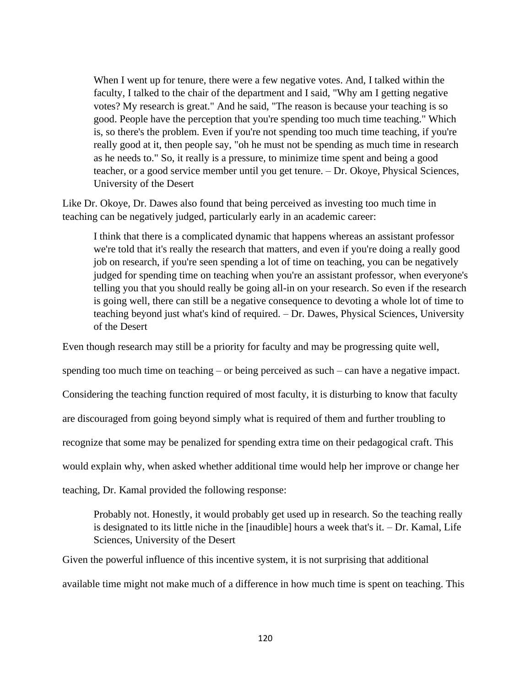When I went up for tenure, there were a few negative votes. And, I talked within the faculty, I talked to the chair of the department and I said, "Why am I getting negative votes? My research is great." And he said, "The reason is because your teaching is so good. People have the perception that you're spending too much time teaching." Which is, so there's the problem. Even if you're not spending too much time teaching, if you're really good at it, then people say, "oh he must not be spending as much time in research as he needs to." So, it really is a pressure, to minimize time spent and being a good teacher, or a good service member until you get tenure. – Dr. Okoye, Physical Sciences, University of the Desert

Like Dr. Okoye, Dr. Dawes also found that being perceived as investing too much time in teaching can be negatively judged, particularly early in an academic career:

I think that there is a complicated dynamic that happens whereas an assistant professor we're told that it's really the research that matters, and even if you're doing a really good job on research, if you're seen spending a lot of time on teaching, you can be negatively judged for spending time on teaching when you're an assistant professor, when everyone's telling you that you should really be going all-in on your research. So even if the research is going well, there can still be a negative consequence to devoting a whole lot of time to teaching beyond just what's kind of required. – Dr. Dawes, Physical Sciences, University of the Desert

Even though research may still be a priority for faculty and may be progressing quite well,

spending too much time on teaching – or being perceived as such – can have a negative impact.

Considering the teaching function required of most faculty, it is disturbing to know that faculty

are discouraged from going beyond simply what is required of them and further troubling to

recognize that some may be penalized for spending extra time on their pedagogical craft. This

would explain why, when asked whether additional time would help her improve or change her

teaching, Dr. Kamal provided the following response:

Probably not. Honestly, it would probably get used up in research. So the teaching really is designated to its little niche in the [inaudible] hours a week that's it. – Dr. Kamal, Life Sciences, University of the Desert

Given the powerful influence of this incentive system, it is not surprising that additional available time might not make much of a difference in how much time is spent on teaching. This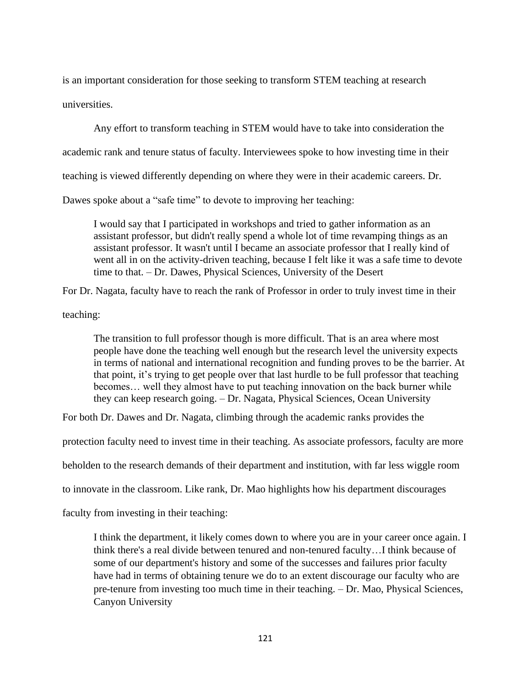is an important consideration for those seeking to transform STEM teaching at research universities.

Any effort to transform teaching in STEM would have to take into consideration the

academic rank and tenure status of faculty. Interviewees spoke to how investing time in their

teaching is viewed differently depending on where they were in their academic careers. Dr.

Dawes spoke about a "safe time" to devote to improving her teaching:

I would say that I participated in workshops and tried to gather information as an assistant professor, but didn't really spend a whole lot of time revamping things as an assistant professor. It wasn't until I became an associate professor that I really kind of went all in on the activity-driven teaching, because I felt like it was a safe time to devote time to that. – Dr. Dawes, Physical Sciences, University of the Desert

For Dr. Nagata, faculty have to reach the rank of Professor in order to truly invest time in their

teaching:

The transition to full professor though is more difficult. That is an area where most people have done the teaching well enough but the research level the university expects in terms of national and international recognition and funding proves to be the barrier. At that point, it's trying to get people over that last hurdle to be full professor that teaching becomes… well they almost have to put teaching innovation on the back burner while they can keep research going. – Dr. Nagata, Physical Sciences, Ocean University

For both Dr. Dawes and Dr. Nagata, climbing through the academic ranks provides the

protection faculty need to invest time in their teaching. As associate professors, faculty are more

beholden to the research demands of their department and institution, with far less wiggle room

to innovate in the classroom. Like rank, Dr. Mao highlights how his department discourages

faculty from investing in their teaching:

I think the department, it likely comes down to where you are in your career once again. I think there's a real divide between tenured and non-tenured faculty…I think because of some of our department's history and some of the successes and failures prior faculty have had in terms of obtaining tenure we do to an extent discourage our faculty who are pre-tenure from investing too much time in their teaching. – Dr. Mao, Physical Sciences, Canyon University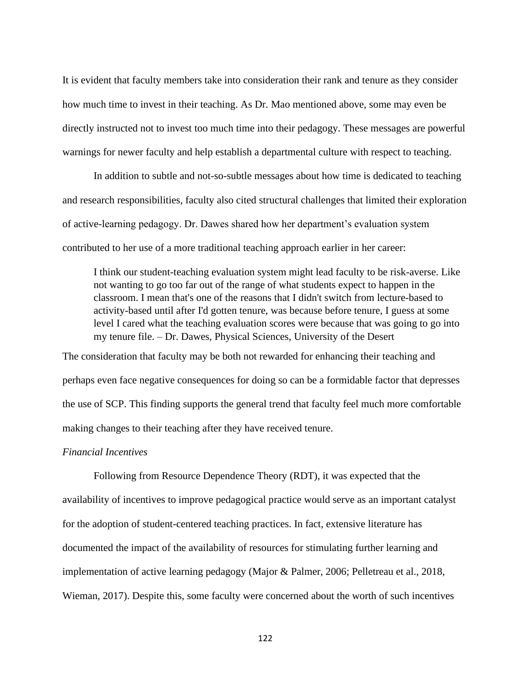It is evident that faculty members take into consideration their rank and tenure as they consider how much time to invest in their teaching. As Dr. Mao mentioned above, some may even be directly instructed not to invest too much time into their pedagogy. These messages are powerful warnings for newer faculty and help establish a departmental culture with respect to teaching.

In addition to subtle and not-so-subtle messages about how time is dedicated to teaching and research responsibilities, faculty also cited structural challenges that limited their exploration of active-learning pedagogy. Dr. Dawes shared how her department's evaluation system contributed to her use of a more traditional teaching approach earlier in her career:

I think our student-teaching evaluation system might lead faculty to be risk-averse. Like not wanting to go too far out of the range of what students expect to happen in the classroom. I mean that's one of the reasons that I didn't switch from lecture-based to activity-based until after I'd gotten tenure, was because before tenure, I guess at some level I cared what the teaching evaluation scores were because that was going to go into my tenure file. – Dr. Dawes, Physical Sciences, University of the Desert

The consideration that faculty may be both not rewarded for enhancing their teaching and perhaps even face negative consequences for doing so can be a formidable factor that depresses the use of SCP. This finding supports the general trend that faculty feel much more comfortable making changes to their teaching after they have received tenure.

### *Financial Incentives*

Following from Resource Dependence Theory (RDT), it was expected that the availability of incentives to improve pedagogical practice would serve as an important catalyst for the adoption of student-centered teaching practices. In fact, extensive literature has documented the impact of the availability of resources for stimulating further learning and implementation of active learning pedagogy (Major & Palmer, 2006; Pelletreau et al., 2018, Wieman, 2017). Despite this, some faculty were concerned about the worth of such incentives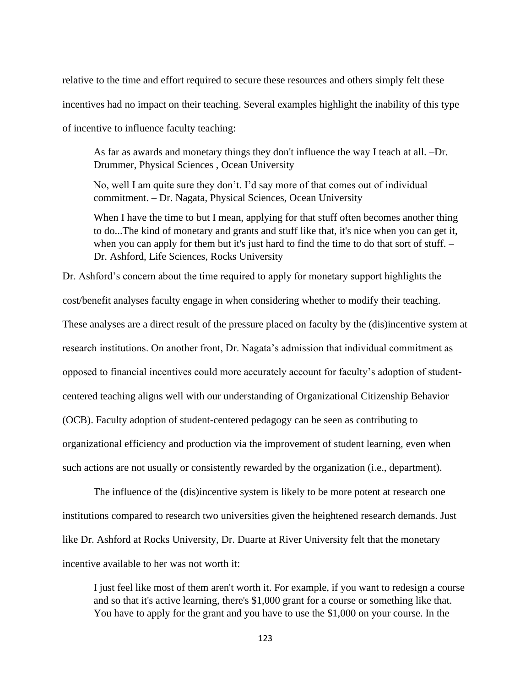relative to the time and effort required to secure these resources and others simply felt these incentives had no impact on their teaching. Several examples highlight the inability of this type of incentive to influence faculty teaching:

As far as awards and monetary things they don't influence the way I teach at all. –Dr. Drummer, Physical Sciences , Ocean University

No, well I am quite sure they don't. I'd say more of that comes out of individual commitment. – Dr. Nagata, Physical Sciences, Ocean University

When I have the time to but I mean, applying for that stuff often becomes another thing to do...The kind of monetary and grants and stuff like that, it's nice when you can get it, when you can apply for them but it's just hard to find the time to do that sort of stuff. – Dr. Ashford, Life Sciences, Rocks University

Dr. Ashford's concern about the time required to apply for monetary support highlights the cost/benefit analyses faculty engage in when considering whether to modify their teaching.

These analyses are a direct result of the pressure placed on faculty by the (dis)incentive system at

research institutions. On another front, Dr. Nagata's admission that individual commitment as

opposed to financial incentives could more accurately account for faculty's adoption of student-

centered teaching aligns well with our understanding of Organizational Citizenship Behavior

(OCB). Faculty adoption of student-centered pedagogy can be seen as contributing to

organizational efficiency and production via the improvement of student learning, even when

such actions are not usually or consistently rewarded by the organization (i.e., department).

The influence of the (dis)incentive system is likely to be more potent at research one institutions compared to research two universities given the heightened research demands. Just like Dr. Ashford at Rocks University, Dr. Duarte at River University felt that the monetary incentive available to her was not worth it:

I just feel like most of them aren't worth it. For example, if you want to redesign a course and so that it's active learning, there's \$1,000 grant for a course or something like that. You have to apply for the grant and you have to use the \$1,000 on your course. In the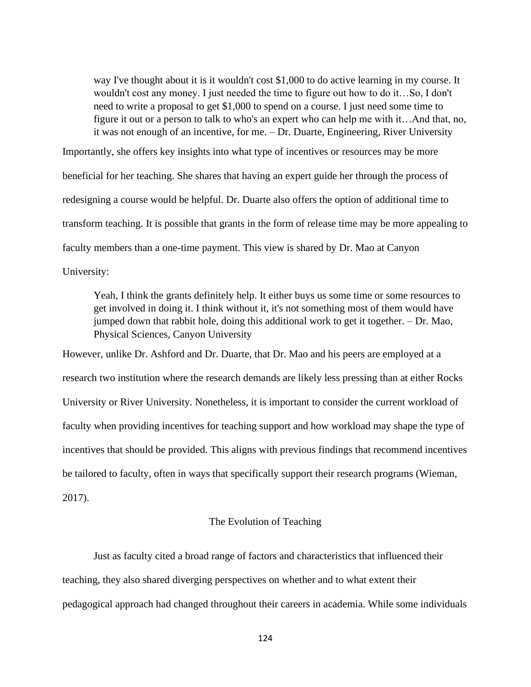way I've thought about it is it wouldn't cost \$1,000 to do active learning in my course. It wouldn't cost any money. I just needed the time to figure out how to do it…So, I don't need to write a proposal to get \$1,000 to spend on a course. I just need some time to figure it out or a person to talk to who's an expert who can help me with it…And that, no, it was not enough of an incentive, for me. – Dr. Duarte, Engineering, River University

Importantly, she offers key insights into what type of incentives or resources may be more beneficial for her teaching. She shares that having an expert guide her through the process of redesigning a course would be helpful. Dr. Duarte also offers the option of additional time to transform teaching. It is possible that grants in the form of release time may be more appealing to faculty members than a one-time payment. This view is shared by Dr. Mao at Canyon University:

Yeah, I think the grants definitely help. It either buys us some time or some resources to get involved in doing it. I think without it, it's not something most of them would have jumped down that rabbit hole, doing this additional work to get it together. – Dr. Mao, Physical Sciences, Canyon University

However, unlike Dr. Ashford and Dr. Duarte, that Dr. Mao and his peers are employed at a research two institution where the research demands are likely less pressing than at either Rocks University or River University. Nonetheless, it is important to consider the current workload of faculty when providing incentives for teaching support and how workload may shape the type of incentives that should be provided. This aligns with previous findings that recommend incentives be tailored to faculty, often in ways that specifically support their research programs (Wieman, 2017).

# The Evolution of Teaching

Just as faculty cited a broad range of factors and characteristics that influenced their teaching, they also shared diverging perspectives on whether and to what extent their pedagogical approach had changed throughout their careers in academia. While some individuals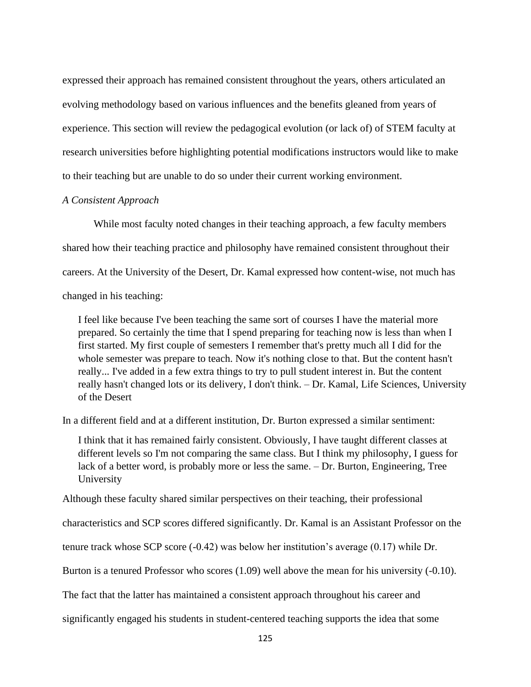expressed their approach has remained consistent throughout the years, others articulated an evolving methodology based on various influences and the benefits gleaned from years of experience. This section will review the pedagogical evolution (or lack of) of STEM faculty at research universities before highlighting potential modifications instructors would like to make to their teaching but are unable to do so under their current working environment.

## *A Consistent Approach*

While most faculty noted changes in their teaching approach, a few faculty members shared how their teaching practice and philosophy have remained consistent throughout their careers. At the University of the Desert, Dr. Kamal expressed how content-wise, not much has changed in his teaching:

I feel like because I've been teaching the same sort of courses I have the material more prepared. So certainly the time that I spend preparing for teaching now is less than when I first started. My first couple of semesters I remember that's pretty much all I did for the whole semester was prepare to teach. Now it's nothing close to that. But the content hasn't really... I've added in a few extra things to try to pull student interest in. But the content really hasn't changed lots or its delivery, I don't think. – Dr. Kamal, Life Sciences, University of the Desert

In a different field and at a different institution, Dr. Burton expressed a similar sentiment:

I think that it has remained fairly consistent. Obviously, I have taught different classes at different levels so I'm not comparing the same class. But I think my philosophy, I guess for lack of a better word, is probably more or less the same. – Dr. Burton, Engineering, Tree University

Although these faculty shared similar perspectives on their teaching, their professional

characteristics and SCP scores differed significantly. Dr. Kamal is an Assistant Professor on the

tenure track whose SCP score (-0.42) was below her institution's average (0.17) while Dr.

Burton is a tenured Professor who scores (1.09) well above the mean for his university (-0.10).

The fact that the latter has maintained a consistent approach throughout his career and

significantly engaged his students in student-centered teaching supports the idea that some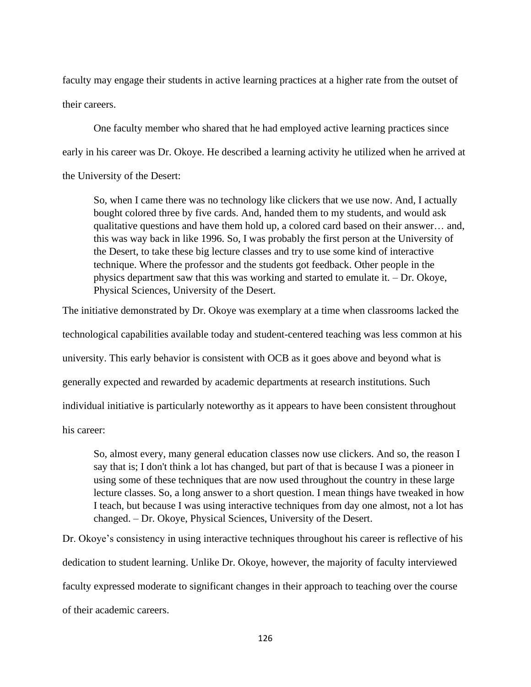faculty may engage their students in active learning practices at a higher rate from the outset of their careers.

One faculty member who shared that he had employed active learning practices since early in his career was Dr. Okoye. He described a learning activity he utilized when he arrived at the University of the Desert:

So, when I came there was no technology like clickers that we use now. And, I actually bought colored three by five cards. And, handed them to my students, and would ask qualitative questions and have them hold up, a colored card based on their answer… and, this was way back in like 1996. So, I was probably the first person at the University of the Desert, to take these big lecture classes and try to use some kind of interactive technique. Where the professor and the students got feedback. Other people in the physics department saw that this was working and started to emulate it. – Dr. Okoye, Physical Sciences, University of the Desert.

The initiative demonstrated by Dr. Okoye was exemplary at a time when classrooms lacked the technological capabilities available today and student-centered teaching was less common at his university. This early behavior is consistent with OCB as it goes above and beyond what is generally expected and rewarded by academic departments at research institutions. Such individual initiative is particularly noteworthy as it appears to have been consistent throughout

his career:

So, almost every, many general education classes now use clickers. And so, the reason I say that is; I don't think a lot has changed, but part of that is because I was a pioneer in using some of these techniques that are now used throughout the country in these large lecture classes. So, a long answer to a short question. I mean things have tweaked in how I teach, but because I was using interactive techniques from day one almost, not a lot has changed. – Dr. Okoye, Physical Sciences, University of the Desert.

Dr. Okoye's consistency in using interactive techniques throughout his career is reflective of his dedication to student learning. Unlike Dr. Okoye, however, the majority of faculty interviewed faculty expressed moderate to significant changes in their approach to teaching over the course of their academic careers.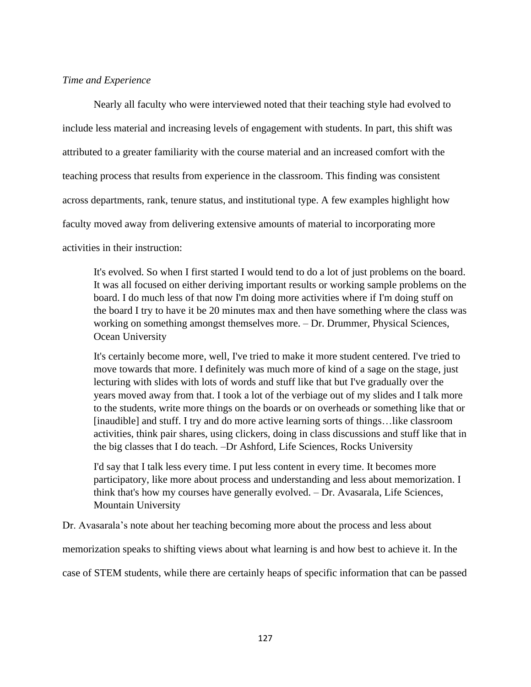# *Time and Experience*

Nearly all faculty who were interviewed noted that their teaching style had evolved to include less material and increasing levels of engagement with students. In part, this shift was attributed to a greater familiarity with the course material and an increased comfort with the teaching process that results from experience in the classroom. This finding was consistent across departments, rank, tenure status, and institutional type. A few examples highlight how faculty moved away from delivering extensive amounts of material to incorporating more activities in their instruction:

It's evolved. So when I first started I would tend to do a lot of just problems on the board. It was all focused on either deriving important results or working sample problems on the board. I do much less of that now I'm doing more activities where if I'm doing stuff on the board I try to have it be 20 minutes max and then have something where the class was working on something amongst themselves more. – Dr. Drummer, Physical Sciences, Ocean University

It's certainly become more, well, I've tried to make it more student centered. I've tried to move towards that more. I definitely was much more of kind of a sage on the stage, just lecturing with slides with lots of words and stuff like that but I've gradually over the years moved away from that. I took a lot of the verbiage out of my slides and I talk more to the students, write more things on the boards or on overheads or something like that or [inaudible] and stuff. I try and do more active learning sorts of things…like classroom activities, think pair shares, using clickers, doing in class discussions and stuff like that in the big classes that I do teach. –Dr Ashford, Life Sciences, Rocks University

I'd say that I talk less every time. I put less content in every time. It becomes more participatory, like more about process and understanding and less about memorization. I think that's how my courses have generally evolved. – Dr. Avasarala, Life Sciences, Mountain University

Dr. Avasarala's note about her teaching becoming more about the process and less about

memorization speaks to shifting views about what learning is and how best to achieve it. In the

case of STEM students, while there are certainly heaps of specific information that can be passed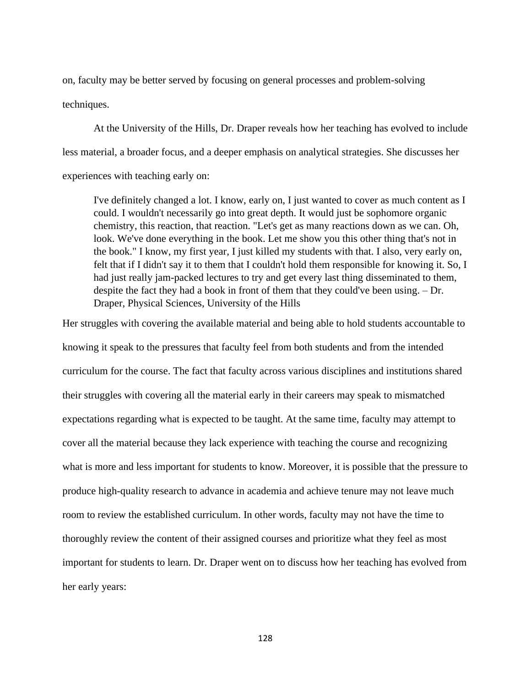on, faculty may be better served by focusing on general processes and problem-solving techniques.

At the University of the Hills, Dr. Draper reveals how her teaching has evolved to include less material, a broader focus, and a deeper emphasis on analytical strategies. She discusses her experiences with teaching early on:

I've definitely changed a lot. I know, early on, I just wanted to cover as much content as I could. I wouldn't necessarily go into great depth. It would just be sophomore organic chemistry, this reaction, that reaction. "Let's get as many reactions down as we can. Oh, look. We've done everything in the book. Let me show you this other thing that's not in the book." I know, my first year, I just killed my students with that. I also, very early on, felt that if I didn't say it to them that I couldn't hold them responsible for knowing it. So, I had just really jam-packed lectures to try and get every last thing disseminated to them, despite the fact they had a book in front of them that they could've been using. – Dr. Draper, Physical Sciences, University of the Hills

Her struggles with covering the available material and being able to hold students accountable to knowing it speak to the pressures that faculty feel from both students and from the intended curriculum for the course. The fact that faculty across various disciplines and institutions shared their struggles with covering all the material early in their careers may speak to mismatched expectations regarding what is expected to be taught. At the same time, faculty may attempt to cover all the material because they lack experience with teaching the course and recognizing what is more and less important for students to know. Moreover, it is possible that the pressure to produce high-quality research to advance in academia and achieve tenure may not leave much room to review the established curriculum. In other words, faculty may not have the time to thoroughly review the content of their assigned courses and prioritize what they feel as most important for students to learn. Dr. Draper went on to discuss how her teaching has evolved from her early years: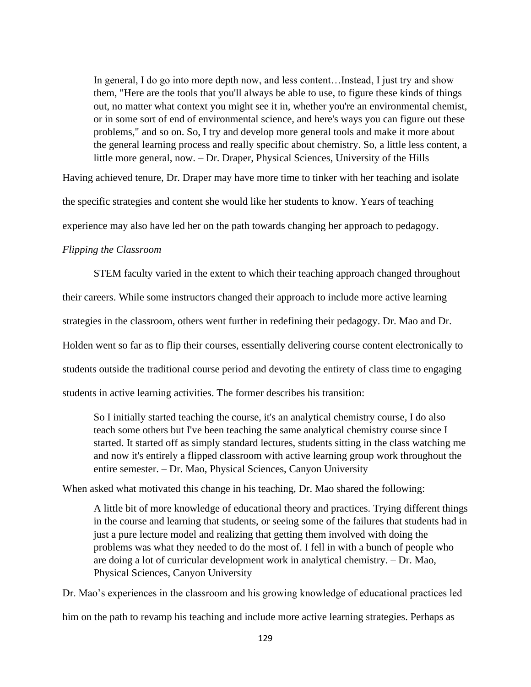In general, I do go into more depth now, and less content…Instead, I just try and show them, "Here are the tools that you'll always be able to use, to figure these kinds of things out, no matter what context you might see it in, whether you're an environmental chemist, or in some sort of end of environmental science, and here's ways you can figure out these problems," and so on. So, I try and develop more general tools and make it more about the general learning process and really specific about chemistry. So, a little less content, a little more general, now. – Dr. Draper, Physical Sciences, University of the Hills

Having achieved tenure, Dr. Draper may have more time to tinker with her teaching and isolate

the specific strategies and content she would like her students to know. Years of teaching

experience may also have led her on the path towards changing her approach to pedagogy.

# *Flipping the Classroom*

STEM faculty varied in the extent to which their teaching approach changed throughout their careers. While some instructors changed their approach to include more active learning strategies in the classroom, others went further in redefining their pedagogy. Dr. Mao and Dr. Holden went so far as to flip their courses, essentially delivering course content electronically to students outside the traditional course period and devoting the entirety of class time to engaging students in active learning activities. The former describes his transition:

So I initially started teaching the course, it's an analytical chemistry course, I do also teach some others but I've been teaching the same analytical chemistry course since I started. It started off as simply standard lectures, students sitting in the class watching me and now it's entirely a flipped classroom with active learning group work throughout the entire semester. – Dr. Mao, Physical Sciences, Canyon University

When asked what motivated this change in his teaching, Dr. Mao shared the following:

A little bit of more knowledge of educational theory and practices. Trying different things in the course and learning that students, or seeing some of the failures that students had in just a pure lecture model and realizing that getting them involved with doing the problems was what they needed to do the most of. I fell in with a bunch of people who are doing a lot of curricular development work in analytical chemistry. – Dr. Mao, Physical Sciences, Canyon University

Dr. Mao's experiences in the classroom and his growing knowledge of educational practices led

him on the path to revamp his teaching and include more active learning strategies. Perhaps as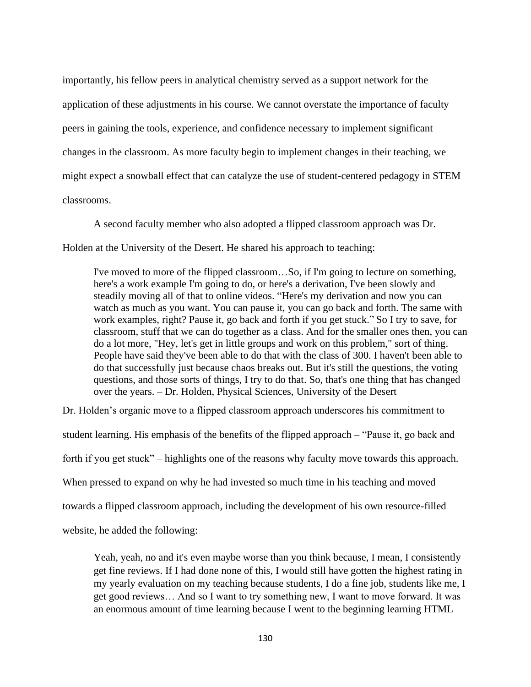importantly, his fellow peers in analytical chemistry served as a support network for the application of these adjustments in his course. We cannot overstate the importance of faculty peers in gaining the tools, experience, and confidence necessary to implement significant changes in the classroom. As more faculty begin to implement changes in their teaching, we might expect a snowball effect that can catalyze the use of student-centered pedagogy in STEM classrooms.

A second faculty member who also adopted a flipped classroom approach was Dr.

Holden at the University of the Desert. He shared his approach to teaching:

I've moved to more of the flipped classroom…So, if I'm going to lecture on something, here's a work example I'm going to do, or here's a derivation, I've been slowly and steadily moving all of that to online videos. "Here's my derivation and now you can watch as much as you want. You can pause it, you can go back and forth. The same with work examples, right? Pause it, go back and forth if you get stuck." So I try to save, for classroom, stuff that we can do together as a class. And for the smaller ones then, you can do a lot more, "Hey, let's get in little groups and work on this problem," sort of thing. People have said they've been able to do that with the class of 300. I haven't been able to do that successfully just because chaos breaks out. But it's still the questions, the voting questions, and those sorts of things, I try to do that. So, that's one thing that has changed over the years. – Dr. Holden, Physical Sciences, University of the Desert

Dr. Holden's organic move to a flipped classroom approach underscores his commitment to student learning. His emphasis of the benefits of the flipped approach – "Pause it, go back and forth if you get stuck" – highlights one of the reasons why faculty move towards this approach. When pressed to expand on why he had invested so much time in his teaching and moved towards a flipped classroom approach, including the development of his own resource-filled website, he added the following:

Yeah, yeah, no and it's even maybe worse than you think because, I mean, I consistently get fine reviews. If I had done none of this, I would still have gotten the highest rating in my yearly evaluation on my teaching because students, I do a fine job, students like me, I get good reviews… And so I want to try something new, I want to move forward. It was an enormous amount of time learning because I went to the beginning learning HTML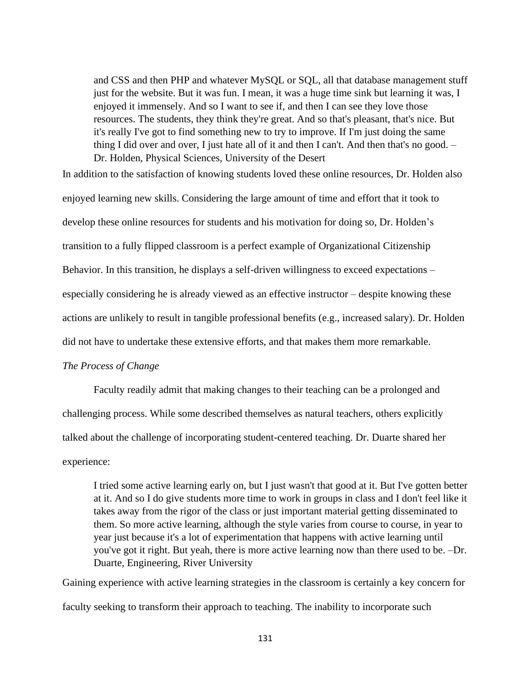and CSS and then PHP and whatever MySQL or SQL, all that database management stuff just for the website. But it was fun. I mean, it was a huge time sink but learning it was, I enjoyed it immensely. And so I want to see if, and then I can see they love those resources. The students, they think they're great. And so that's pleasant, that's nice. But it's really I've got to find something new to try to improve. If I'm just doing the same thing I did over and over, I just hate all of it and then I can't. And then that's no good. – Dr. Holden, Physical Sciences, University of the Desert

In addition to the satisfaction of knowing students loved these online resources, Dr. Holden also enjoyed learning new skills. Considering the large amount of time and effort that it took to develop these online resources for students and his motivation for doing so, Dr. Holden's transition to a fully flipped classroom is a perfect example of Organizational Citizenship Behavior. In this transition, he displays a self-driven willingness to exceed expectations – especially considering he is already viewed as an effective instructor – despite knowing these actions are unlikely to result in tangible professional benefits (e.g., increased salary). Dr. Holden did not have to undertake these extensive efforts, and that makes them more remarkable.

## *The Process of Change*

Faculty readily admit that making changes to their teaching can be a prolonged and challenging process. While some described themselves as natural teachers, others explicitly talked about the challenge of incorporating student-centered teaching. Dr. Duarte shared her experience:

I tried some active learning early on, but I just wasn't that good at it. But I've gotten better at it. And so I do give students more time to work in groups in class and I don't feel like it takes away from the rigor of the class or just important material getting disseminated to them. So more active learning, although the style varies from course to course, in year to year just because it's a lot of experimentation that happens with active learning until you've got it right. But yeah, there is more active learning now than there used to be. –Dr. Duarte, Engineering, River University

Gaining experience with active learning strategies in the classroom is certainly a key concern for faculty seeking to transform their approach to teaching. The inability to incorporate such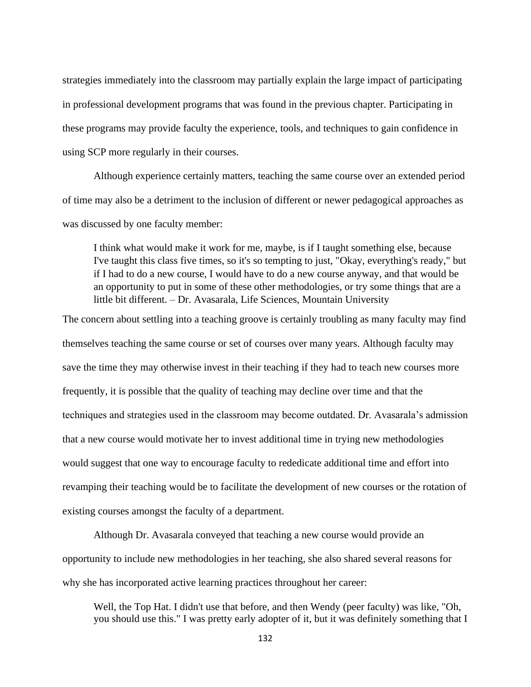strategies immediately into the classroom may partially explain the large impact of participating in professional development programs that was found in the previous chapter. Participating in these programs may provide faculty the experience, tools, and techniques to gain confidence in using SCP more regularly in their courses.

Although experience certainly matters, teaching the same course over an extended period of time may also be a detriment to the inclusion of different or newer pedagogical approaches as was discussed by one faculty member:

I think what would make it work for me, maybe, is if I taught something else, because I've taught this class five times, so it's so tempting to just, "Okay, everything's ready," but if I had to do a new course, I would have to do a new course anyway, and that would be an opportunity to put in some of these other methodologies, or try some things that are a little bit different. – Dr. Avasarala, Life Sciences, Mountain University

The concern about settling into a teaching groove is certainly troubling as many faculty may find themselves teaching the same course or set of courses over many years. Although faculty may save the time they may otherwise invest in their teaching if they had to teach new courses more frequently, it is possible that the quality of teaching may decline over time and that the techniques and strategies used in the classroom may become outdated. Dr. Avasarala's admission that a new course would motivate her to invest additional time in trying new methodologies would suggest that one way to encourage faculty to rededicate additional time and effort into revamping their teaching would be to facilitate the development of new courses or the rotation of existing courses amongst the faculty of a department.

Although Dr. Avasarala conveyed that teaching a new course would provide an opportunity to include new methodologies in her teaching, she also shared several reasons for why she has incorporated active learning practices throughout her career:

Well, the Top Hat. I didn't use that before, and then Wendy (peer faculty) was like, "Oh, you should use this." I was pretty early adopter of it, but it was definitely something that I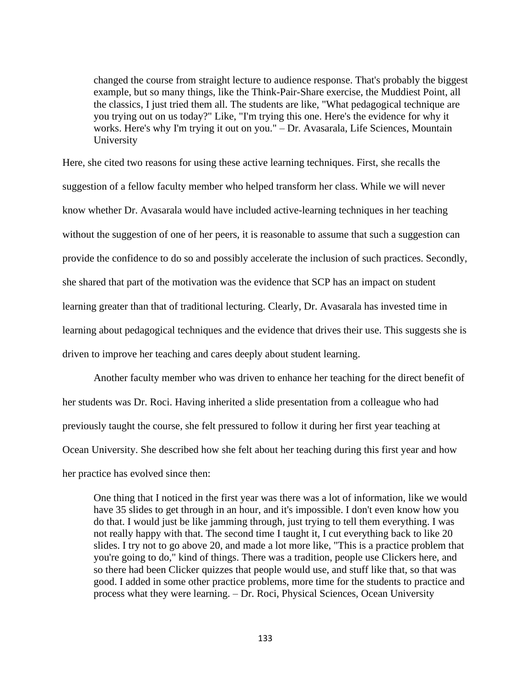changed the course from straight lecture to audience response. That's probably the biggest example, but so many things, like the Think-Pair-Share exercise, the Muddiest Point, all the classics, I just tried them all. The students are like, "What pedagogical technique are you trying out on us today?" Like, "I'm trying this one. Here's the evidence for why it works. Here's why I'm trying it out on you." – Dr. Avasarala, Life Sciences, Mountain University

Here, she cited two reasons for using these active learning techniques. First, she recalls the suggestion of a fellow faculty member who helped transform her class. While we will never know whether Dr. Avasarala would have included active-learning techniques in her teaching without the suggestion of one of her peers, it is reasonable to assume that such a suggestion can provide the confidence to do so and possibly accelerate the inclusion of such practices. Secondly, she shared that part of the motivation was the evidence that SCP has an impact on student learning greater than that of traditional lecturing. Clearly, Dr. Avasarala has invested time in learning about pedagogical techniques and the evidence that drives their use. This suggests she is driven to improve her teaching and cares deeply about student learning.

Another faculty member who was driven to enhance her teaching for the direct benefit of her students was Dr. Roci. Having inherited a slide presentation from a colleague who had previously taught the course, she felt pressured to follow it during her first year teaching at Ocean University. She described how she felt about her teaching during this first year and how her practice has evolved since then:

One thing that I noticed in the first year was there was a lot of information, like we would have 35 slides to get through in an hour, and it's impossible. I don't even know how you do that. I would just be like jamming through, just trying to tell them everything. I was not really happy with that. The second time I taught it, I cut everything back to like 20 slides. I try not to go above 20, and made a lot more like, "This is a practice problem that you're going to do," kind of things. There was a tradition, people use Clickers here, and so there had been Clicker quizzes that people would use, and stuff like that, so that was good. I added in some other practice problems, more time for the students to practice and process what they were learning. – Dr. Roci, Physical Sciences, Ocean University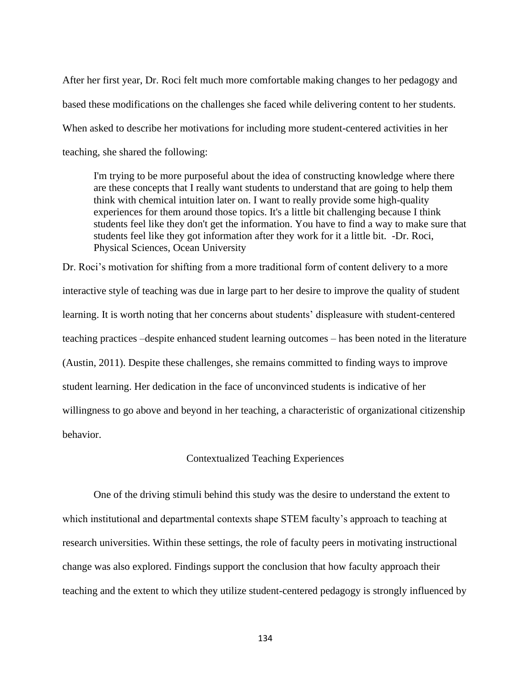After her first year, Dr. Roci felt much more comfortable making changes to her pedagogy and based these modifications on the challenges she faced while delivering content to her students. When asked to describe her motivations for including more student-centered activities in her teaching, she shared the following:

I'm trying to be more purposeful about the idea of constructing knowledge where there are these concepts that I really want students to understand that are going to help them think with chemical intuition later on. I want to really provide some high-quality experiences for them around those topics. It's a little bit challenging because I think students feel like they don't get the information. You have to find a way to make sure that students feel like they got information after they work for it a little bit. -Dr. Roci, Physical Sciences, Ocean University

Dr. Roci's motivation for shifting from a more traditional form of content delivery to a more interactive style of teaching was due in large part to her desire to improve the quality of student learning. It is worth noting that her concerns about students' displeasure with student-centered teaching practices –despite enhanced student learning outcomes – has been noted in the literature (Austin, 2011). Despite these challenges, she remains committed to finding ways to improve student learning. Her dedication in the face of unconvinced students is indicative of her willingness to go above and beyond in her teaching, a characteristic of organizational citizenship behavior.

### Contextualized Teaching Experiences

One of the driving stimuli behind this study was the desire to understand the extent to which institutional and departmental contexts shape STEM faculty's approach to teaching at research universities. Within these settings, the role of faculty peers in motivating instructional change was also explored. Findings support the conclusion that how faculty approach their teaching and the extent to which they utilize student-centered pedagogy is strongly influenced by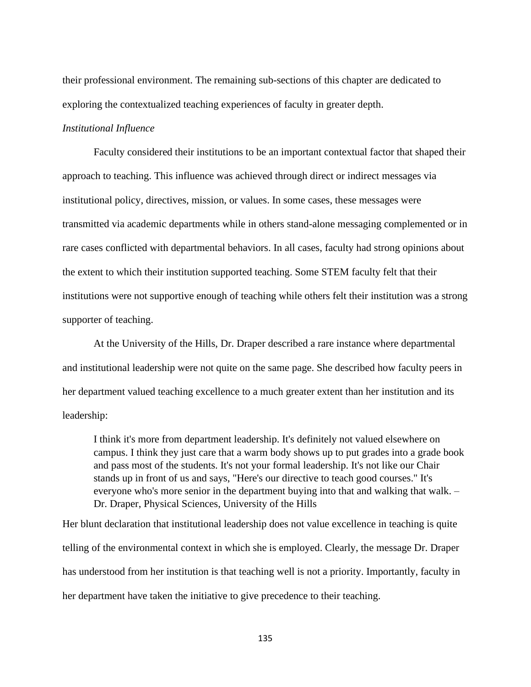their professional environment. The remaining sub-sections of this chapter are dedicated to exploring the contextualized teaching experiences of faculty in greater depth.

### *Institutional Influence*

Faculty considered their institutions to be an important contextual factor that shaped their approach to teaching. This influence was achieved through direct or indirect messages via institutional policy, directives, mission, or values. In some cases, these messages were transmitted via academic departments while in others stand-alone messaging complemented or in rare cases conflicted with departmental behaviors. In all cases, faculty had strong opinions about the extent to which their institution supported teaching. Some STEM faculty felt that their institutions were not supportive enough of teaching while others felt their institution was a strong supporter of teaching.

At the University of the Hills, Dr. Draper described a rare instance where departmental and institutional leadership were not quite on the same page. She described how faculty peers in her department valued teaching excellence to a much greater extent than her institution and its leadership:

I think it's more from department leadership. It's definitely not valued elsewhere on campus. I think they just care that a warm body shows up to put grades into a grade book and pass most of the students. It's not your formal leadership. It's not like our Chair stands up in front of us and says, "Here's our directive to teach good courses." It's everyone who's more senior in the department buying into that and walking that walk. – Dr. Draper, Physical Sciences, University of the Hills

Her blunt declaration that institutional leadership does not value excellence in teaching is quite telling of the environmental context in which she is employed. Clearly, the message Dr. Draper has understood from her institution is that teaching well is not a priority. Importantly, faculty in her department have taken the initiative to give precedence to their teaching.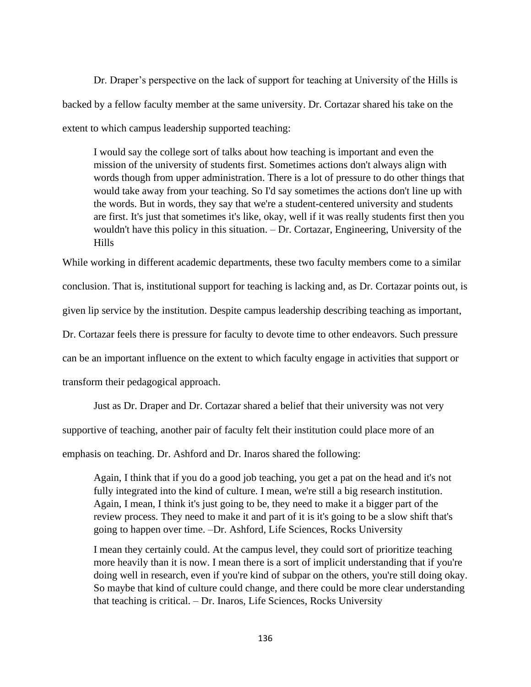Dr. Draper's perspective on the lack of support for teaching at University of the Hills is backed by a fellow faculty member at the same university. Dr. Cortazar shared his take on the extent to which campus leadership supported teaching:

I would say the college sort of talks about how teaching is important and even the mission of the university of students first. Sometimes actions don't always align with words though from upper administration. There is a lot of pressure to do other things that would take away from your teaching. So I'd say sometimes the actions don't line up with the words. But in words, they say that we're a student-centered university and students are first. It's just that sometimes it's like, okay, well if it was really students first then you wouldn't have this policy in this situation. – Dr. Cortazar, Engineering, University of the Hills

While working in different academic departments, these two faculty members come to a similar conclusion. That is, institutional support for teaching is lacking and, as Dr. Cortazar points out, is given lip service by the institution. Despite campus leadership describing teaching as important, Dr. Cortazar feels there is pressure for faculty to devote time to other endeavors. Such pressure can be an important influence on the extent to which faculty engage in activities that support or transform their pedagogical approach.

Just as Dr. Draper and Dr. Cortazar shared a belief that their university was not very supportive of teaching, another pair of faculty felt their institution could place more of an emphasis on teaching. Dr. Ashford and Dr. Inaros shared the following:

Again, I think that if you do a good job teaching, you get a pat on the head and it's not fully integrated into the kind of culture. I mean, we're still a big research institution. Again, I mean, I think it's just going to be, they need to make it a bigger part of the review process. They need to make it and part of it is it's going to be a slow shift that's going to happen over time. –Dr. Ashford, Life Sciences, Rocks University

I mean they certainly could. At the campus level, they could sort of prioritize teaching more heavily than it is now. I mean there is a sort of implicit understanding that if you're doing well in research, even if you're kind of subpar on the others, you're still doing okay. So maybe that kind of culture could change, and there could be more clear understanding that teaching is critical. – Dr. Inaros, Life Sciences, Rocks University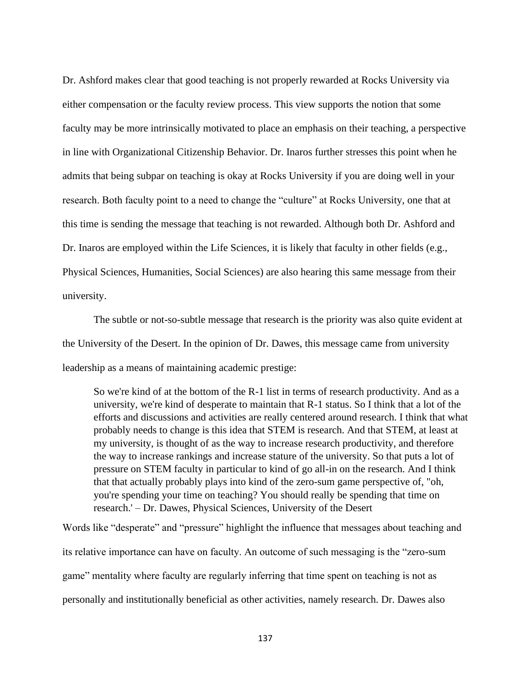Dr. Ashford makes clear that good teaching is not properly rewarded at Rocks University via either compensation or the faculty review process. This view supports the notion that some faculty may be more intrinsically motivated to place an emphasis on their teaching, a perspective in line with Organizational Citizenship Behavior. Dr. Inaros further stresses this point when he admits that being subpar on teaching is okay at Rocks University if you are doing well in your research. Both faculty point to a need to change the "culture" at Rocks University, one that at this time is sending the message that teaching is not rewarded. Although both Dr. Ashford and Dr. Inaros are employed within the Life Sciences, it is likely that faculty in other fields (e.g., Physical Sciences, Humanities, Social Sciences) are also hearing this same message from their university.

The subtle or not-so-subtle message that research is the priority was also quite evident at the University of the Desert. In the opinion of Dr. Dawes, this message came from university leadership as a means of maintaining academic prestige:

So we're kind of at the bottom of the R-1 list in terms of research productivity. And as a university, we're kind of desperate to maintain that R-1 status. So I think that a lot of the efforts and discussions and activities are really centered around research. I think that what probably needs to change is this idea that STEM is research. And that STEM, at least at my university, is thought of as the way to increase research productivity, and therefore the way to increase rankings and increase stature of the university. So that puts a lot of pressure on STEM faculty in particular to kind of go all-in on the research. And I think that that actually probably plays into kind of the zero-sum game perspective of, "oh, you're spending your time on teaching? You should really be spending that time on research.' – Dr. Dawes, Physical Sciences, University of the Desert

Words like "desperate" and "pressure" highlight the influence that messages about teaching and its relative importance can have on faculty. An outcome of such messaging is the "zero-sum game" mentality where faculty are regularly inferring that time spent on teaching is not as personally and institutionally beneficial as other activities, namely research. Dr. Dawes also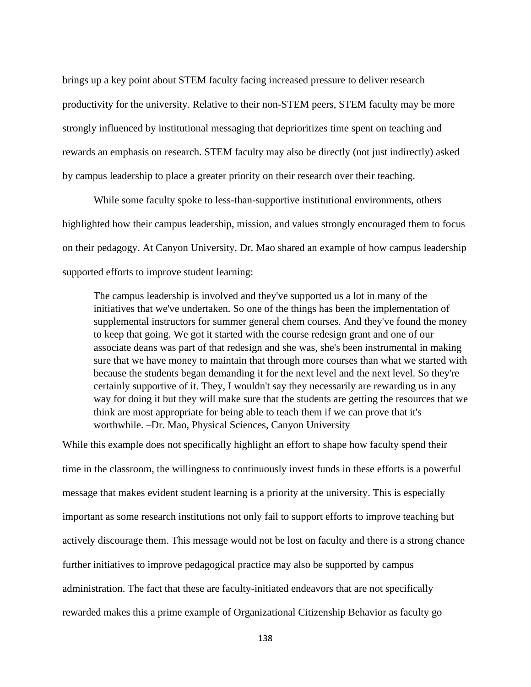brings up a key point about STEM faculty facing increased pressure to deliver research productivity for the university. Relative to their non-STEM peers, STEM faculty may be more strongly influenced by institutional messaging that deprioritizes time spent on teaching and rewards an emphasis on research. STEM faculty may also be directly (not just indirectly) asked by campus leadership to place a greater priority on their research over their teaching.

While some faculty spoke to less-than-supportive institutional environments, others highlighted how their campus leadership, mission, and values strongly encouraged them to focus on their pedagogy. At Canyon University, Dr. Mao shared an example of how campus leadership supported efforts to improve student learning:

The campus leadership is involved and they've supported us a lot in many of the initiatives that we've undertaken. So one of the things has been the implementation of supplemental instructors for summer general chem courses. And they've found the money to keep that going. We got it started with the course redesign grant and one of our associate deans was part of that redesign and she was, she's been instrumental in making sure that we have money to maintain that through more courses than what we started with because the students began demanding it for the next level and the next level. So they're certainly supportive of it. They, I wouldn't say they necessarily are rewarding us in any way for doing it but they will make sure that the students are getting the resources that we think are most appropriate for being able to teach them if we can prove that it's worthwhile. –Dr. Mao, Physical Sciences, Canyon University

While this example does not specifically highlight an effort to shape how faculty spend their time in the classroom, the willingness to continuously invest funds in these efforts is a powerful message that makes evident student learning is a priority at the university. This is especially important as some research institutions not only fail to support efforts to improve teaching but actively discourage them. This message would not be lost on faculty and there is a strong chance further initiatives to improve pedagogical practice may also be supported by campus administration. The fact that these are faculty-initiated endeavors that are not specifically rewarded makes this a prime example of Organizational Citizenship Behavior as faculty go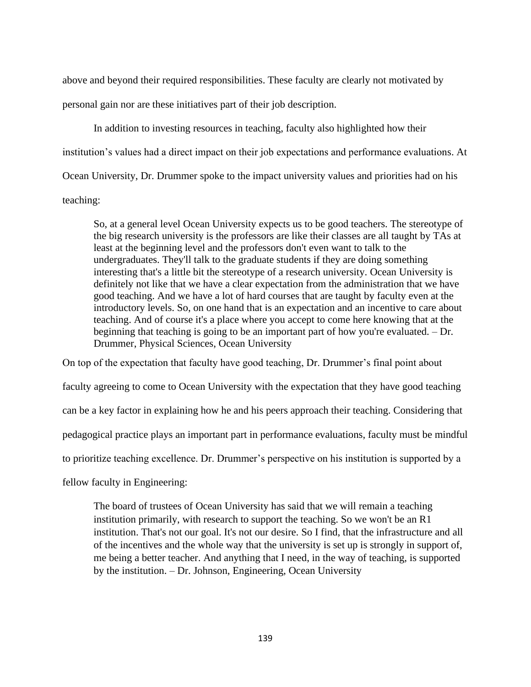above and beyond their required responsibilities. These faculty are clearly not motivated by personal gain nor are these initiatives part of their job description.

In addition to investing resources in teaching, faculty also highlighted how their institution's values had a direct impact on their job expectations and performance evaluations. At Ocean University, Dr. Drummer spoke to the impact university values and priorities had on his teaching:

So, at a general level Ocean University expects us to be good teachers. The stereotype of the big research university is the professors are like their classes are all taught by TAs at least at the beginning level and the professors don't even want to talk to the undergraduates. They'll talk to the graduate students if they are doing something interesting that's a little bit the stereotype of a research university. Ocean University is definitely not like that we have a clear expectation from the administration that we have good teaching. And we have a lot of hard courses that are taught by faculty even at the introductory levels. So, on one hand that is an expectation and an incentive to care about teaching. And of course it's a place where you accept to come here knowing that at the beginning that teaching is going to be an important part of how you're evaluated. – Dr. Drummer, Physical Sciences, Ocean University

On top of the expectation that faculty have good teaching, Dr. Drummer's final point about faculty agreeing to come to Ocean University with the expectation that they have good teaching can be a key factor in explaining how he and his peers approach their teaching. Considering that pedagogical practice plays an important part in performance evaluations, faculty must be mindful to prioritize teaching excellence. Dr. Drummer's perspective on his institution is supported by a fellow faculty in Engineering:

The board of trustees of Ocean University has said that we will remain a teaching institution primarily, with research to support the teaching. So we won't be an R1 institution. That's not our goal. It's not our desire. So I find, that the infrastructure and all of the incentives and the whole way that the university is set up is strongly in support of, me being a better teacher. And anything that I need, in the way of teaching, is supported by the institution. – Dr. Johnson, Engineering, Ocean University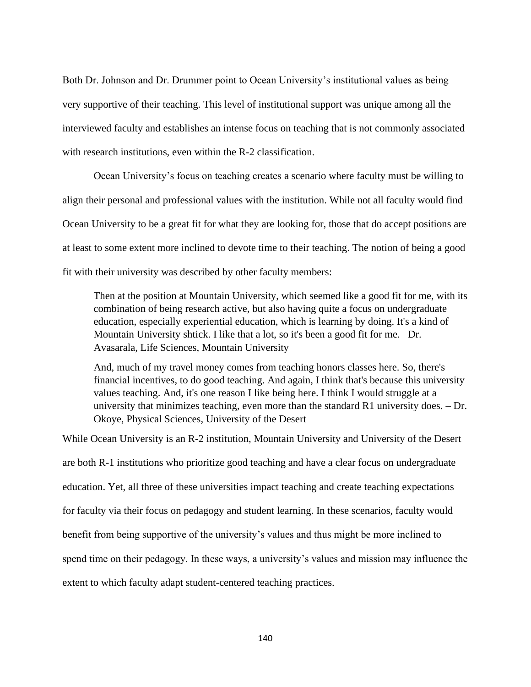Both Dr. Johnson and Dr. Drummer point to Ocean University's institutional values as being very supportive of their teaching. This level of institutional support was unique among all the interviewed faculty and establishes an intense focus on teaching that is not commonly associated with research institutions, even within the R-2 classification.

Ocean University's focus on teaching creates a scenario where faculty must be willing to align their personal and professional values with the institution. While not all faculty would find Ocean University to be a great fit for what they are looking for, those that do accept positions are at least to some extent more inclined to devote time to their teaching. The notion of being a good fit with their university was described by other faculty members:

Then at the position at Mountain University, which seemed like a good fit for me, with its combination of being research active, but also having quite a focus on undergraduate education, especially experiential education, which is learning by doing. It's a kind of Mountain University shtick. I like that a lot, so it's been a good fit for me. –Dr. Avasarala, Life Sciences, Mountain University

And, much of my travel money comes from teaching honors classes here. So, there's financial incentives, to do good teaching. And again, I think that's because this university values teaching. And, it's one reason I like being here. I think I would struggle at a university that minimizes teaching, even more than the standard R1 university does. – Dr. Okoye, Physical Sciences, University of the Desert

While Ocean University is an R-2 institution, Mountain University and University of the Desert are both R-1 institutions who prioritize good teaching and have a clear focus on undergraduate education. Yet, all three of these universities impact teaching and create teaching expectations for faculty via their focus on pedagogy and student learning. In these scenarios, faculty would benefit from being supportive of the university's values and thus might be more inclined to spend time on their pedagogy. In these ways, a university's values and mission may influence the extent to which faculty adapt student-centered teaching practices.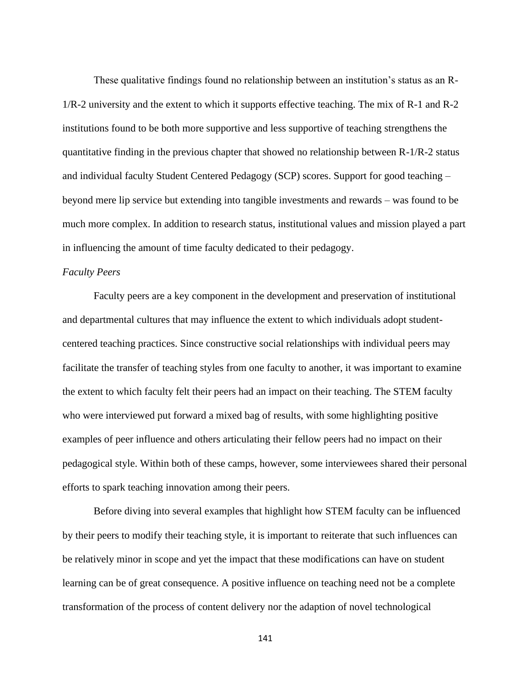These qualitative findings found no relationship between an institution's status as an R-1/R-2 university and the extent to which it supports effective teaching. The mix of R-1 and R-2 institutions found to be both more supportive and less supportive of teaching strengthens the quantitative finding in the previous chapter that showed no relationship between R-1/R-2 status and individual faculty Student Centered Pedagogy (SCP) scores. Support for good teaching – beyond mere lip service but extending into tangible investments and rewards – was found to be much more complex. In addition to research status, institutional values and mission played a part in influencing the amount of time faculty dedicated to their pedagogy.

## *Faculty Peers*

Faculty peers are a key component in the development and preservation of institutional and departmental cultures that may influence the extent to which individuals adopt studentcentered teaching practices. Since constructive social relationships with individual peers may facilitate the transfer of teaching styles from one faculty to another, it was important to examine the extent to which faculty felt their peers had an impact on their teaching. The STEM faculty who were interviewed put forward a mixed bag of results, with some highlighting positive examples of peer influence and others articulating their fellow peers had no impact on their pedagogical style. Within both of these camps, however, some interviewees shared their personal efforts to spark teaching innovation among their peers.

Before diving into several examples that highlight how STEM faculty can be influenced by their peers to modify their teaching style, it is important to reiterate that such influences can be relatively minor in scope and yet the impact that these modifications can have on student learning can be of great consequence. A positive influence on teaching need not be a complete transformation of the process of content delivery nor the adaption of novel technological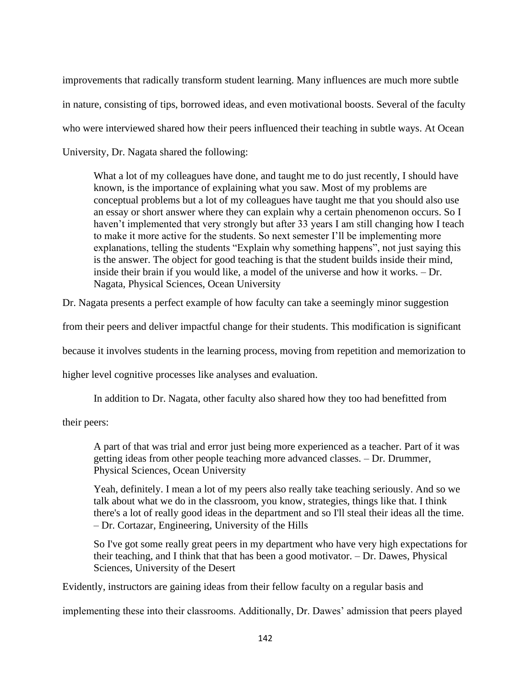improvements that radically transform student learning. Many influences are much more subtle in nature, consisting of tips, borrowed ideas, and even motivational boosts. Several of the faculty who were interviewed shared how their peers influenced their teaching in subtle ways. At Ocean University, Dr. Nagata shared the following:

What a lot of my colleagues have done, and taught me to do just recently, I should have known, is the importance of explaining what you saw. Most of my problems are conceptual problems but a lot of my colleagues have taught me that you should also use an essay or short answer where they can explain why a certain phenomenon occurs. So I haven't implemented that very strongly but after 33 years I am still changing how I teach to make it more active for the students. So next semester I'll be implementing more explanations, telling the students "Explain why something happens", not just saying this is the answer. The object for good teaching is that the student builds inside their mind, inside their brain if you would like, a model of the universe and how it works. – Dr. Nagata, Physical Sciences, Ocean University

Dr. Nagata presents a perfect example of how faculty can take a seemingly minor suggestion

from their peers and deliver impactful change for their students. This modification is significant

because it involves students in the learning process, moving from repetition and memorization to

higher level cognitive processes like analyses and evaluation.

In addition to Dr. Nagata, other faculty also shared how they too had benefitted from

their peers:

A part of that was trial and error just being more experienced as a teacher. Part of it was getting ideas from other people teaching more advanced classes. – Dr. Drummer, Physical Sciences, Ocean University

Yeah, definitely. I mean a lot of my peers also really take teaching seriously. And so we talk about what we do in the classroom, you know, strategies, things like that. I think there's a lot of really good ideas in the department and so I'll steal their ideas all the time. – Dr. Cortazar, Engineering, University of the Hills

So I've got some really great peers in my department who have very high expectations for their teaching, and I think that that has been a good motivator. – Dr. Dawes, Physical Sciences, University of the Desert

Evidently, instructors are gaining ideas from their fellow faculty on a regular basis and

implementing these into their classrooms. Additionally, Dr. Dawes' admission that peers played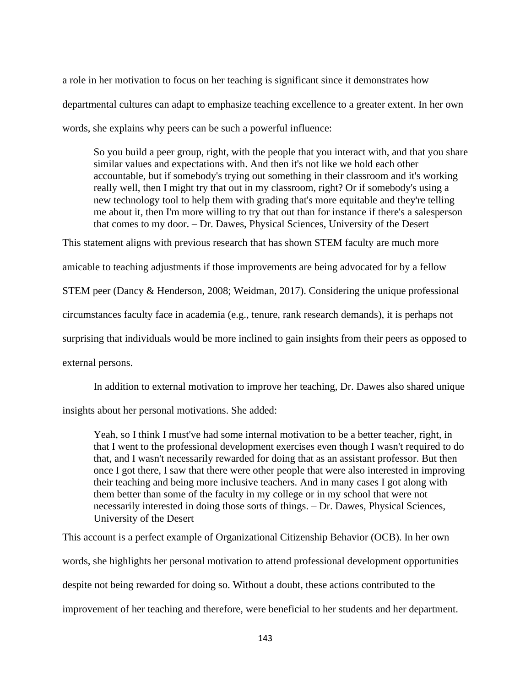a role in her motivation to focus on her teaching is significant since it demonstrates how departmental cultures can adapt to emphasize teaching excellence to a greater extent. In her own words, she explains why peers can be such a powerful influence:

So you build a peer group, right, with the people that you interact with, and that you share similar values and expectations with. And then it's not like we hold each other accountable, but if somebody's trying out something in their classroom and it's working really well, then I might try that out in my classroom, right? Or if somebody's using a new technology tool to help them with grading that's more equitable and they're telling me about it, then I'm more willing to try that out than for instance if there's a salesperson that comes to my door. – Dr. Dawes, Physical Sciences, University of the Desert

This statement aligns with previous research that has shown STEM faculty are much more

amicable to teaching adjustments if those improvements are being advocated for by a fellow

STEM peer (Dancy & Henderson, 2008; Weidman, 2017). Considering the unique professional

circumstances faculty face in academia (e.g., tenure, rank research demands), it is perhaps not

surprising that individuals would be more inclined to gain insights from their peers as opposed to

external persons.

In addition to external motivation to improve her teaching, Dr. Dawes also shared unique

insights about her personal motivations. She added:

Yeah, so I think I must've had some internal motivation to be a better teacher, right, in that I went to the professional development exercises even though I wasn't required to do that, and I wasn't necessarily rewarded for doing that as an assistant professor. But then once I got there, I saw that there were other people that were also interested in improving their teaching and being more inclusive teachers. And in many cases I got along with them better than some of the faculty in my college or in my school that were not necessarily interested in doing those sorts of things. – Dr. Dawes, Physical Sciences, University of the Desert

This account is a perfect example of Organizational Citizenship Behavior (OCB). In her own words, she highlights her personal motivation to attend professional development opportunities despite not being rewarded for doing so. Without a doubt, these actions contributed to the improvement of her teaching and therefore, were beneficial to her students and her department.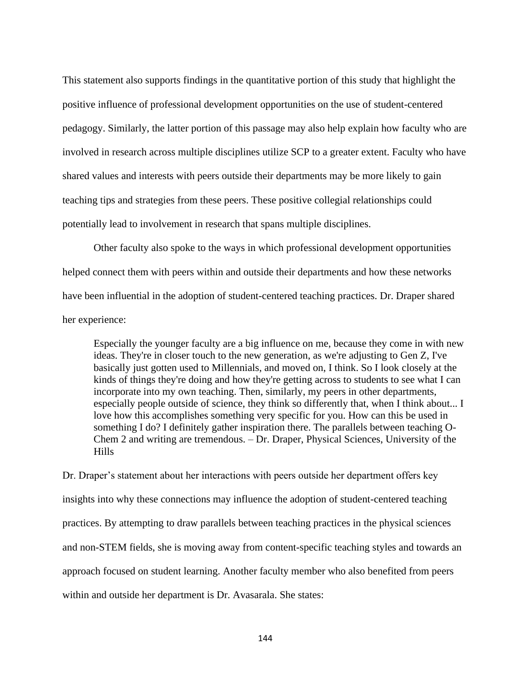This statement also supports findings in the quantitative portion of this study that highlight the positive influence of professional development opportunities on the use of student-centered pedagogy. Similarly, the latter portion of this passage may also help explain how faculty who are involved in research across multiple disciplines utilize SCP to a greater extent. Faculty who have shared values and interests with peers outside their departments may be more likely to gain teaching tips and strategies from these peers. These positive collegial relationships could potentially lead to involvement in research that spans multiple disciplines.

Other faculty also spoke to the ways in which professional development opportunities helped connect them with peers within and outside their departments and how these networks have been influential in the adoption of student-centered teaching practices. Dr. Draper shared her experience:

Especially the younger faculty are a big influence on me, because they come in with new ideas. They're in closer touch to the new generation, as we're adjusting to Gen Z, I've basically just gotten used to Millennials, and moved on, I think. So I look closely at the kinds of things they're doing and how they're getting across to students to see what I can incorporate into my own teaching. Then, similarly, my peers in other departments, especially people outside of science, they think so differently that, when I think about... I love how this accomplishes something very specific for you. How can this be used in something I do? I definitely gather inspiration there. The parallels between teaching O-Chem 2 and writing are tremendous. – Dr. Draper, Physical Sciences, University of the Hills

Dr. Draper's statement about her interactions with peers outside her department offers key insights into why these connections may influence the adoption of student-centered teaching practices. By attempting to draw parallels between teaching practices in the physical sciences and non-STEM fields, she is moving away from content-specific teaching styles and towards an approach focused on student learning. Another faculty member who also benefited from peers within and outside her department is Dr. Avasarala. She states: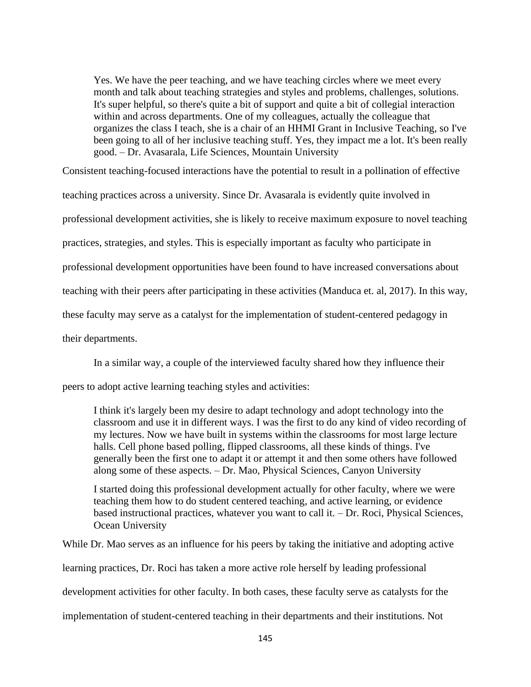Yes. We have the peer teaching, and we have teaching circles where we meet every month and talk about teaching strategies and styles and problems, challenges, solutions. It's super helpful, so there's quite a bit of support and quite a bit of collegial interaction within and across departments. One of my colleagues, actually the colleague that organizes the class I teach, she is a chair of an HHMI Grant in Inclusive Teaching, so I've been going to all of her inclusive teaching stuff. Yes, they impact me a lot. It's been really good. – Dr. Avasarala, Life Sciences, Mountain University

Consistent teaching-focused interactions have the potential to result in a pollination of effective

teaching practices across a university. Since Dr. Avasarala is evidently quite involved in

professional development activities, she is likely to receive maximum exposure to novel teaching

practices, strategies, and styles. This is especially important as faculty who participate in

professional development opportunities have been found to have increased conversations about

teaching with their peers after participating in these activities (Manduca et. al, 2017). In this way,

these faculty may serve as a catalyst for the implementation of student-centered pedagogy in

their departments.

In a similar way, a couple of the interviewed faculty shared how they influence their

peers to adopt active learning teaching styles and activities:

I think it's largely been my desire to adapt technology and adopt technology into the classroom and use it in different ways. I was the first to do any kind of video recording of my lectures. Now we have built in systems within the classrooms for most large lecture halls. Cell phone based polling, flipped classrooms, all these kinds of things. I've generally been the first one to adapt it or attempt it and then some others have followed along some of these aspects. – Dr. Mao, Physical Sciences, Canyon University

I started doing this professional development actually for other faculty, where we were teaching them how to do student centered teaching, and active learning, or evidence based instructional practices, whatever you want to call it. – Dr. Roci, Physical Sciences, Ocean University

While Dr. Mao serves as an influence for his peers by taking the initiative and adopting active

learning practices, Dr. Roci has taken a more active role herself by leading professional

development activities for other faculty. In both cases, these faculty serve as catalysts for the

implementation of student-centered teaching in their departments and their institutions. Not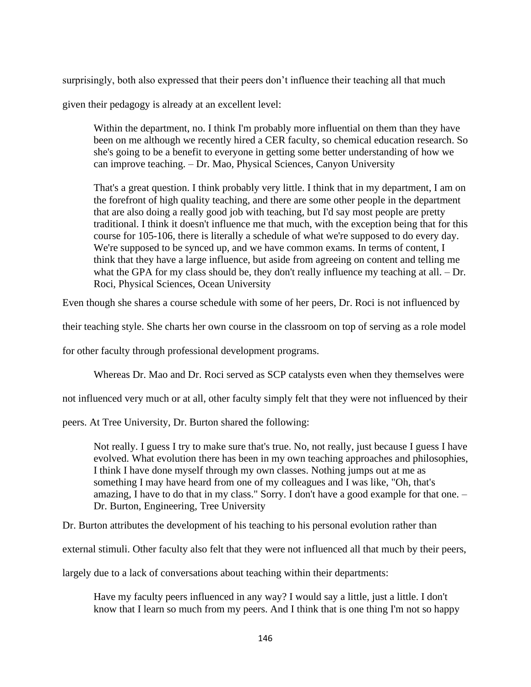surprisingly, both also expressed that their peers don't influence their teaching all that much

given their pedagogy is already at an excellent level:

Within the department, no. I think I'm probably more influential on them than they have been on me although we recently hired a CER faculty, so chemical education research. So she's going to be a benefit to everyone in getting some better understanding of how we can improve teaching. – Dr. Mao, Physical Sciences, Canyon University

That's a great question. I think probably very little. I think that in my department, I am on the forefront of high quality teaching, and there are some other people in the department that are also doing a really good job with teaching, but I'd say most people are pretty traditional. I think it doesn't influence me that much, with the exception being that for this course for 105-106, there is literally a schedule of what we're supposed to do every day. We're supposed to be synced up, and we have common exams. In terms of content, I think that they have a large influence, but aside from agreeing on content and telling me what the GPA for my class should be, they don't really influence my teaching at all. – Dr. Roci, Physical Sciences, Ocean University

Even though she shares a course schedule with some of her peers, Dr. Roci is not influenced by

their teaching style. She charts her own course in the classroom on top of serving as a role model

for other faculty through professional development programs.

Whereas Dr. Mao and Dr. Roci served as SCP catalysts even when they themselves were

not influenced very much or at all, other faculty simply felt that they were not influenced by their

peers. At Tree University, Dr. Burton shared the following:

Not really. I guess I try to make sure that's true. No, not really, just because I guess I have evolved. What evolution there has been in my own teaching approaches and philosophies, I think I have done myself through my own classes. Nothing jumps out at me as something I may have heard from one of my colleagues and I was like, "Oh, that's amazing, I have to do that in my class." Sorry. I don't have a good example for that one. – Dr. Burton, Engineering, Tree University

Dr. Burton attributes the development of his teaching to his personal evolution rather than

external stimuli. Other faculty also felt that they were not influenced all that much by their peers,

largely due to a lack of conversations about teaching within their departments:

Have my faculty peers influenced in any way? I would say a little, just a little. I don't know that I learn so much from my peers. And I think that is one thing I'm not so happy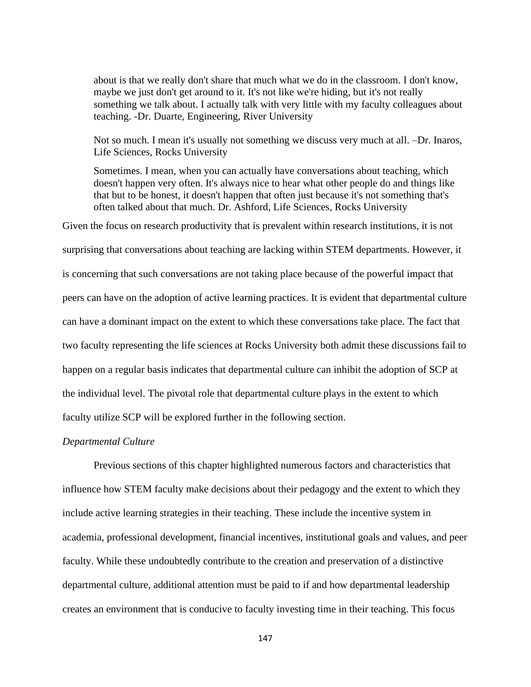about is that we really don't share that much what we do in the classroom. I don't know, maybe we just don't get around to it. It's not like we're hiding, but it's not really something we talk about. I actually talk with very little with my faculty colleagues about teaching. -Dr. Duarte, Engineering, River University

Not so much. I mean it's usually not something we discuss very much at all. –Dr. Inaros, Life Sciences, Rocks University

Sometimes. I mean, when you can actually have conversations about teaching, which doesn't happen very often. It's always nice to hear what other people do and things like that but to be honest, it doesn't happen that often just because it's not something that's often talked about that much. Dr. Ashford, Life Sciences, Rocks University

Given the focus on research productivity that is prevalent within research institutions, it is not surprising that conversations about teaching are lacking within STEM departments. However, it is concerning that such conversations are not taking place because of the powerful impact that peers can have on the adoption of active learning practices. It is evident that departmental culture can have a dominant impact on the extent to which these conversations take place. The fact that two faculty representing the life sciences at Rocks University both admit these discussions fail to happen on a regular basis indicates that departmental culture can inhibit the adoption of SCP at the individual level. The pivotal role that departmental culture plays in the extent to which faculty utilize SCP will be explored further in the following section.

#### *Departmental Culture*

Previous sections of this chapter highlighted numerous factors and characteristics that influence how STEM faculty make decisions about their pedagogy and the extent to which they include active learning strategies in their teaching. These include the incentive system in academia, professional development, financial incentives, institutional goals and values, and peer faculty. While these undoubtedly contribute to the creation and preservation of a distinctive departmental culture, additional attention must be paid to if and how departmental leadership creates an environment that is conducive to faculty investing time in their teaching. This focus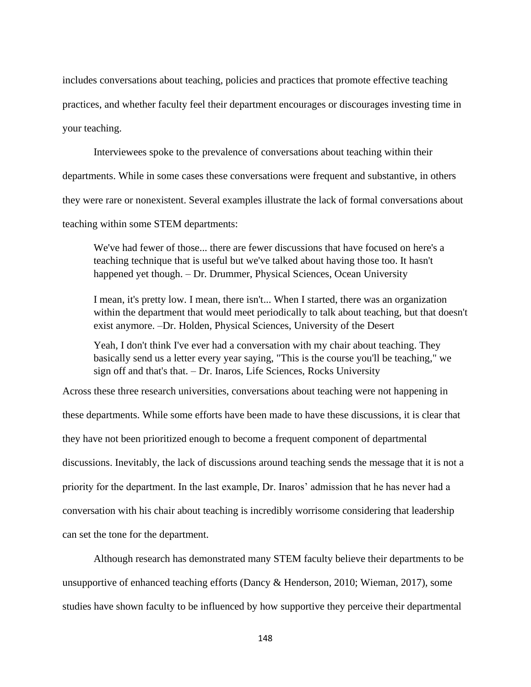includes conversations about teaching, policies and practices that promote effective teaching practices, and whether faculty feel their department encourages or discourages investing time in your teaching.

Interviewees spoke to the prevalence of conversations about teaching within their departments. While in some cases these conversations were frequent and substantive, in others they were rare or nonexistent. Several examples illustrate the lack of formal conversations about

teaching within some STEM departments:

We've had fewer of those... there are fewer discussions that have focused on here's a teaching technique that is useful but we've talked about having those too. It hasn't happened yet though. – Dr. Drummer, Physical Sciences, Ocean University

I mean, it's pretty low. I mean, there isn't... When I started, there was an organization within the department that would meet periodically to talk about teaching, but that doesn't exist anymore. –Dr. Holden, Physical Sciences, University of the Desert

Yeah, I don't think I've ever had a conversation with my chair about teaching. They basically send us a letter every year saying, "This is the course you'll be teaching," we sign off and that's that. – Dr. Inaros, Life Sciences, Rocks University

Across these three research universities, conversations about teaching were not happening in these departments. While some efforts have been made to have these discussions, it is clear that they have not been prioritized enough to become a frequent component of departmental discussions. Inevitably, the lack of discussions around teaching sends the message that it is not a priority for the department. In the last example, Dr. Inaros' admission that he has never had a conversation with his chair about teaching is incredibly worrisome considering that leadership can set the tone for the department.

Although research has demonstrated many STEM faculty believe their departments to be unsupportive of enhanced teaching efforts (Dancy & Henderson, 2010; Wieman, 2017), some studies have shown faculty to be influenced by how supportive they perceive their departmental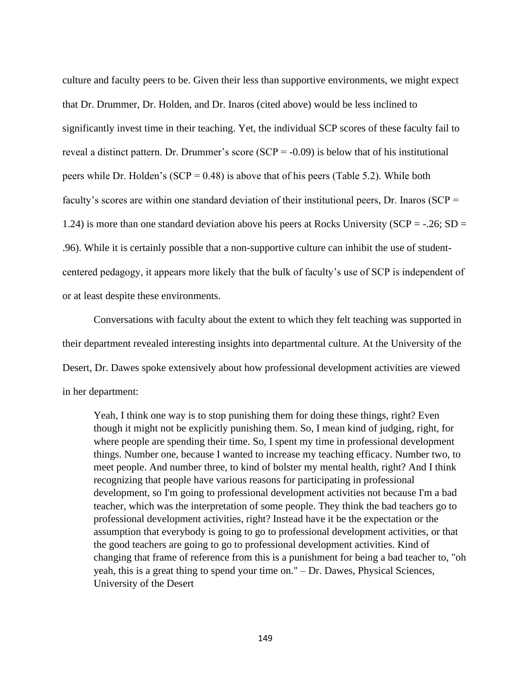culture and faculty peers to be. Given their less than supportive environments, we might expect that Dr. Drummer, Dr. Holden, and Dr. Inaros (cited above) would be less inclined to significantly invest time in their teaching. Yet, the individual SCP scores of these faculty fail to reveal a distinct pattern. Dr. Drummer's score  $(SCP = -0.09)$  is below that of his institutional peers while Dr. Holden's (SCP =  $0.48$ ) is above that of his peers (Table 5.2). While both faculty's scores are within one standard deviation of their institutional peers, Dr. Inaros (SCP = 1.24) is more than one standard deviation above his peers at Rocks University ( $SCP = -.26$ ;  $SD =$ .96). While it is certainly possible that a non-supportive culture can inhibit the use of studentcentered pedagogy, it appears more likely that the bulk of faculty's use of SCP is independent of or at least despite these environments.

Conversations with faculty about the extent to which they felt teaching was supported in their department revealed interesting insights into departmental culture. At the University of the Desert, Dr. Dawes spoke extensively about how professional development activities are viewed in her department:

Yeah, I think one way is to stop punishing them for doing these things, right? Even though it might not be explicitly punishing them. So, I mean kind of judging, right, for where people are spending their time. So, I spent my time in professional development things. Number one, because I wanted to increase my teaching efficacy. Number two, to meet people. And number three, to kind of bolster my mental health, right? And I think recognizing that people have various reasons for participating in professional development, so I'm going to professional development activities not because I'm a bad teacher, which was the interpretation of some people. They think the bad teachers go to professional development activities, right? Instead have it be the expectation or the assumption that everybody is going to go to professional development activities, or that the good teachers are going to go to professional development activities. Kind of changing that frame of reference from this is a punishment for being a bad teacher to, "oh yeah, this is a great thing to spend your time on." – Dr. Dawes, Physical Sciences, University of the Desert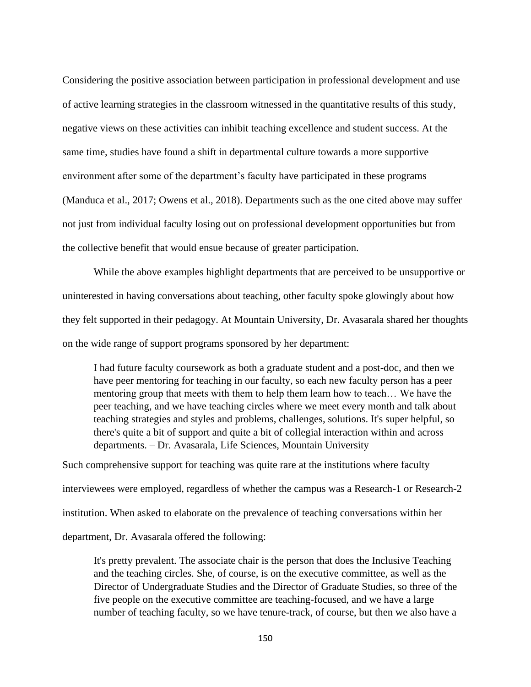Considering the positive association between participation in professional development and use of active learning strategies in the classroom witnessed in the quantitative results of this study, negative views on these activities can inhibit teaching excellence and student success. At the same time, studies have found a shift in departmental culture towards a more supportive environment after some of the department's faculty have participated in these programs (Manduca et al., 2017; Owens et al., 2018). Departments such as the one cited above may suffer not just from individual faculty losing out on professional development opportunities but from the collective benefit that would ensue because of greater participation.

While the above examples highlight departments that are perceived to be unsupportive or uninterested in having conversations about teaching, other faculty spoke glowingly about how they felt supported in their pedagogy. At Mountain University, Dr. Avasarala shared her thoughts on the wide range of support programs sponsored by her department:

I had future faculty coursework as both a graduate student and a post-doc, and then we have peer mentoring for teaching in our faculty, so each new faculty person has a peer mentoring group that meets with them to help them learn how to teach… We have the peer teaching, and we have teaching circles where we meet every month and talk about teaching strategies and styles and problems, challenges, solutions. It's super helpful, so there's quite a bit of support and quite a bit of collegial interaction within and across departments. – Dr. Avasarala, Life Sciences, Mountain University

Such comprehensive support for teaching was quite rare at the institutions where faculty interviewees were employed, regardless of whether the campus was a Research-1 or Research-2 institution. When asked to elaborate on the prevalence of teaching conversations within her department, Dr. Avasarala offered the following:

It's pretty prevalent. The associate chair is the person that does the Inclusive Teaching and the teaching circles. She, of course, is on the executive committee, as well as the Director of Undergraduate Studies and the Director of Graduate Studies, so three of the five people on the executive committee are teaching-focused, and we have a large number of teaching faculty, so we have tenure-track, of course, but then we also have a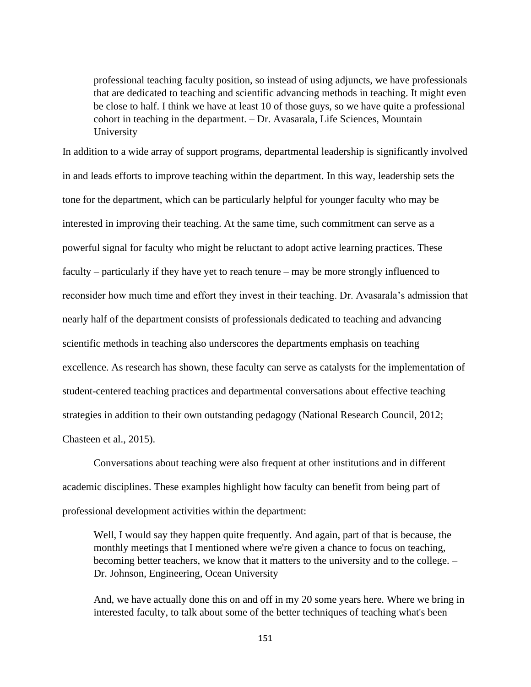professional teaching faculty position, so instead of using adjuncts, we have professionals that are dedicated to teaching and scientific advancing methods in teaching. It might even be close to half. I think we have at least 10 of those guys, so we have quite a professional cohort in teaching in the department. – Dr. Avasarala, Life Sciences, Mountain University

In addition to a wide array of support programs, departmental leadership is significantly involved in and leads efforts to improve teaching within the department. In this way, leadership sets the tone for the department, which can be particularly helpful for younger faculty who may be interested in improving their teaching. At the same time, such commitment can serve as a powerful signal for faculty who might be reluctant to adopt active learning practices. These faculty – particularly if they have yet to reach tenure – may be more strongly influenced to reconsider how much time and effort they invest in their teaching. Dr. Avasarala's admission that nearly half of the department consists of professionals dedicated to teaching and advancing scientific methods in teaching also underscores the departments emphasis on teaching excellence. As research has shown, these faculty can serve as catalysts for the implementation of student-centered teaching practices and departmental conversations about effective teaching strategies in addition to their own outstanding pedagogy (National Research Council, 2012; Chasteen et al., 2015).

Conversations about teaching were also frequent at other institutions and in different academic disciplines. These examples highlight how faculty can benefit from being part of professional development activities within the department:

Well, I would say they happen quite frequently. And again, part of that is because, the monthly meetings that I mentioned where we're given a chance to focus on teaching, becoming better teachers, we know that it matters to the university and to the college. – Dr. Johnson, Engineering, Ocean University

And, we have actually done this on and off in my 20 some years here. Where we bring in interested faculty, to talk about some of the better techniques of teaching what's been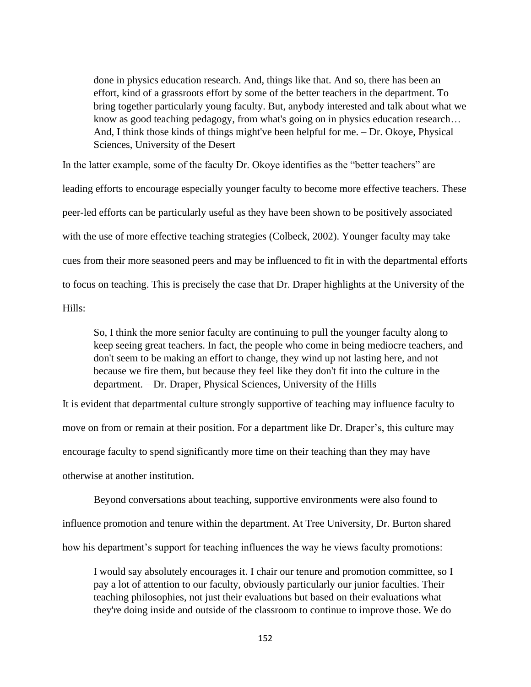done in physics education research. And, things like that. And so, there has been an effort, kind of a grassroots effort by some of the better teachers in the department. To bring together particularly young faculty. But, anybody interested and talk about what we know as good teaching pedagogy, from what's going on in physics education research… And, I think those kinds of things might've been helpful for me. – Dr. Okoye, Physical Sciences, University of the Desert

In the latter example, some of the faculty Dr. Okoye identifies as the "better teachers" are leading efforts to encourage especially younger faculty to become more effective teachers. These peer-led efforts can be particularly useful as they have been shown to be positively associated with the use of more effective teaching strategies (Colbeck, 2002). Younger faculty may take cues from their more seasoned peers and may be influenced to fit in with the departmental efforts to focus on teaching. This is precisely the case that Dr. Draper highlights at the University of the Hills:

So, I think the more senior faculty are continuing to pull the younger faculty along to keep seeing great teachers. In fact, the people who come in being mediocre teachers, and don't seem to be making an effort to change, they wind up not lasting here, and not because we fire them, but because they feel like they don't fit into the culture in the department. – Dr. Draper, Physical Sciences, University of the Hills

It is evident that departmental culture strongly supportive of teaching may influence faculty to move on from or remain at their position. For a department like Dr. Draper's, this culture may encourage faculty to spend significantly more time on their teaching than they may have otherwise at another institution.

Beyond conversations about teaching, supportive environments were also found to influence promotion and tenure within the department. At Tree University, Dr. Burton shared how his department's support for teaching influences the way he views faculty promotions:

I would say absolutely encourages it. I chair our tenure and promotion committee, so I pay a lot of attention to our faculty, obviously particularly our junior faculties. Their teaching philosophies, not just their evaluations but based on their evaluations what they're doing inside and outside of the classroom to continue to improve those. We do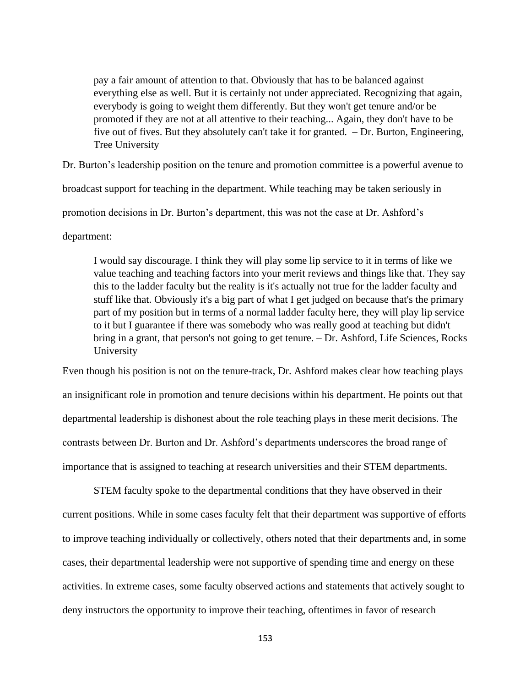pay a fair amount of attention to that. Obviously that has to be balanced against everything else as well. But it is certainly not under appreciated. Recognizing that again, everybody is going to weight them differently. But they won't get tenure and/or be promoted if they are not at all attentive to their teaching... Again, they don't have to be five out of fives. But they absolutely can't take it for granted. – Dr. Burton, Engineering, Tree University

Dr. Burton's leadership position on the tenure and promotion committee is a powerful avenue to

broadcast support for teaching in the department. While teaching may be taken seriously in

promotion decisions in Dr. Burton's department, this was not the case at Dr. Ashford's

department:

I would say discourage. I think they will play some lip service to it in terms of like we value teaching and teaching factors into your merit reviews and things like that. They say this to the ladder faculty but the reality is it's actually not true for the ladder faculty and stuff like that. Obviously it's a big part of what I get judged on because that's the primary part of my position but in terms of a normal ladder faculty here, they will play lip service to it but I guarantee if there was somebody who was really good at teaching but didn't bring in a grant, that person's not going to get tenure. – Dr. Ashford, Life Sciences, Rocks University

Even though his position is not on the tenure-track, Dr. Ashford makes clear how teaching plays an insignificant role in promotion and tenure decisions within his department. He points out that departmental leadership is dishonest about the role teaching plays in these merit decisions. The contrasts between Dr. Burton and Dr. Ashford's departments underscores the broad range of importance that is assigned to teaching at research universities and their STEM departments.

STEM faculty spoke to the departmental conditions that they have observed in their current positions. While in some cases faculty felt that their department was supportive of efforts to improve teaching individually or collectively, others noted that their departments and, in some cases, their departmental leadership were not supportive of spending time and energy on these activities. In extreme cases, some faculty observed actions and statements that actively sought to deny instructors the opportunity to improve their teaching, oftentimes in favor of research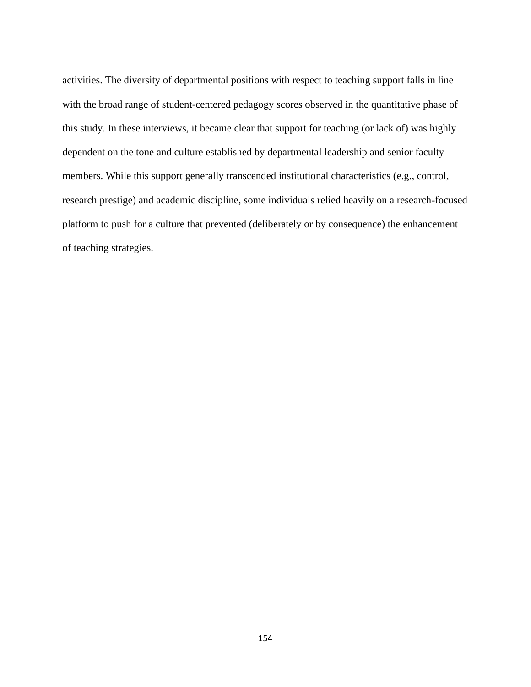activities. The diversity of departmental positions with respect to teaching support falls in line with the broad range of student-centered pedagogy scores observed in the quantitative phase of this study. In these interviews, it became clear that support for teaching (or lack of) was highly dependent on the tone and culture established by departmental leadership and senior faculty members. While this support generally transcended institutional characteristics (e.g., control, research prestige) and academic discipline, some individuals relied heavily on a research-focused platform to push for a culture that prevented (deliberately or by consequence) the enhancement of teaching strategies.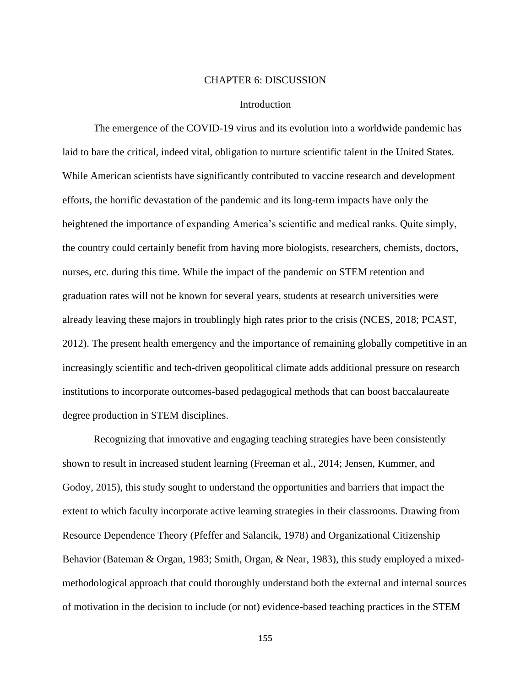#### CHAPTER 6: DISCUSSION

#### **Introduction**

The emergence of the COVID-19 virus and its evolution into a worldwide pandemic has laid to bare the critical, indeed vital, obligation to nurture scientific talent in the United States. While American scientists have significantly contributed to vaccine research and development efforts, the horrific devastation of the pandemic and its long-term impacts have only the heightened the importance of expanding America's scientific and medical ranks. Quite simply, the country could certainly benefit from having more biologists, researchers, chemists, doctors, nurses, etc. during this time. While the impact of the pandemic on STEM retention and graduation rates will not be known for several years, students at research universities were already leaving these majors in troublingly high rates prior to the crisis (NCES, 2018; PCAST, 2012). The present health emergency and the importance of remaining globally competitive in an increasingly scientific and tech-driven geopolitical climate adds additional pressure on research institutions to incorporate outcomes-based pedagogical methods that can boost baccalaureate degree production in STEM disciplines.

Recognizing that innovative and engaging teaching strategies have been consistently shown to result in increased student learning (Freeman et al., 2014; Jensen, Kummer, and Godoy, 2015), this study sought to understand the opportunities and barriers that impact the extent to which faculty incorporate active learning strategies in their classrooms. Drawing from Resource Dependence Theory (Pfeffer and Salancik, 1978) and Organizational Citizenship Behavior (Bateman & Organ, 1983; Smith, Organ, & Near, 1983), this study employed a mixedmethodological approach that could thoroughly understand both the external and internal sources of motivation in the decision to include (or not) evidence-based teaching practices in the STEM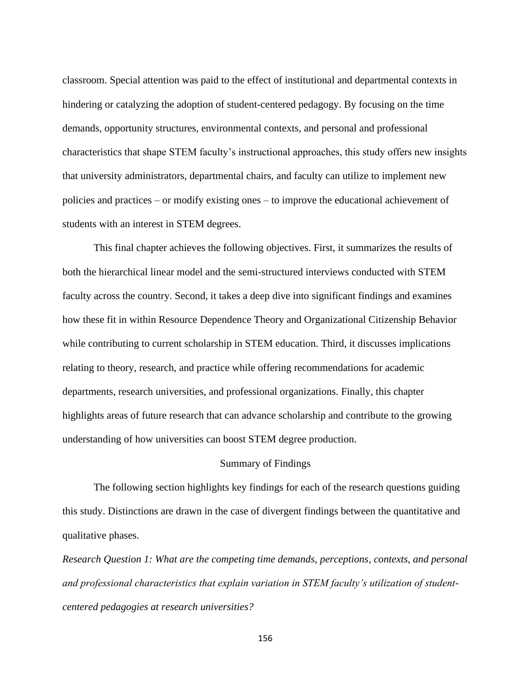classroom. Special attention was paid to the effect of institutional and departmental contexts in hindering or catalyzing the adoption of student-centered pedagogy. By focusing on the time demands, opportunity structures, environmental contexts, and personal and professional characteristics that shape STEM faculty's instructional approaches, this study offers new insights that university administrators, departmental chairs, and faculty can utilize to implement new policies and practices – or modify existing ones – to improve the educational achievement of students with an interest in STEM degrees.

This final chapter achieves the following objectives. First, it summarizes the results of both the hierarchical linear model and the semi-structured interviews conducted with STEM faculty across the country. Second, it takes a deep dive into significant findings and examines how these fit in within Resource Dependence Theory and Organizational Citizenship Behavior while contributing to current scholarship in STEM education. Third, it discusses implications relating to theory, research, and practice while offering recommendations for academic departments, research universities, and professional organizations. Finally, this chapter highlights areas of future research that can advance scholarship and contribute to the growing understanding of how universities can boost STEM degree production.

## Summary of Findings

The following section highlights key findings for each of the research questions guiding this study. Distinctions are drawn in the case of divergent findings between the quantitative and qualitative phases.

*Research Question 1: What are the competing time demands, perceptions, contexts, and personal and professional characteristics that explain variation in STEM faculty's utilization of studentcentered pedagogies at research universities?*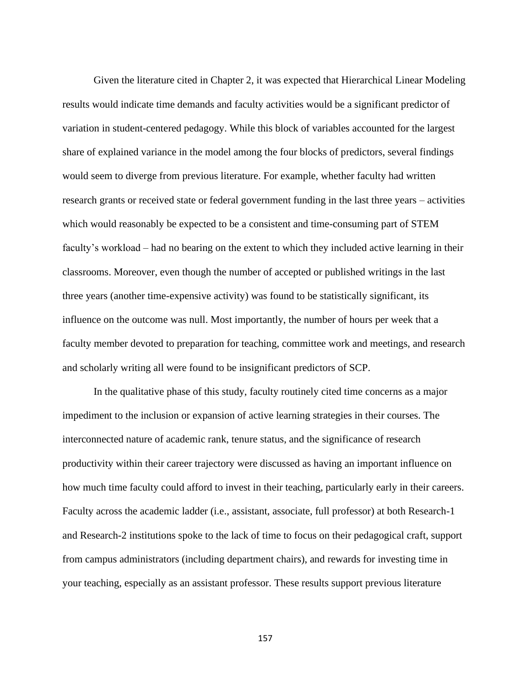Given the literature cited in Chapter 2, it was expected that Hierarchical Linear Modeling results would indicate time demands and faculty activities would be a significant predictor of variation in student-centered pedagogy. While this block of variables accounted for the largest share of explained variance in the model among the four blocks of predictors, several findings would seem to diverge from previous literature. For example, whether faculty had written research grants or received state or federal government funding in the last three years – activities which would reasonably be expected to be a consistent and time-consuming part of STEM faculty's workload – had no bearing on the extent to which they included active learning in their classrooms. Moreover, even though the number of accepted or published writings in the last three years (another time-expensive activity) was found to be statistically significant, its influence on the outcome was null. Most importantly, the number of hours per week that a faculty member devoted to preparation for teaching, committee work and meetings, and research and scholarly writing all were found to be insignificant predictors of SCP.

In the qualitative phase of this study, faculty routinely cited time concerns as a major impediment to the inclusion or expansion of active learning strategies in their courses. The interconnected nature of academic rank, tenure status, and the significance of research productivity within their career trajectory were discussed as having an important influence on how much time faculty could afford to invest in their teaching, particularly early in their careers. Faculty across the academic ladder (i.e., assistant, associate, full professor) at both Research-1 and Research-2 institutions spoke to the lack of time to focus on their pedagogical craft, support from campus administrators (including department chairs), and rewards for investing time in your teaching, especially as an assistant professor. These results support previous literature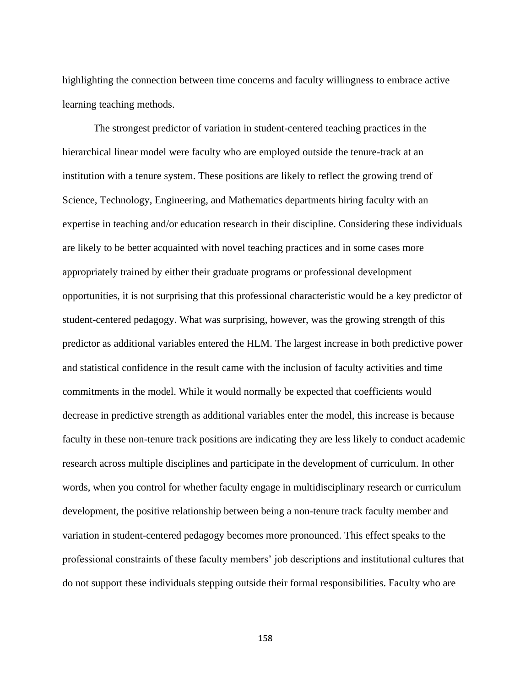highlighting the connection between time concerns and faculty willingness to embrace active learning teaching methods.

The strongest predictor of variation in student-centered teaching practices in the hierarchical linear model were faculty who are employed outside the tenure-track at an institution with a tenure system. These positions are likely to reflect the growing trend of Science, Technology, Engineering, and Mathematics departments hiring faculty with an expertise in teaching and/or education research in their discipline. Considering these individuals are likely to be better acquainted with novel teaching practices and in some cases more appropriately trained by either their graduate programs or professional development opportunities, it is not surprising that this professional characteristic would be a key predictor of student-centered pedagogy. What was surprising, however, was the growing strength of this predictor as additional variables entered the HLM. The largest increase in both predictive power and statistical confidence in the result came with the inclusion of faculty activities and time commitments in the model. While it would normally be expected that coefficients would decrease in predictive strength as additional variables enter the model, this increase is because faculty in these non-tenure track positions are indicating they are less likely to conduct academic research across multiple disciplines and participate in the development of curriculum. In other words, when you control for whether faculty engage in multidisciplinary research or curriculum development, the positive relationship between being a non-tenure track faculty member and variation in student-centered pedagogy becomes more pronounced. This effect speaks to the professional constraints of these faculty members' job descriptions and institutional cultures that do not support these individuals stepping outside their formal responsibilities. Faculty who are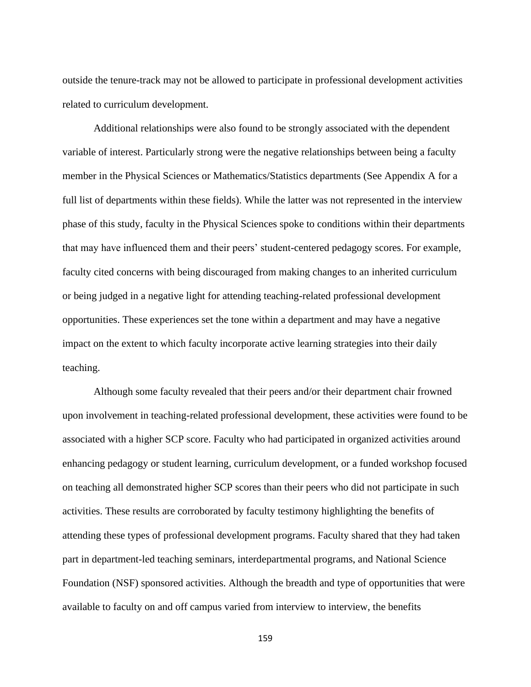outside the tenure-track may not be allowed to participate in professional development activities related to curriculum development.

Additional relationships were also found to be strongly associated with the dependent variable of interest. Particularly strong were the negative relationships between being a faculty member in the Physical Sciences or Mathematics/Statistics departments (See Appendix A for a full list of departments within these fields). While the latter was not represented in the interview phase of this study, faculty in the Physical Sciences spoke to conditions within their departments that may have influenced them and their peers' student-centered pedagogy scores. For example, faculty cited concerns with being discouraged from making changes to an inherited curriculum or being judged in a negative light for attending teaching-related professional development opportunities. These experiences set the tone within a department and may have a negative impact on the extent to which faculty incorporate active learning strategies into their daily teaching.

Although some faculty revealed that their peers and/or their department chair frowned upon involvement in teaching-related professional development, these activities were found to be associated with a higher SCP score. Faculty who had participated in organized activities around enhancing pedagogy or student learning, curriculum development, or a funded workshop focused on teaching all demonstrated higher SCP scores than their peers who did not participate in such activities. These results are corroborated by faculty testimony highlighting the benefits of attending these types of professional development programs. Faculty shared that they had taken part in department-led teaching seminars, interdepartmental programs, and National Science Foundation (NSF) sponsored activities. Although the breadth and type of opportunities that were available to faculty on and off campus varied from interview to interview, the benefits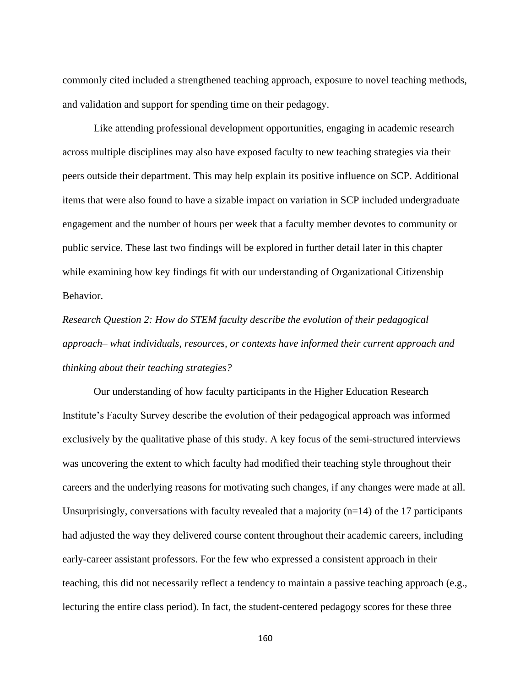commonly cited included a strengthened teaching approach, exposure to novel teaching methods, and validation and support for spending time on their pedagogy.

Like attending professional development opportunities, engaging in academic research across multiple disciplines may also have exposed faculty to new teaching strategies via their peers outside their department. This may help explain its positive influence on SCP. Additional items that were also found to have a sizable impact on variation in SCP included undergraduate engagement and the number of hours per week that a faculty member devotes to community or public service. These last two findings will be explored in further detail later in this chapter while examining how key findings fit with our understanding of Organizational Citizenship Behavior.

*Research Question 2: How do STEM faculty describe the evolution of their pedagogical approach– what individuals, resources, or contexts have informed their current approach and thinking about their teaching strategies?*

Our understanding of how faculty participants in the Higher Education Research Institute's Faculty Survey describe the evolution of their pedagogical approach was informed exclusively by the qualitative phase of this study. A key focus of the semi-structured interviews was uncovering the extent to which faculty had modified their teaching style throughout their careers and the underlying reasons for motivating such changes, if any changes were made at all. Unsurprisingly, conversations with faculty revealed that a majority  $(n=14)$  of the 17 participants had adjusted the way they delivered course content throughout their academic careers, including early-career assistant professors. For the few who expressed a consistent approach in their teaching, this did not necessarily reflect a tendency to maintain a passive teaching approach (e.g., lecturing the entire class period). In fact, the student-centered pedagogy scores for these three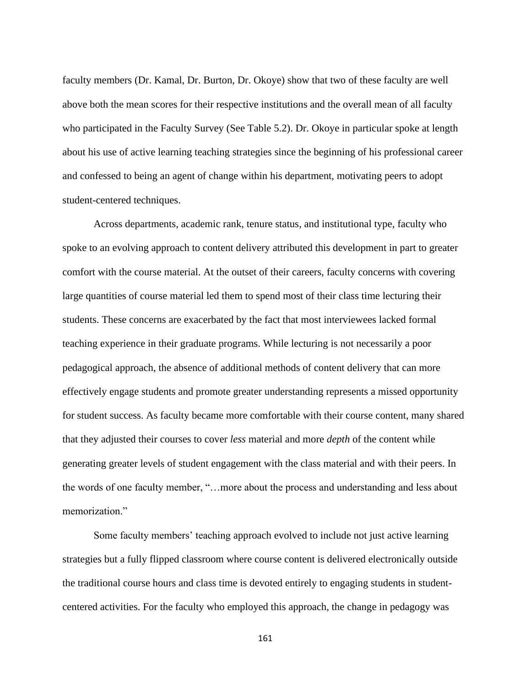faculty members (Dr. Kamal, Dr. Burton, Dr. Okoye) show that two of these faculty are well above both the mean scores for their respective institutions and the overall mean of all faculty who participated in the Faculty Survey (See Table 5.2). Dr. Okoye in particular spoke at length about his use of active learning teaching strategies since the beginning of his professional career and confessed to being an agent of change within his department, motivating peers to adopt student-centered techniques.

Across departments, academic rank, tenure status, and institutional type, faculty who spoke to an evolving approach to content delivery attributed this development in part to greater comfort with the course material. At the outset of their careers, faculty concerns with covering large quantities of course material led them to spend most of their class time lecturing their students. These concerns are exacerbated by the fact that most interviewees lacked formal teaching experience in their graduate programs. While lecturing is not necessarily a poor pedagogical approach, the absence of additional methods of content delivery that can more effectively engage students and promote greater understanding represents a missed opportunity for student success. As faculty became more comfortable with their course content, many shared that they adjusted their courses to cover *less* material and more *depth* of the content while generating greater levels of student engagement with the class material and with their peers. In the words of one faculty member, "…more about the process and understanding and less about memorization."

Some faculty members' teaching approach evolved to include not just active learning strategies but a fully flipped classroom where course content is delivered electronically outside the traditional course hours and class time is devoted entirely to engaging students in studentcentered activities. For the faculty who employed this approach, the change in pedagogy was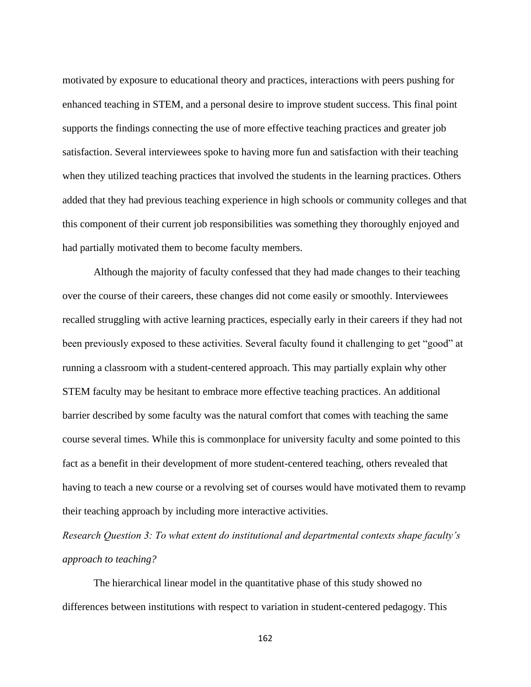motivated by exposure to educational theory and practices, interactions with peers pushing for enhanced teaching in STEM, and a personal desire to improve student success. This final point supports the findings connecting the use of more effective teaching practices and greater job satisfaction. Several interviewees spoke to having more fun and satisfaction with their teaching when they utilized teaching practices that involved the students in the learning practices. Others added that they had previous teaching experience in high schools or community colleges and that this component of their current job responsibilities was something they thoroughly enjoyed and had partially motivated them to become faculty members.

Although the majority of faculty confessed that they had made changes to their teaching over the course of their careers, these changes did not come easily or smoothly. Interviewees recalled struggling with active learning practices, especially early in their careers if they had not been previously exposed to these activities. Several faculty found it challenging to get "good" at running a classroom with a student-centered approach. This may partially explain why other STEM faculty may be hesitant to embrace more effective teaching practices. An additional barrier described by some faculty was the natural comfort that comes with teaching the same course several times. While this is commonplace for university faculty and some pointed to this fact as a benefit in their development of more student-centered teaching, others revealed that having to teach a new course or a revolving set of courses would have motivated them to revamp their teaching approach by including more interactive activities.

*Research Question 3: To what extent do institutional and departmental contexts shape faculty's approach to teaching?*

The hierarchical linear model in the quantitative phase of this study showed no differences between institutions with respect to variation in student-centered pedagogy. This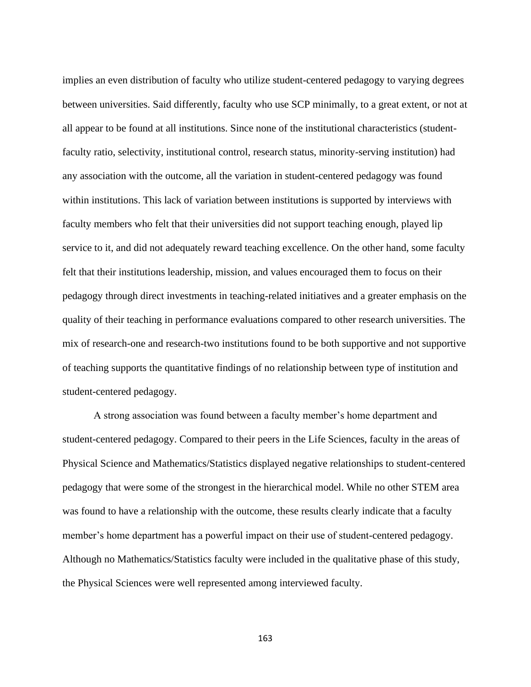implies an even distribution of faculty who utilize student-centered pedagogy to varying degrees between universities. Said differently, faculty who use SCP minimally, to a great extent, or not at all appear to be found at all institutions. Since none of the institutional characteristics (studentfaculty ratio, selectivity, institutional control, research status, minority-serving institution) had any association with the outcome, all the variation in student-centered pedagogy was found within institutions. This lack of variation between institutions is supported by interviews with faculty members who felt that their universities did not support teaching enough, played lip service to it, and did not adequately reward teaching excellence. On the other hand, some faculty felt that their institutions leadership, mission, and values encouraged them to focus on their pedagogy through direct investments in teaching-related initiatives and a greater emphasis on the quality of their teaching in performance evaluations compared to other research universities. The mix of research-one and research-two institutions found to be both supportive and not supportive of teaching supports the quantitative findings of no relationship between type of institution and student-centered pedagogy.

A strong association was found between a faculty member's home department and student-centered pedagogy. Compared to their peers in the Life Sciences, faculty in the areas of Physical Science and Mathematics/Statistics displayed negative relationships to student-centered pedagogy that were some of the strongest in the hierarchical model. While no other STEM area was found to have a relationship with the outcome, these results clearly indicate that a faculty member's home department has a powerful impact on their use of student-centered pedagogy. Although no Mathematics/Statistics faculty were included in the qualitative phase of this study, the Physical Sciences were well represented among interviewed faculty.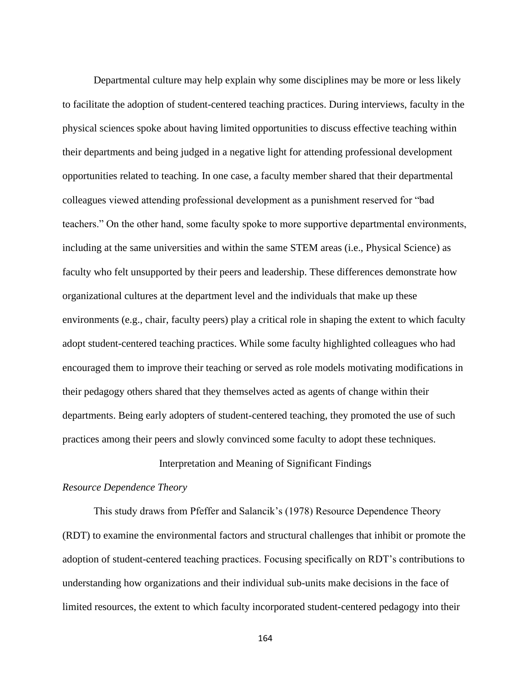Departmental culture may help explain why some disciplines may be more or less likely to facilitate the adoption of student-centered teaching practices. During interviews, faculty in the physical sciences spoke about having limited opportunities to discuss effective teaching within their departments and being judged in a negative light for attending professional development opportunities related to teaching. In one case, a faculty member shared that their departmental colleagues viewed attending professional development as a punishment reserved for "bad teachers." On the other hand, some faculty spoke to more supportive departmental environments, including at the same universities and within the same STEM areas (i.e., Physical Science) as faculty who felt unsupported by their peers and leadership. These differences demonstrate how organizational cultures at the department level and the individuals that make up these environments (e.g., chair, faculty peers) play a critical role in shaping the extent to which faculty adopt student-centered teaching practices. While some faculty highlighted colleagues who had encouraged them to improve their teaching or served as role models motivating modifications in their pedagogy others shared that they themselves acted as agents of change within their departments. Being early adopters of student-centered teaching, they promoted the use of such practices among their peers and slowly convinced some faculty to adopt these techniques.

# Interpretation and Meaning of Significant Findings

## *Resource Dependence Theory*

This study draws from Pfeffer and Salancik's (1978) Resource Dependence Theory (RDT) to examine the environmental factors and structural challenges that inhibit or promote the adoption of student-centered teaching practices. Focusing specifically on RDT's contributions to understanding how organizations and their individual sub-units make decisions in the face of limited resources, the extent to which faculty incorporated student-centered pedagogy into their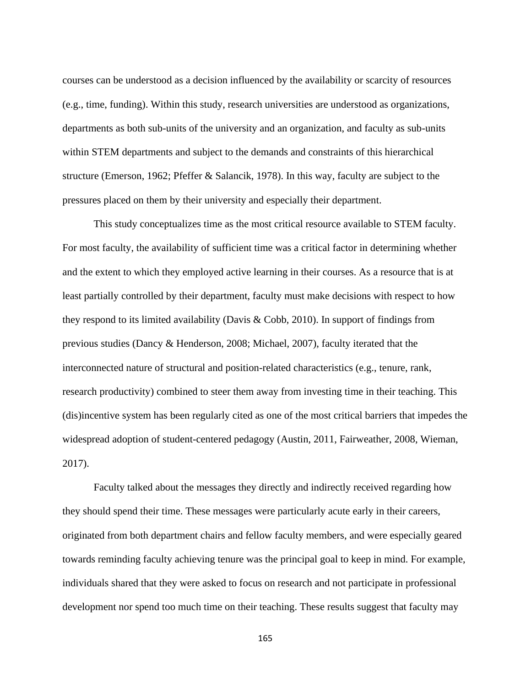courses can be understood as a decision influenced by the availability or scarcity of resources (e.g., time, funding). Within this study, research universities are understood as organizations, departments as both sub-units of the university and an organization, and faculty as sub-units within STEM departments and subject to the demands and constraints of this hierarchical structure (Emerson, 1962; Pfeffer & Salancik, 1978). In this way, faculty are subject to the pressures placed on them by their university and especially their department.

This study conceptualizes time as the most critical resource available to STEM faculty. For most faculty, the availability of sufficient time was a critical factor in determining whether and the extent to which they employed active learning in their courses. As a resource that is at least partially controlled by their department, faculty must make decisions with respect to how they respond to its limited availability (Davis & Cobb, 2010). In support of findings from previous studies (Dancy & Henderson, 2008; Michael, 2007), faculty iterated that the interconnected nature of structural and position-related characteristics (e.g., tenure, rank, research productivity) combined to steer them away from investing time in their teaching. This (dis)incentive system has been regularly cited as one of the most critical barriers that impedes the widespread adoption of student-centered pedagogy (Austin, 2011, Fairweather, 2008, Wieman, 2017).

Faculty talked about the messages they directly and indirectly received regarding how they should spend their time. These messages were particularly acute early in their careers, originated from both department chairs and fellow faculty members, and were especially geared towards reminding faculty achieving tenure was the principal goal to keep in mind. For example, individuals shared that they were asked to focus on research and not participate in professional development nor spend too much time on their teaching. These results suggest that faculty may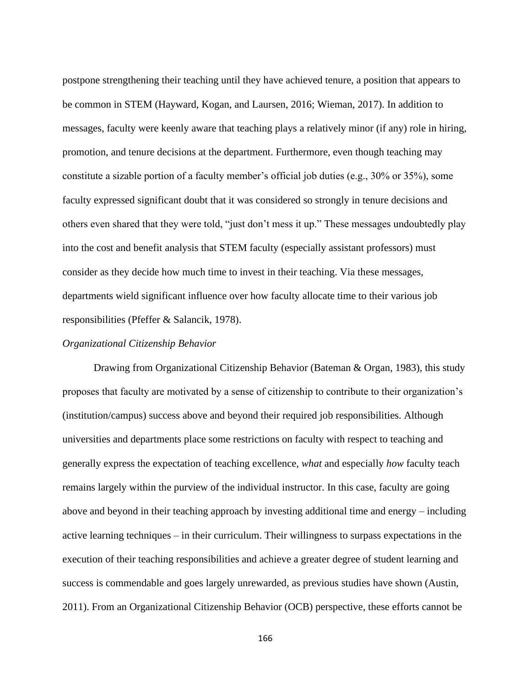postpone strengthening their teaching until they have achieved tenure, a position that appears to be common in STEM (Hayward, Kogan, and Laursen, 2016; Wieman, 2017). In addition to messages, faculty were keenly aware that teaching plays a relatively minor (if any) role in hiring, promotion, and tenure decisions at the department. Furthermore, even though teaching may constitute a sizable portion of a faculty member's official job duties (e.g., 30% or 35%), some faculty expressed significant doubt that it was considered so strongly in tenure decisions and others even shared that they were told, "just don't mess it up." These messages undoubtedly play into the cost and benefit analysis that STEM faculty (especially assistant professors) must consider as they decide how much time to invest in their teaching. Via these messages, departments wield significant influence over how faculty allocate time to their various job responsibilities (Pfeffer & Salancik, 1978).

# *Organizational Citizenship Behavior*

Drawing from Organizational Citizenship Behavior (Bateman & Organ, 1983), this study proposes that faculty are motivated by a sense of citizenship to contribute to their organization's (institution/campus) success above and beyond their required job responsibilities. Although universities and departments place some restrictions on faculty with respect to teaching and generally express the expectation of teaching excellence, *what* and especially *how* faculty teach remains largely within the purview of the individual instructor. In this case, faculty are going above and beyond in their teaching approach by investing additional time and energy – including active learning techniques – in their curriculum. Their willingness to surpass expectations in the execution of their teaching responsibilities and achieve a greater degree of student learning and success is commendable and goes largely unrewarded, as previous studies have shown (Austin, 2011). From an Organizational Citizenship Behavior (OCB) perspective, these efforts cannot be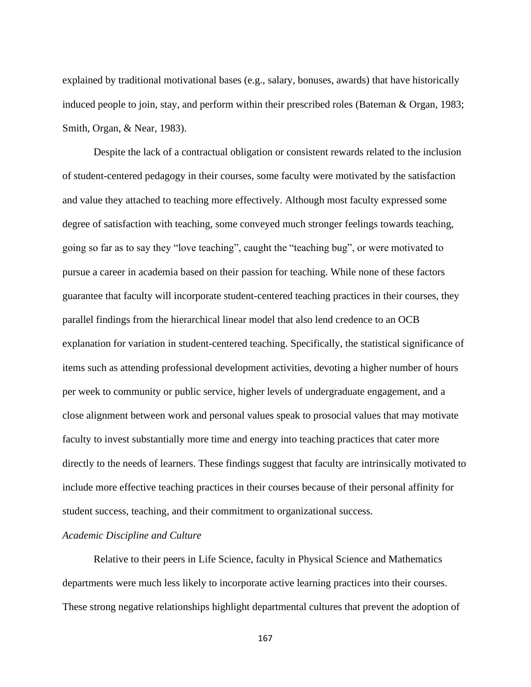explained by traditional motivational bases (e.g., salary, bonuses, awards) that have historically induced people to join, stay, and perform within their prescribed roles (Bateman & Organ, 1983; Smith, Organ, & Near, 1983).

Despite the lack of a contractual obligation or consistent rewards related to the inclusion of student-centered pedagogy in their courses, some faculty were motivated by the satisfaction and value they attached to teaching more effectively. Although most faculty expressed some degree of satisfaction with teaching, some conveyed much stronger feelings towards teaching, going so far as to say they "love teaching", caught the "teaching bug", or were motivated to pursue a career in academia based on their passion for teaching. While none of these factors guarantee that faculty will incorporate student-centered teaching practices in their courses, they parallel findings from the hierarchical linear model that also lend credence to an OCB explanation for variation in student-centered teaching. Specifically, the statistical significance of items such as attending professional development activities, devoting a higher number of hours per week to community or public service, higher levels of undergraduate engagement, and a close alignment between work and personal values speak to prosocial values that may motivate faculty to invest substantially more time and energy into teaching practices that cater more directly to the needs of learners. These findings suggest that faculty are intrinsically motivated to include more effective teaching practices in their courses because of their personal affinity for student success, teaching, and their commitment to organizational success.

### *Academic Discipline and Culture*

Relative to their peers in Life Science, faculty in Physical Science and Mathematics departments were much less likely to incorporate active learning practices into their courses. These strong negative relationships highlight departmental cultures that prevent the adoption of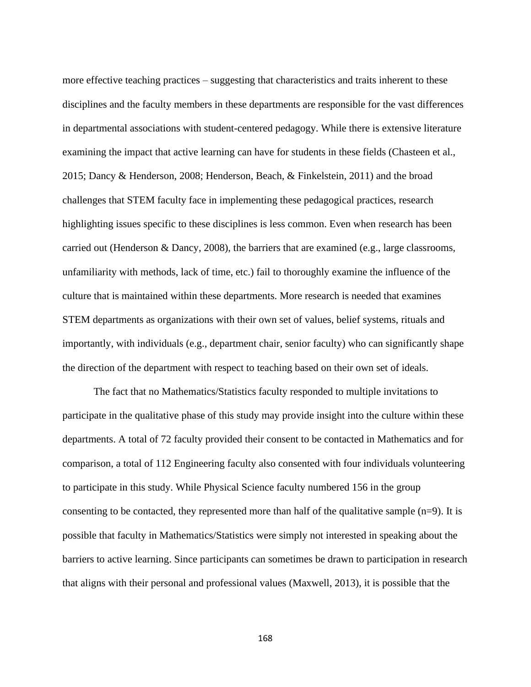more effective teaching practices – suggesting that characteristics and traits inherent to these disciplines and the faculty members in these departments are responsible for the vast differences in departmental associations with student-centered pedagogy. While there is extensive literature examining the impact that active learning can have for students in these fields (Chasteen et al., 2015; Dancy & Henderson, 2008; Henderson, Beach, & Finkelstein, 2011) and the broad challenges that STEM faculty face in implementing these pedagogical practices, research highlighting issues specific to these disciplines is less common. Even when research has been carried out (Henderson & Dancy, 2008), the barriers that are examined (e.g., large classrooms, unfamiliarity with methods, lack of time, etc.) fail to thoroughly examine the influence of the culture that is maintained within these departments. More research is needed that examines STEM departments as organizations with their own set of values, belief systems, rituals and importantly, with individuals (e.g., department chair, senior faculty) who can significantly shape the direction of the department with respect to teaching based on their own set of ideals.

The fact that no Mathematics/Statistics faculty responded to multiple invitations to participate in the qualitative phase of this study may provide insight into the culture within these departments. A total of 72 faculty provided their consent to be contacted in Mathematics and for comparison, a total of 112 Engineering faculty also consented with four individuals volunteering to participate in this study. While Physical Science faculty numbered 156 in the group consenting to be contacted, they represented more than half of the qualitative sample  $(n=9)$ . It is possible that faculty in Mathematics/Statistics were simply not interested in speaking about the barriers to active learning. Since participants can sometimes be drawn to participation in research that aligns with their personal and professional values (Maxwell, 2013), it is possible that the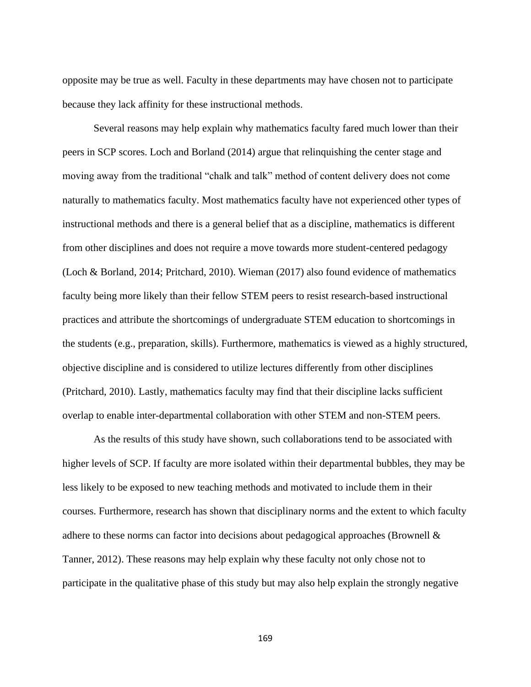opposite may be true as well. Faculty in these departments may have chosen not to participate because they lack affinity for these instructional methods.

Several reasons may help explain why mathematics faculty fared much lower than their peers in SCP scores. Loch and Borland (2014) argue that relinquishing the center stage and moving away from the traditional "chalk and talk" method of content delivery does not come naturally to mathematics faculty. Most mathematics faculty have not experienced other types of instructional methods and there is a general belief that as a discipline, mathematics is different from other disciplines and does not require a move towards more student-centered pedagogy (Loch & Borland, 2014; Pritchard, 2010). Wieman (2017) also found evidence of mathematics faculty being more likely than their fellow STEM peers to resist research-based instructional practices and attribute the shortcomings of undergraduate STEM education to shortcomings in the students (e.g., preparation, skills). Furthermore, mathematics is viewed as a highly structured, objective discipline and is considered to utilize lectures differently from other disciplines (Pritchard, 2010). Lastly, mathematics faculty may find that their discipline lacks sufficient overlap to enable inter-departmental collaboration with other STEM and non-STEM peers.

As the results of this study have shown, such collaborations tend to be associated with higher levels of SCP. If faculty are more isolated within their departmental bubbles, they may be less likely to be exposed to new teaching methods and motivated to include them in their courses. Furthermore, research has shown that disciplinary norms and the extent to which faculty adhere to these norms can factor into decisions about pedagogical approaches (Brownell & Tanner, 2012). These reasons may help explain why these faculty not only chose not to participate in the qualitative phase of this study but may also help explain the strongly negative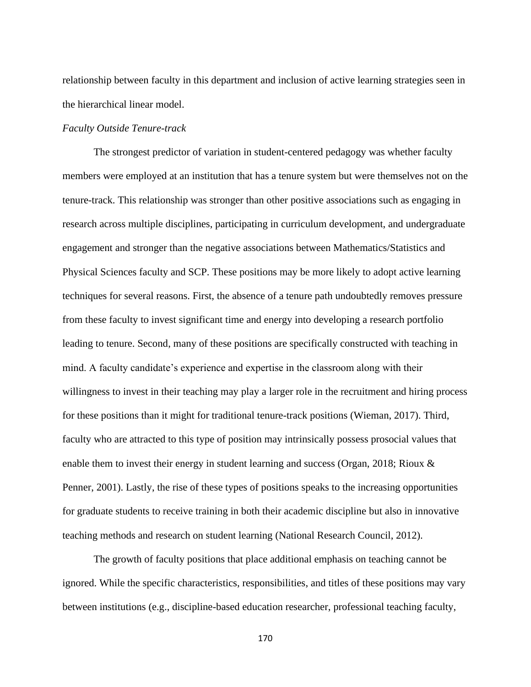relationship between faculty in this department and inclusion of active learning strategies seen in the hierarchical linear model.

#### *Faculty Outside Tenure-track*

The strongest predictor of variation in student-centered pedagogy was whether faculty members were employed at an institution that has a tenure system but were themselves not on the tenure-track. This relationship was stronger than other positive associations such as engaging in research across multiple disciplines, participating in curriculum development, and undergraduate engagement and stronger than the negative associations between Mathematics/Statistics and Physical Sciences faculty and SCP. These positions may be more likely to adopt active learning techniques for several reasons. First, the absence of a tenure path undoubtedly removes pressure from these faculty to invest significant time and energy into developing a research portfolio leading to tenure. Second, many of these positions are specifically constructed with teaching in mind. A faculty candidate's experience and expertise in the classroom along with their willingness to invest in their teaching may play a larger role in the recruitment and hiring process for these positions than it might for traditional tenure-track positions (Wieman, 2017). Third, faculty who are attracted to this type of position may intrinsically possess prosocial values that enable them to invest their energy in student learning and success (Organ, 2018; Rioux & Penner, 2001). Lastly, the rise of these types of positions speaks to the increasing opportunities for graduate students to receive training in both their academic discipline but also in innovative teaching methods and research on student learning (National Research Council, 2012).

The growth of faculty positions that place additional emphasis on teaching cannot be ignored. While the specific characteristics, responsibilities, and titles of these positions may vary between institutions (e.g., discipline-based education researcher, professional teaching faculty,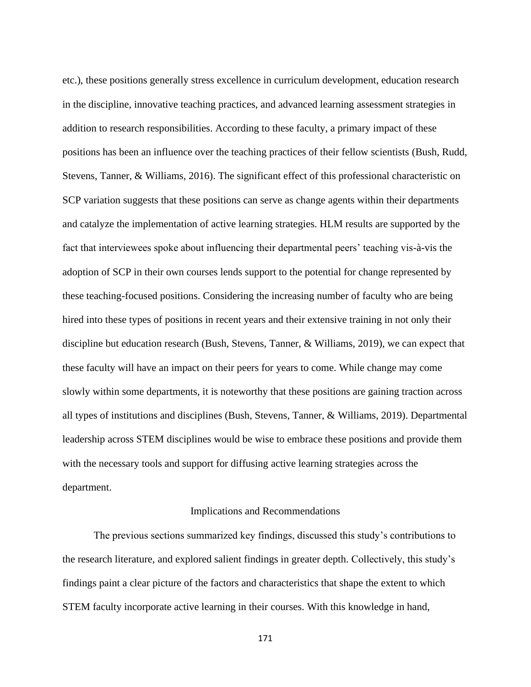etc.), these positions generally stress excellence in curriculum development, education research in the discipline, innovative teaching practices, and advanced learning assessment strategies in addition to research responsibilities. According to these faculty, a primary impact of these positions has been an influence over the teaching practices of their fellow scientists (Bush, Rudd, Stevens, Tanner, & Williams, 2016). The significant effect of this professional characteristic on SCP variation suggests that these positions can serve as change agents within their departments and catalyze the implementation of active learning strategies. HLM results are supported by the fact that interviewees spoke about influencing their departmental peers' teaching vis-à-vis the adoption of SCP in their own courses lends support to the potential for change represented by these teaching-focused positions. Considering the increasing number of faculty who are being hired into these types of positions in recent years and their extensive training in not only their discipline but education research (Bush, Stevens, Tanner, & Williams, 2019), we can expect that these faculty will have an impact on their peers for years to come. While change may come slowly within some departments, it is noteworthy that these positions are gaining traction across all types of institutions and disciplines (Bush, Stevens, Tanner, & Williams, 2019). Departmental leadership across STEM disciplines would be wise to embrace these positions and provide them with the necessary tools and support for diffusing active learning strategies across the department.

#### Implications and Recommendations

The previous sections summarized key findings, discussed this study's contributions to the research literature, and explored salient findings in greater depth. Collectively, this study's findings paint a clear picture of the factors and characteristics that shape the extent to which STEM faculty incorporate active learning in their courses. With this knowledge in hand,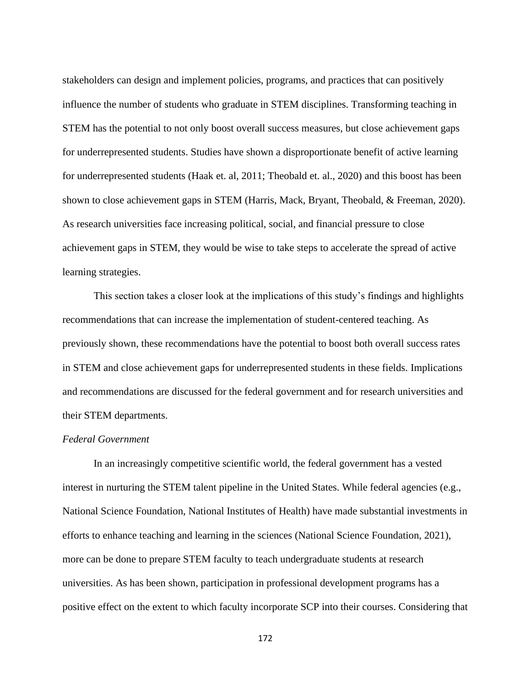stakeholders can design and implement policies, programs, and practices that can positively influence the number of students who graduate in STEM disciplines. Transforming teaching in STEM has the potential to not only boost overall success measures, but close achievement gaps for underrepresented students. Studies have shown a disproportionate benefit of active learning for underrepresented students (Haak et. al, 2011; Theobald et. al., 2020) and this boost has been shown to close achievement gaps in STEM (Harris, Mack, Bryant, Theobald, & Freeman, 2020). As research universities face increasing political, social, and financial pressure to close achievement gaps in STEM, they would be wise to take steps to accelerate the spread of active learning strategies.

This section takes a closer look at the implications of this study's findings and highlights recommendations that can increase the implementation of student-centered teaching. As previously shown, these recommendations have the potential to boost both overall success rates in STEM and close achievement gaps for underrepresented students in these fields. Implications and recommendations are discussed for the federal government and for research universities and their STEM departments.

## *Federal Government*

In an increasingly competitive scientific world, the federal government has a vested interest in nurturing the STEM talent pipeline in the United States. While federal agencies (e.g., National Science Foundation, National Institutes of Health) have made substantial investments in efforts to enhance teaching and learning in the sciences (National Science Foundation, 2021), more can be done to prepare STEM faculty to teach undergraduate students at research universities. As has been shown, participation in professional development programs has a positive effect on the extent to which faculty incorporate SCP into their courses. Considering that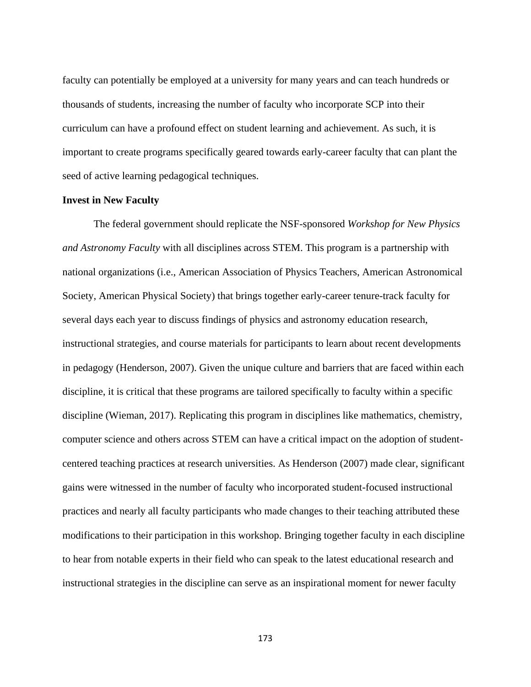faculty can potentially be employed at a university for many years and can teach hundreds or thousands of students, increasing the number of faculty who incorporate SCP into their curriculum can have a profound effect on student learning and achievement. As such, it is important to create programs specifically geared towards early-career faculty that can plant the seed of active learning pedagogical techniques.

### **Invest in New Faculty**

The federal government should replicate the NSF-sponsored *Workshop for New Physics and Astronomy Faculty* with all disciplines across STEM. This program is a partnership with national organizations (i.e., American Association of Physics Teachers, American Astronomical Society, American Physical Society) that brings together early-career tenure-track faculty for several days each year to discuss findings of physics and astronomy education research, instructional strategies, and course materials for participants to learn about recent developments in pedagogy (Henderson, 2007). Given the unique culture and barriers that are faced within each discipline, it is critical that these programs are tailored specifically to faculty within a specific discipline (Wieman, 2017). Replicating this program in disciplines like mathematics, chemistry, computer science and others across STEM can have a critical impact on the adoption of studentcentered teaching practices at research universities. As Henderson (2007) made clear, significant gains were witnessed in the number of faculty who incorporated student-focused instructional practices and nearly all faculty participants who made changes to their teaching attributed these modifications to their participation in this workshop. Bringing together faculty in each discipline to hear from notable experts in their field who can speak to the latest educational research and instructional strategies in the discipline can serve as an inspirational moment for newer faculty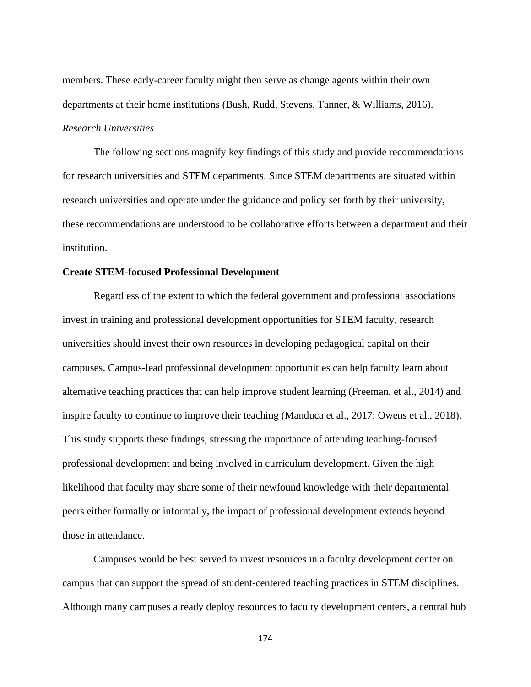members. These early-career faculty might then serve as change agents within their own departments at their home institutions (Bush, Rudd, Stevens, Tanner, & Williams, 2016). *Research Universities*

The following sections magnify key findings of this study and provide recommendations for research universities and STEM departments. Since STEM departments are situated within research universities and operate under the guidance and policy set forth by their university, these recommendations are understood to be collaborative efforts between a department and their institution.

#### **Create STEM-focused Professional Development**

Regardless of the extent to which the federal government and professional associations invest in training and professional development opportunities for STEM faculty, research universities should invest their own resources in developing pedagogical capital on their campuses. Campus-lead professional development opportunities can help faculty learn about alternative teaching practices that can help improve student learning (Freeman, et al., 2014) and inspire faculty to continue to improve their teaching (Manduca et al., 2017; Owens et al., 2018). This study supports these findings, stressing the importance of attending teaching-focused professional development and being involved in curriculum development. Given the high likelihood that faculty may share some of their newfound knowledge with their departmental peers either formally or informally, the impact of professional development extends beyond those in attendance.

Campuses would be best served to invest resources in a faculty development center on campus that can support the spread of student-centered teaching practices in STEM disciplines. Although many campuses already deploy resources to faculty development centers, a central hub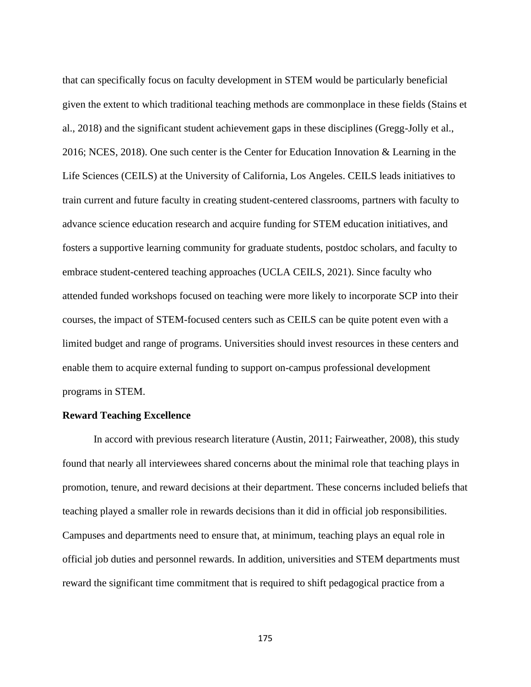that can specifically focus on faculty development in STEM would be particularly beneficial given the extent to which traditional teaching methods are commonplace in these fields (Stains et al., 2018) and the significant student achievement gaps in these disciplines (Gregg-Jolly et al., 2016; NCES, 2018). One such center is the Center for Education Innovation & Learning in the Life Sciences (CEILS) at the University of California, Los Angeles. CEILS leads initiatives to train current and future faculty in creating student-centered classrooms, partners with faculty to advance science education research and acquire funding for STEM education initiatives, and fosters a supportive learning community for graduate students, postdoc scholars, and faculty to embrace student-centered teaching approaches (UCLA CEILS, 2021). Since faculty who attended funded workshops focused on teaching were more likely to incorporate SCP into their courses, the impact of STEM-focused centers such as CEILS can be quite potent even with a limited budget and range of programs. Universities should invest resources in these centers and enable them to acquire external funding to support on-campus professional development programs in STEM.

## **Reward Teaching Excellence**

In accord with previous research literature (Austin, 2011; Fairweather, 2008), this study found that nearly all interviewees shared concerns about the minimal role that teaching plays in promotion, tenure, and reward decisions at their department. These concerns included beliefs that teaching played a smaller role in rewards decisions than it did in official job responsibilities. Campuses and departments need to ensure that, at minimum, teaching plays an equal role in official job duties and personnel rewards. In addition, universities and STEM departments must reward the significant time commitment that is required to shift pedagogical practice from a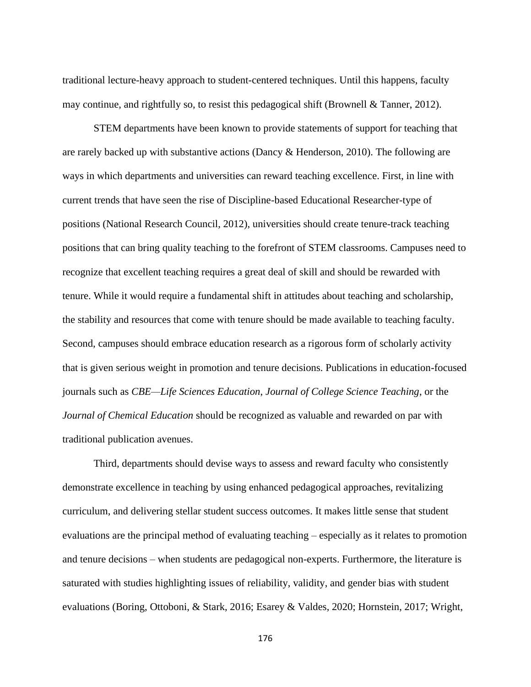traditional lecture-heavy approach to student-centered techniques. Until this happens, faculty may continue, and rightfully so, to resist this pedagogical shift (Brownell & Tanner, 2012).

STEM departments have been known to provide statements of support for teaching that are rarely backed up with substantive actions (Dancy & Henderson, 2010). The following are ways in which departments and universities can reward teaching excellence. First, in line with current trends that have seen the rise of Discipline-based Educational Researcher-type of positions (National Research Council, 2012), universities should create tenure-track teaching positions that can bring quality teaching to the forefront of STEM classrooms. Campuses need to recognize that excellent teaching requires a great deal of skill and should be rewarded with tenure. While it would require a fundamental shift in attitudes about teaching and scholarship, the stability and resources that come with tenure should be made available to teaching faculty. Second, campuses should embrace education research as a rigorous form of scholarly activity that is given serious weight in promotion and tenure decisions. Publications in education-focused journals such as *CBE—Life Sciences Education*, *Journal of College Science Teaching*, or the *Journal of Chemical Education* should be recognized as valuable and rewarded on par with traditional publication avenues.

Third, departments should devise ways to assess and reward faculty who consistently demonstrate excellence in teaching by using enhanced pedagogical approaches, revitalizing curriculum, and delivering stellar student success outcomes. It makes little sense that student evaluations are the principal method of evaluating teaching – especially as it relates to promotion and tenure decisions – when students are pedagogical non-experts. Furthermore, the literature is saturated with studies highlighting issues of reliability, validity, and gender bias with student evaluations (Boring, Ottoboni, & Stark, 2016; Esarey & Valdes, 2020; Hornstein, 2017; Wright,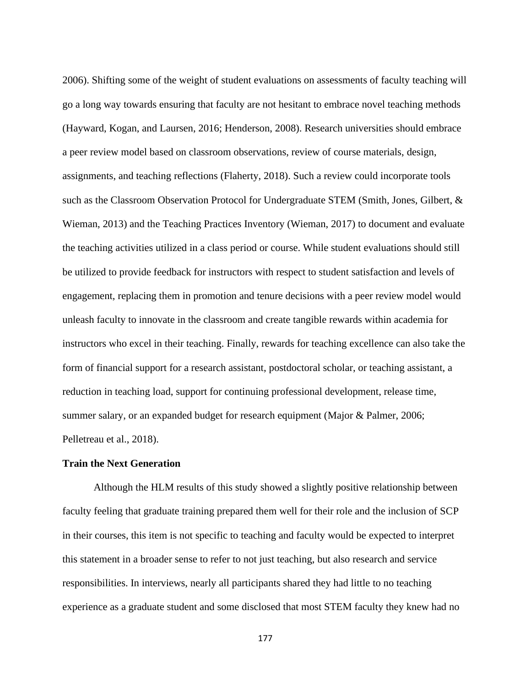2006). Shifting some of the weight of student evaluations on assessments of faculty teaching will go a long way towards ensuring that faculty are not hesitant to embrace novel teaching methods (Hayward, Kogan, and Laursen, 2016; Henderson, 2008). Research universities should embrace a peer review model based on classroom observations, review of course materials, design, assignments, and teaching reflections (Flaherty, 2018). Such a review could incorporate tools such as the Classroom Observation Protocol for Undergraduate STEM (Smith, Jones, Gilbert, & Wieman, 2013) and the Teaching Practices Inventory (Wieman, 2017) to document and evaluate the teaching activities utilized in a class period or course. While student evaluations should still be utilized to provide feedback for instructors with respect to student satisfaction and levels of engagement, replacing them in promotion and tenure decisions with a peer review model would unleash faculty to innovate in the classroom and create tangible rewards within academia for instructors who excel in their teaching. Finally, rewards for teaching excellence can also take the form of financial support for a research assistant, postdoctoral scholar, or teaching assistant, a reduction in teaching load, support for continuing professional development, release time, summer salary, or an expanded budget for research equipment (Major & Palmer, 2006; Pelletreau et al., 2018).

#### **Train the Next Generation**

Although the HLM results of this study showed a slightly positive relationship between faculty feeling that graduate training prepared them well for their role and the inclusion of SCP in their courses, this item is not specific to teaching and faculty would be expected to interpret this statement in a broader sense to refer to not just teaching, but also research and service responsibilities. In interviews, nearly all participants shared they had little to no teaching experience as a graduate student and some disclosed that most STEM faculty they knew had no

<sup>177</sup>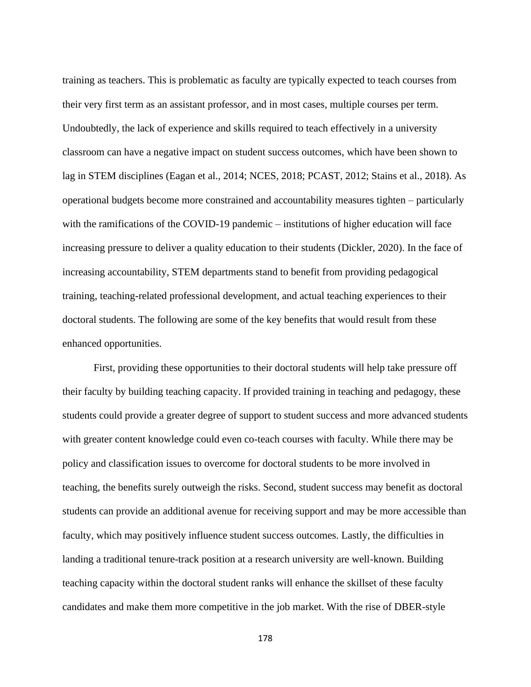training as teachers. This is problematic as faculty are typically expected to teach courses from their very first term as an assistant professor, and in most cases, multiple courses per term. Undoubtedly, the lack of experience and skills required to teach effectively in a university classroom can have a negative impact on student success outcomes, which have been shown to lag in STEM disciplines (Eagan et al., 2014; NCES, 2018; PCAST, 2012; Stains et al., 2018). As operational budgets become more constrained and accountability measures tighten – particularly with the ramifications of the COVID-19 pandemic – institutions of higher education will face increasing pressure to deliver a quality education to their students (Dickler, 2020). In the face of increasing accountability, STEM departments stand to benefit from providing pedagogical training, teaching-related professional development, and actual teaching experiences to their doctoral students. The following are some of the key benefits that would result from these enhanced opportunities.

First, providing these opportunities to their doctoral students will help take pressure off their faculty by building teaching capacity. If provided training in teaching and pedagogy, these students could provide a greater degree of support to student success and more advanced students with greater content knowledge could even co-teach courses with faculty. While there may be policy and classification issues to overcome for doctoral students to be more involved in teaching, the benefits surely outweigh the risks. Second, student success may benefit as doctoral students can provide an additional avenue for receiving support and may be more accessible than faculty, which may positively influence student success outcomes. Lastly, the difficulties in landing a traditional tenure-track position at a research university are well-known. Building teaching capacity within the doctoral student ranks will enhance the skillset of these faculty candidates and make them more competitive in the job market. With the rise of DBER-style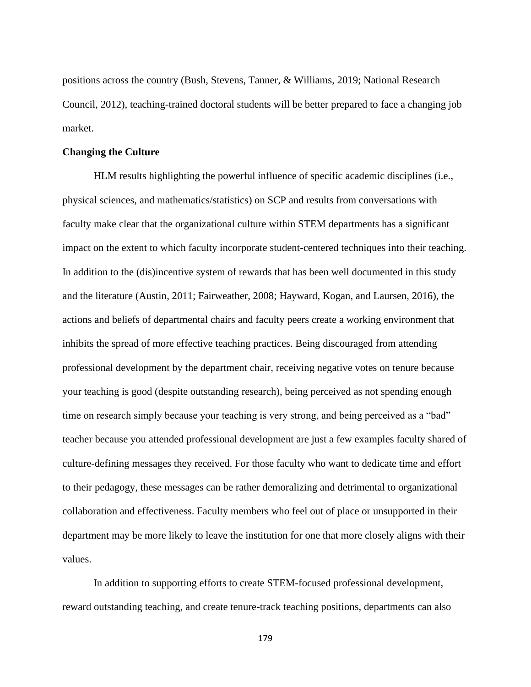positions across the country (Bush, Stevens, Tanner, & Williams, 2019; National Research Council, 2012), teaching-trained doctoral students will be better prepared to face a changing job market.

### **Changing the Culture**

HLM results highlighting the powerful influence of specific academic disciplines (i.e., physical sciences, and mathematics/statistics) on SCP and results from conversations with faculty make clear that the organizational culture within STEM departments has a significant impact on the extent to which faculty incorporate student-centered techniques into their teaching. In addition to the (dis)incentive system of rewards that has been well documented in this study and the literature (Austin, 2011; Fairweather, 2008; Hayward, Kogan, and Laursen, 2016), the actions and beliefs of departmental chairs and faculty peers create a working environment that inhibits the spread of more effective teaching practices. Being discouraged from attending professional development by the department chair, receiving negative votes on tenure because your teaching is good (despite outstanding research), being perceived as not spending enough time on research simply because your teaching is very strong, and being perceived as a "bad" teacher because you attended professional development are just a few examples faculty shared of culture-defining messages they received. For those faculty who want to dedicate time and effort to their pedagogy, these messages can be rather demoralizing and detrimental to organizational collaboration and effectiveness. Faculty members who feel out of place or unsupported in their department may be more likely to leave the institution for one that more closely aligns with their values.

In addition to supporting efforts to create STEM-focused professional development, reward outstanding teaching, and create tenure-track teaching positions, departments can also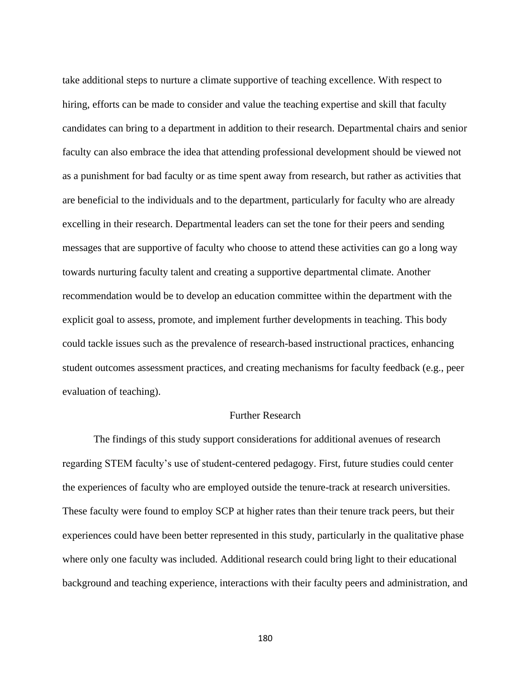take additional steps to nurture a climate supportive of teaching excellence. With respect to hiring, efforts can be made to consider and value the teaching expertise and skill that faculty candidates can bring to a department in addition to their research. Departmental chairs and senior faculty can also embrace the idea that attending professional development should be viewed not as a punishment for bad faculty or as time spent away from research, but rather as activities that are beneficial to the individuals and to the department, particularly for faculty who are already excelling in their research. Departmental leaders can set the tone for their peers and sending messages that are supportive of faculty who choose to attend these activities can go a long way towards nurturing faculty talent and creating a supportive departmental climate. Another recommendation would be to develop an education committee within the department with the explicit goal to assess, promote, and implement further developments in teaching. This body could tackle issues such as the prevalence of research-based instructional practices, enhancing student outcomes assessment practices, and creating mechanisms for faculty feedback (e.g., peer evaluation of teaching).

# Further Research

The findings of this study support considerations for additional avenues of research regarding STEM faculty's use of student-centered pedagogy. First, future studies could center the experiences of faculty who are employed outside the tenure-track at research universities. These faculty were found to employ SCP at higher rates than their tenure track peers, but their experiences could have been better represented in this study, particularly in the qualitative phase where only one faculty was included. Additional research could bring light to their educational background and teaching experience, interactions with their faculty peers and administration, and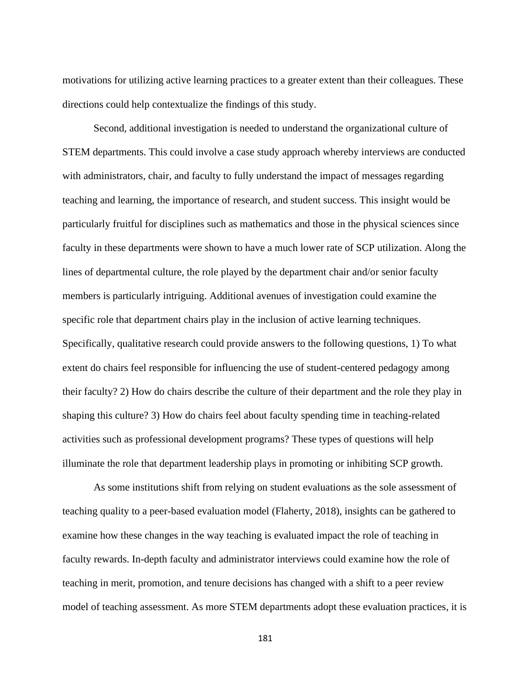motivations for utilizing active learning practices to a greater extent than their colleagues. These directions could help contextualize the findings of this study.

Second, additional investigation is needed to understand the organizational culture of STEM departments. This could involve a case study approach whereby interviews are conducted with administrators, chair, and faculty to fully understand the impact of messages regarding teaching and learning, the importance of research, and student success. This insight would be particularly fruitful for disciplines such as mathematics and those in the physical sciences since faculty in these departments were shown to have a much lower rate of SCP utilization. Along the lines of departmental culture, the role played by the department chair and/or senior faculty members is particularly intriguing. Additional avenues of investigation could examine the specific role that department chairs play in the inclusion of active learning techniques. Specifically, qualitative research could provide answers to the following questions, 1) To what extent do chairs feel responsible for influencing the use of student-centered pedagogy among their faculty? 2) How do chairs describe the culture of their department and the role they play in shaping this culture? 3) How do chairs feel about faculty spending time in teaching-related activities such as professional development programs? These types of questions will help illuminate the role that department leadership plays in promoting or inhibiting SCP growth.

As some institutions shift from relying on student evaluations as the sole assessment of teaching quality to a peer-based evaluation model (Flaherty, 2018), insights can be gathered to examine how these changes in the way teaching is evaluated impact the role of teaching in faculty rewards. In-depth faculty and administrator interviews could examine how the role of teaching in merit, promotion, and tenure decisions has changed with a shift to a peer review model of teaching assessment. As more STEM departments adopt these evaluation practices, it is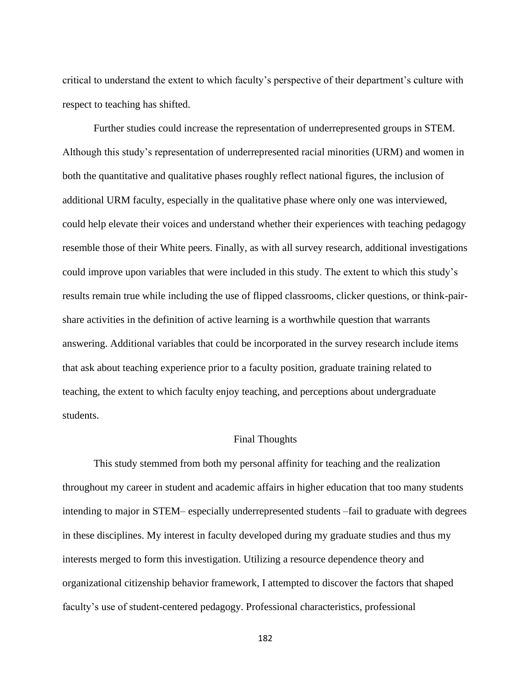critical to understand the extent to which faculty's perspective of their department's culture with respect to teaching has shifted.

Further studies could increase the representation of underrepresented groups in STEM. Although this study's representation of underrepresented racial minorities (URM) and women in both the quantitative and qualitative phases roughly reflect national figures, the inclusion of additional URM faculty, especially in the qualitative phase where only one was interviewed, could help elevate their voices and understand whether their experiences with teaching pedagogy resemble those of their White peers. Finally, as with all survey research, additional investigations could improve upon variables that were included in this study. The extent to which this study's results remain true while including the use of flipped classrooms, clicker questions, or think-pairshare activities in the definition of active learning is a worthwhile question that warrants answering. Additional variables that could be incorporated in the survey research include items that ask about teaching experience prior to a faculty position, graduate training related to teaching, the extent to which faculty enjoy teaching, and perceptions about undergraduate students.

#### Final Thoughts

This study stemmed from both my personal affinity for teaching and the realization throughout my career in student and academic affairs in higher education that too many students intending to major in STEM– especially underrepresented students –fail to graduate with degrees in these disciplines. My interest in faculty developed during my graduate studies and thus my interests merged to form this investigation. Utilizing a resource dependence theory and organizational citizenship behavior framework, I attempted to discover the factors that shaped faculty's use of student-centered pedagogy. Professional characteristics, professional

<sup>182</sup>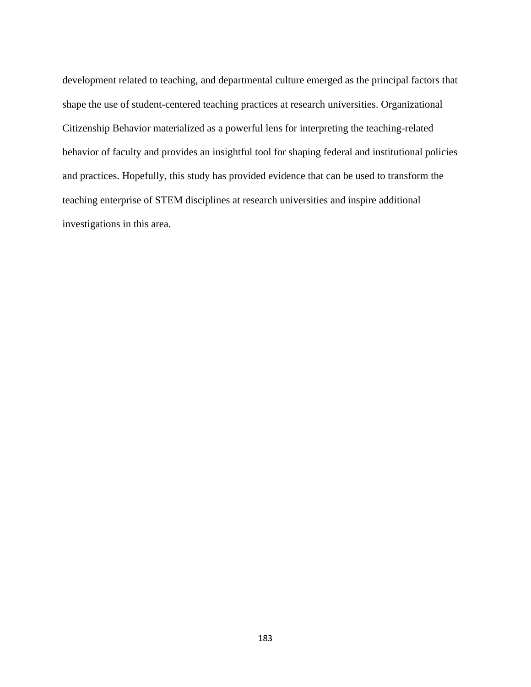development related to teaching, and departmental culture emerged as the principal factors that shape the use of student-centered teaching practices at research universities. Organizational Citizenship Behavior materialized as a powerful lens for interpreting the teaching-related behavior of faculty and provides an insightful tool for shaping federal and institutional policies and practices. Hopefully, this study has provided evidence that can be used to transform the teaching enterprise of STEM disciplines at research universities and inspire additional investigations in this area.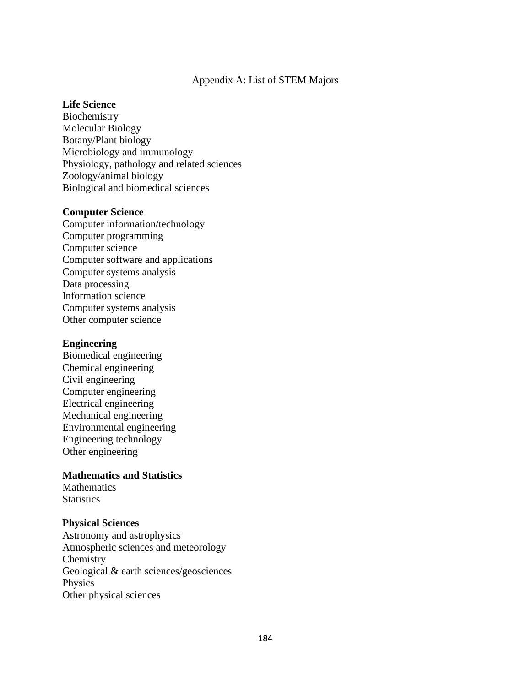## Appendix A: List of STEM Majors

#### **Life Science**

Biochemistry Molecular Biology Botany/Plant biology Microbiology and immunology Physiology, pathology and related sciences Zoology/animal biology Biological and biomedical sciences

## **Computer Science**

Computer information/technology Computer programming Computer science Computer software and applications Computer systems analysis Data processing Information science Computer systems analysis Other computer science

#### **Engineering**

Biomedical engineering Chemical engineering Civil engineering Computer engineering Electrical engineering Mechanical engineering Environmental engineering Engineering technology Other engineering

## **Mathematics and Statistics**

**Mathematics Statistics** 

## **Physical Sciences**

Astronomy and astrophysics Atmospheric sciences and meteorology **Chemistry** Geological & earth sciences/geosciences Physics Other physical sciences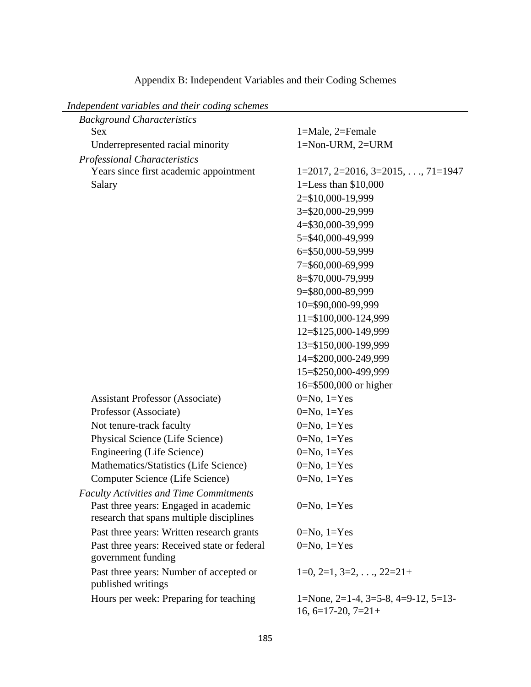| Independent variables and their coding schemes |                                           |
|------------------------------------------------|-------------------------------------------|
| <b>Background Characteristics</b>              |                                           |
| Sex                                            | 1=Male, 2=Female                          |
| Underrepresented racial minority               | 1=Non-URM, 2=URM                          |
| <b>Professional Characteristics</b>            |                                           |
| Years since first academic appointment         | $1=2017, 2=2016, 3=2015, \ldots, 71=1947$ |
| Salary                                         | 1=Less than $$10,000$                     |
|                                                | 2=\$10,000-19,999                         |
|                                                | 3=\$20,000-29,999                         |
|                                                | 4=\$30,000-39,999                         |
|                                                | 5=\$40,000-49,999                         |
|                                                | 6=\$50,000-59,999                         |
|                                                | 7=\$60,000-69,999                         |
|                                                | 8=\$70,000-79,999                         |
|                                                | 9=\$80,000-89,999                         |
|                                                | 10=\$90,000-99,999                        |
|                                                | 11=\$100,000-124,999                      |
|                                                | 12=\$125,000-149,999                      |
|                                                | 13=\$150,000-199,999                      |
|                                                | 14=\$200,000-249,999                      |
|                                                | 15=\$250,000-499,999                      |
|                                                | 16=\$500,000 or higher                    |
| <b>Assistant Professor (Associate)</b>         | $0=No, 1=Yes$                             |
| Professor (Associate)                          | $0=No, 1=Yes$                             |
| Not tenure-track faculty                       | $0=No, 1=Yes$                             |
| Physical Science (Life Science)                | $0=No, 1=Yes$                             |
| <b>Engineering (Life Science)</b>              | $0=No, 1=Yes$                             |
| Mathematics/Statistics (Life Science)          | $0=No, 1=Yes$                             |
| Computer Science (Life Science)                | $0=No, 1=Yes$                             |
| <b>Faculty Activities and Time Commitments</b> |                                           |
| Past three years: Engaged in academic          | $0=No, 1=Yes$                             |
| research that spans multiple disciplines       |                                           |
| Past three years: Written research grants      | $0=No, 1=Yes$                             |
| Past three years: Received state or federal    | $0=No, 1=Yes$                             |
| government funding                             |                                           |
| Past three years: Number of accepted or        | $1=0, 2=1, 3=2, \ldots, 22=21+$           |
| published writings                             |                                           |
| Hours per week: Preparing for teaching         | 1=None, 2=1-4, 3=5-8, 4=9-12, 5=13-       |
|                                                | $16, 6=17-20, 7=21+$                      |

# Appendix B: Independent Variables and their Coding Schemes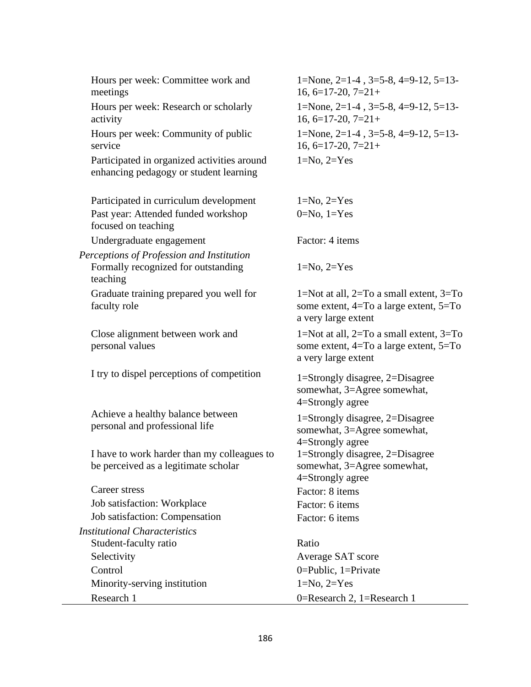Hours per week: Committee work and meetings

Hours per week: Research or scholarly activity

Hours per week: Community of public service

Participated in organized activities around enhancing pedagogy or student learning

Participated in curriculum development 1=No, 2=Yes Past year: Attended funded workshop focused on teaching

Undergraduate engagement Factor: 4 items

*Perceptions of Profession and Institution* Formally recognized for outstanding teaching

Graduate training prepared you well for faculty role

Close alignment between work and personal values

I try to dispel perceptions of competition  $1=$  Strongly disagree, 2=Disagree

Achieve a healthy balance between personal and professional life

I have to work harder than my colleagues to be perceived as a legitimate scholar

Career stress Factor: 8 items Job satisfaction: Workplace Factor: 6 items Job satisfaction: Compensation Factor: 6 items

*Institutional Characteristics*

Student-faculty ratio Ratio Selectivity Average SAT score Control 0=Public, 1=Private Minority-serving institution  $1=N_0$ ,  $2=Y$ es

1=None, 2=1-4 , 3=5-8, 4=9-12, 5=13-  $16, 6=17-20, 7=21+$ 1=None, 2=1-4 , 3=5-8, 4=9-12, 5=13-  $16, 6=17-20, 7=21+$ 1=None, 2=1-4 , 3=5-8, 4=9-12, 5=13-  $16, 6=17-20, 7=21+$  $1=No, 2=Yes$ 

 $0=No, 1=Yes$ 

 $1=N<sub>o</sub>, 2=Y<sub>es</sub>$ 

1=Not at all, 2=To a small extent, 3=To some extent, 4=To a large extent, 5=To a very large extent

1=Not at all, 2=To a small extent, 3=To some extent, 4=To a large extent, 5=To a very large extent

somewhat, 3=Agree somewhat, 4=Strongly agree

1=Strongly disagree, 2=Disagree somewhat, 3=Agree somewhat, 4=Strongly agree 1=Strongly disagree, 2=Disagree somewhat, 3=Agree somewhat, 4=Strongly agree

Research 1 0=Research 2, 1=Research 1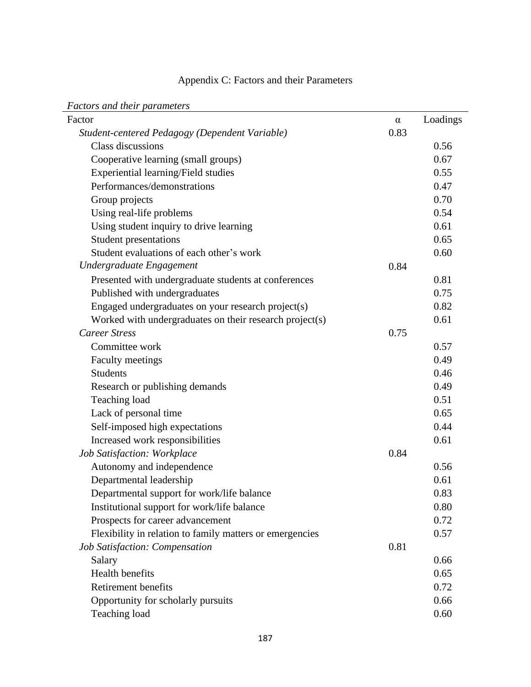# Appendix C: Factors and their Parameters

|  |  | <b>Factors and their parameters</b> |
|--|--|-------------------------------------|
|--|--|-------------------------------------|

| т астого ана теп рататетств                              |          |          |
|----------------------------------------------------------|----------|----------|
| Factor                                                   | $\alpha$ | Loadings |
| Student-centered Pedagogy (Dependent Variable)           | 0.83     |          |
| Class discussions                                        |          | 0.56     |
| Cooperative learning (small groups)                      |          | 0.67     |
| Experiential learning/Field studies                      |          | 0.55     |
| Performances/demonstrations                              |          | 0.47     |
| Group projects                                           |          | 0.70     |
| Using real-life problems                                 |          | 0.54     |
| Using student inquiry to drive learning                  |          | 0.61     |
| <b>Student presentations</b>                             |          | 0.65     |
| Student evaluations of each other's work                 |          | 0.60     |
| Undergraduate Engagement                                 | 0.84     |          |
| Presented with undergraduate students at conferences     |          | 0.81     |
| Published with undergraduates                            |          | 0.75     |
| Engaged undergraduates on your research project(s)       |          | 0.82     |
| Worked with undergraduates on their research project(s)  |          | 0.61     |
| <b>Career Stress</b>                                     | 0.75     |          |
| Committee work                                           |          | 0.57     |
| <b>Faculty meetings</b>                                  |          | 0.49     |
| <b>Students</b>                                          |          | 0.46     |
| Research or publishing demands                           |          | 0.49     |
| Teaching load                                            |          | 0.51     |
| Lack of personal time                                    |          | 0.65     |
| Self-imposed high expectations                           |          | 0.44     |
| Increased work responsibilities                          |          | 0.61     |
| Job Satisfaction: Workplace                              | 0.84     |          |
| Autonomy and independence                                |          | 0.56     |
| Departmental leadership                                  |          | 0.61     |
| Departmental support for work/life balance               |          | 0.83     |
| Institutional support for work/life balance              |          | 0.80     |
| Prospects for career advancement                         |          | 0.72     |
| Flexibility in relation to family matters or emergencies |          | 0.57     |
| Job Satisfaction: Compensation                           | 0.81     |          |
| Salary                                                   |          | 0.66     |
| <b>Health benefits</b>                                   |          | 0.65     |
| Retirement benefits                                      |          | 0.72     |
| Opportunity for scholarly pursuits                       |          | 0.66     |
| Teaching load                                            |          | 0.60     |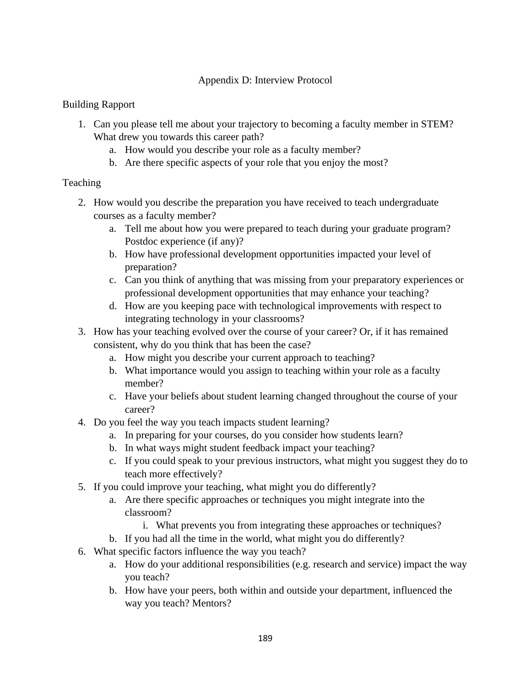# Appendix D: Interview Protocol

# Building Rapport

- 1. Can you please tell me about your trajectory to becoming a faculty member in STEM? What drew you towards this career path?
	- a. How would you describe your role as a faculty member?
	- b. Are there specific aspects of your role that you enjoy the most?

# Teaching

- 2. How would you describe the preparation you have received to teach undergraduate courses as a faculty member?
	- a. Tell me about how you were prepared to teach during your graduate program? Postdoc experience (if any)?
	- b. How have professional development opportunities impacted your level of preparation?
	- c. Can you think of anything that was missing from your preparatory experiences or professional development opportunities that may enhance your teaching?
	- d. How are you keeping pace with technological improvements with respect to integrating technology in your classrooms?
- 3. How has your teaching evolved over the course of your career? Or, if it has remained consistent, why do you think that has been the case?
	- a. How might you describe your current approach to teaching?
	- b. What importance would you assign to teaching within your role as a faculty member?
	- c. Have your beliefs about student learning changed throughout the course of your career?
- 4. Do you feel the way you teach impacts student learning?
	- a. In preparing for your courses, do you consider how students learn?
	- b. In what ways might student feedback impact your teaching?
	- c. If you could speak to your previous instructors, what might you suggest they do to teach more effectively?
- 5. If you could improve your teaching, what might you do differently?
	- a. Are there specific approaches or techniques you might integrate into the classroom?
		- i. What prevents you from integrating these approaches or techniques?
	- b. If you had all the time in the world, what might you do differently?
- 6. What specific factors influence the way you teach?
	- a. How do your additional responsibilities (e.g. research and service) impact the way you teach?
	- b. How have your peers, both within and outside your department, influenced the way you teach? Mentors?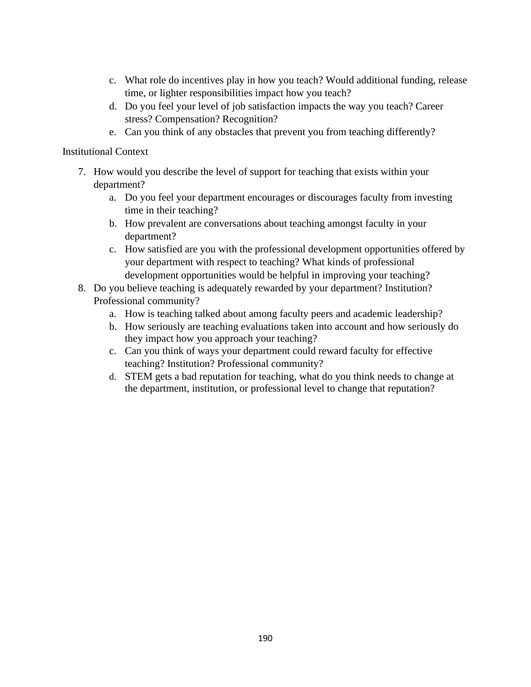- c. What role do incentives play in how you teach? Would additional funding, release time, or lighter responsibilities impact how you teach?
- d. Do you feel your level of job satisfaction impacts the way you teach? Career stress? Compensation? Recognition?
- e. Can you think of any obstacles that prevent you from teaching differently?

# Institutional Context

- 7. How would you describe the level of support for teaching that exists within your department?
	- a. Do you feel your department encourages or discourages faculty from investing time in their teaching?
	- b. How prevalent are conversations about teaching amongst faculty in your department?
	- c. How satisfied are you with the professional development opportunities offered by your department with respect to teaching? What kinds of professional development opportunities would be helpful in improving your teaching?
- 8. Do you believe teaching is adequately rewarded by your department? Institution? Professional community?
	- a. How is teaching talked about among faculty peers and academic leadership?
	- b. How seriously are teaching evaluations taken into account and how seriously do they impact how you approach your teaching?
	- c. Can you think of ways your department could reward faculty for effective teaching? Institution? Professional community?
	- d. STEM gets a bad reputation for teaching, what do you think needs to change at the department, institution, or professional level to change that reputation?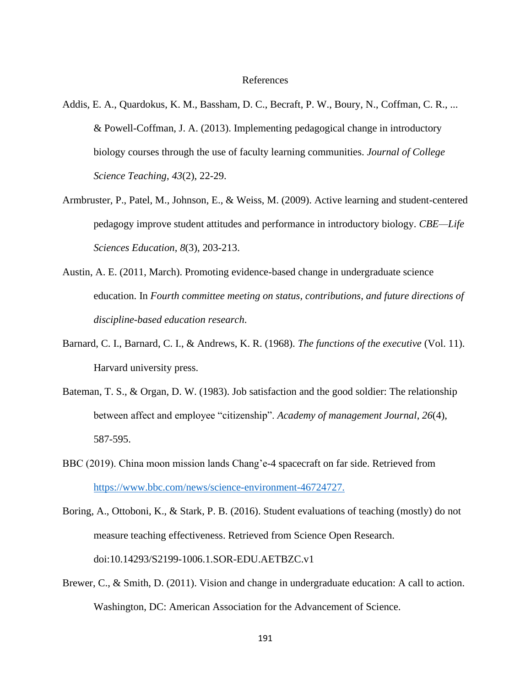#### References

- Addis, E. A., Quardokus, K. M., Bassham, D. C., Becraft, P. W., Boury, N., Coffman, C. R., ... & Powell-Coffman, J. A. (2013). Implementing pedagogical change in introductory biology courses through the use of faculty learning communities. *Journal of College Science Teaching*, *43*(2), 22-29.
- Armbruster, P., Patel, M., Johnson, E., & Weiss, M. (2009). Active learning and student-centered pedagogy improve student attitudes and performance in introductory biology. *CBE—Life Sciences Education*, *8*(3), 203-213.
- Austin, A. E. (2011, March). Promoting evidence-based change in undergraduate science education. In *Fourth committee meeting on status, contributions, and future directions of discipline-based education research*.
- Barnard, C. I., Barnard, C. I., & Andrews, K. R. (1968). *The functions of the executive* (Vol. 11). Harvard university press.
- Bateman, T. S., & Organ, D. W. (1983). Job satisfaction and the good soldier: The relationship between affect and employee "citizenship". *Academy of management Journal*, *26*(4), 587-595.
- BBC (2019). China moon mission lands Chang'e-4 spacecraft on far side. Retrieved from [https://www.bbc.com/news/science-environment-46724727.](https://www.bbc.com/news/science-environment-46724727)
- Boring, A., Ottoboni, K., & Stark, P. B. (2016). Student evaluations of teaching (mostly) do not measure teaching effectiveness. Retrieved from Science Open Research. doi:10.14293/S2199-1006.1.SOR-EDU.AETBZC.v1
- Brewer, C., & Smith, D. (2011). Vision and change in undergraduate education: A call to action. Washington, DC: American Association for the Advancement of Science.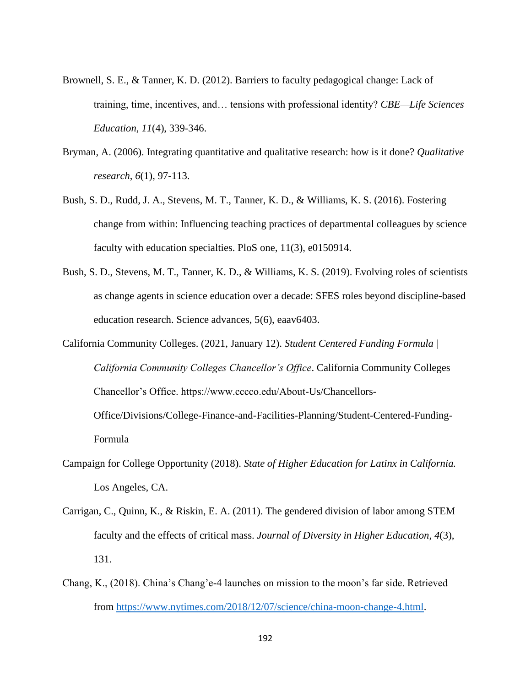- Brownell, S. E., & Tanner, K. D. (2012). Barriers to faculty pedagogical change: Lack of training, time, incentives, and… tensions with professional identity? *CBE—Life Sciences Education*, *11*(4), 339-346.
- Bryman, A. (2006). Integrating quantitative and qualitative research: how is it done? *Qualitative research*, *6*(1), 97-113.
- Bush, S. D., Rudd, J. A., Stevens, M. T., Tanner, K. D., & Williams, K. S. (2016). Fostering change from within: Influencing teaching practices of departmental colleagues by science faculty with education specialties. PloS one, 11(3), e0150914.
- Bush, S. D., Stevens, M. T., Tanner, K. D., & Williams, K. S. (2019). Evolving roles of scientists as change agents in science education over a decade: SFES roles beyond discipline-based education research. Science advances, 5(6), eaav6403.
- California Community Colleges. (2021, January 12). *Student Centered Funding Formula | California Community Colleges Chancellor's Office*. California Community Colleges Chancellor's Office. https://www.cccco.edu/About-Us/Chancellors-Office/Divisions/College-Finance-and-Facilities-Planning/Student-Centered-Funding-

Formula

- Campaign for College Opportunity (2018). *State of Higher Education for Latinx in California.* Los Angeles, CA.
- Carrigan, C., Quinn, K., & Riskin, E. A. (2011). The gendered division of labor among STEM faculty and the effects of critical mass. *Journal of Diversity in Higher Education*, *4*(3), 131.
- Chang, K., (2018). China's Chang'e-4 launches on mission to the moon's far side. Retrieved from [https://www.nytimes.com/2018/12/07/science/china-moon-change-4.html.](https://www.nytimes.com/2018/12/07/science/china-moon-change-4.html)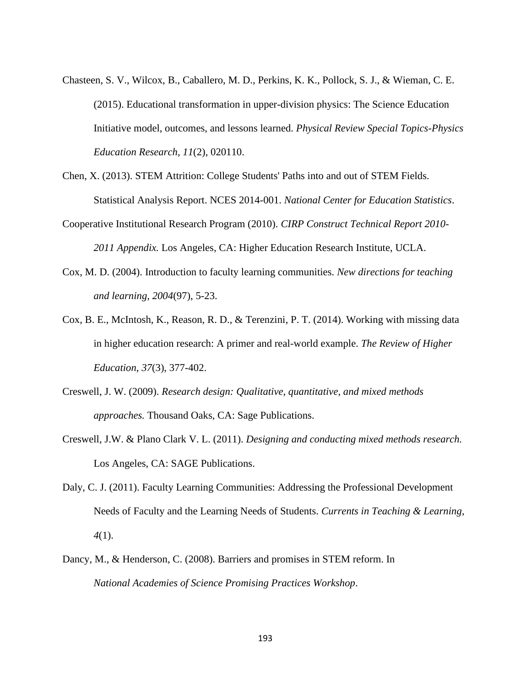- Chasteen, S. V., Wilcox, B., Caballero, M. D., Perkins, K. K., Pollock, S. J., & Wieman, C. E. (2015). Educational transformation in upper-division physics: The Science Education Initiative model, outcomes, and lessons learned. *Physical Review Special Topics-Physics Education Research*, *11*(2), 020110.
- Chen, X. (2013). STEM Attrition: College Students' Paths into and out of STEM Fields. Statistical Analysis Report. NCES 2014-001. *National Center for Education Statistics*.
- Cooperative Institutional Research Program (2010). *CIRP Construct Technical Report 2010- 2011 Appendix.* Los Angeles, CA: Higher Education Research Institute, UCLA.
- Cox, M. D. (2004). Introduction to faculty learning communities. *New directions for teaching and learning*, *2004*(97), 5-23.
- Cox, B. E., McIntosh, K., Reason, R. D., & Terenzini, P. T. (2014). Working with missing data in higher education research: A primer and real-world example. *The Review of Higher Education*, *37*(3), 377-402.
- Creswell, J. W. (2009). *Research design: Qualitative, quantitative, and mixed methods approaches.* Thousand Oaks, CA: Sage Publications.
- Creswell, J.W. & Plano Clark V. L. (2011). *Designing and conducting mixed methods research.*  Los Angeles, CA: SAGE Publications.
- Daly, C. J. (2011). Faculty Learning Communities: Addressing the Professional Development Needs of Faculty and the Learning Needs of Students. *Currents in Teaching & Learning*, *4*(1).
- Dancy, M., & Henderson, C. (2008). Barriers and promises in STEM reform. In *National Academies of Science Promising Practices Workshop*.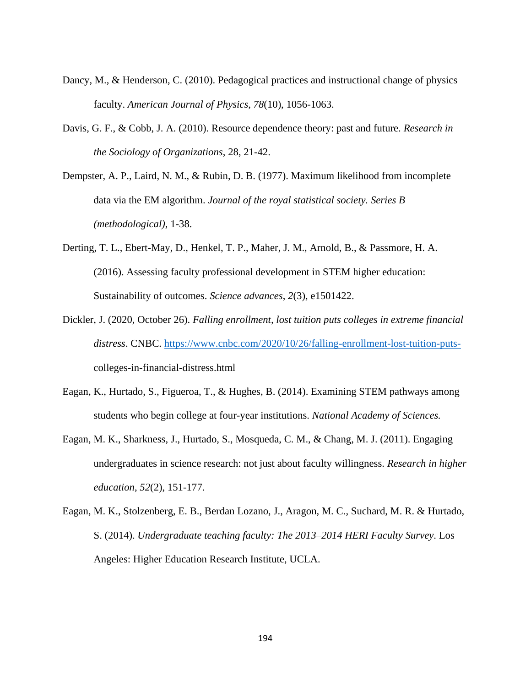- Dancy, M., & Henderson, C. (2010). Pedagogical practices and instructional change of physics faculty. *American Journal of Physics*, *78*(10), 1056-1063.
- Davis, G. F., & Cobb, J. A. (2010). Resource dependence theory: past and future. *Research in the Sociology of Organizations*, 28, 21-42.
- Dempster, A. P., Laird, N. M., & Rubin, D. B. (1977). Maximum likelihood from incomplete data via the EM algorithm. *Journal of the royal statistical society. Series B (methodological)*, 1-38.
- Derting, T. L., Ebert-May, D., Henkel, T. P., Maher, J. M., Arnold, B., & Passmore, H. A. (2016). Assessing faculty professional development in STEM higher education: Sustainability of outcomes. *Science advances*, *2*(3), e1501422.
- Dickler, J. (2020, October 26). *Falling enrollment, lost tuition puts colleges in extreme financial distress*. CNBC. [https://www.cnbc.com/2020/10/26/falling-enrollment-lost-tuition-puts](https://www.cnbc.com/2020/10/26/falling-enrollment-lost-tuition-puts-)colleges-in-financial-distress.html
- Eagan, K., Hurtado, S., Figueroa, T., & Hughes, B. (2014). Examining STEM pathways among students who begin college at four-year institutions. *National Academy of Sciences.*
- Eagan, M. K., Sharkness, J., Hurtado, S., Mosqueda, C. M., & Chang, M. J. (2011). Engaging undergraduates in science research: not just about faculty willingness. *Research in higher education*, *52*(2), 151-177.
- Eagan, M. K., Stolzenberg, E. B., Berdan Lozano, J., Aragon, M. C., Suchard, M. R. & Hurtado, S. (2014). *Undergraduate teaching faculty: The 2013–2014 HERI Faculty Survey*. Los Angeles: Higher Education Research Institute, UCLA.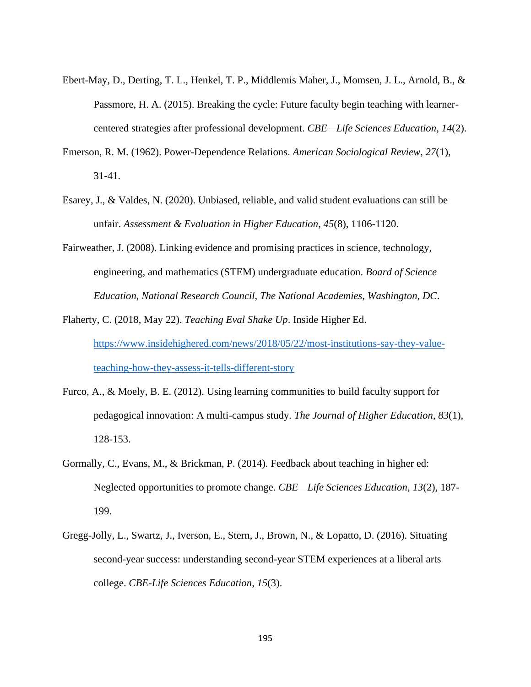- Ebert-May, D., Derting, T. L., Henkel, T. P., Middlemis Maher, J., Momsen, J. L., Arnold, B., & Passmore, H. A. (2015). Breaking the cycle: Future faculty begin teaching with learnercentered strategies after professional development. *CBE—Life Sciences Education*, *14*(2).
- Emerson, R. M. (1962). Power-Dependence Relations. *American Sociological Review, 27*(1), 31-41.
- Esarey, J., & Valdes, N. (2020). Unbiased, reliable, and valid student evaluations can still be unfair. *Assessment & Evaluation in Higher Education*, *45*(8), 1106-1120.
- Fairweather, J. (2008). Linking evidence and promising practices in science, technology, engineering, and mathematics (STEM) undergraduate education. *Board of Science Education, National Research Council, The National Academies, Washington, DC*.
- Flaherty, C. (2018, May 22). *Teaching Eval Shake Up*. Inside Higher Ed. [https://www.insidehighered.com/news/2018/05/22/most-institutions-say-they-value](https://www.insidehighered.com/news/2018/05/22/most-institutions-say-they-value-teaching-how-they-assess-it-tells-different-story)[teaching-how-they-assess-it-tells-different-story](https://www.insidehighered.com/news/2018/05/22/most-institutions-say-they-value-teaching-how-they-assess-it-tells-different-story)
- Furco, A., & Moely, B. E. (2012). Using learning communities to build faculty support for pedagogical innovation: A multi-campus study. *The Journal of Higher Education*, *83*(1), 128-153.
- Gormally, C., Evans, M., & Brickman, P. (2014). Feedback about teaching in higher ed: Neglected opportunities to promote change. *CBE—Life Sciences Education*, *13*(2), 187- 199.
- Gregg-Jolly, L., Swartz, J., Iverson, E., Stern, J., Brown, N., & Lopatto, D. (2016). Situating second-year success: understanding second-year STEM experiences at a liberal arts college. *CBE-Life Sciences Education*, *15*(3).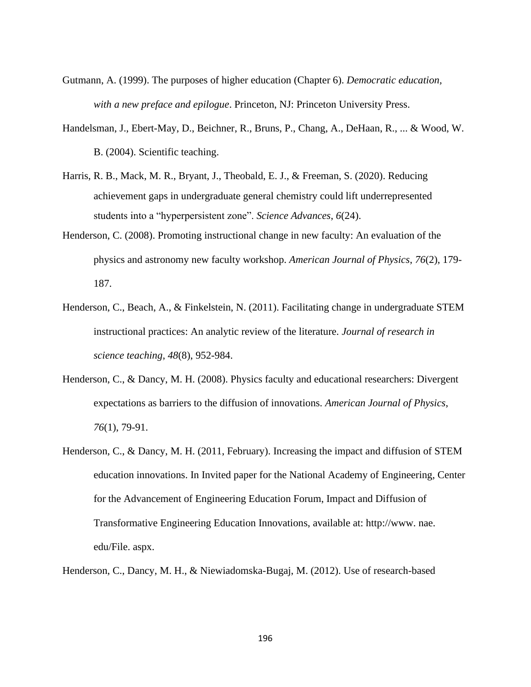- Gutmann, A. (1999). The purposes of higher education (Chapter 6). *Democratic education, with a new preface and epilogue*. Princeton, NJ: Princeton University Press.
- Handelsman, J., Ebert-May, D., Beichner, R., Bruns, P., Chang, A., DeHaan, R., ... & Wood, W. B. (2004). Scientific teaching.
- Harris, R. B., Mack, M. R., Bryant, J., Theobald, E. J., & Freeman, S. (2020). Reducing achievement gaps in undergraduate general chemistry could lift underrepresented students into a "hyperpersistent zone". *Science Advances*, *6*(24).
- Henderson, C. (2008). Promoting instructional change in new faculty: An evaluation of the physics and astronomy new faculty workshop. *American Journal of Physics*, *76*(2), 179- 187.
- Henderson, C., Beach, A., & Finkelstein, N. (2011). Facilitating change in undergraduate STEM instructional practices: An analytic review of the literature. *Journal of research in science teaching*, *48*(8), 952-984.
- Henderson, C., & Dancy, M. H. (2008). Physics faculty and educational researchers: Divergent expectations as barriers to the diffusion of innovations. *American Journal of Physics*, *76*(1), 79-91.
- Henderson, C., & Dancy, M. H. (2011, February). Increasing the impact and diffusion of STEM education innovations. In Invited paper for the National Academy of Engineering, Center for the Advancement of Engineering Education Forum, Impact and Diffusion of Transformative Engineering Education Innovations, available at: http://www. nae. edu/File. aspx.
- Henderson, C., Dancy, M. H., & Niewiadomska-Bugaj, M. (2012). Use of research-based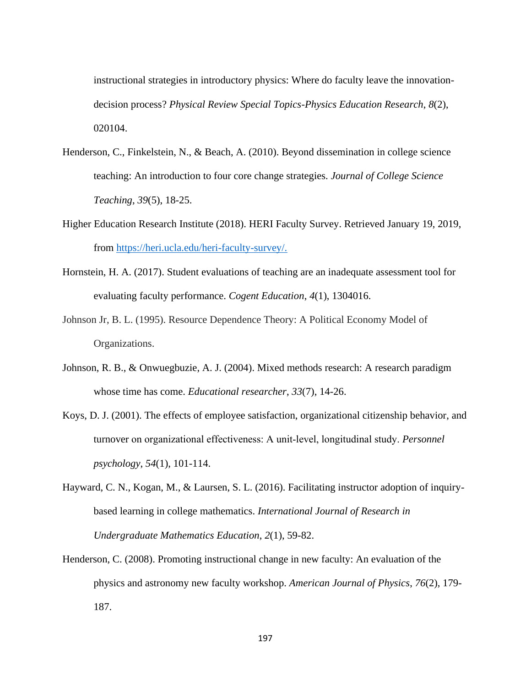instructional strategies in introductory physics: Where do faculty leave the innovationdecision process? *Physical Review Special Topics-Physics Education Research*, *8*(2), 020104.

- Henderson, C., Finkelstein, N., & Beach, A. (2010). Beyond dissemination in college science teaching: An introduction to four core change strategies. *Journal of College Science Teaching*, *39*(5), 18-25.
- Higher Education Research Institute (2018). HERI Faculty Survey. Retrieved January 19, 2019, from [https://heri.ucla.edu/heri-faculty-survey/.](https://heri.ucla.edu/heri-faculty-survey/)
- Hornstein, H. A. (2017). Student evaluations of teaching are an inadequate assessment tool for evaluating faculty performance. *Cogent Education*, *4*(1), 1304016.
- Johnson Jr, B. L. (1995). Resource Dependence Theory: A Political Economy Model of Organizations.
- Johnson, R. B., & Onwuegbuzie, A. J. (2004). Mixed methods research: A research paradigm whose time has come. *Educational researcher*, *33*(7), 14-26.
- Koys, D. J. (2001). The effects of employee satisfaction, organizational citizenship behavior, and turnover on organizational effectiveness: A unit‐level, longitudinal study. *Personnel psychology*, *54*(1), 101-114.
- Hayward, C. N., Kogan, M., & Laursen, S. L. (2016). Facilitating instructor adoption of inquirybased learning in college mathematics. *International Journal of Research in Undergraduate Mathematics Education*, *2*(1), 59-82.
- Henderson, C. (2008). Promoting instructional change in new faculty: An evaluation of the physics and astronomy new faculty workshop. *American Journal of Physics*, *76*(2), 179- 187.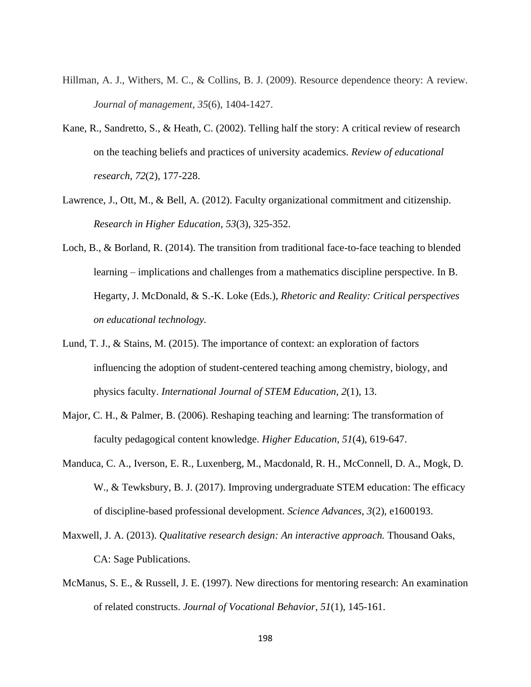- Hillman, A. J., Withers, M. C., & Collins, B. J. (2009). Resource dependence theory: A review. *Journal of management*, *35*(6), 1404-1427.
- Kane, R., Sandretto, S., & Heath, C. (2002). Telling half the story: A critical review of research on the teaching beliefs and practices of university academics. *Review of educational research*, *72*(2), 177-228.
- Lawrence, J., Ott, M., & Bell, A. (2012). Faculty organizational commitment and citizenship. *Research in Higher Education*, *53*(3), 325-352.
- Loch, B., & Borland, R. (2014). The transition from traditional face-to-face teaching to blended learning – implications and challenges from a mathematics discipline perspective. In B. Hegarty, J. McDonald, & S.-K. Loke (Eds.), *Rhetoric and Reality: Critical perspectives on educational technology.*
- Lund, T. J., & Stains, M. (2015). The importance of context: an exploration of factors influencing the adoption of student-centered teaching among chemistry, biology, and physics faculty. *International Journal of STEM Education*, *2*(1), 13.
- Major, C. H., & Palmer, B. (2006). Reshaping teaching and learning: The transformation of faculty pedagogical content knowledge. *Higher Education*, *51*(4), 619-647.
- Manduca, C. A., Iverson, E. R., Luxenberg, M., Macdonald, R. H., McConnell, D. A., Mogk, D. W., & Tewksbury, B. J. (2017). Improving undergraduate STEM education: The efficacy of discipline-based professional development. *Science Advances*, *3*(2), e1600193.
- Maxwell, J. A. (2013). *Qualitative research design: An interactive approach.* Thousand Oaks, CA: Sage Publications.
- McManus, S. E., & Russell, J. E. (1997). New directions for mentoring research: An examination of related constructs. *Journal of Vocational Behavior*, *51*(1), 145-161.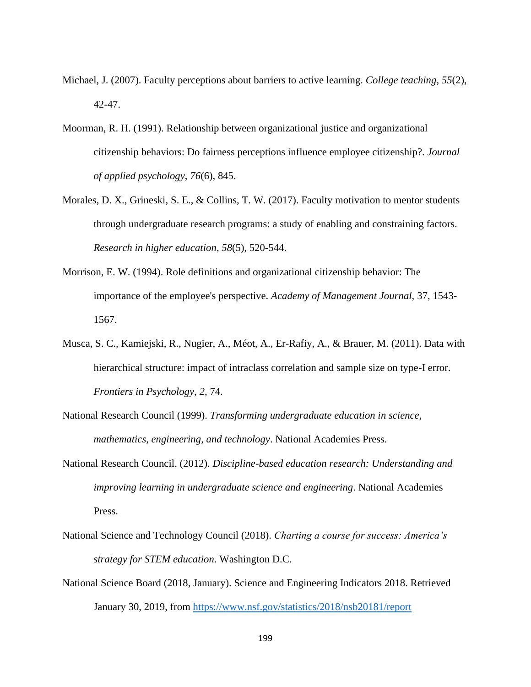- Michael, J. (2007). Faculty perceptions about barriers to active learning. *College teaching*, *55*(2), 42-47.
- Moorman, R. H. (1991). Relationship between organizational justice and organizational citizenship behaviors: Do fairness perceptions influence employee citizenship?. *Journal of applied psychology*, *76*(6), 845.
- Morales, D. X., Grineski, S. E., & Collins, T. W. (2017). Faculty motivation to mentor students through undergraduate research programs: a study of enabling and constraining factors. *Research in higher education*, *58*(5), 520-544.
- Morrison, E. W. (1994). Role definitions and organizational citizenship behavior: The importance of the employee's perspective. *Academy of Management Journal,* 37, 1543- 1567.
- Musca, S. C., Kamiejski, R., Nugier, A., Méot, A., Er-Rafiy, A., & Brauer, M. (2011). Data with hierarchical structure: impact of intraclass correlation and sample size on type-I error. *Frontiers in Psychology*, *2*, 74.
- National Research Council (1999). *Transforming undergraduate education in science, mathematics, engineering, and technology*. National Academies Press.
- National Research Council. (2012). *Discipline-based education research: Understanding and improving learning in undergraduate science and engineering*. National Academies Press.
- National Science and Technology Council (2018). *Charting a course for success: America's strategy for STEM education*. Washington D.C.
- National Science Board (2018, January). Science and Engineering Indicators 2018. Retrieved January 30, 2019, from<https://www.nsf.gov/statistics/2018/nsb20181/report>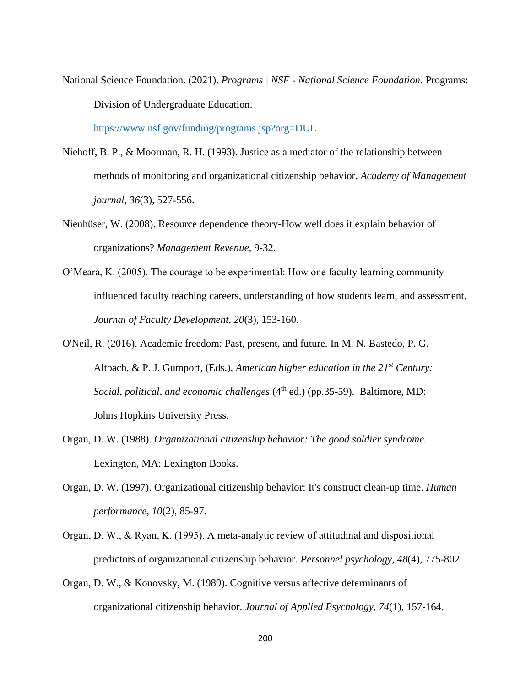National Science Foundation. (2021). *Programs | NSF - National Science Foundation*. Programs: Division of Undergraduate Education.

<https://www.nsf.gov/funding/programs.jsp?org=DUE>

- Niehoff, B. P., & Moorman, R. H. (1993). Justice as a mediator of the relationship between methods of monitoring and organizational citizenship behavior. *Academy of Management journal*, *36*(3), 527-556.
- Nienhüser, W. (2008). Resource dependence theory-How well does it explain behavior of organizations? *Management Revenue*, 9-32.
- O'Meara, K. (2005). The courage to be experimental: How one faculty learning community influenced faculty teaching careers, understanding of how students learn, and assessment. *Journal of Faculty Development, 20*(3), 153-160.
- O'Neil, R. (2016). Academic freedom: Past, present, and future*.* In M. N. Bastedo, P. G. Altbach, & P. J. Gumport, (Eds.), *American higher education in the 21st Century: Social, political, and economic challenges* (4<sup>th</sup> ed.) (pp.35-59). Baltimore, MD: Johns Hopkins University Press.
- Organ, D. W. (1988). *Organizational citizenship behavior: The good soldier syndrome.*  Lexington, MA: Lexington Books.
- Organ, D. W. (1997). Organizational citizenship behavior: It's construct clean-up time. *Human performance*, *10*(2), 85-97.
- Organ, D. W., & Ryan, K. (1995). A meta‐analytic review of attitudinal and dispositional predictors of organizational citizenship behavior. *Personnel psychology*, *48*(4), 775-802.
- Organ, D. W., & Konovsky, M. (1989). Cognitive versus affective determinants of organizational citizenship behavior. *Journal of Applied Psychology, 74*(1), 157-164.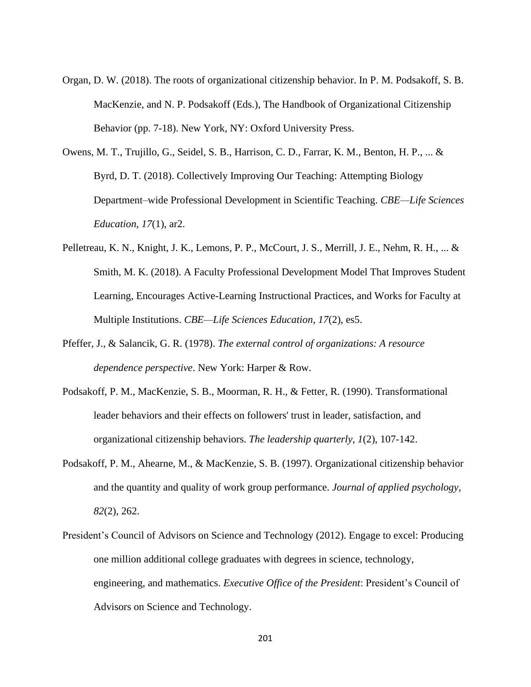- Organ, D. W. (2018). The roots of organizational citizenship behavior. In P. M. Podsakoff, S. B. MacKenzie, and N. P. Podsakoff (Eds.), The Handbook of Organizational Citizenship Behavior (pp. 7-18). New York, NY: Oxford University Press.
- Owens, M. T., Trujillo, G., Seidel, S. B., Harrison, C. D., Farrar, K. M., Benton, H. P., ... & Byrd, D. T. (2018). Collectively Improving Our Teaching: Attempting Biology Department–wide Professional Development in Scientific Teaching. *CBE—Life Sciences Education*, *17*(1), ar2.
- Pelletreau, K. N., Knight, J. K., Lemons, P. P., McCourt, J. S., Merrill, J. E., Nehm, R. H., ... & Smith, M. K. (2018). A Faculty Professional Development Model That Improves Student Learning, Encourages Active-Learning Instructional Practices, and Works for Faculty at Multiple Institutions. *CBE—Life Sciences Education*, *17*(2), es5.
- Pfeffer, J., & Salancik, G. R. (1978). *The external control of organizations: A resource dependence perspective*. New York: Harper & Row.
- Podsakoff, P. M., MacKenzie, S. B., Moorman, R. H., & Fetter, R. (1990). Transformational leader behaviors and their effects on followers' trust in leader, satisfaction, and organizational citizenship behaviors. *The leadership quarterly*, *1*(2), 107-142.
- Podsakoff, P. M., Ahearne, M., & MacKenzie, S. B. (1997). Organizational citizenship behavior and the quantity and quality of work group performance. *Journal of applied psychology*, *82*(2), 262.
- President's Council of Advisors on Science and Technology (2012). Engage to excel: Producing one million additional college graduates with degrees in science, technology, engineering, and mathematics. *Executive Office of the President*: President's Council of Advisors on Science and Technology.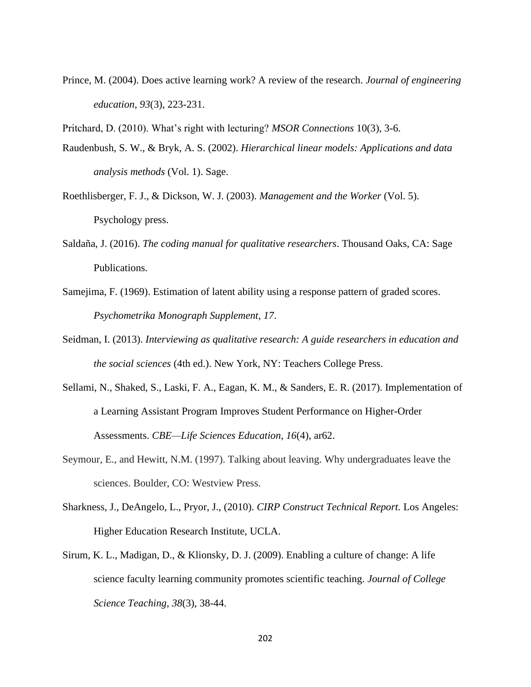- Prince, M. (2004). Does active learning work? A review of the research. *Journal of engineering education*, *93*(3), 223-231.
- Pritchard, D. (2010). What's right with lecturing? *MSOR Connections* 10(3), 3-6.
- Raudenbush, S. W., & Bryk, A. S. (2002). *Hierarchical linear models: Applications and data analysis methods* (Vol. 1). Sage.
- Roethlisberger, F. J., & Dickson, W. J. (2003). *Management and the Worker* (Vol. 5). Psychology press.
- Saldaña, J. (2016). *The coding manual for qualitative researchers*. Thousand Oaks, CA: Sage Publications.
- Samejima, F. (1969). Estimation of latent ability using a response pattern of graded scores. *Psychometrika Monograph Supplement*, *17*.
- Seidman, I. (2013). *Interviewing as qualitative research: A guide researchers in education and the social sciences* (4th ed.). New York, NY: Teachers College Press.
- Sellami, N., Shaked, S., Laski, F. A., Eagan, K. M., & Sanders, E. R. (2017). Implementation of a Learning Assistant Program Improves Student Performance on Higher-Order Assessments. *CBE—Life Sciences Education*, *16*(4), ar62.
- Seymour, E., and Hewitt, N.M. (1997). Talking about leaving. Why undergraduates leave the sciences. Boulder, CO: Westview Press.
- Sharkness, J., DeAngelo, L., Pryor, J., (2010). *CIRP Construct Technical Report.* Los Angeles: Higher Education Research Institute, UCLA.
- Sirum, K. L., Madigan, D., & Klionsky, D. J. (2009). Enabling a culture of change: A life science faculty learning community promotes scientific teaching. *Journal of College Science Teaching*, *38*(3), 38-44.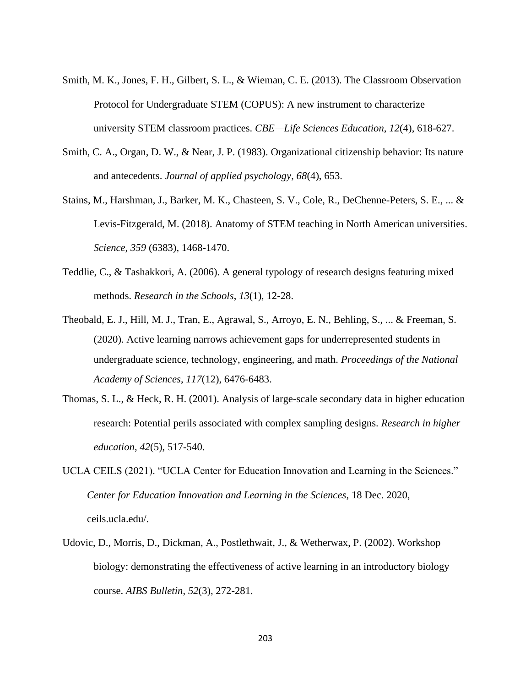- Smith, M. K., Jones, F. H., Gilbert, S. L., & Wieman, C. E. (2013). The Classroom Observation Protocol for Undergraduate STEM (COPUS): A new instrument to characterize university STEM classroom practices. *CBE—Life Sciences Education*, *12*(4), 618-627.
- Smith, C. A., Organ, D. W., & Near, J. P. (1983). Organizational citizenship behavior: Its nature and antecedents. *Journal of applied psychology*, *68*(4), 653.
- Stains, M., Harshman, J., Barker, M. K., Chasteen, S. V., Cole, R., DeChenne-Peters, S. E., ... & Levis-Fitzgerald, M. (2018). Anatomy of STEM teaching in North American universities. *Science*, *359* (6383), 1468-1470.
- Teddlie, C., & Tashakkori, A. (2006). A general typology of research designs featuring mixed methods. *Research in the Schools*, *13*(1), 12-28.
- Theobald, E. J., Hill, M. J., Tran, E., Agrawal, S., Arroyo, E. N., Behling, S., ... & Freeman, S. (2020). Active learning narrows achievement gaps for underrepresented students in undergraduate science, technology, engineering, and math. *Proceedings of the National Academy of Sciences*, *117*(12), 6476-6483.
- Thomas, S. L., & Heck, R. H. (2001). Analysis of large-scale secondary data in higher education research: Potential perils associated with complex sampling designs. *Research in higher education*, *42*(5), 517-540.
- UCLA CEILS (2021). "UCLA Center for Education Innovation and Learning in the Sciences." *Center for Education Innovation and Learning in the Sciences*, 18 Dec. 2020, ceils.ucla.edu/.
- Udovic, D., Morris, D., Dickman, A., Postlethwait, J., & Wetherwax, P. (2002). Workshop biology: demonstrating the effectiveness of active learning in an introductory biology course. *AIBS Bulletin*, *52*(3), 272-281.